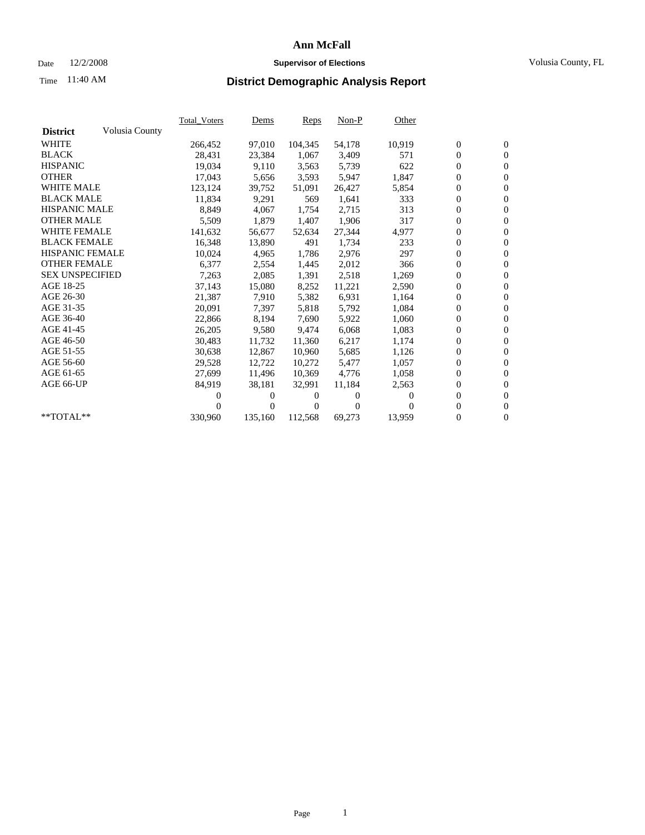## Date 12/2/2008 **Supervisor of Elections** Volusia County, FL

# Time **District Demographic Analysis Report** 11:40 AM

|                        |                | <b>Total_Voters</b> | <u>Dems</u>    | Reps    | $Non-P$      | Other  |                  |                  |  |
|------------------------|----------------|---------------------|----------------|---------|--------------|--------|------------------|------------------|--|
| <b>District</b>        | Volusia County |                     |                |         |              |        |                  |                  |  |
| <b>WHITE</b>           |                | 266,452             | 97,010         | 104,345 | 54,178       | 10,919 | $\boldsymbol{0}$ | $\mathbf{0}$     |  |
| <b>BLACK</b>           |                | 28,431              | 23,384         | 1,067   | 3,409        | 571    | $\boldsymbol{0}$ | $\mathbf{0}$     |  |
| <b>HISPANIC</b>        |                | 19,034              | 9,110          | 3,563   | 5,739        | 622    | $\overline{0}$   | $\mathbf{0}$     |  |
| <b>OTHER</b>           |                | 17,043              | 5,656          | 3,593   | 5,947        | 1,847  | $\boldsymbol{0}$ | $\mathbf{0}$     |  |
| <b>WHITE MALE</b>      |                | 123,124             | 39,752         | 51,091  | 26,427       | 5,854  | 0                | $\boldsymbol{0}$ |  |
| <b>BLACK MALE</b>      |                | 11.834              | 9.291          | 569     | 1,641        | 333    | $\mathbf{0}$     | $\mathbf{0}$     |  |
| <b>HISPANIC MALE</b>   |                | 8,849               | 4,067          | 1,754   | 2,715        | 313    | $\boldsymbol{0}$ | $\mathbf{0}$     |  |
| <b>OTHER MALE</b>      |                | 5,509               | 1,879          | 1,407   | 1,906        | 317    | $\boldsymbol{0}$ | $\mathbf{0}$     |  |
| <b>WHITE FEMALE</b>    |                | 141,632             | 56,677         | 52,634  | 27,344       | 4,977  | $\boldsymbol{0}$ | $\mathbf{0}$     |  |
| <b>BLACK FEMALE</b>    |                | 16,348              | 13,890         | 491     | 1,734        | 233    | $\overline{0}$   | $\mathbf{0}$     |  |
| <b>HISPANIC FEMALE</b> |                | 10,024              | 4,965          | 1,786   | 2,976        | 297    | 0                | $\mathbf{0}$     |  |
| <b>OTHER FEMALE</b>    |                | 6,377               | 2,554          | 1,445   | 2,012        | 366    | $\overline{0}$   | $\mathbf{0}$     |  |
| <b>SEX UNSPECIFIED</b> |                | 7,263               | 2,085          | 1,391   | 2,518        | 1,269  | $\overline{0}$   | $\overline{0}$   |  |
| AGE 18-25              |                | 37,143              | 15,080         | 8,252   | 11,221       | 2,590  | $\boldsymbol{0}$ | $\boldsymbol{0}$ |  |
| AGE 26-30              |                | 21,387              | 7.910          | 5,382   | 6,931        | 1,164  | 0                | $\mathbf{0}$     |  |
| AGE 31-35              |                | 20,091              | 7,397          | 5,818   | 5,792        | 1,084  | $\boldsymbol{0}$ | $\overline{0}$   |  |
| AGE 36-40              |                | 22,866              | 8,194          | 7,690   | 5,922        | 1,060  | $\overline{0}$   | $\mathbf{0}$     |  |
| AGE 41-45              |                | 26,205              | 9,580          | 9.474   | 6,068        | 1,083  | 0                | $\mathbf{0}$     |  |
| AGE 46-50              |                | 30,483              | 11,732         | 11,360  | 6,217        | 1,174  | 0                | $\mathbf{0}$     |  |
| AGE 51-55              |                | 30,638              | 12,867         | 10,960  | 5,685        | 1,126  | $\boldsymbol{0}$ | $\mathbf{0}$     |  |
| AGE 56-60              |                | 29,528              | 12,722         | 10,272  | 5,477        | 1,057  | 0                | $\mathbf{0}$     |  |
| AGE 61-65              |                | 27,699              | 11,496         | 10,369  | 4,776        | 1,058  | 0                | $\mathbf{0}$     |  |
| AGE 66-UP              |                | 84,919              | 38,181         | 32,991  | 11,184       | 2,563  | 0                | $\mathbf{0}$     |  |
|                        |                | 0                   | 0              | 0       | 0            | 0      | $\mathbf{0}$     | $\mathbf{0}$     |  |
|                        |                | 0                   | $\overline{0}$ | 0       | $\mathbf{0}$ | 0      | 0                | $\mathbf{0}$     |  |
| **TOTAL**              |                | 330,960             | 135,160        | 112,568 | 69,273       | 13,959 | 0                | $\boldsymbol{0}$ |  |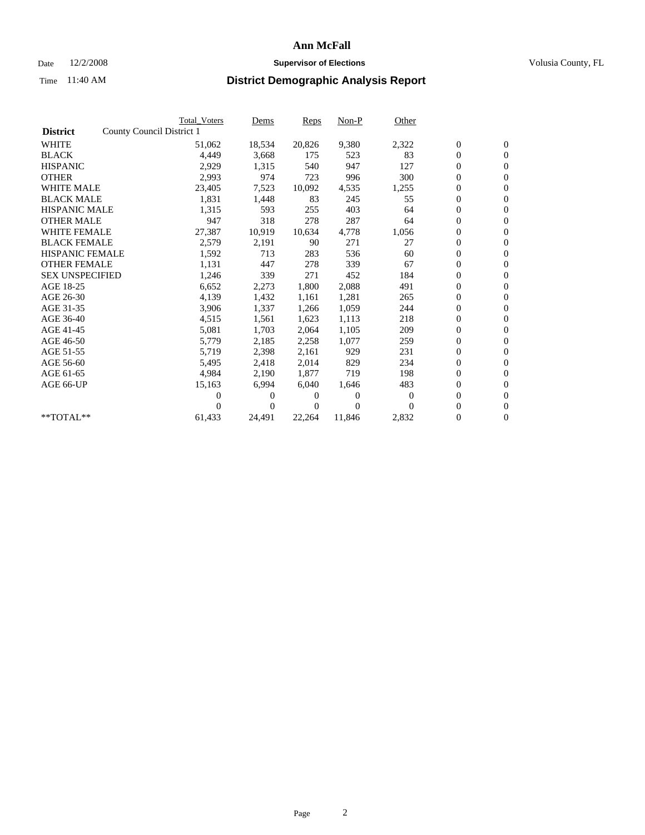### Date  $12/2/2008$  **Supervisor of Elections** Volusia County, FL

|                        | <b>Total Voters</b>       | Dems           | Reps   | $Non-P$        | Other    |                  |                  |  |
|------------------------|---------------------------|----------------|--------|----------------|----------|------------------|------------------|--|
| <b>District</b>        | County Council District 1 |                |        |                |          |                  |                  |  |
| <b>WHITE</b>           | 51,062                    | 18,534         | 20,826 | 9,380          | 2,322    | $\boldsymbol{0}$ | $\boldsymbol{0}$ |  |
| <b>BLACK</b>           | 4,449                     | 3,668          | 175    | 523            | 83       | $\overline{0}$   | $\mathbf{0}$     |  |
| <b>HISPANIC</b>        | 2,929                     | 1,315          | 540    | 947            | 127      | $\overline{0}$   | $\mathbf{0}$     |  |
| <b>OTHER</b>           | 2,993                     | 974            | 723    | 996            | 300      | 0                | $\mathbf{0}$     |  |
| <b>WHITE MALE</b>      | 23,405                    | 7,523          | 10,092 | 4,535          | 1,255    | $\boldsymbol{0}$ | $\mathbf{0}$     |  |
| <b>BLACK MALE</b>      | 1,831                     | 1,448          | 83     | 245            | 55       | $\boldsymbol{0}$ | $\mathbf{0}$     |  |
| <b>HISPANIC MALE</b>   | 1,315                     | 593            | 255    | 403            | 64       | 0                | $\mathbf{0}$     |  |
| <b>OTHER MALE</b>      | 947                       | 318            | 278    | 287            | 64       | $\boldsymbol{0}$ | $\mathbf{0}$     |  |
| <b>WHITE FEMALE</b>    | 27,387                    | 10,919         | 10,634 | 4,778          | 1,056    | 0                | $\mathbf{0}$     |  |
| <b>BLACK FEMALE</b>    | 2,579                     | 2,191          | 90     | 271            | 27       | 0                | $\Omega$         |  |
| <b>HISPANIC FEMALE</b> | 1,592                     | 713            | 283    | 536            | 60       | $\boldsymbol{0}$ | $\mathbf{0}$     |  |
| <b>OTHER FEMALE</b>    | 1,131                     | 447            | 278    | 339            | 67       | $\overline{0}$   | $\mathbf{0}$     |  |
| <b>SEX UNSPECIFIED</b> | 1,246                     | 339            | 271    | 452            | 184      | 0                | $\mathbf{0}$     |  |
| AGE 18-25              | 6,652                     | 2,273          | 1,800  | 2,088          | 491      | $\overline{0}$   | $\mathbf{0}$     |  |
| AGE 26-30              | 4,139                     | 1,432          | 1,161  | 1,281          | 265      | $\boldsymbol{0}$ | $\mathbf{0}$     |  |
| AGE 31-35              | 3,906                     | 1,337          | 1,266  | 1,059          | 244      | 0                | $\mathbf{0}$     |  |
| AGE 36-40              | 4,515                     | 1,561          | 1,623  | 1,113          | 218      | $\boldsymbol{0}$ | $\mathbf{0}$     |  |
| AGE 41-45              | 5,081                     | 1,703          | 2,064  | 1,105          | 209      | $\boldsymbol{0}$ | $\mathbf{0}$     |  |
| AGE 46-50              | 5,779                     | 2,185          | 2,258  | 1,077          | 259      | 0                | $\Omega$         |  |
| AGE 51-55              | 5,719                     | 2,398          | 2,161  | 929            | 231      | $\boldsymbol{0}$ | $\mathbf{0}$     |  |
| AGE 56-60              | 5,495                     | 2,418          | 2.014  | 829            | 234      | 0                | $\mathbf{0}$     |  |
| AGE 61-65              | 4,984                     | 2,190          | 1,877  | 719            | 198      | 0                | $\mathbf{0}$     |  |
| AGE 66-UP              | 15,163                    | 6,994          | 6.040  | 1,646          | 483      | $\overline{0}$   | $\mathbf{0}$     |  |
|                        | 0                         | 0              | 0      | $\overline{0}$ | $\Omega$ | $\boldsymbol{0}$ | $\mathbf{0}$     |  |
|                        | 0                         | $\overline{0}$ | 0      | $\Omega$       | $\Omega$ | 0                | $\mathbf{0}$     |  |
| $*$ TOTAL $**$         | 61,433                    | 24,491         | 22,264 | 11,846         | 2,832    | 0                | $\boldsymbol{0}$ |  |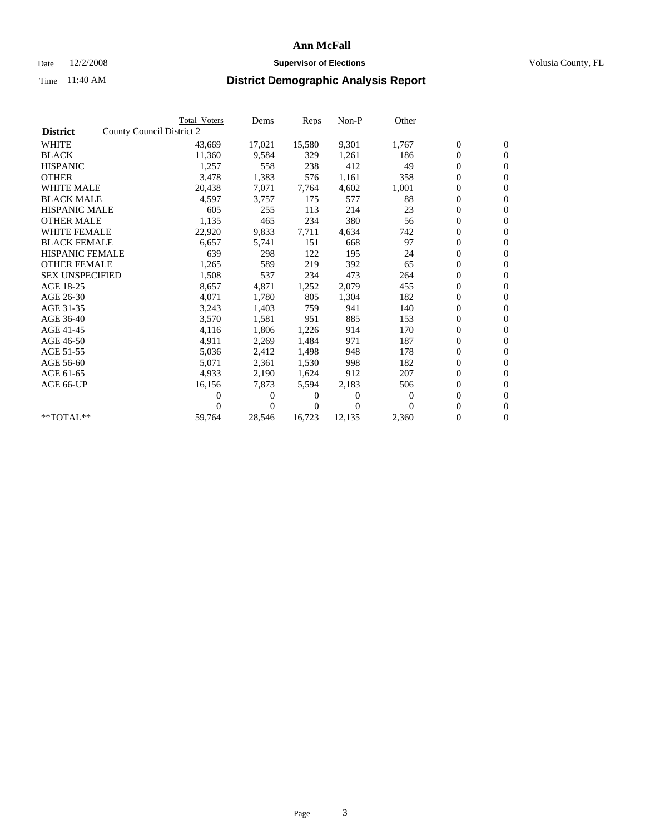## Date  $12/2/2008$  **Supervisor of Elections** Volusia County, FL

|                        |                           | <b>Total Voters</b> | Dems         | Reps   | $Non-P$  | Other    |                  |                  |  |
|------------------------|---------------------------|---------------------|--------------|--------|----------|----------|------------------|------------------|--|
| <b>District</b>        | County Council District 2 |                     |              |        |          |          |                  |                  |  |
| <b>WHITE</b>           |                           | 43,669              | 17,021       | 15,580 | 9,301    | 1,767    | $\boldsymbol{0}$ | $\boldsymbol{0}$ |  |
| <b>BLACK</b>           |                           | 11,360              | 9,584        | 329    | 1,261    | 186      | $\overline{0}$   | $\mathbf{0}$     |  |
| <b>HISPANIC</b>        |                           | 1,257               | 558          | 238    | 412      | 49       | $\overline{0}$   | $\mathbf{0}$     |  |
| <b>OTHER</b>           |                           | 3,478               | 1,383        | 576    | 1,161    | 358      | 0                | $\mathbf{0}$     |  |
| <b>WHITE MALE</b>      |                           | 20,438              | 7,071        | 7,764  | 4,602    | 1,001    | $\boldsymbol{0}$ | $\mathbf{0}$     |  |
| <b>BLACK MALE</b>      |                           | 4,597               | 3,757        | 175    | 577      | 88       | $\boldsymbol{0}$ | $\mathbf{0}$     |  |
| <b>HISPANIC MALE</b>   |                           | 605                 | 255          | 113    | 214      | 23       | 0                | $\mathbf{0}$     |  |
| <b>OTHER MALE</b>      |                           | 1,135               | 465          | 234    | 380      | 56       | $\boldsymbol{0}$ | $\mathbf{0}$     |  |
| <b>WHITE FEMALE</b>    |                           | 22,920              | 9,833        | 7,711  | 4,634    | 742      | 0                | $\mathbf{0}$     |  |
| <b>BLACK FEMALE</b>    |                           | 6,657               | 5,741        | 151    | 668      | 97       | 0                | $\mathbf{0}$     |  |
| <b>HISPANIC FEMALE</b> |                           | 639                 | 298          | 122    | 195      | 24       | $\boldsymbol{0}$ | $\mathbf{0}$     |  |
| <b>OTHER FEMALE</b>    |                           | 1,265               | 589          | 219    | 392      | 65       | $\boldsymbol{0}$ | $\mathbf{0}$     |  |
| <b>SEX UNSPECIFIED</b> |                           | 1,508               | 537          | 234    | 473      | 264      | 0                | $\mathbf{0}$     |  |
| AGE 18-25              |                           | 8,657               | 4,871        | 1,252  | 2,079    | 455      | $\overline{0}$   | $\mathbf{0}$     |  |
| AGE 26-30              |                           | 4,071               | 1,780        | 805    | 1,304    | 182      | 0                | $\mathbf{0}$     |  |
| AGE 31-35              |                           | 3,243               | 1,403        | 759    | 941      | 140      | 0                | $\mathbf{0}$     |  |
| AGE 36-40              |                           | 3,570               | 1,581        | 951    | 885      | 153      | $\overline{0}$   | $\mathbf{0}$     |  |
| AGE 41-45              |                           | 4,116               | 1,806        | 1,226  | 914      | 170      | $\boldsymbol{0}$ | $\mathbf{0}$     |  |
| AGE 46-50              |                           | 4,911               | 2,269        | 1,484  | 971      | 187      | 0                | $\Omega$         |  |
| AGE 51-55              |                           | 5,036               | 2,412        | 1,498  | 948      | 178      | $\boldsymbol{0}$ | $\boldsymbol{0}$ |  |
| AGE 56-60              |                           | 5.071               | 2,361        | 1,530  | 998      | 182      | 0                | $\mathbf{0}$     |  |
| AGE 61-65              |                           | 4,933               | 2,190        | 1,624  | 912      | 207      | 0                | $\mathbf{0}$     |  |
| AGE 66-UP              |                           | 16,156              | 7,873        | 5,594  | 2,183    | 506      | $\overline{0}$   | $\mathbf{0}$     |  |
|                        |                           | 0                   | 0            | 0      | $\theta$ | $\Omega$ | 0                | $\mathbf{0}$     |  |
|                        |                           | 0                   | $\mathbf{0}$ | 0      | $\Omega$ | $\Omega$ | 0                | $\boldsymbol{0}$ |  |
| $*$ TOTAL $**$         |                           | 59,764              | 28,546       | 16,723 | 12,135   | 2,360    | $\overline{0}$   | $\boldsymbol{0}$ |  |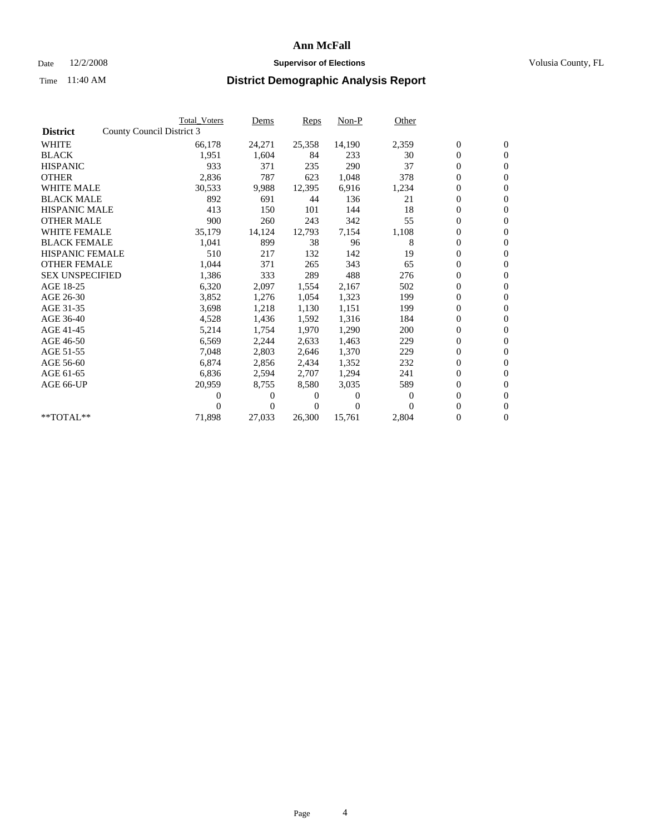### Date  $12/2/2008$  **Supervisor of Elections** Volusia County, FL

|                        |                           | <b>Total Voters</b> | Dems           | Reps   | $Non-P$  | Other    |                  |                  |  |
|------------------------|---------------------------|---------------------|----------------|--------|----------|----------|------------------|------------------|--|
| <b>District</b>        | County Council District 3 |                     |                |        |          |          |                  |                  |  |
| <b>WHITE</b>           |                           | 66,178              | 24,271         | 25,358 | 14,190   | 2,359    | $\boldsymbol{0}$ | $\boldsymbol{0}$ |  |
| <b>BLACK</b>           |                           | 1,951               | 1,604          | 84     | 233      | 30       | $\overline{0}$   | $\mathbf{0}$     |  |
| <b>HISPANIC</b>        |                           | 933                 | 371            | 235    | 290      | 37       | $\overline{0}$   | $\mathbf{0}$     |  |
| <b>OTHER</b>           |                           | 2,836               | 787            | 623    | 1,048    | 378      | 0                | $\mathbf{0}$     |  |
| <b>WHITE MALE</b>      |                           | 30,533              | 9,988          | 12,395 | 6,916    | 1,234    | $\boldsymbol{0}$ | $\mathbf{0}$     |  |
| <b>BLACK MALE</b>      |                           | 892                 | 691            | 44     | 136      | 21       | $\boldsymbol{0}$ | $\mathbf{0}$     |  |
| <b>HISPANIC MALE</b>   |                           | 413                 | 150            | 101    | 144      | 18       | 0                | $\mathbf{0}$     |  |
| <b>OTHER MALE</b>      |                           | 900                 | 260            | 243    | 342      | 55       | $\boldsymbol{0}$ | $\mathbf{0}$     |  |
| <b>WHITE FEMALE</b>    |                           | 35,179              | 14,124         | 12,793 | 7,154    | 1,108    | 0                | $\overline{0}$   |  |
| <b>BLACK FEMALE</b>    |                           | 1,041               | 899            | 38     | 96       | 8        | 0                | $\Omega$         |  |
| <b>HISPANIC FEMALE</b> |                           | 510                 | 217            | 132    | 142      | 19       | $\boldsymbol{0}$ | $\mathbf{0}$     |  |
| <b>OTHER FEMALE</b>    |                           | 1,044               | 371            | 265    | 343      | 65       | 0                | $\mathbf{0}$     |  |
| <b>SEX UNSPECIFIED</b> |                           | 1,386               | 333            | 289    | 488      | 276      | 0                | $\mathbf{0}$     |  |
| AGE 18-25              |                           | 6,320               | 2,097          | 1,554  | 2,167    | 502      | $\overline{0}$   | $\mathbf{0}$     |  |
| AGE 26-30              |                           | 3,852               | 1,276          | 1,054  | 1,323    | 199      | 0                | $\mathbf{0}$     |  |
| AGE 31-35              |                           | 3,698               | 1,218          | 1,130  | 1,151    | 199      | 0                | $\mathbf{0}$     |  |
| AGE 36-40              |                           | 4,528               | 1,436          | 1,592  | 1,316    | 184      | $\overline{0}$   | $\mathbf{0}$     |  |
| AGE 41-45              |                           | 5,214               | 1,754          | 1,970  | 1,290    | 200      | 0                | $\mathbf{0}$     |  |
| AGE 46-50              |                           | 6,569               | 2,244          | 2,633  | 1,463    | 229      | 0                | $\Omega$         |  |
| AGE 51-55              |                           | 7,048               | 2,803          | 2,646  | 1,370    | 229      | $\boldsymbol{0}$ | $\mathbf{0}$     |  |
| AGE 56-60              |                           | 6.874               | 2,856          | 2.434  | 1,352    | 232      | 0                | $\mathbf{0}$     |  |
| AGE 61-65              |                           | 6,836               | 2,594          | 2,707  | 1,294    | 241      | 0                | $\Omega$         |  |
| AGE 66-UP              |                           | 20,959              | 8,755          | 8,580  | 3,035    | 589      | $\overline{0}$   | $\mathbf{0}$     |  |
|                        |                           | 0                   | 0              | 0      | $\theta$ | $\Omega$ | 0                | $\mathbf{0}$     |  |
|                        |                           | 0                   | $\overline{0}$ | 0      | $\Omega$ | $\Omega$ | 0                | $\mathbf{0}$     |  |
| $*$ TOTAL $**$         |                           | 71,898              | 27,033         | 26,300 | 15,761   | 2,804    | 0                | $\boldsymbol{0}$ |  |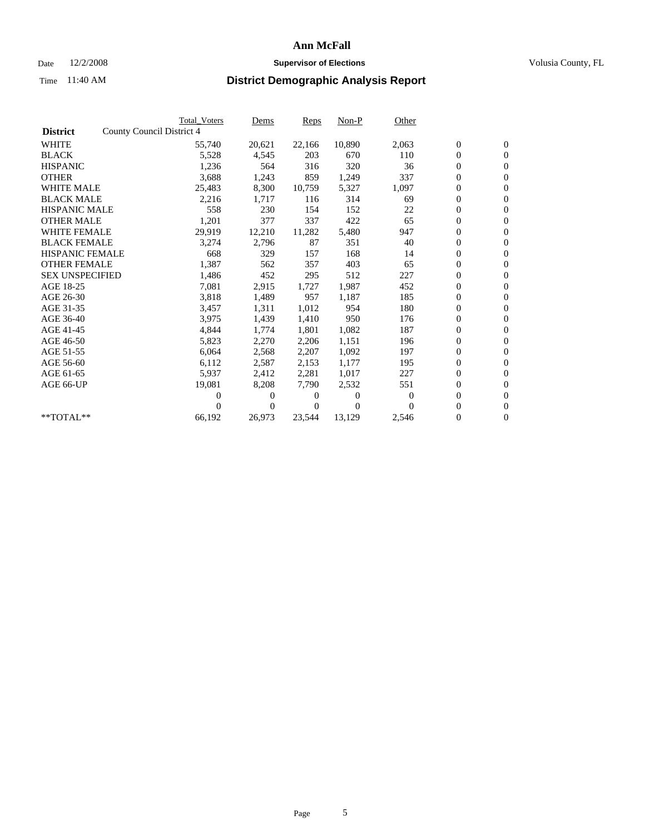## Date  $12/2/2008$  **Supervisor of Elections** Volusia County, FL

|                        |                           | <b>Total Voters</b> | Dems   | Reps   | Non-P    | Other    |                  |                  |  |
|------------------------|---------------------------|---------------------|--------|--------|----------|----------|------------------|------------------|--|
| <b>District</b>        | County Council District 4 |                     |        |        |          |          |                  |                  |  |
| <b>WHITE</b>           |                           | 55,740              | 20,621 | 22,166 | 10,890   | 2,063    | $\boldsymbol{0}$ | $\boldsymbol{0}$ |  |
| <b>BLACK</b>           |                           | 5,528               | 4,545  | 203    | 670      | 110      | $\boldsymbol{0}$ | $\mathbf{0}$     |  |
| <b>HISPANIC</b>        |                           | 1,236               | 564    | 316    | 320      | 36       | $\boldsymbol{0}$ | $\mathbf{0}$     |  |
| <b>OTHER</b>           |                           | 3,688               | 1,243  | 859    | 1,249    | 337      | 0                | $\mathbf{0}$     |  |
| <b>WHITE MALE</b>      |                           | 25,483              | 8,300  | 10,759 | 5,327    | 1,097    | $\boldsymbol{0}$ | $\mathbf{0}$     |  |
| <b>BLACK MALE</b>      |                           | 2,216               | 1,717  | 116    | 314      | 69       | $\overline{0}$   | $\mathbf{0}$     |  |
| <b>HISPANIC MALE</b>   |                           | 558                 | 230    | 154    | 152      | 22       | 0                | $\mathbf{0}$     |  |
| <b>OTHER MALE</b>      |                           | 1,201               | 377    | 337    | 422      | 65       | $\boldsymbol{0}$ | $\mathbf{0}$     |  |
| <b>WHITE FEMALE</b>    |                           | 29,919              | 12,210 | 11,282 | 5,480    | 947      | $\boldsymbol{0}$ | $\mathbf{0}$     |  |
| <b>BLACK FEMALE</b>    |                           | 3,274               | 2,796  | 87     | 351      | 40       | 0                | $\mathbf{0}$     |  |
| <b>HISPANIC FEMALE</b> |                           | 668                 | 329    | 157    | 168      | 14       | $\boldsymbol{0}$ | $\mathbf{0}$     |  |
| <b>OTHER FEMALE</b>    |                           | 1,387               | 562    | 357    | 403      | 65       | $\overline{0}$   | $\mathbf{0}$     |  |
| <b>SEX UNSPECIFIED</b> |                           | 1,486               | 452    | 295    | 512      | 227      | 0                | $\mathbf{0}$     |  |
| AGE 18-25              |                           | 7,081               | 2,915  | 1,727  | 1,987    | 452      | $\overline{0}$   | $\mathbf{0}$     |  |
| AGE 26-30              |                           | 3,818               | 1,489  | 957    | 1,187    | 185      | $\boldsymbol{0}$ | $\mathbf{0}$     |  |
| AGE 31-35              |                           | 3,457               | 1,311  | 1,012  | 954      | 180      | 0                | $\mathbf{0}$     |  |
| AGE 36-40              |                           | 3,975               | 1,439  | 1,410  | 950      | 176      | 0                | $\mathbf{0}$     |  |
| AGE 41-45              |                           | 4,844               | 1,774  | 1,801  | 1,082    | 187      | $\boldsymbol{0}$ | $\mathbf{0}$     |  |
| AGE 46-50              |                           | 5,823               | 2,270  | 2,206  | 1,151    | 196      | 0                | $\mathbf{0}$     |  |
| AGE 51-55              |                           | 6,064               | 2,568  | 2,207  | 1.092    | 197      | $\boldsymbol{0}$ | $\mathbf{0}$     |  |
| AGE 56-60              |                           | 6,112               | 2,587  | 2,153  | 1.177    | 195      | 0                | $\mathbf{0}$     |  |
| AGE 61-65              |                           | 5,937               | 2,412  | 2,281  | 1,017    | 227      | 0                | $\mathbf{0}$     |  |
| AGE 66-UP              |                           | 19,081              | 8,208  | 7,790  | 2,532    | 551      | $\boldsymbol{0}$ | $\mathbf{0}$     |  |
|                        |                           | 0                   | 0      | 0      | $\theta$ | $\theta$ | $\overline{0}$   | $\mathbf{0}$     |  |
|                        |                           | 0                   | 0      | 0      | $\Omega$ | $\Omega$ | 0                | $\mathbf{0}$     |  |
| **TOTAL**              |                           | 66,192              | 26,973 | 23,544 | 13,129   | 2,546    | 0                | $\boldsymbol{0}$ |  |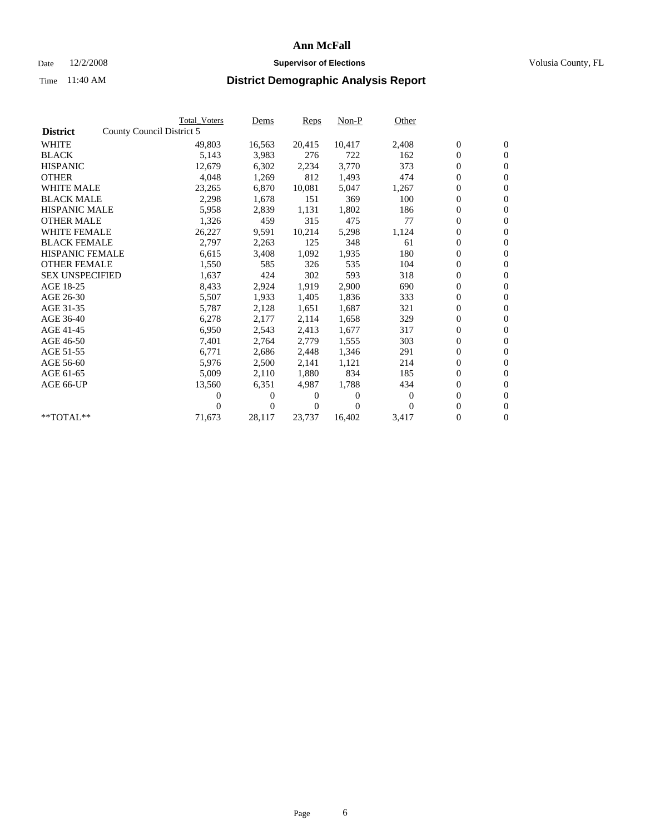## Date  $12/2/2008$  **Supervisor of Elections** Volusia County, FL

|                        |                           | <b>Total Voters</b> | Dems   | Reps   | $Non-P$  | Other          |                  |                  |  |
|------------------------|---------------------------|---------------------|--------|--------|----------|----------------|------------------|------------------|--|
| <b>District</b>        | County Council District 5 |                     |        |        |          |                |                  |                  |  |
| <b>WHITE</b>           |                           | 49,803              | 16,563 | 20,415 | 10,417   | 2,408          | $\boldsymbol{0}$ | $\boldsymbol{0}$ |  |
| <b>BLACK</b>           |                           | 5,143               | 3,983  | 276    | 722      | 162            | $\overline{0}$   | $\mathbf{0}$     |  |
| <b>HISPANIC</b>        |                           | 12,679              | 6,302  | 2,234  | 3,770    | 373            | $\boldsymbol{0}$ | $\overline{0}$   |  |
| <b>OTHER</b>           |                           | 4,048               | 1,269  | 812    | 1,493    | 474            | $\boldsymbol{0}$ | $\overline{0}$   |  |
| <b>WHITE MALE</b>      |                           | 23,265              | 6,870  | 10,081 | 5,047    | 1,267          | $\boldsymbol{0}$ | $\mathbf{0}$     |  |
| <b>BLACK MALE</b>      |                           | 2,298               | 1,678  | 151    | 369      | 100            | $\boldsymbol{0}$ | $\mathbf{0}$     |  |
| <b>HISPANIC MALE</b>   |                           | 5,958               | 2,839  | 1,131  | 1,802    | 186            | $\boldsymbol{0}$ | $\overline{0}$   |  |
| <b>OTHER MALE</b>      |                           | 1,326               | 459    | 315    | 475      | 77             | $\boldsymbol{0}$ | $\mathbf{0}$     |  |
| <b>WHITE FEMALE</b>    |                           | 26,227              | 9,591  | 10,214 | 5,298    | 1,124          | $\boldsymbol{0}$ | $\overline{0}$   |  |
| <b>BLACK FEMALE</b>    |                           | 2,797               | 2,263  | 125    | 348      | 61             | $\boldsymbol{0}$ | $\Omega$         |  |
| <b>HISPANIC FEMALE</b> |                           | 6,615               | 3,408  | 1,092  | 1,935    | 180            | $\boldsymbol{0}$ | $\mathbf{0}$     |  |
| <b>OTHER FEMALE</b>    |                           | 1,550               | 585    | 326    | 535      | 104            | $\boldsymbol{0}$ | $\overline{0}$   |  |
| <b>SEX UNSPECIFIED</b> |                           | 1,637               | 424    | 302    | 593      | 318            | $\boldsymbol{0}$ | $\overline{0}$   |  |
| AGE 18-25              |                           | 8,433               | 2,924  | 1,919  | 2,900    | 690            | $\boldsymbol{0}$ | $\mathbf{0}$     |  |
| AGE 26-30              |                           | 5,507               | 1,933  | 1,405  | 1,836    | 333            | $\boldsymbol{0}$ | $\overline{0}$   |  |
| AGE 31-35              |                           | 5,787               | 2,128  | 1,651  | 1,687    | 321            | $\boldsymbol{0}$ | $\mathbf{0}$     |  |
| AGE 36-40              |                           | 6,278               | 2,177  | 2,114  | 1,658    | 329            | $\boldsymbol{0}$ | $\mathbf{0}$     |  |
| AGE 41-45              |                           | 6,950               | 2,543  | 2,413  | 1,677    | 317            | $\boldsymbol{0}$ | $\overline{0}$   |  |
| AGE 46-50              |                           | 7,401               | 2,764  | 2,779  | 1,555    | 303            | $\boldsymbol{0}$ | $\Omega$         |  |
| AGE 51-55              |                           | 6,771               | 2,686  | 2,448  | 1,346    | 291            | $\boldsymbol{0}$ | $\mathbf{0}$     |  |
| AGE 56-60              |                           | 5,976               | 2,500  | 2.141  | 1,121    | 214            | $\overline{0}$   | $\overline{0}$   |  |
| AGE 61-65              |                           | 5,009               | 2,110  | 1,880  | 834      | 185            | $\boldsymbol{0}$ | $\overline{0}$   |  |
| AGE 66-UP              |                           | 13,560              | 6,351  | 4,987  | 1,788    | 434            | $\overline{0}$   | $\mathbf{0}$     |  |
|                        |                           | 0                   | 0      | 0      | $\theta$ | $\overline{0}$ | $\boldsymbol{0}$ | $\overline{0}$   |  |
|                        |                           | 0                   | 0      | 0      | $\theta$ | $\Omega$       | 0                | $\boldsymbol{0}$ |  |
| $*$ TOTAL $**$         |                           | 71,673              | 28,117 | 23,737 | 16,402   | 3,417          | $\overline{0}$   | $\boldsymbol{0}$ |  |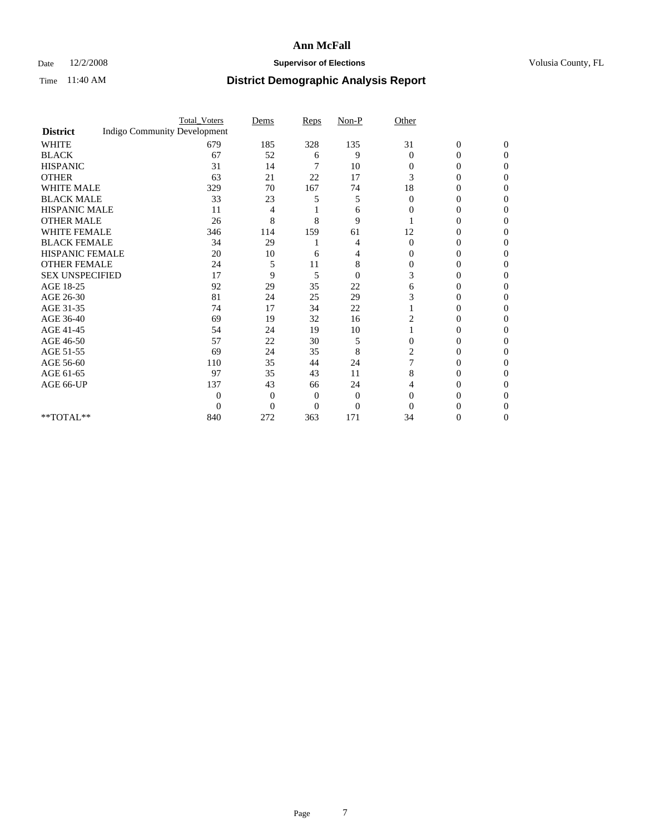## Date  $12/2/2008$  **Supervisor of Elections** Volusia County, FL

|                        |                                     | <b>Total_Voters</b> | Dems     | Reps | $Non-P$        | Other          |                  |              |  |
|------------------------|-------------------------------------|---------------------|----------|------|----------------|----------------|------------------|--------------|--|
| <b>District</b>        | <b>Indigo Community Development</b> |                     |          |      |                |                |                  |              |  |
| <b>WHITE</b>           |                                     | 679                 | 185      | 328  | 135            | 31             | $\boldsymbol{0}$ | $\mathbf{0}$ |  |
| <b>BLACK</b>           |                                     | 67                  | 52       | 6    | 9              | $\Omega$       | 0                | $\Omega$     |  |
| <b>HISPANIC</b>        |                                     | 31                  | 14       |      | 10             | $\Omega$       | 0                | 0            |  |
| <b>OTHER</b>           |                                     | 63                  | 21       | 22   | 17             | 3              | 0                | 0            |  |
| <b>WHITE MALE</b>      |                                     | 329                 | 70       | 167  | 74             | 18             | 0                | 0            |  |
| <b>BLACK MALE</b>      |                                     | 33                  | 23       | 5    | 5              | $\Omega$       | 0                | 0            |  |
| HISPANIC MALE          |                                     | 11                  | 4        |      | 6              | $\Omega$       | 0                | 0            |  |
| <b>OTHER MALE</b>      |                                     | 26                  | 8        | 8    | 9              |                | 0                | $\theta$     |  |
| <b>WHITE FEMALE</b>    |                                     | 346                 | 114      | 159  | 61             | 12             | 0                | 0            |  |
| <b>BLACK FEMALE</b>    |                                     | 34                  | 29       |      | 4              | $\overline{0}$ | 0                | 0            |  |
| <b>HISPANIC FEMALE</b> |                                     | 20                  | 10       | 6    | 4              | 0              | 0                | 0            |  |
| <b>OTHER FEMALE</b>    |                                     | 24                  | 5        | 11   | 8              | $\Omega$       | 0                | 0            |  |
| <b>SEX UNSPECIFIED</b> |                                     | 17                  | 9        | 5    | $\overline{0}$ | 3              | 0                | 0            |  |
| AGE 18-25              |                                     | 92                  | 29       | 35   | 22             | 6              | 0                | 0            |  |
| AGE 26-30              |                                     | 81                  | 24       | 25   | 29             | 3              | 0                | 0            |  |
| AGE 31-35              |                                     | 74                  | 17       | 34   | 22             |                | 0                | 0            |  |
| AGE 36-40              |                                     | 69                  | 19       | 32   | 16             | 2              | 0                | 0            |  |
| AGE 41-45              |                                     | 54                  | 24       | 19   | 10             |                | 0                | 0            |  |
| AGE 46-50              |                                     | 57                  | 22       | 30   | 5              | $\overline{0}$ | 0                | 0            |  |
| AGE 51-55              |                                     | 69                  | 24       | 35   | 8              | 2              | 0                | 0            |  |
| AGE 56-60              |                                     | 110                 | 35       | 44   | 24             |                | 0                | 0            |  |
| AGE 61-65              |                                     | 97                  | 35       | 43   | 11             | 8              | 0                | 0            |  |
| AGE 66-UP              |                                     | 137                 | 43       | 66   | 24             |                | 0                | $\theta$     |  |
|                        |                                     | $\Omega$            | 0        | 0    | $\theta$       | $\Omega$       |                  | 0            |  |
|                        |                                     | $\Omega$            | $\Omega$ | 0    | $\overline{0}$ | $\Omega$       |                  |              |  |
| $**TOTAL**$            |                                     | 840                 | 272      | 363  | 171            | 34             | 0                | 0            |  |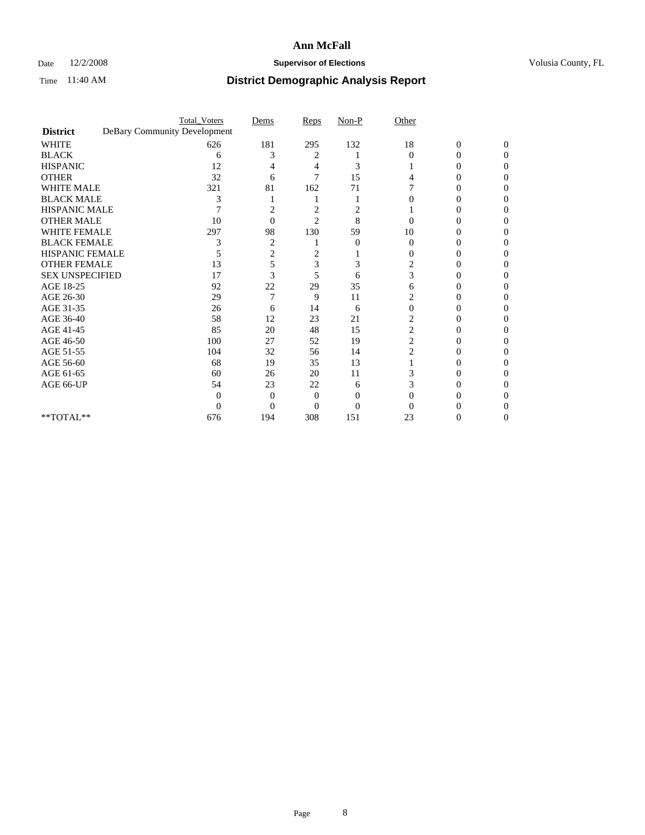## Date  $12/2/2008$  **Supervisor of Elections** Volusia County, FL

|                                     | <b>Total_Voters</b>          | Dems           | Reps           | $Non-P$  | Other                   |                  |              |
|-------------------------------------|------------------------------|----------------|----------------|----------|-------------------------|------------------|--------------|
| <b>District</b>                     | DeBary Community Development |                |                |          |                         |                  |              |
| <b>WHITE</b>                        | 626                          | 181            | 295            | 132      | 18                      | $\boldsymbol{0}$ | $\mathbf{0}$ |
| <b>BLACK</b>                        | 6                            | 3              | 2              |          | $\Omega$                | 0                | 0            |
| <b>HISPANIC</b>                     | 12                           |                | 4              | 3        |                         | $\theta$         | 0            |
| <b>OTHER</b>                        | 32                           | 6              | 7              | 15       |                         |                  | 0            |
| <b>WHITE MALE</b>                   | 321                          | 81             | 162            | 71       |                         | 0                | 0            |
| <b>BLACK MALE</b>                   | 3                            |                |                |          |                         | $_{0}$           | 0            |
| HISPANIC MALE                       |                              | 2              | 2              | 2        |                         |                  | 0            |
| <b>OTHER MALE</b>                   | 10                           | $\Omega$       | $\overline{2}$ | 8        |                         | 0                | 0            |
| <b>WHITE FEMALE</b>                 | 297                          | 98             | 130            | 59       | 10                      |                  | 0            |
| <b>BLACK FEMALE</b>                 | 3                            | $\overline{c}$ |                | $\theta$ | $\theta$                | 0                | 0            |
| <b>HISPANIC FEMALE</b>              |                              | 2              | 2              |          | 0                       | 0                | 0            |
| <b>OTHER FEMALE</b>                 | 13                           | 5              | 3              | 3        | 2                       |                  | 0            |
| <b>SEX UNSPECIFIED</b>              | 17                           | 3              | 5              | 6        | 3                       |                  | 0            |
| AGE 18-25                           | 92                           | 22             | 29             | 35       | 6                       | 0                | 0            |
| AGE 26-30                           | 29                           | 7              | 9              | 11       |                         |                  | 0            |
| AGE 31-35                           | 26                           | 6              | 14             | 6        | $\Omega$                |                  |              |
| AGE 36-40                           | 58                           | 12             | 23             | 21       | $\overline{2}$          | 0                | 0            |
| AGE 41-45                           | 85                           | 20             | 48             | 15       | $\overline{\mathbf{c}}$ |                  | 0            |
| AGE 46-50                           | 100                          | 27             | 52             | 19       | $\overline{c}$          | 0                | 0            |
| AGE 51-55                           | 104                          | 32             | 56             | 14       | 2                       | 0                | 0            |
| AGE 56-60                           | 68                           | 19             | 35             | 13       |                         |                  | 0            |
| AGE 61-65                           | 60                           | 26             | 20             | 11       |                         |                  | 0            |
| AGE 66-UP                           | 54                           | 23             | 22             | 6        |                         | 0                | 0            |
|                                     | $\Omega$                     | 0              | $\Omega$       | 0        |                         |                  |              |
|                                     | 0                            | $\theta$       | 0              | $\theta$ |                         |                  |              |
| $\rm ^{\ast \ast}TOTAL^{\ast \ast}$ | 676                          | 194            | 308            | 151      | 23                      | 0                | 0            |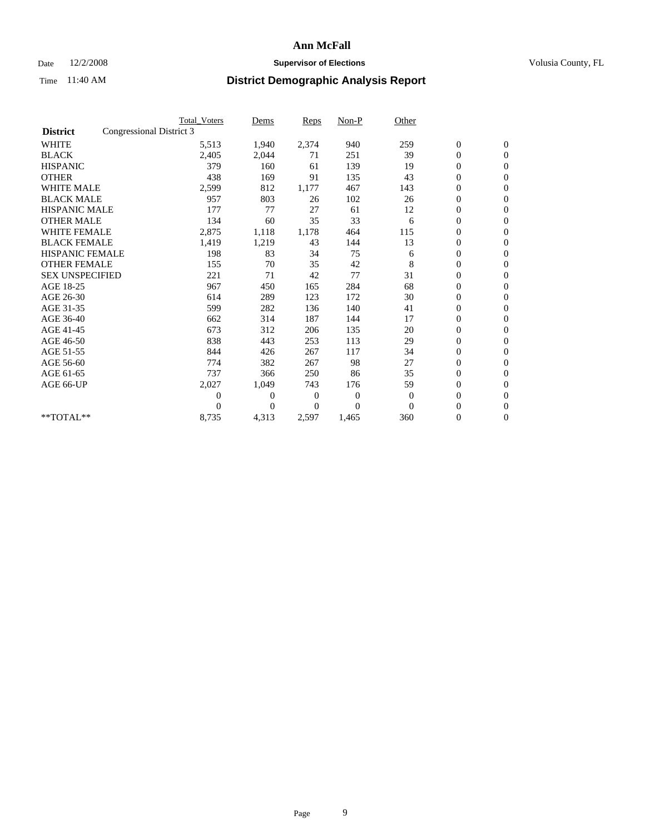### Date  $12/2/2008$  **Supervisor of Elections** Volusia County, FL

|                        |                          | <b>Total Voters</b> | Dems           | <b>Reps</b> | $Non-P$      | Other        |                  |                  |
|------------------------|--------------------------|---------------------|----------------|-------------|--------------|--------------|------------------|------------------|
| <b>District</b>        | Congressional District 3 |                     |                |             |              |              |                  |                  |
| <b>WHITE</b>           |                          | 5,513               | 1,940          | 2,374       | 940          | 259          | $\boldsymbol{0}$ | $\boldsymbol{0}$ |
| <b>BLACK</b>           |                          | 2,405               | 2,044          | 71          | 251          | 39           | $\boldsymbol{0}$ | $\mathbf{0}$     |
| <b>HISPANIC</b>        |                          | 379                 | 160            | 61          | 139          | 19           | $\overline{0}$   | $\mathbf{0}$     |
| <b>OTHER</b>           |                          | 438                 | 169            | 91          | 135          | 43           | $\boldsymbol{0}$ | $\mathbf{0}$     |
| <b>WHITE MALE</b>      |                          | 2,599               | 812            | 1,177       | 467          | 143          | $\boldsymbol{0}$ | $\mathbf{0}$     |
| <b>BLACK MALE</b>      |                          | 957                 | 803            | 26          | 102          | 26           | $\boldsymbol{0}$ | $\mathbf{0}$     |
| <b>HISPANIC MALE</b>   |                          | 177                 | 77             | 27          | 61           | 12           | $\boldsymbol{0}$ | $\mathbf{0}$     |
| <b>OTHER MALE</b>      |                          | 134                 | 60             | 35          | 33           | 6            | $\boldsymbol{0}$ | $\mathbf{0}$     |
| <b>WHITE FEMALE</b>    |                          | 2,875               | 1,118          | 1,178       | 464          | 115          | $\overline{0}$   | $\mathbf{0}$     |
| <b>BLACK FEMALE</b>    |                          | 1,419               | 1,219          | 43          | 144          | 13           | $\boldsymbol{0}$ | $\mathbf{0}$     |
| <b>HISPANIC FEMALE</b> |                          | 198                 | 83             | 34          | 75           | 6            | $\boldsymbol{0}$ | $\mathbf{0}$     |
| <b>OTHER FEMALE</b>    |                          | 155                 | 70             | 35          | 42           | 8            | $\mathbf{0}$     | $\mathbf{0}$     |
| <b>SEX UNSPECIFIED</b> |                          | 221                 | 71             | 42          | 77           | 31           | $\boldsymbol{0}$ | $\mathbf{0}$     |
| AGE 18-25              |                          | 967                 | 450            | 165         | 284          | 68           | $\overline{0}$   | $\mathbf{0}$     |
| AGE 26-30              |                          | 614                 | 289            | 123         | 172          | 30           | $\overline{0}$   | $\mathbf{0}$     |
| AGE 31-35              |                          | 599                 | 282            | 136         | 140          | 41           | $\boldsymbol{0}$ | $\mathbf{0}$     |
| AGE 36-40              |                          | 662                 | 314            | 187         | 144          | 17           | $\boldsymbol{0}$ | $\mathbf{0}$     |
| AGE 41-45              |                          | 673                 | 312            | 206         | 135          | 20           | $\overline{0}$   | $\mathbf{0}$     |
| AGE 46-50              |                          | 838                 | 443            | 253         | 113          | 29           | $\boldsymbol{0}$ | $\mathbf{0}$     |
| AGE 51-55              |                          | 844                 | 426            | 267         | 117          | 34           | $\boldsymbol{0}$ | $\mathbf{0}$     |
| AGE 56-60              |                          | 774                 | 382            | 267         | 98           | 27           | $\overline{0}$   | $\Omega$         |
| AGE 61-65              |                          | 737                 | 366            | 250         | 86           | 35           | $\boldsymbol{0}$ | $\mathbf{0}$     |
| AGE 66-UP              |                          | 2,027               | 1,049          | 743         | 176          | 59           | $\boldsymbol{0}$ | $\mathbf{0}$     |
|                        |                          | $\overline{0}$      | $\overline{0}$ | 0           | $\mathbf{0}$ | $\mathbf{0}$ | $\overline{0}$   | $\mathbf{0}$     |
|                        |                          | $\theta$            | $\theta$       | $\Omega$    | $\Omega$     | $\Omega$     | $\boldsymbol{0}$ | $\mathbf{0}$     |
| **TOTAL**              |                          | 8,735               | 4,313          | 2,597       | 1,465        | 360          | 0                | $\mathbf{0}$     |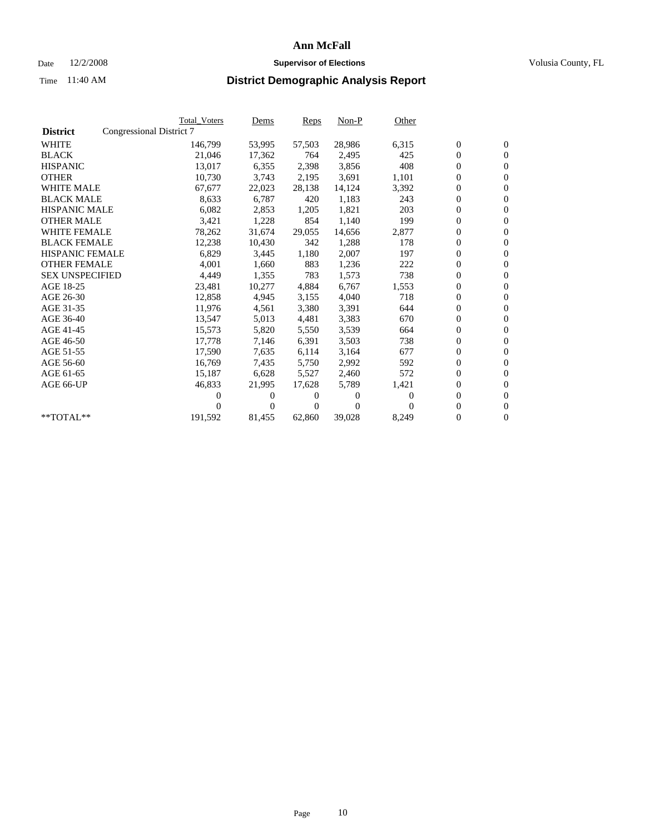## Date  $12/2/2008$  **Supervisor of Elections** Volusia County, FL

|                        | <b>Total Voters</b>      | <u>Dems</u> | <b>Reps</b> | $Non-P$  | Other    |                  |                  |  |
|------------------------|--------------------------|-------------|-------------|----------|----------|------------------|------------------|--|
| <b>District</b>        | Congressional District 7 |             |             |          |          |                  |                  |  |
| <b>WHITE</b>           | 146,799                  | 53,995      | 57,503      | 28,986   | 6,315    | $\boldsymbol{0}$ | $\boldsymbol{0}$ |  |
| <b>BLACK</b>           | 21,046                   | 17,362      | 764         | 2,495    | 425      | $\overline{0}$   | $\mathbf{0}$     |  |
| <b>HISPANIC</b>        | 13,017                   | 6,355       | 2,398       | 3,856    | 408      | $\overline{0}$   | $\mathbf{0}$     |  |
| <b>OTHER</b>           | 10,730                   | 3,743       | 2,195       | 3,691    | 1,101    | 0                | $\mathbf{0}$     |  |
| <b>WHITE MALE</b>      | 67,677                   | 22,023      | 28,138      | 14,124   | 3,392    | $\boldsymbol{0}$ | $\mathbf{0}$     |  |
| <b>BLACK MALE</b>      | 8,633                    | 6,787       | 420         | 1,183    | 243      | $\boldsymbol{0}$ | $\mathbf{0}$     |  |
| <b>HISPANIC MALE</b>   | 6,082                    | 2,853       | 1,205       | 1,821    | 203      | 0                | $\mathbf{0}$     |  |
| <b>OTHER MALE</b>      | 3,421                    | 1,228       | 854         | 1,140    | 199      | $\boldsymbol{0}$ | $\mathbf{0}$     |  |
| <b>WHITE FEMALE</b>    | 78,262                   | 31,674      | 29,055      | 14,656   | 2,877    | $\mathbf{0}$     | $\mathbf{0}$     |  |
| <b>BLACK FEMALE</b>    | 12,238                   | 10,430      | 342         | 1,288    | 178      | $\boldsymbol{0}$ | $\Omega$         |  |
| <b>HISPANIC FEMALE</b> | 6,829                    | 3,445       | 1,180       | 2,007    | 197      | $\boldsymbol{0}$ | $\mathbf{0}$     |  |
| <b>OTHER FEMALE</b>    | 4,001                    | 1,660       | 883         | 1,236    | 222      | $\overline{0}$   | $\mathbf{0}$     |  |
| <b>SEX UNSPECIFIED</b> | 4,449                    | 1,355       | 783         | 1,573    | 738      | $\boldsymbol{0}$ | $\overline{0}$   |  |
| AGE 18-25              | 23,481                   | 10,277      | 4,884       | 6,767    | 1,553    | $\boldsymbol{0}$ | $\mathbf{0}$     |  |
| AGE 26-30              | 12,858                   | 4,945       | 3,155       | 4,040    | 718      | $\overline{0}$   | $\mathbf{0}$     |  |
| AGE 31-35              | 11,976                   | 4,561       | 3,380       | 3,391    | 644      | 0                | $\mathbf{0}$     |  |
| AGE 36-40              | 13,547                   | 5,013       | 4,481       | 3,383    | 670      | $\boldsymbol{0}$ | $\mathbf{0}$     |  |
| AGE 41-45              | 15,573                   | 5,820       | 5,550       | 3,539    | 664      | $\boldsymbol{0}$ | $\mathbf{0}$     |  |
| AGE 46-50              | 17,778                   | 7,146       | 6,391       | 3,503    | 738      | 0                | $\Omega$         |  |
| AGE 51-55              | 17,590                   | 7,635       | 6,114       | 3,164    | 677      | $\boldsymbol{0}$ | $\mathbf{0}$     |  |
| AGE 56-60              | 16,769                   | 7,435       | 5.750       | 2,992    | 592      | $\mathbf{0}$     | $\mathbf{0}$     |  |
| AGE 61-65              | 15,187                   | 6,628       | 5,527       | 2,460    | 572      | $\boldsymbol{0}$ | $\overline{0}$   |  |
| AGE 66-UP              | 46,833                   | 21,995      | 17,628      | 5,789    | 1,421    | $\mathbf{0}$     | $\mathbf{0}$     |  |
|                        | 0                        | 0           | 0           | 0        | $\Omega$ | $\overline{0}$   | $\mathbf{0}$     |  |
|                        | $_{0}$                   | $\Omega$    | 0           | $\Omega$ | 0        | 0                | $\mathbf{0}$     |  |
| **TOTAL**              | 191,592                  | 81,455      | 62,860      | 39,028   | 8,249    | 0                | $\boldsymbol{0}$ |  |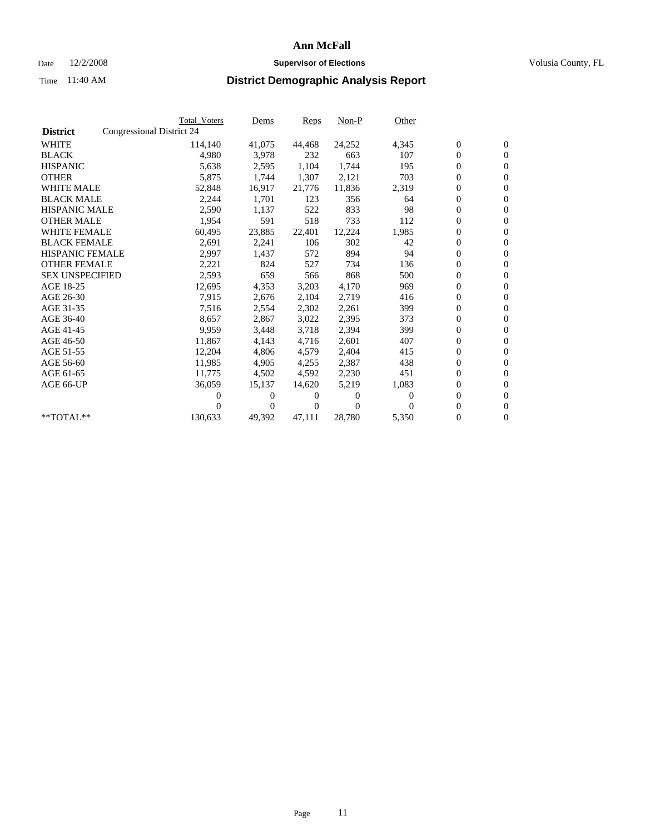## Date  $12/2/2008$  **Supervisor of Elections** Volusia County, FL

|                        |                           | <b>Total Voters</b> | Dems         | Reps   | Non-P    | Other    |                  |                  |  |
|------------------------|---------------------------|---------------------|--------------|--------|----------|----------|------------------|------------------|--|
| <b>District</b>        | Congressional District 24 |                     |              |        |          |          |                  |                  |  |
| <b>WHITE</b>           |                           | 114,140             | 41,075       | 44,468 | 24,252   | 4,345    | $\boldsymbol{0}$ | $\boldsymbol{0}$ |  |
| <b>BLACK</b>           |                           | 4,980               | 3,978        | 232    | 663      | 107      | $\boldsymbol{0}$ | $\mathbf{0}$     |  |
| <b>HISPANIC</b>        |                           | 5,638               | 2,595        | 1,104  | 1,744    | 195      | $\boldsymbol{0}$ | $\mathbf{0}$     |  |
| <b>OTHER</b>           |                           | 5,875               | 1,744        | 1,307  | 2,121    | 703      | 0                | $\mathbf{0}$     |  |
| <b>WHITE MALE</b>      |                           | 52,848              | 16,917       | 21,776 | 11,836   | 2,319    | $\boldsymbol{0}$ | $\mathbf{0}$     |  |
| <b>BLACK MALE</b>      |                           | 2,244               | 1,701        | 123    | 356      | 64       | $\overline{0}$   | $\mathbf{0}$     |  |
| <b>HISPANIC MALE</b>   |                           | 2,590               | 1,137        | 522    | 833      | 98       | 0                | $\mathbf{0}$     |  |
| <b>OTHER MALE</b>      |                           | 1,954               | 591          | 518    | 733      | 112      | 0                | $\mathbf{0}$     |  |
| <b>WHITE FEMALE</b>    |                           | 60,495              | 23,885       | 22,401 | 12,224   | 1,985    | $\boldsymbol{0}$ | $\mathbf{0}$     |  |
| <b>BLACK FEMALE</b>    |                           | 2,691               | 2,241        | 106    | 302      | 42       | 0                | $\mathbf{0}$     |  |
| HISPANIC FEMALE        |                           | 2,997               | 1,437        | 572    | 894      | 94       | $\boldsymbol{0}$ | $\mathbf{0}$     |  |
| <b>OTHER FEMALE</b>    |                           | 2,221               | 824          | 527    | 734      | 136      | 0                | $\mathbf{0}$     |  |
| <b>SEX UNSPECIFIED</b> |                           | 2,593               | 659          | 566    | 868      | 500      | 0                | $\mathbf{0}$     |  |
| AGE 18-25              |                           | 12,695              | 4,353        | 3,203  | 4,170    | 969      | $\overline{0}$   | $\mathbf{0}$     |  |
| AGE 26-30              |                           | 7,915               | 2,676        | 2,104  | 2,719    | 416      | 0                | $\mathbf{0}$     |  |
| AGE 31-35              |                           | 7,516               | 2,554        | 2,302  | 2,261    | 399      | $\boldsymbol{0}$ | $\mathbf{0}$     |  |
| AGE 36-40              |                           | 8,657               | 2,867        | 3,022  | 2,395    | 373      | 0                | $\mathbf{0}$     |  |
| AGE 41-45              |                           | 9,959               | 3,448        | 3,718  | 2,394    | 399      | 0                | $\mathbf{0}$     |  |
| AGE 46-50              |                           | 11,867              | 4,143        | 4,716  | 2,601    | 407      | 0                | $\mathbf{0}$     |  |
| AGE 51-55              |                           | 12,204              | 4,806        | 4,579  | 2,404    | 415      | $\boldsymbol{0}$ | $\mathbf{0}$     |  |
| AGE 56-60              |                           | 11,985              | 4.905        | 4,255  | 2,387    | 438      | 0                | $\mathbf{0}$     |  |
| AGE 61-65              |                           | 11,775              | 4,502        | 4,592  | 2,230    | 451      | 0                | $\mathbf{0}$     |  |
| AGE 66-UP              |                           | 36,059              | 15,137       | 14,620 | 5,219    | 1,083    | $\boldsymbol{0}$ | $\mathbf{0}$     |  |
|                        |                           | 0                   | 0            | 0      | $\theta$ | $\Omega$ | $\overline{0}$   | $\mathbf{0}$     |  |
|                        |                           | 0                   | $\mathbf{0}$ | 0      | $\Omega$ | $\Omega$ | 0                | $\mathbf{0}$     |  |
| **TOTAL**              |                           | 130,633             | 49,392       | 47,111 | 28,780   | 5,350    | 0                | $\boldsymbol{0}$ |  |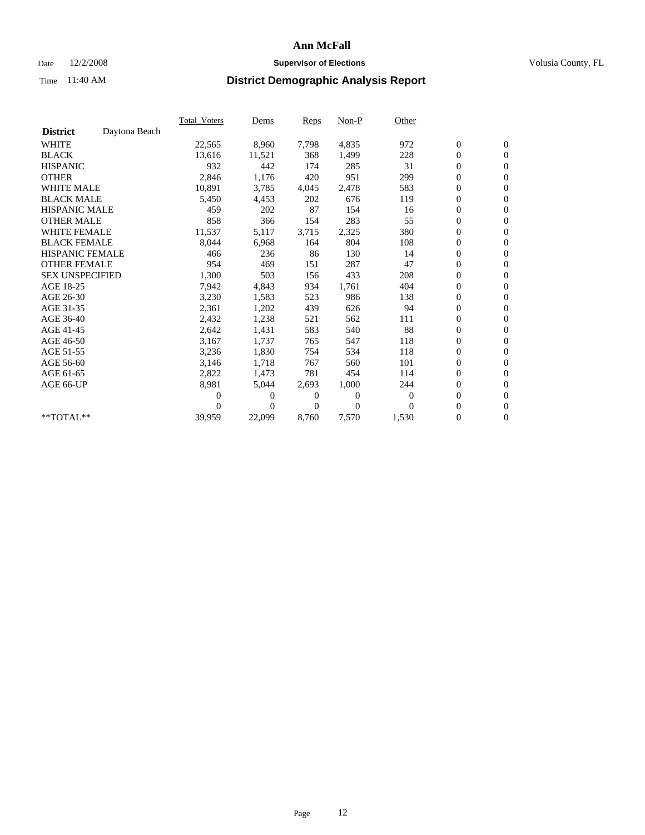## Date  $12/2/2008$  **Supervisor of Elections** Volusia County, FL

|                        |               | <b>Total Voters</b> | Dems     | Reps     | Non-P    | Other            |                  |                  |  |
|------------------------|---------------|---------------------|----------|----------|----------|------------------|------------------|------------------|--|
| <b>District</b>        | Daytona Beach |                     |          |          |          |                  |                  |                  |  |
| <b>WHITE</b>           |               | 22,565              | 8,960    | 7,798    | 4,835    | 972              | $\boldsymbol{0}$ | $\boldsymbol{0}$ |  |
| <b>BLACK</b>           |               | 13,616              | 11,521   | 368      | 1,499    | 228              | $\boldsymbol{0}$ | $\mathbf{0}$     |  |
| <b>HISPANIC</b>        |               | 932                 | 442      | 174      | 285      | 31               | $\overline{0}$   | $\mathbf{0}$     |  |
| <b>OTHER</b>           |               | 2,846               | 1,176    | 420      | 951      | 299              | 0                | $\mathbf{0}$     |  |
| <b>WHITE MALE</b>      |               | 10,891              | 3,785    | 4,045    | 2,478    | 583              | $\boldsymbol{0}$ | $\mathbf{0}$     |  |
| <b>BLACK MALE</b>      |               | 5,450               | 4,453    | 202      | 676      | 119              | $\boldsymbol{0}$ | $\mathbf{0}$     |  |
| <b>HISPANIC MALE</b>   |               | 459                 | 202      | 87       | 154      | 16               | $\boldsymbol{0}$ | $\mathbf{0}$     |  |
| <b>OTHER MALE</b>      |               | 858                 | 366      | 154      | 283      | 55               | 0                | $\mathbf{0}$     |  |
| <b>WHITE FEMALE</b>    |               | 11,537              | 5,117    | 3,715    | 2,325    | 380              | $\overline{0}$   | $\mathbf{0}$     |  |
| <b>BLACK FEMALE</b>    |               | 8,044               | 6,968    | 164      | 804      | 108              | 0                | $\mathbf{0}$     |  |
| <b>HISPANIC FEMALE</b> |               | 466                 | 236      | 86       | 130      | 14               | 0                | $\mathbf{0}$     |  |
| <b>OTHER FEMALE</b>    |               | 954                 | 469      | 151      | 287      | 47               | $\overline{0}$   | $\mathbf{0}$     |  |
| <b>SEX UNSPECIFIED</b> |               | 1,300               | 503      | 156      | 433      | 208              | 0                | $\mathbf{0}$     |  |
| AGE 18-25              |               | 7,942               | 4,843    | 934      | 1,761    | 404              | 0                | $\mathbf{0}$     |  |
| AGE 26-30              |               | 3,230               | 1,583    | 523      | 986      | 138              | 0                | $\mathbf{0}$     |  |
| AGE 31-35              |               | 2,361               | 1,202    | 439      | 626      | 94               | $\boldsymbol{0}$ | $\boldsymbol{0}$ |  |
| AGE 36-40              |               | 2,432               | 1,238    | 521      | 562      | 111              | 0                | $\mathbf{0}$     |  |
| AGE 41-45              |               | 2,642               | 1,431    | 583      | 540      | 88               | $\overline{0}$   | $\mathbf{0}$     |  |
| AGE 46-50              |               | 3,167               | 1,737    | 765      | 547      | 118              | $\boldsymbol{0}$ | $\mathbf{0}$     |  |
| AGE 51-55              |               | 3,236               | 1,830    | 754      | 534      | 118              | 0                | $\mathbf{0}$     |  |
| AGE 56-60              |               | 3,146               | 1,718    | 767      | 560      | 101              | $\boldsymbol{0}$ | $\mathbf{0}$     |  |
| AGE 61-65              |               | 2,822               | 1,473    | 781      | 454      | 114              | $\boldsymbol{0}$ | $\mathbf{0}$     |  |
| AGE 66-UP              |               | 8,981               | 5,044    | 2,693    | 1,000    | 244              | 0                | $\mathbf{0}$     |  |
|                        |               | 0                   | 0        | 0        | $\theta$ | $\boldsymbol{0}$ | 0                | $\mathbf{0}$     |  |
|                        |               | 0                   | $\Omega$ | $\Omega$ | $\Omega$ | $\Omega$         | 0                | $\boldsymbol{0}$ |  |
| **TOTAL**              |               | 39,959              | 22,099   | 8,760    | 7,570    | 1,530            | 0                | $\overline{0}$   |  |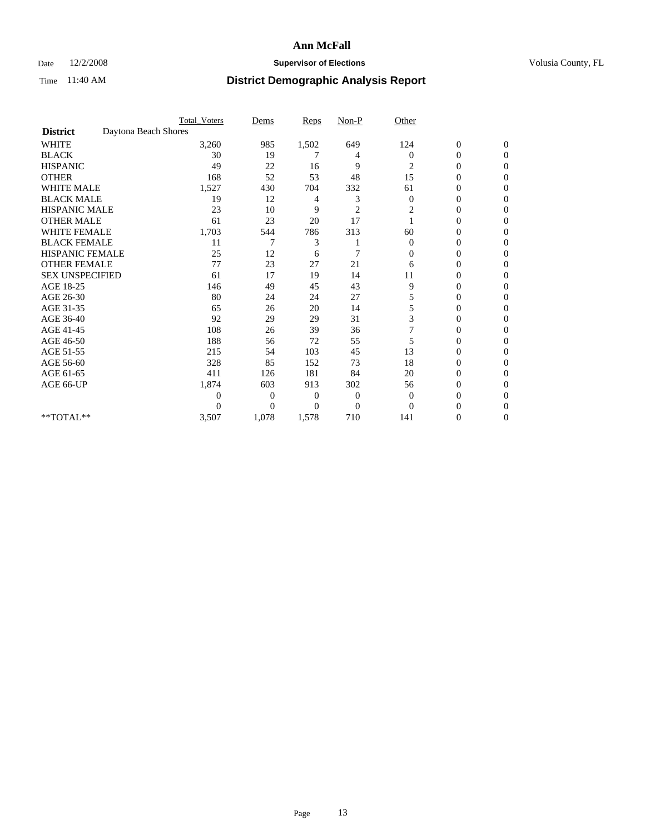## Date  $12/2/2008$  **Supervisor of Elections** Volusia County, FL

|                        |                      | <b>Total_Voters</b> | Dems           | <b>Reps</b> | $Non-P$        | Other        |                  |                  |  |
|------------------------|----------------------|---------------------|----------------|-------------|----------------|--------------|------------------|------------------|--|
| <b>District</b>        | Daytona Beach Shores |                     |                |             |                |              |                  |                  |  |
| WHITE                  |                      | 3,260               | 985            | 1,502       | 649            | 124          | $\boldsymbol{0}$ | $\boldsymbol{0}$ |  |
| <b>BLACK</b>           |                      | 30                  | 19             | 7           | 4              | $\Omega$     | $\overline{0}$   | $\Omega$         |  |
| <b>HISPANIC</b>        |                      | 49                  | 22             | 16          | 9              | 2            | 0                | $\Omega$         |  |
| <b>OTHER</b>           |                      | 168                 | 52             | 53          | 48             | 15           | 0                | $\Omega$         |  |
| <b>WHITE MALE</b>      |                      | 1,527               | 430            | 704         | 332            | 61           | 0                | $\Omega$         |  |
| <b>BLACK MALE</b>      |                      | 19                  | 12             | 4           | 3              | $\mathbf{0}$ | 0                | 0                |  |
| <b>HISPANIC MALE</b>   |                      | 23                  | 10             | 9           | $\overline{2}$ | 2            | 0                | 0                |  |
| <b>OTHER MALE</b>      |                      | 61                  | 23             | 20          | 17             |              | 0                | 0                |  |
| WHITE FEMALE           |                      | 1,703               | 544            | 786         | 313            | 60           | 0                | $\Omega$         |  |
| <b>BLACK FEMALE</b>    |                      | 11                  | 7              | 3           |                | $\mathbf{0}$ | 0                | $\Omega$         |  |
| <b>HISPANIC FEMALE</b> |                      | 25                  | 12             | 6           | 7              | 0            | 0                | 0                |  |
| <b>OTHER FEMALE</b>    |                      | 77                  | 23             | 27          | 21             | 6            | 0                | $\Omega$         |  |
| <b>SEX UNSPECIFIED</b> |                      | 61                  | 17             | 19          | 14             | 11           | $\overline{0}$   | 0                |  |
| AGE 18-25              |                      | 146                 | 49             | 45          | 43             | 9            | 0                | 0                |  |
| AGE 26-30              |                      | 80                  | 24             | 24          | 27             | 5            | 0                | $\Omega$         |  |
| AGE 31-35              |                      | 65                  | 26             | 20          | 14             | 5            | 0                | $\Omega$         |  |
| AGE 36-40              |                      | 92                  | 29             | 29          | 31             | 3            | 0                | 0                |  |
| AGE 41-45              |                      | 108                 | 26             | 39          | 36             |              | 0                | 0                |  |
| AGE 46-50              |                      | 188                 | 56             | 72          | 55             | 5            | 0                | $\Omega$         |  |
| AGE 51-55              |                      | 215                 | 54             | 103         | 45             | 13           | 0                | $\mathbf{0}$     |  |
| AGE 56-60              |                      | 328                 | 85             | 152         | 73             | 18           | 0                | 0                |  |
| AGE 61-65              |                      | 411                 | 126            | 181         | 84             | 20           | $\overline{0}$   | 0                |  |
| AGE 66-UP              |                      | 1,874               | 603            | 913         | 302            | 56           | 0                | 0                |  |
|                        |                      | 0                   | $\overline{0}$ | 0           | $\mathbf{0}$   | $\mathbf{0}$ | 0                | 0                |  |
|                        |                      | $\theta$            | $\overline{0}$ | $\Omega$    | $\Omega$       | $\Omega$     | 0                | $\Omega$         |  |
| **TOTAL**              |                      | 3,507               | 1,078          | 1,578       | 710            | 141          | 0                | $\overline{0}$   |  |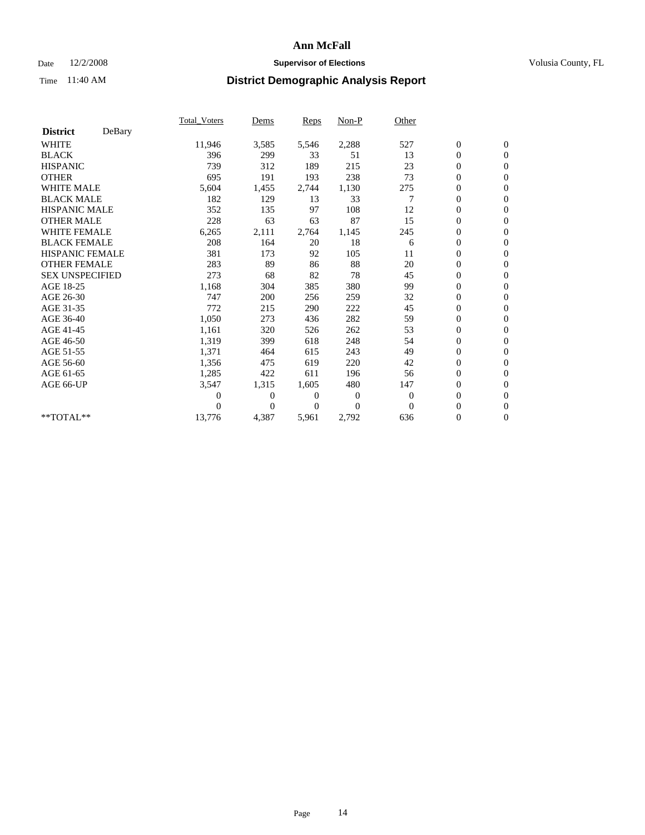### Date  $12/2/2008$  **Supervisor of Elections** Volusia County, FL

|                        |        | <b>Total_Voters</b> | Dems         | Reps  | Non-P    | Other    |                  |                  |  |
|------------------------|--------|---------------------|--------------|-------|----------|----------|------------------|------------------|--|
| <b>District</b>        | DeBary |                     |              |       |          |          |                  |                  |  |
| <b>WHITE</b>           |        | 11,946              | 3,585        | 5,546 | 2,288    | 527      | $\boldsymbol{0}$ | $\boldsymbol{0}$ |  |
| <b>BLACK</b>           |        | 396                 | 299          | 33    | 51       | 13       | $\boldsymbol{0}$ | $\mathbf{0}$     |  |
| <b>HISPANIC</b>        |        | 739                 | 312          | 189   | 215      | 23       | $\overline{0}$   | $\mathbf{0}$     |  |
| <b>OTHER</b>           |        | 695                 | 191          | 193   | 238      | 73       | 0                | $\mathbf{0}$     |  |
| <b>WHITE MALE</b>      |        | 5,604               | 1,455        | 2,744 | 1,130    | 275      | $\boldsymbol{0}$ | $\mathbf{0}$     |  |
| <b>BLACK MALE</b>      |        | 182                 | 129          | 13    | 33       |          | $\boldsymbol{0}$ | $\mathbf{0}$     |  |
| <b>HISPANIC MALE</b>   |        | 352                 | 135          | 97    | 108      | 12       | 0                | $\mathbf{0}$     |  |
| <b>OTHER MALE</b>      |        | 228                 | 63           | 63    | 87       | 15       | 0                | $\mathbf{0}$     |  |
| <b>WHITE FEMALE</b>    |        | 6,265               | 2,111        | 2,764 | 1,145    | 245      | 0                | $\mathbf{0}$     |  |
| <b>BLACK FEMALE</b>    |        | 208                 | 164          | 20    | 18       | 6        | $\boldsymbol{0}$ | $\mathbf{0}$     |  |
| <b>HISPANIC FEMALE</b> |        | 381                 | 173          | 92    | 105      | 11       | $\boldsymbol{0}$ | $\mathbf{0}$     |  |
| <b>OTHER FEMALE</b>    |        | 283                 | 89           | 86    | 88       | 20       | $\overline{0}$   | $\mathbf{0}$     |  |
| <b>SEX UNSPECIFIED</b> |        | 273                 | 68           | 82    | 78       | 45       | 0                | $\mathbf{0}$     |  |
| AGE 18-25              |        | 1,168               | 304          | 385   | 380      | 99       | $\boldsymbol{0}$ | $\mathbf{0}$     |  |
| AGE 26-30              |        | 747                 | 200          | 256   | 259      | 32       | $\overline{0}$   | $\mathbf{0}$     |  |
| AGE 31-35              |        | 772                 | 215          | 290   | 222      | 45       | $\boldsymbol{0}$ | $\mathbf{0}$     |  |
| AGE 36-40              |        | 1,050               | 273          | 436   | 282      | 59       | 0                | $\mathbf{0}$     |  |
| AGE 41-45              |        | 1,161               | 320          | 526   | 262      | 53       | $\overline{0}$   | $\mathbf{0}$     |  |
| AGE 46-50              |        | 1,319               | 399          | 618   | 248      | 54       | $\boldsymbol{0}$ | $\mathbf{0}$     |  |
| AGE 51-55              |        | 1,371               | 464          | 615   | 243      | 49       | 0                | $\mathbf{0}$     |  |
| AGE 56-60              |        | 1,356               | 475          | 619   | 220      | 42       | $\overline{0}$   | $\Omega$         |  |
| AGE 61-65              |        | 1,285               | 422          | 611   | 196      | 56       | $\overline{0}$   | $\mathbf{0}$     |  |
| AGE 66-UP              |        | 3,547               | 1,315        | 1,605 | 480      | 147      | 0                | $\mathbf{0}$     |  |
|                        |        | 0                   | $\mathbf{0}$ | 0     | $\theta$ | $\theta$ | $\overline{0}$   | $\mathbf{0}$     |  |
|                        |        | 0                   | $\Omega$     | 0     | $\Omega$ | $\Omega$ | 0                | $\mathbf{0}$     |  |
| **TOTAL**              |        | 13,776              | 4,387        | 5,961 | 2,792    | 636      | 0                | $\overline{0}$   |  |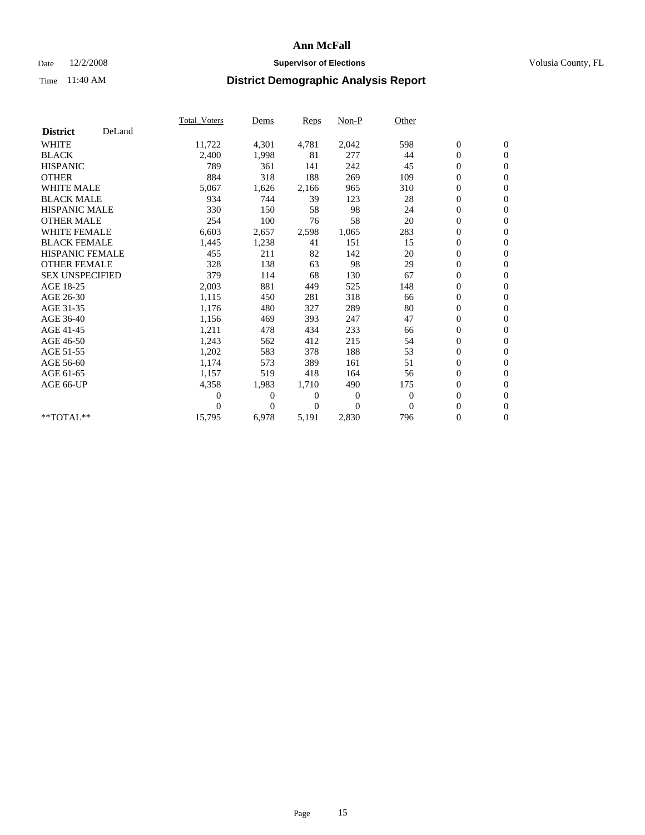## Date  $12/2/2008$  **Supervisor of Elections** Volusia County, FL

|                        |        | <b>Total Voters</b> | Dems           | Reps           | Non-P          | Other    |                  |                  |  |
|------------------------|--------|---------------------|----------------|----------------|----------------|----------|------------------|------------------|--|
| <b>District</b>        | DeLand |                     |                |                |                |          |                  |                  |  |
| <b>WHITE</b>           |        | 11,722              | 4,301          | 4,781          | 2,042          | 598      | $\boldsymbol{0}$ | $\boldsymbol{0}$ |  |
| <b>BLACK</b>           |        | 2,400               | 1,998          | 81             | 277            | 44       | 0                | $\mathbf{0}$     |  |
| <b>HISPANIC</b>        |        | 789                 | 361            | 141            | 242            | 45       | $\overline{0}$   | $\mathbf{0}$     |  |
| <b>OTHER</b>           |        | 884                 | 318            | 188            | 269            | 109      | 0                | $\mathbf{0}$     |  |
| <b>WHITE MALE</b>      |        | 5,067               | 1,626          | 2,166          | 965            | 310      | $\boldsymbol{0}$ | $\mathbf{0}$     |  |
| <b>BLACK MALE</b>      |        | 934                 | 744            | 39             | 123            | 28       | $\overline{0}$   | $\mathbf{0}$     |  |
| <b>HISPANIC MALE</b>   |        | 330                 | 150            | 58             | 98             | 24       | 0                | $\mathbf{0}$     |  |
| <b>OTHER MALE</b>      |        | 254                 | 100            | 76             | 58             | 20       | 0                | $\mathbf{0}$     |  |
| <b>WHITE FEMALE</b>    |        | 6,603               | 2,657          | 2,598          | 1,065          | 283      | $\boldsymbol{0}$ | $\mathbf{0}$     |  |
| <b>BLACK FEMALE</b>    |        | 1,445               | 1,238          | 41             | 151            | 15       | 0                | $\mathbf{0}$     |  |
| <b>HISPANIC FEMALE</b> |        | 455                 | 211            | 82             | 142            | 20       | $\boldsymbol{0}$ | $\mathbf{0}$     |  |
| <b>OTHER FEMALE</b>    |        | 328                 | 138            | 63             | 98             | 29       | $\overline{0}$   | $\mathbf{0}$     |  |
| <b>SEX UNSPECIFIED</b> |        | 379                 | 114            | 68             | 130            | 67       | 0                | $\mathbf{0}$     |  |
| AGE 18-25              |        | 2,003               | 881            | 449            | 525            | 148      | $\boldsymbol{0}$ | $\mathbf{0}$     |  |
| AGE 26-30              |        | 1,115               | 450            | 281            | 318            | 66       | $\boldsymbol{0}$ | $\mathbf{0}$     |  |
| AGE 31-35              |        | 1,176               | 480            | 327            | 289            | 80       | $\boldsymbol{0}$ | $\mathbf{0}$     |  |
| AGE 36-40              |        | 1,156               | 469            | 393            | 247            | 47       | 0                | $\mathbf{0}$     |  |
| AGE 41-45              |        | 1,211               | 478            | 434            | 233            | 66       | $\boldsymbol{0}$ | $\mathbf{0}$     |  |
| AGE 46-50              |        | 1,243               | 562            | 412            | 215            | 54       | 0                | $\mathbf{0}$     |  |
| AGE 51-55              |        | 1,202               | 583            | 378            | 188            | 53       | $\boldsymbol{0}$ | $\mathbf{0}$     |  |
| AGE 56-60              |        | 1.174               | 573            | 389            | 161            | 51       | $\overline{0}$   | $\mathbf{0}$     |  |
| AGE 61-65              |        | 1,157               | 519            | 418            | 164            | 56       | 0                | $\mathbf{0}$     |  |
| AGE 66-UP              |        | 4,358               | 1,983          | 1,710          | 490            | 175      | $\boldsymbol{0}$ | $\mathbf{0}$     |  |
|                        |        | 0                   | $\mathbf{0}$   | $\overline{0}$ | $\overline{0}$ | $\theta$ | $\overline{0}$   | $\mathbf{0}$     |  |
|                        |        | 0                   | $\overline{0}$ | 0              | $\theta$       | $\theta$ | 0                | $\mathbf{0}$     |  |
| **TOTAL**              |        | 15,795              | 6,978          | 5,191          | 2,830          | 796      | 0                | $\boldsymbol{0}$ |  |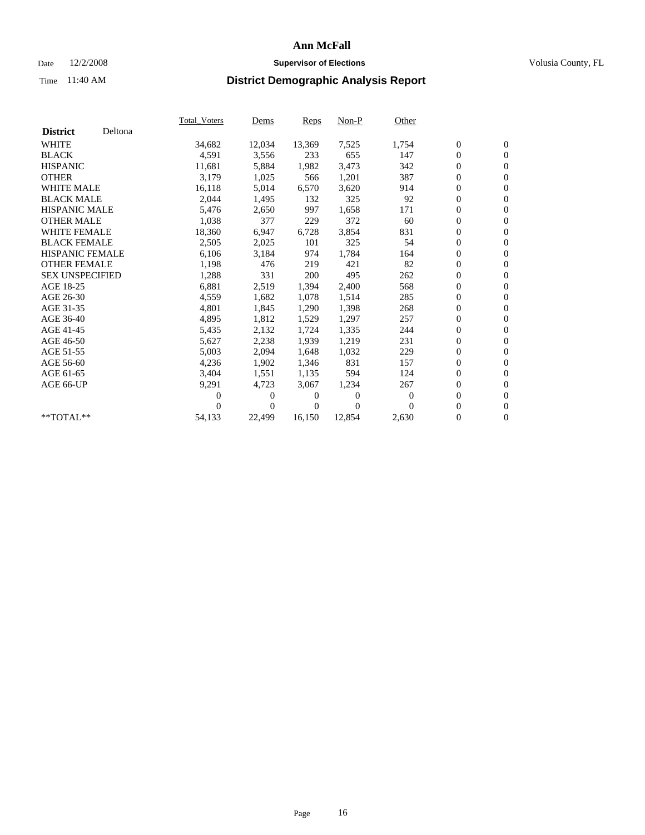## Date  $12/2/2008$  **Supervisor of Elections** Volusia County, FL

|                        |         | <b>Total Voters</b> | Dems   | Reps   | $Non-P$  | Other    |                  |                  |  |
|------------------------|---------|---------------------|--------|--------|----------|----------|------------------|------------------|--|
| <b>District</b>        | Deltona |                     |        |        |          |          |                  |                  |  |
| <b>WHITE</b>           |         | 34,682              | 12,034 | 13,369 | 7,525    | 1,754    | $\boldsymbol{0}$ | $\boldsymbol{0}$ |  |
| <b>BLACK</b>           |         | 4,591               | 3,556  | 233    | 655      | 147      | 0                | $\mathbf{0}$     |  |
| <b>HISPANIC</b>        |         | 11,681              | 5,884  | 1,982  | 3,473    | 342      | $\boldsymbol{0}$ | $\mathbf{0}$     |  |
| <b>OTHER</b>           |         | 3,179               | 1,025  | 566    | 1,201    | 387      | 0                | $\mathbf{0}$     |  |
| <b>WHITE MALE</b>      |         | 16,118              | 5,014  | 6,570  | 3,620    | 914      | 0                | $\mathbf{0}$     |  |
| <b>BLACK MALE</b>      |         | 2,044               | 1,495  | 132    | 325      | 92       | 0                | $\mathbf{0}$     |  |
| <b>HISPANIC MALE</b>   |         | 5,476               | 2,650  | 997    | 1,658    | 171      | 0                | $\mathbf{0}$     |  |
| <b>OTHER MALE</b>      |         | 1,038               | 377    | 229    | 372      | 60       | 0                | $\mathbf{0}$     |  |
| <b>WHITE FEMALE</b>    |         | 18,360              | 6,947  | 6,728  | 3,854    | 831      | $\overline{0}$   | $\mathbf{0}$     |  |
| <b>BLACK FEMALE</b>    |         | 2,505               | 2,025  | 101    | 325      | 54       | 0                | $\mathbf{0}$     |  |
| <b>HISPANIC FEMALE</b> |         | 6,106               | 3,184  | 974    | 1,784    | 164      | 0                | $\mathbf{0}$     |  |
| <b>OTHER FEMALE</b>    |         | 1,198               | 476    | 219    | 421      | 82       | 0                | $\mathbf{0}$     |  |
| <b>SEX UNSPECIFIED</b> |         | 1,288               | 331    | 200    | 495      | 262      | 0                | $\mathbf{0}$     |  |
| AGE 18-25              |         | 6,881               | 2,519  | 1,394  | 2,400    | 568      | 0                | $\mathbf{0}$     |  |
| AGE 26-30              |         | 4,559               | 1,682  | 1,078  | 1,514    | 285      | 0                | $\mathbf{0}$     |  |
| AGE 31-35              |         | 4,801               | 1,845  | 1,290  | 1,398    | 268      | $\boldsymbol{0}$ | $\mathbf{0}$     |  |
| AGE 36-40              |         | 4,895               | 1,812  | 1,529  | 1,297    | 257      | 0                | $\mathbf{0}$     |  |
| AGE 41-45              |         | 5,435               | 2,132  | 1,724  | 1,335    | 244      | 0                | $\mathbf{0}$     |  |
| AGE 46-50              |         | 5,627               | 2,238  | 1,939  | 1,219    | 231      | 0                | $\mathbf{0}$     |  |
| AGE 51-55              |         | 5,003               | 2,094  | 1,648  | 1,032    | 229      | $\boldsymbol{0}$ | $\mathbf{0}$     |  |
| AGE 56-60              |         | 4,236               | 1,902  | 1,346  | 831      | 157      | 0                | $\mathbf{0}$     |  |
| AGE 61-65              |         | 3,404               | 1,551  | 1,135  | 594      | 124      | 0                | $\mathbf{0}$     |  |
| AGE 66-UP              |         | 9,291               | 4,723  | 3,067  | 1,234    | 267      | $\boldsymbol{0}$ | $\mathbf{0}$     |  |
|                        |         | 0                   | 0      | 0      | $\theta$ | $\theta$ | $\overline{0}$   | $\mathbf{0}$     |  |
|                        |         | 0                   | 0      | 0      | $\Omega$ | $\Omega$ | 0                | $\mathbf{0}$     |  |
| **TOTAL**              |         | 54,133              | 22,499 | 16,150 | 12,854   | 2,630    | 0                | $\boldsymbol{0}$ |  |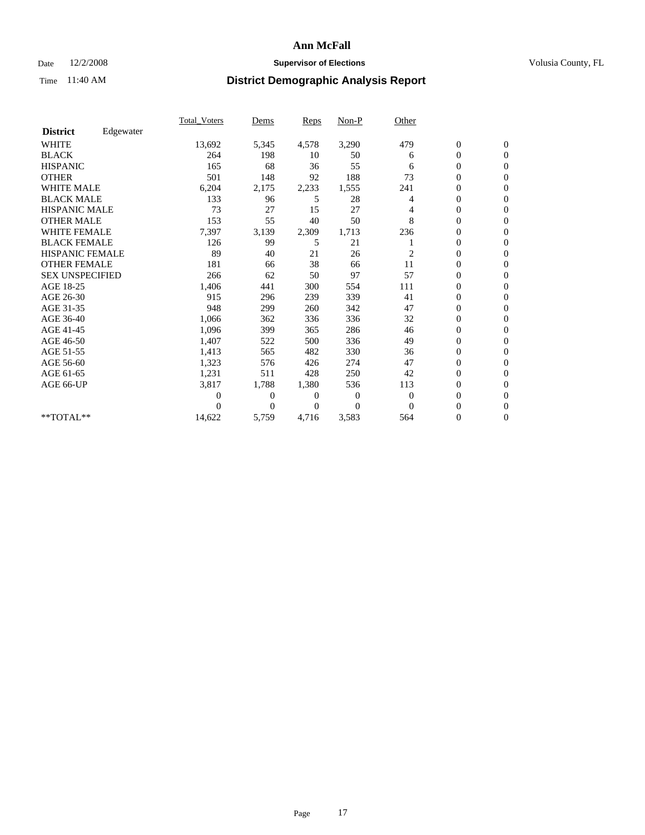## Date  $12/2/2008$  **Supervisor of Elections** Volusia County, FL

|                        |           | <b>Total_Voters</b> | Dems           | Reps     | $Non-P$        | Other    |                  |                  |  |
|------------------------|-----------|---------------------|----------------|----------|----------------|----------|------------------|------------------|--|
| <b>District</b>        | Edgewater |                     |                |          |                |          |                  |                  |  |
| <b>WHITE</b>           |           | 13,692              | 5,345          | 4,578    | 3,290          | 479      | $\boldsymbol{0}$ | $\boldsymbol{0}$ |  |
| <b>BLACK</b>           |           | 264                 | 198            | 10       | 50             | 6        | 0                | $\mathbf{0}$     |  |
| <b>HISPANIC</b>        |           | 165                 | 68             | 36       | 55             | 6        | 0                | $\mathbf{0}$     |  |
| <b>OTHER</b>           |           | 501                 | 148            | 92       | 188            | 73       | 0                | $\Omega$         |  |
| <b>WHITE MALE</b>      |           | 6,204               | 2,175          | 2,233    | 1,555          | 241      | 0                | $\mathbf{0}$     |  |
| <b>BLACK MALE</b>      |           | 133                 | 96             | 5        | 28             | 4        | $\overline{0}$   | $\mathbf{0}$     |  |
| <b>HISPANIC MALE</b>   |           | 73                  | 27             | 15       | 27             | 4        | 0                | $\mathbf{0}$     |  |
| <b>OTHER MALE</b>      |           | 153                 | 55             | 40       | 50             | 8        | 0                | $\mathbf{0}$     |  |
| <b>WHITE FEMALE</b>    |           | 7,397               | 3,139          | 2,309    | 1,713          | 236      | 0                | $\mathbf{0}$     |  |
| <b>BLACK FEMALE</b>    |           | 126                 | 99             | 5        | 21             |          | 0                | $\mathbf{0}$     |  |
| <b>HISPANIC FEMALE</b> |           | 89                  | 40             | 21       | 26             | 2        | 0                | $\mathbf{0}$     |  |
| <b>OTHER FEMALE</b>    |           | 181                 | 66             | 38       | 66             | 11       | 0                | $\Omega$         |  |
| <b>SEX UNSPECIFIED</b> |           | 266                 | 62             | 50       | 97             | 57       | 0                | $\mathbf{0}$     |  |
| AGE 18-25              |           | 1,406               | 441            | 300      | 554            | 111      | 0                | $\mathbf{0}$     |  |
| AGE 26-30              |           | 915                 | 296            | 239      | 339            | 41       | $\overline{0}$   | $\mathbf{0}$     |  |
| AGE 31-35              |           | 948                 | 299            | 260      | 342            | 47       | 0                | $\mathbf{0}$     |  |
| AGE 36-40              |           | 1,066               | 362            | 336      | 336            | 32       | 0                | $\mathbf{0}$     |  |
| AGE 41-45              |           | 1,096               | 399            | 365      | 286            | 46       | 0                | $\mathbf{0}$     |  |
| AGE 46-50              |           | 1,407               | 522            | 500      | 336            | 49       | 0                | $\mathbf{0}$     |  |
| AGE 51-55              |           | 1,413               | 565            | 482      | 330            | 36       | 0                | $\mathbf{0}$     |  |
| AGE 56-60              |           | 1,323               | 576            | 426      | 274            | 47       | $\overline{0}$   | $\Omega$         |  |
| AGE 61-65              |           | 1,231               | 511            | 428      | 250            | 42       | 0                | $\mathbf{0}$     |  |
| AGE 66-UP              |           | 3,817               | 1,788          | 1,380    | 536            | 113      | 0                | $\mathbf{0}$     |  |
|                        |           | 0                   | 0              | 0        | $\overline{0}$ | $\theta$ | 0                | $\mathbf{0}$     |  |
|                        |           | 0                   | $\overline{0}$ | $\Omega$ | $\Omega$       | $\Omega$ | $\overline{0}$   | $\mathbf{0}$     |  |
| **TOTAL**              |           | 14,622              | 5,759          | 4,716    | 3,583          | 564      | 0                | $\overline{0}$   |  |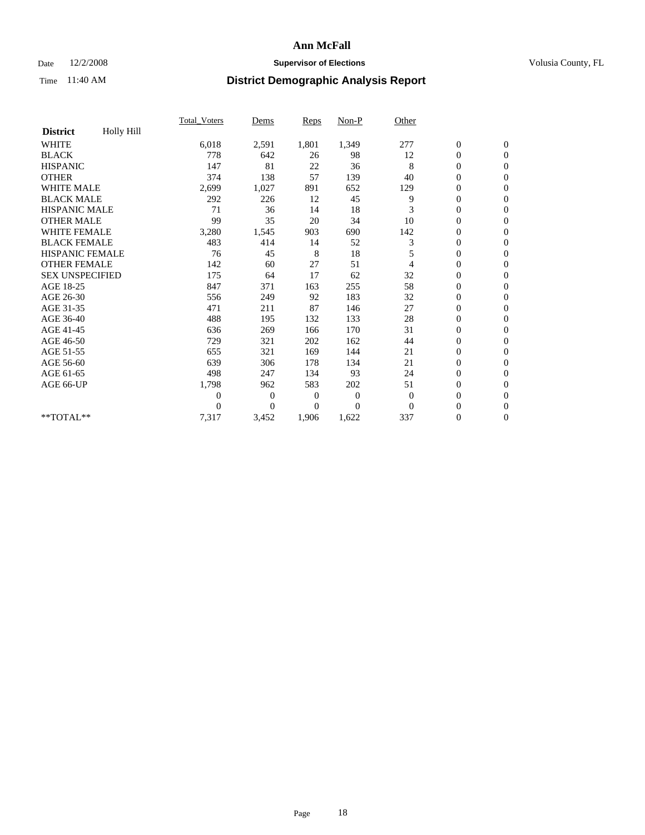## Date  $12/2/2008$  **Supervisor of Elections** Volusia County, FL

|                        |            | <b>Total_Voters</b> | Dems           | Reps           | $Non-P$        | Other          |                  |                  |  |
|------------------------|------------|---------------------|----------------|----------------|----------------|----------------|------------------|------------------|--|
| <b>District</b>        | Holly Hill |                     |                |                |                |                |                  |                  |  |
| <b>WHITE</b>           |            | 6,018               | 2,591          | 1,801          | 1,349          | 277            | $\boldsymbol{0}$ | $\boldsymbol{0}$ |  |
| <b>BLACK</b>           |            | 778                 | 642            | 26             | 98             | 12             | $\boldsymbol{0}$ | $\mathbf{0}$     |  |
| <b>HISPANIC</b>        |            | 147                 | 81             | 22             | 36             | 8              | $\overline{0}$   | $\Omega$         |  |
| <b>OTHER</b>           |            | 374                 | 138            | 57             | 139            | 40             | 0                | $\mathbf{0}$     |  |
| <b>WHITE MALE</b>      |            | 2,699               | 1,027          | 891            | 652            | 129            | $\boldsymbol{0}$ | $\mathbf{0}$     |  |
| <b>BLACK MALE</b>      |            | 292                 | 226            | 12             | 45             | 9              | $\overline{0}$   | $\mathbf{0}$     |  |
| <b>HISPANIC MALE</b>   |            | 71                  | 36             | 14             | 18             | 3              | 0                | $\Omega$         |  |
| <b>OTHER MALE</b>      |            | 99                  | 35             | 20             | 34             | 10             | 0                | $\mathbf{0}$     |  |
| WHITE FEMALE           |            | 3,280               | 1,545          | 903            | 690            | 142            | $\boldsymbol{0}$ | $\mathbf{0}$     |  |
| <b>BLACK FEMALE</b>    |            | 483                 | 414            | 14             | 52             | 3              | 0                | $\mathbf{0}$     |  |
| HISPANIC FEMALE        |            | 76                  | 45             | 8              | 18             | 5              | $\boldsymbol{0}$ | $\mathbf{0}$     |  |
| <b>OTHER FEMALE</b>    |            | 142                 | 60             | 27             | 51             | 4              | $\overline{0}$   | $\mathbf{0}$     |  |
| <b>SEX UNSPECIFIED</b> |            | 175                 | 64             | 17             | 62             | 32             | 0                | $\Omega$         |  |
| AGE 18-25              |            | 847                 | 371            | 163            | 255            | 58             | $\boldsymbol{0}$ | $\mathbf{0}$     |  |
| AGE 26-30              |            | 556                 | 249            | 92             | 183            | 32             | $\overline{0}$   | $\Omega$         |  |
| AGE 31-35              |            | 471                 | 211            | 87             | 146            | 27             | 0                | $\mathbf{0}$     |  |
| AGE 36-40              |            | 488                 | 195            | 132            | 133            | 28             | $\boldsymbol{0}$ | $\mathbf{0}$     |  |
| AGE 41-45              |            | 636                 | 269            | 166            | 170            | 31             | $\boldsymbol{0}$ | $\mathbf{0}$     |  |
| AGE 46-50              |            | 729                 | 321            | 202            | 162            | 44             | 0                | $\Omega$         |  |
| AGE 51-55              |            | 655                 | 321            | 169            | 144            | 21             | $\boldsymbol{0}$ | $\mathbf{0}$     |  |
| AGE 56-60              |            | 639                 | 306            | 178            | 134            | 21             | $\overline{0}$   | $\mathbf{0}$     |  |
| AGE 61-65              |            | 498                 | 247            | 134            | 93             | 24             | 0                | $\mathbf{0}$     |  |
| AGE 66-UP              |            | 1,798               | 962            | 583            | 202            | 51             | $\boldsymbol{0}$ | $\mathbf{0}$     |  |
|                        |            | 0                   | $\mathbf{0}$   | $\overline{0}$ | $\overline{0}$ | $\theta$       | $\overline{0}$   | $\mathbf{0}$     |  |
|                        |            | $\theta$            | $\overline{0}$ | 0              | $\theta$       | $\overline{0}$ | 0                | $\mathbf{0}$     |  |
| **TOTAL**              |            | 7,317               | 3,452          | 1,906          | 1,622          | 337            | 0                | $\boldsymbol{0}$ |  |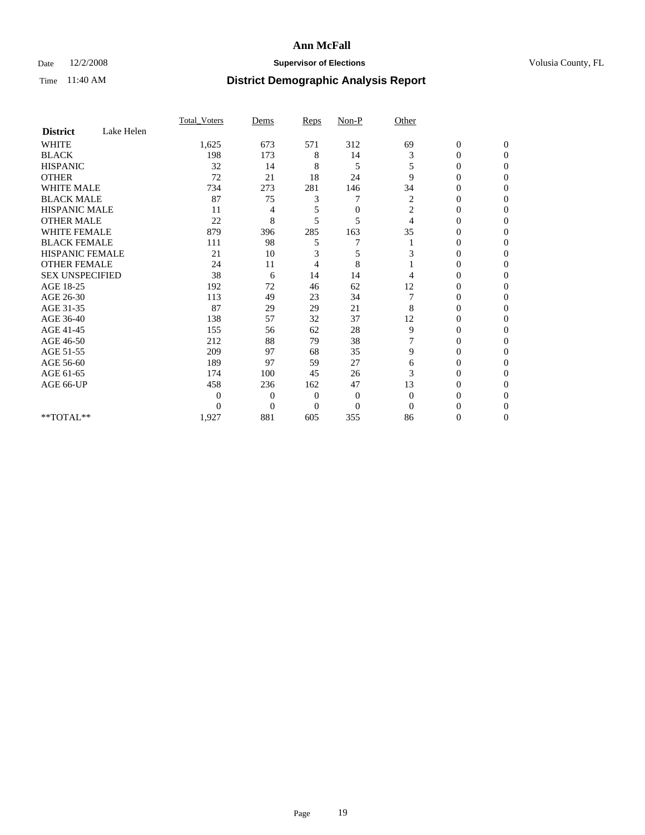## Date  $12/2/2008$  **Supervisor of Elections** Volusia County, FL

|                        |            | Total Voters   | Dems           | Reps           | $Non-P$          | Other          |                  |                  |
|------------------------|------------|----------------|----------------|----------------|------------------|----------------|------------------|------------------|
| <b>District</b>        | Lake Helen |                |                |                |                  |                |                  |                  |
| <b>WHITE</b>           |            | 1,625          | 673            | 571            | 312              | 69             | $\boldsymbol{0}$ | $\boldsymbol{0}$ |
| <b>BLACK</b>           |            | 198            | 173            | 8              | 14               | 3              | $\theta$         | $\Omega$         |
| <b>HISPANIC</b>        |            | 32             | 14             | 8              | 5                | 5              | 0                | $\Omega$         |
| <b>OTHER</b>           |            | 72             | 21             | 18             | 24               | 9              | $\overline{0}$   | $\mathbf{0}$     |
| <b>WHITE MALE</b>      |            | 734            | 273            | 281            | 146              | 34             | 0                | $\Omega$         |
| <b>BLACK MALE</b>      |            | 87             | 75             | 3              | 7                | $\overline{c}$ | $\overline{0}$   | $\Omega$         |
| <b>HISPANIC MALE</b>   |            | 11             | 4              | 5              | $\boldsymbol{0}$ | $\overline{c}$ | 0                | 0                |
| <b>OTHER MALE</b>      |            | 22             | 8              | 5              | 5                | 4              | $\theta$         | $\Omega$         |
| WHITE FEMALE           |            | 879            | 396            | 285            | 163              | 35             | $\overline{0}$   | $\Omega$         |
| <b>BLACK FEMALE</b>    |            | 111            | 98             | 5              | 7                |                | 0                | 0                |
| <b>HISPANIC FEMALE</b> |            | 21             | 10             | 3              | 5                | 3              | $\theta$         | $\Omega$         |
| <b>OTHER FEMALE</b>    |            | 24             | 11             | 4              | 8                |                | 0                | $\Omega$         |
| <b>SEX UNSPECIFIED</b> |            | 38             | 6              | 14             | 14               | 4              | 0                | $\Omega$         |
| AGE 18-25              |            | 192            | 72             | 46             | 62               | 12             | 0                | $\Omega$         |
| AGE 26-30              |            | 113            | 49             | 23             | 34               | 7              | 0                | 0                |
| AGE 31-35              |            | 87             | 29             | 29             | 21               | 8              | $\overline{0}$   | $\Omega$         |
| AGE 36-40              |            | 138            | 57             | 32             | 37               | 12             | $\overline{0}$   | $\mathbf{0}$     |
| AGE 41-45              |            | 155            | 56             | 62             | 28               | 9              | 0                | 0                |
| AGE 46-50              |            | 212            | 88             | 79             | 38               |                | $\overline{0}$   | $\theta$         |
| AGE 51-55              |            | 209            | 97             | 68             | 35               | 9              | $\overline{0}$   | $\Omega$         |
| AGE 56-60              |            | 189            | 97             | 59             | 27               | 6              | 0                | 0                |
| AGE 61-65              |            | 174            | 100            | 45             | 26               | 3              | 0                | $\overline{0}$   |
| AGE 66-UP              |            | 458            | 236            | 162            | 47               | 13             | 0                | $\Omega$         |
|                        |            | $\overline{0}$ | $\overline{0}$ | $\overline{0}$ | $\mathbf{0}$     | $\overline{0}$ | $\theta$         | $\Omega$         |
|                        |            | $\Omega$       | $\overline{0}$ | $\Omega$       | $\theta$         | $\Omega$       | 0                | $\Omega$         |
| **TOTAL**              |            | 1,927          | 881            | 605            | 355              | 86             | 0                | $\overline{0}$   |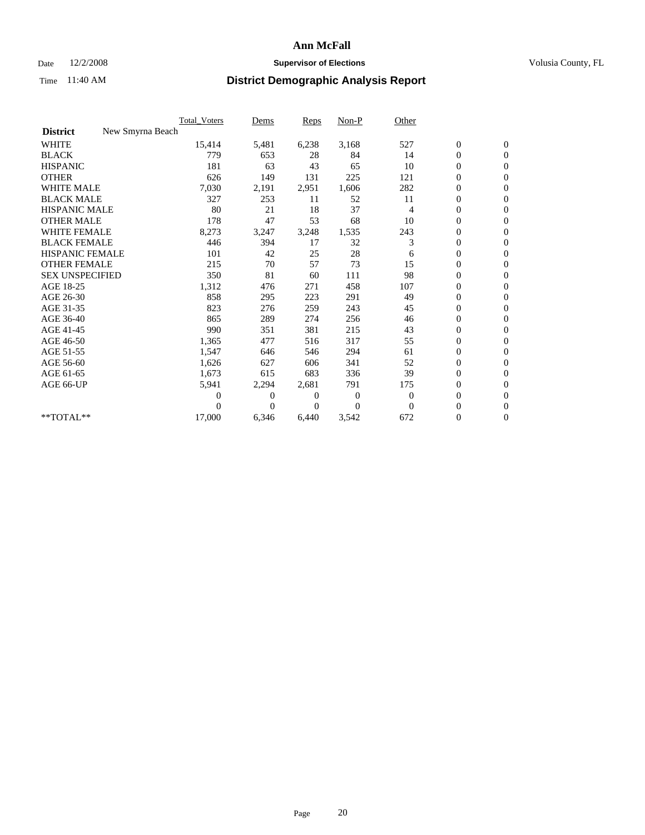## Date  $12/2/2008$  **Supervisor of Elections** Volusia County, FL

|                        |                  | Total Voters | Dems     | <b>Reps</b> | Non-P        | Other        |                  |                  |  |
|------------------------|------------------|--------------|----------|-------------|--------------|--------------|------------------|------------------|--|
| <b>District</b>        | New Smyrna Beach |              |          |             |              |              |                  |                  |  |
| <b>WHITE</b>           |                  | 15,414       | 5,481    | 6,238       | 3,168        | 527          | $\boldsymbol{0}$ | $\boldsymbol{0}$ |  |
| <b>BLACK</b>           |                  | 779          | 653      | 28          | 84           | 14           | $\boldsymbol{0}$ | $\mathbf{0}$     |  |
| <b>HISPANIC</b>        |                  | 181          | 63       | 43          | 65           | 10           | $\overline{0}$   | $\mathbf{0}$     |  |
| <b>OTHER</b>           |                  | 626          | 149      | 131         | 225          | 121          | $\boldsymbol{0}$ | $\mathbf{0}$     |  |
| <b>WHITE MALE</b>      |                  | 7,030        | 2,191    | 2,951       | 1,606        | 282          | $\overline{0}$   | $\mathbf{0}$     |  |
| <b>BLACK MALE</b>      |                  | 327          | 253      | 11          | 52           | 11           | $\boldsymbol{0}$ | $\mathbf{0}$     |  |
| <b>HISPANIC MALE</b>   |                  | 80           | 21       | 18          | 37           | 4            | $\boldsymbol{0}$ | $\mathbf{0}$     |  |
| <b>OTHER MALE</b>      |                  | 178          | 47       | 53          | 68           | 10           | $\boldsymbol{0}$ | $\mathbf{0}$     |  |
| WHITE FEMALE           |                  | 8,273        | 3,247    | 3,248       | 1,535        | 243          | $\overline{0}$   | $\mathbf{0}$     |  |
| <b>BLACK FEMALE</b>    |                  | 446          | 394      | 17          | 32           | 3            | $\boldsymbol{0}$ | $\mathbf{0}$     |  |
| <b>HISPANIC FEMALE</b> |                  | 101          | 42       | 25          | 28           | 6            | $\boldsymbol{0}$ | $\mathbf{0}$     |  |
| <b>OTHER FEMALE</b>    |                  | 215          | 70       | 57          | 73           | 15           | $\mathbf{0}$     | $\mathbf{0}$     |  |
| <b>SEX UNSPECIFIED</b> |                  | 350          | 81       | 60          | 111          | 98           | $\overline{0}$   | $\mathbf{0}$     |  |
| AGE 18-25              |                  | 1,312        | 476      | 271         | 458          | 107          | $\overline{0}$   | $\mathbf{0}$     |  |
| AGE 26-30              |                  | 858          | 295      | 223         | 291          | 49           | $\overline{0}$   | $\mathbf{0}$     |  |
| AGE 31-35              |                  | 823          | 276      | 259         | 243          | 45           | $\boldsymbol{0}$ | $\mathbf{0}$     |  |
| AGE 36-40              |                  | 865          | 289      | 274         | 256          | 46           | $\boldsymbol{0}$ | $\mathbf{0}$     |  |
| AGE 41-45              |                  | 990          | 351      | 381         | 215          | 43           | $\overline{0}$   | $\mathbf{0}$     |  |
| AGE 46-50              |                  | 1,365        | 477      | 516         | 317          | 55           | $\boldsymbol{0}$ | $\mathbf{0}$     |  |
| AGE 51-55              |                  | 1,547        | 646      | 546         | 294          | 61           | $\boldsymbol{0}$ | $\mathbf{0}$     |  |
| AGE 56-60              |                  | 1,626        | 627      | 606         | 341          | 52           | $\overline{0}$   | $\Omega$         |  |
| AGE 61-65              |                  | 1,673        | 615      | 683         | 336          | 39           | $\overline{0}$   | $\mathbf{0}$     |  |
| AGE 66-UP              |                  | 5,941        | 2,294    | 2,681       | 791          | 175          | $\boldsymbol{0}$ | $\mathbf{0}$     |  |
|                        |                  | 0            | 0        | 0           | $\mathbf{0}$ | $\mathbf{0}$ | $\overline{0}$   | $\mathbf{0}$     |  |
|                        |                  | $\Omega$     | $\theta$ | $\Omega$    | $\Omega$     | $\Omega$     | $\boldsymbol{0}$ | $\mathbf{0}$     |  |
| **TOTAL**              |                  | 17,000       | 6,346    | 6,440       | 3,542        | 672          | 0                | $\mathbf{0}$     |  |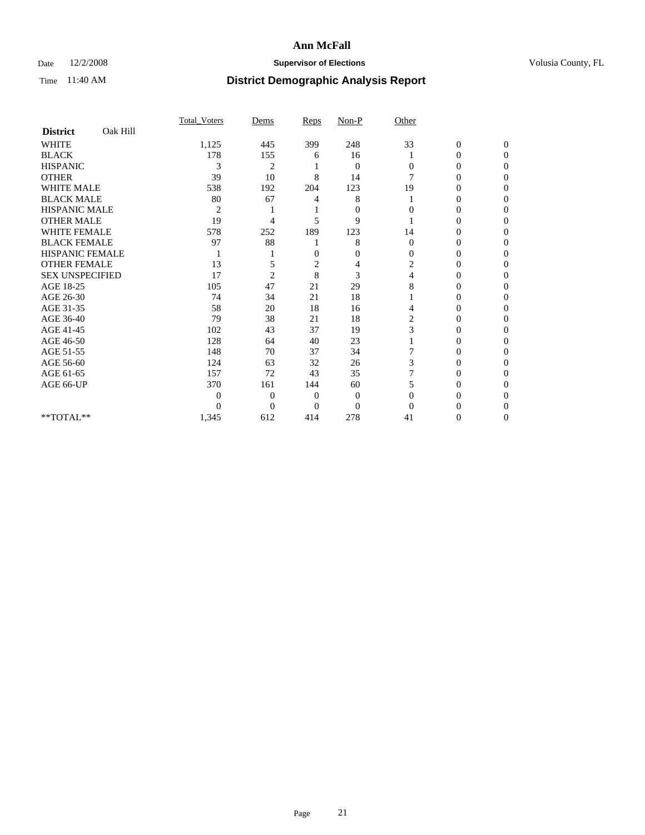## Date  $12/2/2008$  **Supervisor of Elections** Volusia County, FL

|                        |          | Total Voters   | Dems           | Reps         | $Non-P$        | Other          |                  |              |  |
|------------------------|----------|----------------|----------------|--------------|----------------|----------------|------------------|--------------|--|
| <b>District</b>        | Oak Hill |                |                |              |                |                |                  |              |  |
| <b>WHITE</b>           |          | 1,125          | 445            | 399          | 248            | 33             | $\boldsymbol{0}$ | $\mathbf{0}$ |  |
| <b>BLACK</b>           |          | 178            | 155            | 6            | 16             |                | $\mathbf{0}$     | $\Omega$     |  |
| <b>HISPANIC</b>        |          | 3              | $\overline{2}$ |              | $\mathbf{0}$   | $\Omega$       | 0                | $\Omega$     |  |
| <b>OTHER</b>           |          | 39             | 10             | 8            | 14             | 7              | 0                | $\Omega$     |  |
| <b>WHITE MALE</b>      |          | 538            | 192            | 204          | 123            | 19             | 0                | 0            |  |
| <b>BLACK MALE</b>      |          | 80             | 67             | 4            | 8              |                | 0                | $\Omega$     |  |
| HISPANIC MALE          |          | $\overline{2}$ |                |              | $\mathbf{0}$   | 0              | 0                | 0            |  |
| <b>OTHER MALE</b>      |          | 19             | 4              | 5            | 9              |                | 0                | 0            |  |
| <b>WHITE FEMALE</b>    |          | 578            | 252            | 189          | 123            | 14             | 0                | $\Omega$     |  |
| <b>BLACK FEMALE</b>    |          | 97             | 88             |              | 8              | $\mathbf{0}$   | 0                | 0            |  |
| <b>HISPANIC FEMALE</b> |          |                |                | 0            | 0              | $\Omega$       | 0                | 0            |  |
| <b>OTHER FEMALE</b>    |          | 13             |                | 2            | 4              | 2              | 0                | 0            |  |
| <b>SEX UNSPECIFIED</b> |          | 17             | $\overline{2}$ | 8            | 3              | 4              | 0                | 0            |  |
| AGE 18-25              |          | 105            | 47             | 21           | 29             | 8              | 0                | $\Omega$     |  |
| AGE 26-30              |          | 74             | 34             | 21           | 18             |                | 0                | 0            |  |
| AGE 31-35              |          | 58             | 20             | 18           | 16             | 4              | 0                | 0            |  |
| AGE 36-40              |          | 79             | 38             | 21           | 18             | $\overline{c}$ | 0                | 0            |  |
| AGE 41-45              |          | 102            | 43             | 37           | 19             | 3              | 0                | $\Omega$     |  |
| AGE 46-50              |          | 128            | 64             | 40           | 23             |                | 0                | $\Omega$     |  |
| AGE 51-55              |          | 148            | 70             | 37           | 34             |                | 0                | 0            |  |
| AGE 56-60              |          | 124            | 63             | 32           | 26             | 3              | 0                | 0            |  |
| AGE 61-65              |          | 157            | 72             | 43           | 35             |                | $\overline{0}$   | 0            |  |
| AGE 66-UP              |          | 370            | 161            | 144          | 60             | 5              | 0                | 0            |  |
|                        |          | 0              | $\overline{0}$ | $\mathbf{0}$ | $\mathbf{0}$   | $\Omega$       | 0                | 0            |  |
|                        |          | 0              | $\overline{0}$ | $\Omega$     | $\overline{0}$ | $\Omega$       |                  | 0            |  |
| **TOTAL**              |          | 1,345          | 612            | 414          | 278            | 41             | 0                | 0            |  |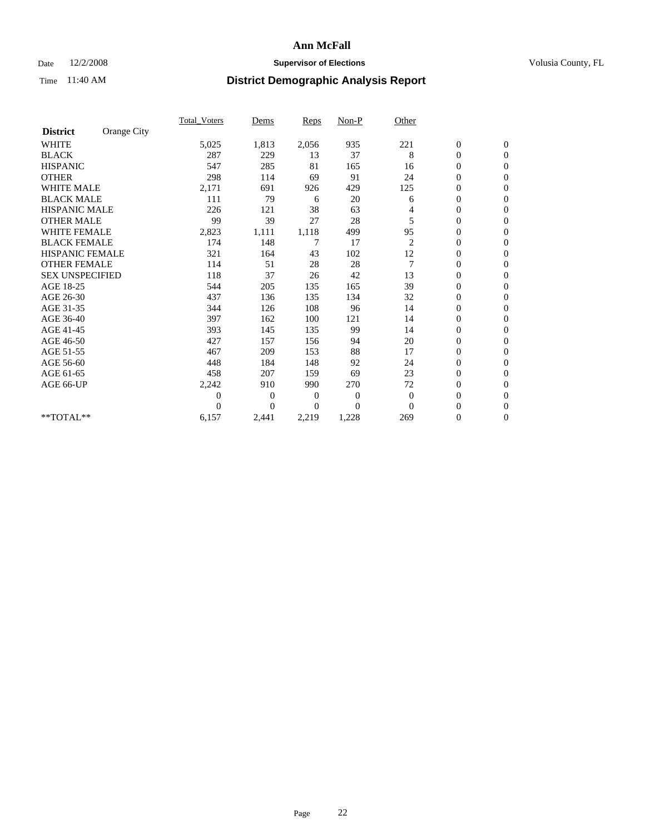## Date  $12/2/2008$  **Supervisor of Elections** Volusia County, FL

|                        |             | Total Voters   | Dems           | <b>Reps</b>  | $Non-P$        | Other          |                  |                  |  |
|------------------------|-------------|----------------|----------------|--------------|----------------|----------------|------------------|------------------|--|
| <b>District</b>        | Orange City |                |                |              |                |                |                  |                  |  |
| <b>WHITE</b>           |             | 5,025          | 1,813          | 2,056        | 935            | 221            | $\boldsymbol{0}$ | $\boldsymbol{0}$ |  |
| <b>BLACK</b>           |             | 287            | 229            | 13           | 37             | 8              | $\boldsymbol{0}$ | $\mathbf{0}$     |  |
| <b>HISPANIC</b>        |             | 547            | 285            | 81           | 165            | 16             | $\overline{0}$   | $\mathbf{0}$     |  |
| <b>OTHER</b>           |             | 298            | 114            | 69           | 91             | 24             | $\boldsymbol{0}$ | $\mathbf{0}$     |  |
| <b>WHITE MALE</b>      |             | 2,171          | 691            | 926          | 429            | 125            | $\boldsymbol{0}$ | $\mathbf{0}$     |  |
| <b>BLACK MALE</b>      |             | 111            | 79             | 6            | 20             | 6              | $\overline{0}$   | $\mathbf{0}$     |  |
| <b>HISPANIC MALE</b>   |             | 226            | 121            | 38           | 63             | 4              | $\boldsymbol{0}$ | $\Omega$         |  |
| <b>OTHER MALE</b>      |             | 99             | 39             | 27           | 28             | 5              | $\overline{0}$   | $\mathbf{0}$     |  |
| WHITE FEMALE           |             | 2,823          | 1,111          | 1,118        | 499            | 95             | $\boldsymbol{0}$ | $\mathbf{0}$     |  |
| <b>BLACK FEMALE</b>    |             | 174            | 148            | 7            | 17             | $\overline{c}$ | $\boldsymbol{0}$ | $\mathbf{0}$     |  |
| <b>HISPANIC FEMALE</b> |             | 321            | 164            | 43           | 102            | 12             | $\boldsymbol{0}$ | $\mathbf{0}$     |  |
| <b>OTHER FEMALE</b>    |             | 114            | 51             | 28           | 28             | $\overline{7}$ | $\mathbf{0}$     | $\mathbf{0}$     |  |
| <b>SEX UNSPECIFIED</b> |             | 118            | 37             | 26           | 42             | 13             | $\boldsymbol{0}$ | $\Omega$         |  |
| AGE 18-25              |             | 544            | 205            | 135          | 165            | 39             | $\boldsymbol{0}$ | $\mathbf{0}$     |  |
| AGE 26-30              |             | 437            | 136            | 135          | 134            | 32             | $\mathbf{0}$     | $\Omega$         |  |
| AGE 31-35              |             | 344            | 126            | 108          | 96             | 14             | $\boldsymbol{0}$ | $\mathbf{0}$     |  |
| AGE 36-40              |             | 397            | 162            | 100          | 121            | 14             | $\boldsymbol{0}$ | $\mathbf{0}$     |  |
| AGE 41-45              |             | 393            | 145            | 135          | 99             | 14             | $\boldsymbol{0}$ | $\mathbf{0}$     |  |
| AGE 46-50              |             | 427            | 157            | 156          | 94             | 20             | $\boldsymbol{0}$ | $\Omega$         |  |
| AGE 51-55              |             | 467            | 209            | 153          | 88             | 17             | $\overline{0}$   | $\mathbf{0}$     |  |
| AGE 56-60              |             | 448            | 184            | 148          | 92             | 24             | $\overline{0}$   | $\mathbf{0}$     |  |
| AGE 61-65              |             | 458            | 207            | 159          | 69             | 23             | $\overline{0}$   | $\mathbf{0}$     |  |
| AGE 66-UP              |             | 2,242          | 910            | 990          | 270            | 72             | $\boldsymbol{0}$ | $\mathbf{0}$     |  |
|                        |             | $\overline{0}$ | $\overline{0}$ | $\mathbf{0}$ | $\mathbf{0}$   | $\mathbf{0}$   | $\mathbf{0}$     | $\mathbf{0}$     |  |
|                        |             | $\Omega$       | $\overline{0}$ | $\mathbf{0}$ | $\overline{0}$ | $\mathbf{0}$   | $\boldsymbol{0}$ | $\mathbf{0}$     |  |
| **TOTAL**              |             | 6,157          | 2,441          | 2,219        | 1,228          | 269            | 0                | $\boldsymbol{0}$ |  |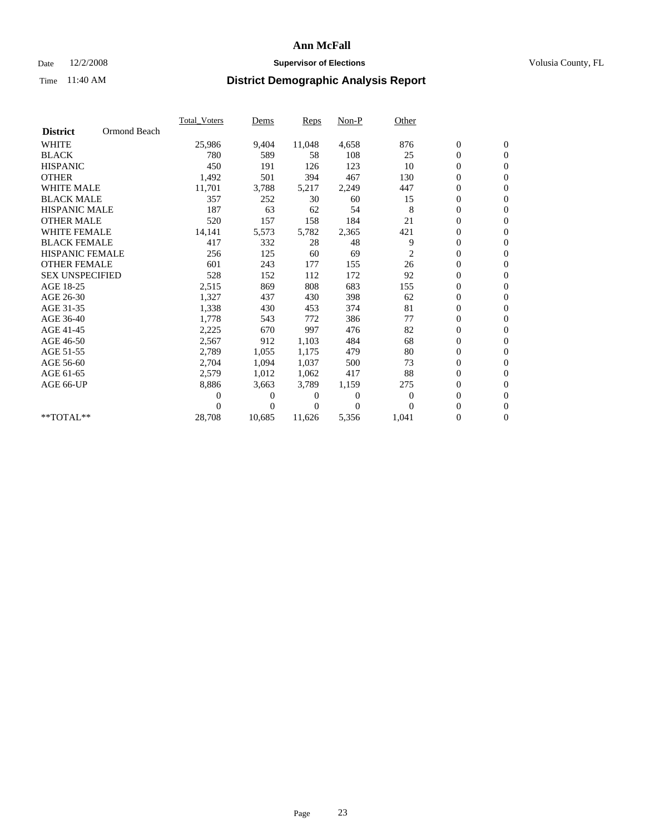### Date  $12/2/2008$  **Supervisor of Elections** Volusia County, FL

|                        |              | <b>Total Voters</b> | Dems           | Reps   | Non-P    | Other    |                  |                  |  |
|------------------------|--------------|---------------------|----------------|--------|----------|----------|------------------|------------------|--|
| <b>District</b>        | Ormond Beach |                     |                |        |          |          |                  |                  |  |
| <b>WHITE</b>           |              | 25,986              | 9,404          | 11,048 | 4,658    | 876      | $\boldsymbol{0}$ | $\boldsymbol{0}$ |  |
| <b>BLACK</b>           |              | 780                 | 589            | 58     | 108      | 25       | $\boldsymbol{0}$ | $\mathbf{0}$     |  |
| <b>HISPANIC</b>        |              | 450                 | 191            | 126    | 123      | 10       | $\overline{0}$   | $\mathbf{0}$     |  |
| <b>OTHER</b>           |              | 1,492               | 501            | 394    | 467      | 130      | 0                | $\mathbf{0}$     |  |
| <b>WHITE MALE</b>      |              | 11,701              | 3,788          | 5,217  | 2,249    | 447      | 0                | $\mathbf{0}$     |  |
| <b>BLACK MALE</b>      |              | 357                 | 252            | 30     | 60       | 15       | $\overline{0}$   | $\mathbf{0}$     |  |
| <b>HISPANIC MALE</b>   |              | 187                 | 63             | 62     | 54       | 8        | 0                | $\mathbf{0}$     |  |
| <b>OTHER MALE</b>      |              | 520                 | 157            | 158    | 184      | 21       | 0                | $\mathbf{0}$     |  |
| <b>WHITE FEMALE</b>    |              | 14,141              | 5,573          | 5,782  | 2,365    | 421      | 0                | $\mathbf{0}$     |  |
| <b>BLACK FEMALE</b>    |              | 417                 | 332            | 28     | 48       | 9        | 0                | $\mathbf{0}$     |  |
| <b>HISPANIC FEMALE</b> |              | 256                 | 125            | 60     | 69       | 2        | 0                | $\mathbf{0}$     |  |
| <b>OTHER FEMALE</b>    |              | 601                 | 243            | 177    | 155      | 26       | 0                | $\mathbf{0}$     |  |
| <b>SEX UNSPECIFIED</b> |              | 528                 | 152            | 112    | 172      | 92       | 0                | $\mathbf{0}$     |  |
| AGE 18-25              |              | 2,515               | 869            | 808    | 683      | 155      | 0                | $\mathbf{0}$     |  |
| AGE 26-30              |              | 1,327               | 437            | 430    | 398      | 62       | $\overline{0}$   | $\mathbf{0}$     |  |
| AGE 31-35              |              | 1,338               | 430            | 453    | 374      | 81       | 0                | $\mathbf{0}$     |  |
| AGE 36-40              |              | 1,778               | 543            | 772    | 386      | 77       | 0                | $\mathbf{0}$     |  |
| AGE 41-45              |              | 2,225               | 670            | 997    | 476      | 82       | 0                | $\mathbf{0}$     |  |
| AGE 46-50              |              | 2,567               | 912            | 1,103  | 484      | 68       | 0                | $\mathbf{0}$     |  |
| AGE 51-55              |              | 2,789               | 1,055          | 1,175  | 479      | 80       | $\boldsymbol{0}$ | $\mathbf{0}$     |  |
| AGE 56-60              |              | 2,704               | 1,094          | 1.037  | 500      | 73       | 0                | $\mathbf{0}$     |  |
| AGE 61-65              |              | 2,579               | 1,012          | 1.062  | 417      | 88       | 0                | $\mathbf{0}$     |  |
| AGE 66-UP              |              | 8,886               | 3,663          | 3,789  | 1,159    | 275      | 0                | $\mathbf{0}$     |  |
|                        |              | 0                   | 0              | 0      | $\theta$ | $\theta$ | $\overline{0}$   | $\mathbf{0}$     |  |
|                        |              | 0                   | $\overline{0}$ | 0      | $\theta$ | $\Omega$ | 0                | $\mathbf{0}$     |  |
| **TOTAL**              |              | 28,708              | 10,685         | 11,626 | 5,356    | 1,041    | 0                | $\boldsymbol{0}$ |  |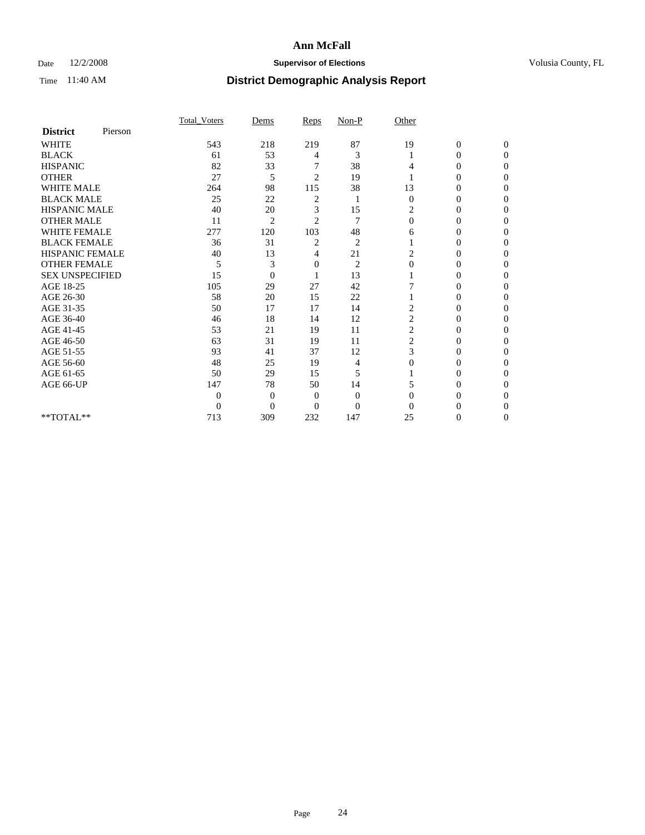## Date  $12/2/2008$  **Supervisor of Elections** Volusia County, FL

|                        |         | <b>Total Voters</b> | Dems           | Reps           | Non-P          | Other          |                  |                  |
|------------------------|---------|---------------------|----------------|----------------|----------------|----------------|------------------|------------------|
| <b>District</b>        | Pierson |                     |                |                |                |                |                  |                  |
| <b>WHITE</b>           |         | 543                 | 218            | 219            | 87             | 19             | $\boldsymbol{0}$ | $\boldsymbol{0}$ |
| <b>BLACK</b>           |         | 61                  | 53             | 4              | 3              |                | $\overline{0}$   | $\Omega$         |
| <b>HISPANIC</b>        |         | 82                  | 33             |                | 38             | 4              | $\Omega$         | $\Omega$         |
| <b>OTHER</b>           |         | 27                  | 5              | $\overline{2}$ | 19             |                | 0                | $\Omega$         |
| <b>WHITE MALE</b>      |         | 264                 | 98             | 115            | 38             | 13             | 0                | $\Omega$         |
| <b>BLACK MALE</b>      |         | 25                  | 22             | 2              | 1              | $\mathbf{0}$   | $\overline{0}$   | $\Omega$         |
| HISPANIC MALE          |         | 40                  | 20             | 3              | 15             | 2              | 0                | 0                |
| <b>OTHER MALE</b>      |         | 11                  | $\overline{2}$ | $\overline{2}$ | 7              | $\Omega$       | 0                | 0                |
| <b>WHITE FEMALE</b>    |         | 277                 | 120            | 103            | 48             | 6              | 0                | 0                |
| <b>BLACK FEMALE</b>    |         | 36                  | 31             | $\overline{c}$ | $\overline{c}$ |                | 0                | 0                |
| <b>HISPANIC FEMALE</b> |         | 40                  | 13             | 4              | 21             | 2              | 0                | $\Omega$         |
| <b>OTHER FEMALE</b>    |         | 5                   | 3              | 0              | $\overline{2}$ | $\mathbf{0}$   | 0                | $\Omega$         |
| <b>SEX UNSPECIFIED</b> |         | 15                  | $\overline{0}$ |                | 13             |                | 0                | $\Omega$         |
| AGE 18-25              |         | 105                 | 29             | 27             | 42             | 7              | $\theta$         | $\Omega$         |
| AGE 26-30              |         | 58                  | 20             | 15             | 22             |                | 0                | 0                |
| AGE 31-35              |         | 50                  | 17             | 17             | 14             | $\overline{c}$ | 0                | 0                |
| AGE 36-40              |         | 46                  | 18             | 14             | 12             | $\overline{c}$ | $\theta$         | 0                |
| AGE 41-45              |         | 53                  | 21             | 19             | 11             | 2              | 0                | 0                |
| AGE 46-50              |         | 63                  | 31             | 19             | 11             | 2              | $\overline{0}$   | $\Omega$         |
| AGE 51-55              |         | 93                  | 41             | 37             | 12             | 3              | 0                | $\Omega$         |
| AGE 56-60              |         | 48                  | 25             | 19             | 4              | $\Omega$       | 0                | 0                |
| AGE 61-65              |         | 50                  | 29             | 15             | 5              |                | 0                | $\Omega$         |
| AGE 66-UP              |         | 147                 | 78             | 50             | 14             |                | 0                | $\Omega$         |
|                        |         | $\boldsymbol{0}$    | $\overline{0}$ | $\mathbf{0}$   | $\mathbf{0}$   | $\Omega$       | 0                | 0                |
|                        |         | $\overline{0}$      | $\overline{0}$ | $\Omega$       | $\overline{0}$ | 0              | 0                | $\Omega$         |
| **TOTAL**              |         | 713                 | 309            | 232            | 147            | 25             | 0                | $\overline{0}$   |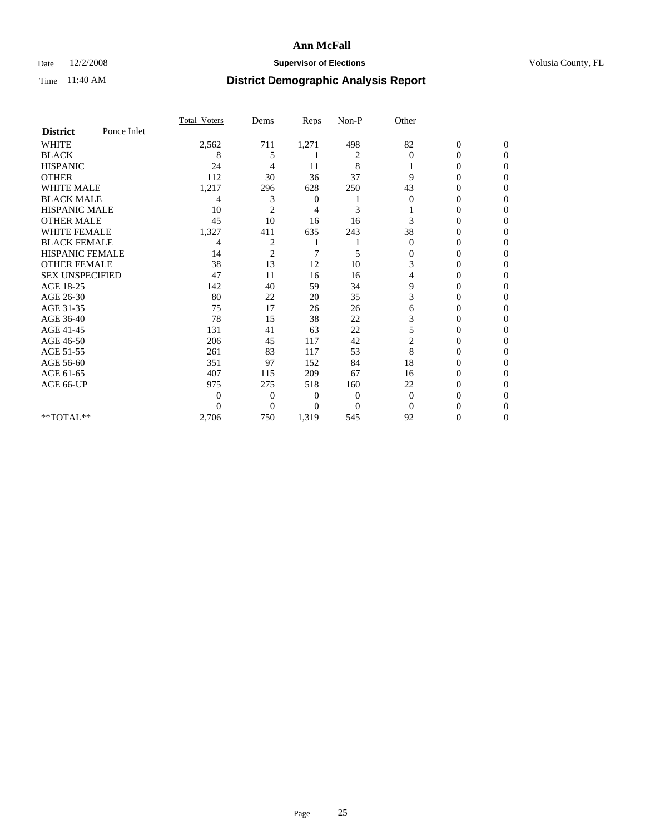## Date  $12/2/2008$  **Supervisor of Elections** Volusia County, FL

|                        |             | Total Voters | Dems           | <b>Reps</b>  | $Non-P$        | Other          |                  |              |  |
|------------------------|-------------|--------------|----------------|--------------|----------------|----------------|------------------|--------------|--|
| <b>District</b>        | Ponce Inlet |              |                |              |                |                |                  |              |  |
| <b>WHITE</b>           |             | 2,562        | 711            | 1,271        | 498            | 82             | $\boldsymbol{0}$ | $\mathbf{0}$ |  |
| <b>BLACK</b>           |             | 8            | 5              |              | 2              | $\Omega$       | $\mathbf{0}$     | $\Omega$     |  |
| <b>HISPANIC</b>        |             | 24           | 4              | 11           | 8              |                | 0                | $\Omega$     |  |
| <b>OTHER</b>           |             | 112          | 30             | 36           | 37             | 9              | 0                | $\Omega$     |  |
| <b>WHITE MALE</b>      |             | 1,217        | 296            | 628          | 250            | 43             | 0                | 0            |  |
| <b>BLACK MALE</b>      |             | 4            | 3              | 0            |                | $\Omega$       | 0                | $\Omega$     |  |
| HISPANIC MALE          |             | 10           | $\overline{2}$ | 4            | 3              |                | 0                | $\Omega$     |  |
| <b>OTHER MALE</b>      |             | 45           | 10             | 16           | 16             | 3              | 0                | 0            |  |
| <b>WHITE FEMALE</b>    |             | 1,327        | 411            | 635          | 243            | 38             | 0                | $\Omega$     |  |
| <b>BLACK FEMALE</b>    |             | 4            | 2              |              |                | $\mathbf{0}$   | 0                | 0            |  |
| <b>HISPANIC FEMALE</b> |             | 14           | $\overline{2}$ | 7            | 5              | 0              | 0                | 0            |  |
| <b>OTHER FEMALE</b>    |             | 38           | 13             | 12           | 10             | 3              | 0                | 0            |  |
| <b>SEX UNSPECIFIED</b> |             | 47           | 11             | 16           | 16             | 4              | 0                | $\Omega$     |  |
| AGE 18-25              |             | 142          | 40             | 59           | 34             | 9              | 0                | $\Omega$     |  |
| AGE 26-30              |             | 80           | 22             | 20           | 35             | 3              | 0                | 0            |  |
| AGE 31-35              |             | 75           | 17             | 26           | 26             | 6              | 0                | 0            |  |
| AGE 36-40              |             | 78           | 15             | 38           | 22             | 3              | 0                | 0            |  |
| AGE 41-45              |             | 131          | 41             | 63           | 22             | 5              | 0                | $\Omega$     |  |
| AGE 46-50              |             | 206          | 45             | 117          | 42             | $\overline{c}$ | 0                | $\Omega$     |  |
| AGE 51-55              |             | 261          | 83             | 117          | 53             | 8              | 0                | 0            |  |
| AGE 56-60              |             | 351          | 97             | 152          | 84             | 18             | 0                | 0            |  |
| AGE 61-65              |             | 407          | 115            | 209          | 67             | 16             | $\overline{0}$   | 0            |  |
| AGE 66-UP              |             | 975          | 275            | 518          | 160            | 22             | 0                | 0            |  |
|                        |             | $\theta$     | $\overline{0}$ | $\mathbf{0}$ | $\mathbf{0}$   | $\Omega$       | 0                | 0            |  |
|                        |             | $\theta$     | $\overline{0}$ | $\Omega$     | $\overline{0}$ | $\Omega$       |                  | 0            |  |
| **TOTAL**              |             | 2,706        | 750            | 1,319        | 545            | 92             | 0                | 0            |  |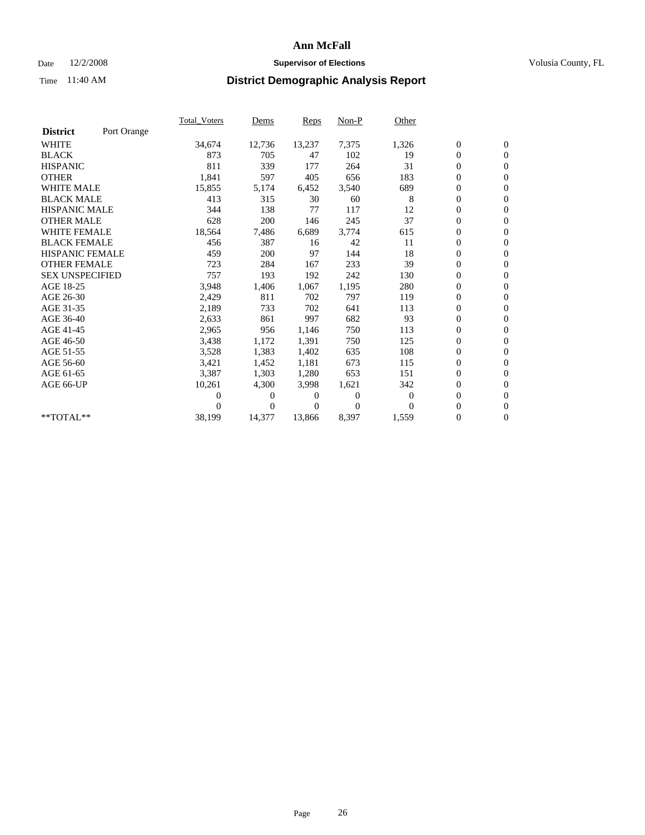## Date  $12/2/2008$  **Supervisor of Elections** Volusia County, FL

|                        |             | <b>Total_Voters</b> | Dems     | Reps   | $Non-P$        | Other    |                  |                  |  |
|------------------------|-------------|---------------------|----------|--------|----------------|----------|------------------|------------------|--|
| <b>District</b>        | Port Orange |                     |          |        |                |          |                  |                  |  |
| <b>WHITE</b>           |             | 34,674              | 12,736   | 13,237 | 7,375          | 1,326    | $\boldsymbol{0}$ | $\boldsymbol{0}$ |  |
| <b>BLACK</b>           |             | 873                 | 705      | 47     | 102            | 19       | $\overline{0}$   | $\mathbf{0}$     |  |
| <b>HISPANIC</b>        |             | 811                 | 339      | 177    | 264            | 31       | $\overline{0}$   | $\mathbf{0}$     |  |
| <b>OTHER</b>           |             | 1,841               | 597      | 405    | 656            | 183      | 0                | $\mathbf{0}$     |  |
| <b>WHITE MALE</b>      |             | 15,855              | 5,174    | 6,452  | 3,540          | 689      | $\boldsymbol{0}$ | $\mathbf{0}$     |  |
| <b>BLACK MALE</b>      |             | 413                 | 315      | 30     | 60             | 8        | $\boldsymbol{0}$ | $\mathbf{0}$     |  |
| <b>HISPANIC MALE</b>   |             | 344                 | 138      | 77     | 117            | 12       | 0                | $\mathbf{0}$     |  |
| <b>OTHER MALE</b>      |             | 628                 | 200      | 146    | 245            | 37       | $\boldsymbol{0}$ | $\mathbf{0}$     |  |
| <b>WHITE FEMALE</b>    |             | 18,564              | 7,486    | 6,689  | 3,774          | 615      | $\overline{0}$   | $\mathbf{0}$     |  |
| <b>BLACK FEMALE</b>    |             | 456                 | 387      | 16     | 42             | 11       | 0                | $\Omega$         |  |
| <b>HISPANIC FEMALE</b> |             | 459                 | 200      | 97     | 144            | 18       | $\boldsymbol{0}$ | $\mathbf{0}$     |  |
| <b>OTHER FEMALE</b>    |             | 723                 | 284      | 167    | 233            | 39       | $\overline{0}$   | $\mathbf{0}$     |  |
| <b>SEX UNSPECIFIED</b> |             | 757                 | 193      | 192    | 242            | 130      | 0                | $\Omega$         |  |
| AGE 18-25              |             | 3,948               | 1,406    | 1,067  | 1,195          | 280      | $\overline{0}$   | $\mathbf{0}$     |  |
| AGE 26-30              |             | 2,429               | 811      | 702    | 797            | 119      | $\boldsymbol{0}$ | $\mathbf{0}$     |  |
| AGE 31-35              |             | 2,189               | 733      | 702    | 641            | 113      | 0                | $\mathbf{0}$     |  |
| AGE 36-40              |             | 2,633               | 861      | 997    | 682            | 93       | $\overline{0}$   | $\mathbf{0}$     |  |
| AGE 41-45              |             | 2,965               | 956      | 1,146  | 750            | 113      | $\boldsymbol{0}$ | $\mathbf{0}$     |  |
| AGE 46-50              |             | 3,438               | 1,172    | 1,391  | 750            | 125      | 0                | $\Omega$         |  |
| AGE 51-55              |             | 3,528               | 1,383    | 1,402  | 635            | 108      | $\boldsymbol{0}$ | $\mathbf{0}$     |  |
| AGE 56-60              |             | 3,421               | 1,452    | 1,181  | 673            | 115      | $\overline{0}$   | $\mathbf{0}$     |  |
| AGE 61-65              |             | 3,387               | 1,303    | 1,280  | 653            | 151      | 0                | $\Omega$         |  |
| AGE 66-UP              |             | 10,261              | 4,300    | 3,998  | 1,621          | 342      | $\overline{0}$   | $\mathbf{0}$     |  |
|                        |             | 0                   | 0        | 0      | $\overline{0}$ | $\theta$ | $\boldsymbol{0}$ | $\mathbf{0}$     |  |
|                        |             | 0                   | $\Omega$ | 0      | $\Omega$       | $\Omega$ | 0                | $\mathbf{0}$     |  |
| **TOTAL**              |             | 38,199              | 14,377   | 13,866 | 8,397          | 1,559    | $\overline{0}$   | $\boldsymbol{0}$ |  |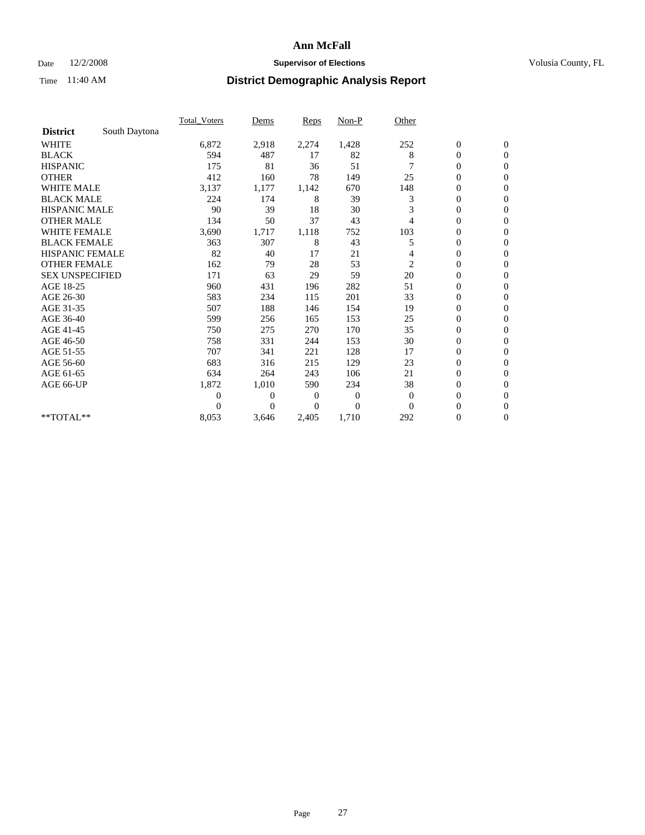## Date  $12/2/2008$  **Supervisor of Elections** Volusia County, FL

|                        |               | Total Voters | Dems           | <b>Reps</b>  | $Non-P$        | Other        |                  |                |  |
|------------------------|---------------|--------------|----------------|--------------|----------------|--------------|------------------|----------------|--|
| <b>District</b>        | South Daytona |              |                |              |                |              |                  |                |  |
| <b>WHITE</b>           |               | 6,872        | 2,918          | 2,274        | 1,428          | 252          | $\boldsymbol{0}$ | $\mathbf{0}$   |  |
| <b>BLACK</b>           |               | 594          | 487            | 17           | 82             | 8            | $\boldsymbol{0}$ | $\mathbf{0}$   |  |
| <b>HISPANIC</b>        |               | 175          | 81             | 36           | 51             |              | $\overline{0}$   | $\mathbf{0}$   |  |
| <b>OTHER</b>           |               | 412          | 160            | 78           | 149            | 25           | $\overline{0}$   | $\mathbf{0}$   |  |
| <b>WHITE MALE</b>      |               | 3,137        | 1,177          | 1,142        | 670            | 148          | $\boldsymbol{0}$ | $\mathbf{0}$   |  |
| <b>BLACK MALE</b>      |               | 224          | 174            | 8            | 39             | 3            | $\boldsymbol{0}$ | $\mathbf{0}$   |  |
| <b>HISPANIC MALE</b>   |               | 90           | 39             | 18           | 30             | 3            | $\boldsymbol{0}$ | $\mathbf{0}$   |  |
| <b>OTHER MALE</b>      |               | 134          | 50             | 37           | 43             | 4            | 0                | $\mathbf{0}$   |  |
| <b>WHITE FEMALE</b>    |               | 3,690        | 1,717          | 1,118        | 752            | 103          | $\overline{0}$   | $\mathbf{0}$   |  |
| <b>BLACK FEMALE</b>    |               | 363          | 307            | 8            | 43             | 5            | $\boldsymbol{0}$ | $\mathbf{0}$   |  |
| <b>HISPANIC FEMALE</b> |               | 82           | 40             | 17           | 21             | 4            | $\boldsymbol{0}$ | $\mathbf{0}$   |  |
| <b>OTHER FEMALE</b>    |               | 162          | 79             | 28           | 53             | 2            | $\overline{0}$   | $\Omega$       |  |
| <b>SEX UNSPECIFIED</b> |               | 171          | 63             | 29           | 59             | 20           | $\overline{0}$   | $\mathbf{0}$   |  |
| AGE 18-25              |               | 960          | 431            | 196          | 282            | 51           | $\overline{0}$   | $\mathbf{0}$   |  |
| AGE 26-30              |               | 583          | 234            | 115          | 201            | 33           | $\overline{0}$   | $\mathbf{0}$   |  |
| AGE 31-35              |               | 507          | 188            | 146          | 154            | 19           | $\boldsymbol{0}$ | $\mathbf{0}$   |  |
| AGE 36-40              |               | 599          | 256            | 165          | 153            | 25           | $\boldsymbol{0}$ | $\mathbf{0}$   |  |
| AGE 41-45              |               | 750          | 275            | 270          | 170            | 35           | $\overline{0}$   | $\mathbf{0}$   |  |
| AGE 46-50              |               | 758          | 331            | 244          | 153            | 30           | $\mathbf{0}$     | $\mathbf{0}$   |  |
| AGE 51-55              |               | 707          | 341            | 221          | 128            | 17           | $\boldsymbol{0}$ | $\mathbf{0}$   |  |
| AGE 56-60              |               | 683          | 316            | 215          | 129            | 23           | $\overline{0}$   | $\Omega$       |  |
| AGE 61-65              |               | 634          | 264            | 243          | 106            | 21           | $\boldsymbol{0}$ | $\overline{0}$ |  |
| AGE 66-UP              |               | 1,872        | 1,010          | 590          | 234            | 38           | $\overline{0}$   | $\mathbf{0}$   |  |
|                        |               | $\Omega$     | $\overline{0}$ | $\mathbf{0}$ | $\mathbf{0}$   | $\mathbf{0}$ | $\overline{0}$   | $\Omega$       |  |
|                        |               | $\Omega$     | $\theta$       | $\Omega$     | $\overline{0}$ | $\Omega$     | $\overline{0}$   | $\overline{0}$ |  |
| **TOTAL**              |               | 8,053        | 3,646          | 2,405        | 1,710          | 292          | 0                | $\mathbf{0}$   |  |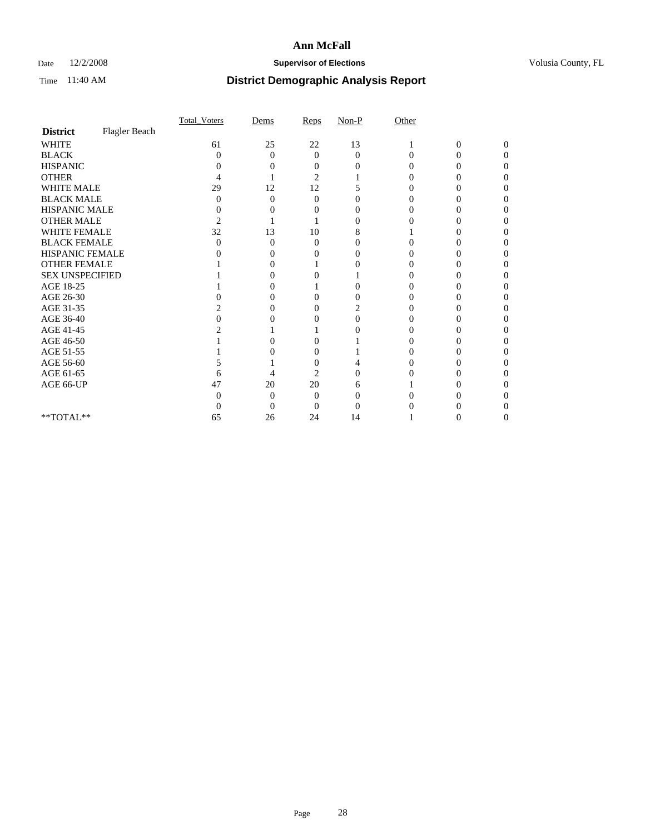## Date  $12/2/2008$  **Supervisor of Elections** Volusia County, FL

|                        |               | Total Voters   | Dems              | Reps              | $Non-P$  | Other    |                |              |  |
|------------------------|---------------|----------------|-------------------|-------------------|----------|----------|----------------|--------------|--|
| <b>District</b>        | Flagler Beach |                |                   |                   |          |          |                |              |  |
| <b>WHITE</b>           |               | 61             | 25                | 22                | 13       |          | $\overline{0}$ | $\mathbf{0}$ |  |
| <b>BLACK</b>           |               | 0              | $\theta$          | $\Omega$          | $\Omega$ | $\Omega$ | 0              | 0            |  |
| <b>HISPANIC</b>        |               |                |                   | $\mathbf{\Omega}$ |          |          |                |              |  |
| <b>OTHER</b>           |               |                |                   | 2                 |          |          |                |              |  |
| WHITE MALE             |               | 29             | 12                | 12                |          |          |                |              |  |
| <b>BLACK MALE</b>      |               | 0              | 0                 | $\Omega$          |          |          |                |              |  |
| HISPANIC MALE          |               | 0              |                   |                   |          |          |                |              |  |
| <b>OTHER MALE</b>      |               | $\overline{c}$ |                   |                   | $\theta$ |          |                |              |  |
| WHITE FEMALE           |               | 32             | 13                | 10                | 8        |          |                |              |  |
| <b>BLACK FEMALE</b>    |               | 0              | 0                 | $\theta$          |          |          |                |              |  |
| HISPANIC FEMALE        |               |                |                   |                   | 0        |          |                |              |  |
| <b>OTHER FEMALE</b>    |               |                |                   |                   |          |          |                |              |  |
| <b>SEX UNSPECIFIED</b> |               |                |                   |                   |          |          |                |              |  |
| AGE 18-25              |               |                | $\mathbf{\Omega}$ |                   | 0        |          |                |              |  |
| AGE 26-30              |               |                | $\mathbf{\Omega}$ | 0                 |          |          |                |              |  |
| AGE 31-35              |               |                |                   |                   | 2        |          |                |              |  |
| AGE 36-40              |               |                |                   |                   | 0        |          |                |              |  |
| AGE 41-45              |               |                |                   |                   |          |          |                |              |  |
| AGE 46-50              |               |                |                   |                   |          |          |                |              |  |
| AGE 51-55              |               |                |                   | 0                 |          |          |                |              |  |
| AGE 56-60              |               |                |                   |                   |          |          |                |              |  |
| AGE 61-65              |               | 6              |                   | 2                 |          |          |                |              |  |
| AGE 66-UP              |               | 47             | 20                | 20                | h        |          |                |              |  |
|                        |               |                | 0                 | $\Omega$          |          |          |                |              |  |
|                        |               |                | $\theta$          | 0                 |          |          |                |              |  |
| **TOTAL**              |               | 65             | 26                | 24                | 14       |          |                |              |  |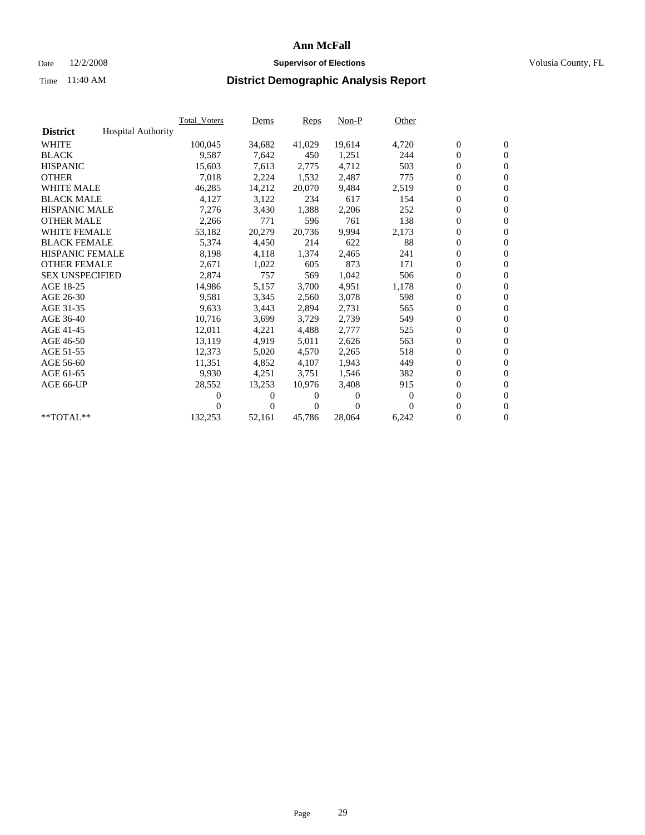## Date  $12/2/2008$  **Supervisor of Elections** Volusia County, FL

|                        |                           | <b>Total Voters</b> | Dems           | <b>Reps</b>  | $Non-P$      | Other        |                  |                  |  |
|------------------------|---------------------------|---------------------|----------------|--------------|--------------|--------------|------------------|------------------|--|
| <b>District</b>        | <b>Hospital Authority</b> |                     |                |              |              |              |                  |                  |  |
| <b>WHITE</b>           |                           | 100,045             | 34,682         | 41,029       | 19,614       | 4,720        | $\boldsymbol{0}$ | $\boldsymbol{0}$ |  |
| <b>BLACK</b>           |                           | 9,587               | 7,642          | 450          | 1,251        | 244          | $\boldsymbol{0}$ | $\mathbf{0}$     |  |
| <b>HISPANIC</b>        |                           | 15,603              | 7,613          | 2,775        | 4,712        | 503          | $\boldsymbol{0}$ | $\mathbf{0}$     |  |
| <b>OTHER</b>           |                           | 7,018               | 2,224          | 1,532        | 2,487        | 775          | $\boldsymbol{0}$ | $\mathbf{0}$     |  |
| <b>WHITE MALE</b>      |                           | 46,285              | 14,212         | 20,070       | 9,484        | 2,519        | $\boldsymbol{0}$ | $\mathbf{0}$     |  |
| <b>BLACK MALE</b>      |                           | 4,127               | 3,122          | 234          | 617          | 154          | $\mathbf{0}$     | $\mathbf{0}$     |  |
| <b>HISPANIC MALE</b>   |                           | 7,276               | 3,430          | 1,388        | 2,206        | 252          | $\boldsymbol{0}$ | $\mathbf{0}$     |  |
| <b>OTHER MALE</b>      |                           | 2,266               | 771            | 596          | 761          | 138          | $\boldsymbol{0}$ | $\mathbf{0}$     |  |
| <b>WHITE FEMALE</b>    |                           | 53,182              | 20,279         | 20,736       | 9,994        | 2,173        | $\boldsymbol{0}$ | $\mathbf{0}$     |  |
| <b>BLACK FEMALE</b>    |                           | 5,374               | 4,450          | 214          | 622          | 88           | $\boldsymbol{0}$ | $\mathbf{0}$     |  |
| <b>HISPANIC FEMALE</b> |                           | 8,198               | 4,118          | 1,374        | 2,465        | 241          | $\boldsymbol{0}$ | $\mathbf{0}$     |  |
| <b>OTHER FEMALE</b>    |                           | 2,671               | 1,022          | 605          | 873          | 171          | $\mathbf{0}$     | $\mathbf{0}$     |  |
| <b>SEX UNSPECIFIED</b> |                           | 2,874               | 757            | 569          | 1,042        | 506          | $\boldsymbol{0}$ | $\mathbf{0}$     |  |
| AGE 18-25              |                           | 14,986              | 5,157          | 3,700        | 4,951        | 1,178        | $\boldsymbol{0}$ | $\mathbf{0}$     |  |
| AGE 26-30              |                           | 9,581               | 3,345          | 2,560        | 3,078        | 598          | $\mathbf{0}$     | $\mathbf{0}$     |  |
| AGE 31-35              |                           | 9,633               | 3,443          | 2,894        | 2,731        | 565          | $\boldsymbol{0}$ | $\mathbf{0}$     |  |
| AGE 36-40              |                           | 10,716              | 3,699          | 3,729        | 2,739        | 549          | $\boldsymbol{0}$ | $\mathbf{0}$     |  |
| AGE 41-45              |                           | 12,011              | 4,221          | 4,488        | 2,777        | 525          | $\boldsymbol{0}$ | $\mathbf{0}$     |  |
| AGE 46-50              |                           | 13,119              | 4,919          | 5,011        | 2,626        | 563          | $\boldsymbol{0}$ | $\mathbf{0}$     |  |
| AGE 51-55              |                           | 12,373              | 5,020          | 4,570        | 2,265        | 518          | $\boldsymbol{0}$ | $\mathbf{0}$     |  |
| AGE 56-60              |                           | 11,351              | 4,852          | 4.107        | 1,943        | 449          | $\overline{0}$   | $\mathbf{0}$     |  |
| AGE 61-65              |                           | 9,930               | 4,251          | 3,751        | 1,546        | 382          | $\overline{0}$   | $\mathbf{0}$     |  |
| AGE 66-UP              |                           | 28,552              | 13,253         | 10,976       | 3,408        | 915          | $\boldsymbol{0}$ | $\mathbf{0}$     |  |
|                        |                           | 0                   | 0              | $\theta$     | $\mathbf{0}$ | $\mathbf{0}$ | $\mathbf{0}$     | $\mathbf{0}$     |  |
|                        |                           | 0                   | $\overline{0}$ | $\mathbf{0}$ | $\Omega$     | $\Omega$     | $\boldsymbol{0}$ | $\mathbf{0}$     |  |
| **TOTAL**              |                           | 132,253             | 52,161         | 45,786       | 28,064       | 6,242        | 0                | $\boldsymbol{0}$ |  |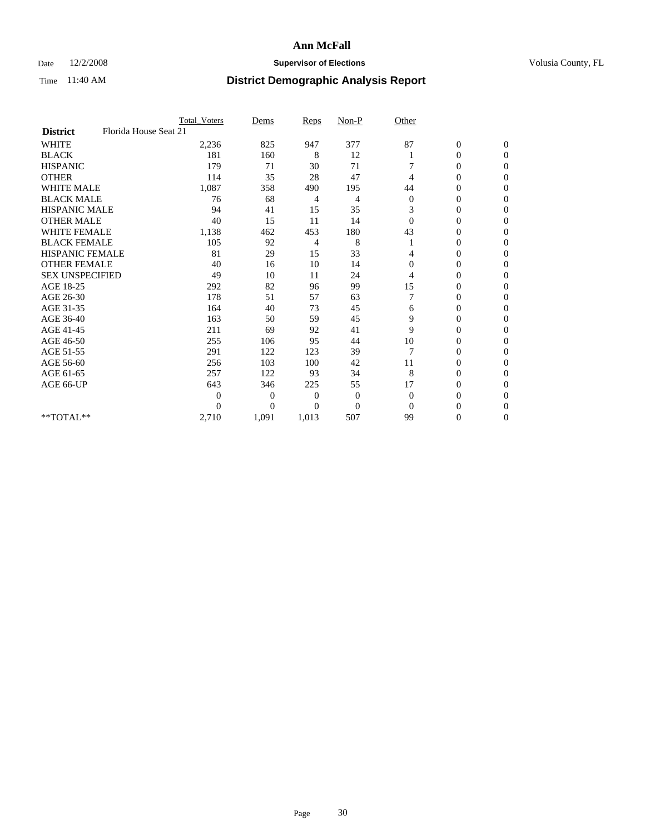## Date  $12/2/2008$  **Supervisor of Elections** Volusia County, FL

|                        |                       | <b>Total_Voters</b> | Dems     | Reps     | $Non-P$  | Other        |                  |                |  |
|------------------------|-----------------------|---------------------|----------|----------|----------|--------------|------------------|----------------|--|
| <b>District</b>        | Florida House Seat 21 |                     |          |          |          |              |                  |                |  |
| <b>WHITE</b>           |                       | 2,236               | 825      | 947      | 377      | 87           | $\boldsymbol{0}$ | $\mathbf{0}$   |  |
| <b>BLACK</b>           |                       | 181                 | 160      | 8        | 12       |              | 0                | $\Omega$       |  |
| <b>HISPANIC</b>        |                       | 179                 | 71       | 30       | 71       |              | 0                | $\Omega$       |  |
| <b>OTHER</b>           |                       | 114                 | 35       | 28       | 47       | 4            | 0                | $\Omega$       |  |
| <b>WHITE MALE</b>      |                       | 1,087               | 358      | 490      | 195      | 44           | 0                | $\Omega$       |  |
| <b>BLACK MALE</b>      |                       | 76                  | 68       | 4        | 4        | $\mathbf{0}$ | 0                | $\Omega$       |  |
| HISPANIC MALE          |                       | 94                  | 41       | 15       | 35       | 3            | 0                | $\Omega$       |  |
| <b>OTHER MALE</b>      |                       | 40                  | 15       | 11       | 14       | $\Omega$     | 0                | 0              |  |
| <b>WHITE FEMALE</b>    |                       | 1,138               | 462      | 453      | 180      | 43           | 0                | $\Omega$       |  |
| <b>BLACK FEMALE</b>    |                       | 105                 | 92       | 4        | 8        |              | $\overline{0}$   | $\overline{0}$ |  |
| <b>HISPANIC FEMALE</b> |                       | 81                  | 29       | 15       | 33       | 4            | 0                | $\Omega$       |  |
| <b>OTHER FEMALE</b>    |                       | 40                  | 16       | 10       | 14       | $\Omega$     | 0                | 0              |  |
| <b>SEX UNSPECIFIED</b> |                       | 49                  | 10       | 11       | 24       | 4            | 0                | $\Omega$       |  |
| AGE 18-25              |                       | 292                 | 82       | 96       | 99       | 15           | 0                | $\overline{0}$ |  |
| AGE 26-30              |                       | 178                 | 51       | 57       | 63       |              | 0                | $\Omega$       |  |
| AGE 31-35              |                       | 164                 | 40       | 73       | 45       | 6            | 0                | $\Omega$       |  |
| AGE 36-40              |                       | 163                 | 50       | 59       | 45       | 9            | 0                | $\Omega$       |  |
| AGE 41-45              |                       | 211                 | 69       | 92       | 41       | 9            | 0                | $\Omega$       |  |
| AGE 46-50              |                       | 255                 | 106      | 95       | 44       | 10           | 0                | $\Omega$       |  |
| AGE 51-55              |                       | 291                 | 122      | 123      | 39       | 7            | 0                | 0              |  |
| AGE 56-60              |                       | 256                 | 103      | 100      | 42       | 11           | 0                | $\Omega$       |  |
| AGE 61-65              |                       | 257                 | 122      | 93       | 34       | 8            | $\overline{0}$   | $\Omega$       |  |
| AGE 66-UP              |                       | 643                 | 346      | 225      | 55       | 17           | 0                | 0              |  |
|                        |                       | $\Omega$            | $\Omega$ | $\Omega$ | $\theta$ | $\Omega$     | 0                | $\Omega$       |  |
|                        |                       | 0                   | $\theta$ | 0        | $\theta$ | $\Omega$     | 0                | $\Omega$       |  |
| **TOTAL**              |                       | 2,710               | 1,091    | 1,013    | 507      | 99           | 0                | $\overline{0}$ |  |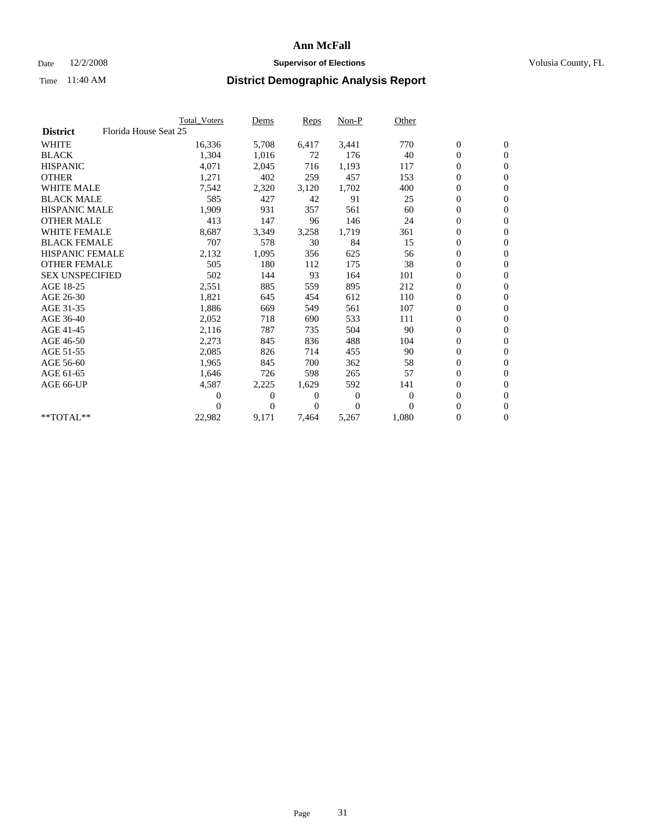## Date  $12/2/2008$  **Supervisor of Elections** Volusia County, FL

|                        |                       | Total Voters | Dems             | <b>Reps</b> | $Non-P$      | Other        |                  |                  |  |
|------------------------|-----------------------|--------------|------------------|-------------|--------------|--------------|------------------|------------------|--|
| <b>District</b>        | Florida House Seat 25 |              |                  |             |              |              |                  |                  |  |
| <b>WHITE</b>           |                       | 16,336       | 5,708            | 6,417       | 3,441        | 770          | $\boldsymbol{0}$ | $\boldsymbol{0}$ |  |
| <b>BLACK</b>           |                       | 1,304        | 1,016            | 72          | 176          | 40           | $\overline{0}$   | $\mathbf{0}$     |  |
| <b>HISPANIC</b>        |                       | 4,071        | 2,045            | 716         | 1,193        | 117          | $\overline{0}$   | $\mathbf{0}$     |  |
| <b>OTHER</b>           |                       | 1,271        | 402              | 259         | 457          | 153          | 0                | $\mathbf{0}$     |  |
| <b>WHITE MALE</b>      |                       | 7,542        | 2,320            | 3,120       | 1,702        | 400          | $\boldsymbol{0}$ | $\mathbf{0}$     |  |
| <b>BLACK MALE</b>      |                       | 585          | 427              | 42          | 91           | 25           | $\boldsymbol{0}$ | $\mathbf{0}$     |  |
| <b>HISPANIC MALE</b>   |                       | 1,909        | 931              | 357         | 561          | 60           | $\boldsymbol{0}$ | $\mathbf{0}$     |  |
| <b>OTHER MALE</b>      |                       | 413          | 147              | 96          | 146          | 24           | $\boldsymbol{0}$ | $\mathbf{0}$     |  |
| <b>WHITE FEMALE</b>    |                       | 8,687        | 3,349            | 3,258       | 1,719        | 361          | $\overline{0}$   | $\mathbf{0}$     |  |
| <b>BLACK FEMALE</b>    |                       | 707          | 578              | 30          | 84           | 15           | $\boldsymbol{0}$ | $\Omega$         |  |
| <b>HISPANIC FEMALE</b> |                       | 2,132        | 1,095            | 356         | 625          | 56           | $\boldsymbol{0}$ | $\mathbf{0}$     |  |
| <b>OTHER FEMALE</b>    |                       | 505          | 180              | 112         | 175          | 38           | $\overline{0}$   | $\mathbf{0}$     |  |
| <b>SEX UNSPECIFIED</b> |                       | 502          | 144              | 93          | 164          | 101          | $\boldsymbol{0}$ | $\mathbf{0}$     |  |
| AGE 18-25              |                       | 2,551        | 885              | 559         | 895          | 212          | $\boldsymbol{0}$ | $\mathbf{0}$     |  |
| AGE 26-30              |                       | 1,821        | 645              | 454         | 612          | 110          | $\boldsymbol{0}$ | $\mathbf{0}$     |  |
| AGE 31-35              |                       | 1,886        | 669              | 549         | 561          | 107          | $\boldsymbol{0}$ | $\mathbf{0}$     |  |
| AGE 36-40              |                       | 2,052        | 718              | 690         | 533          | 111          | $\boldsymbol{0}$ | $\mathbf{0}$     |  |
| AGE 41-45              |                       | 2,116        | 787              | 735         | 504          | 90           | $\boldsymbol{0}$ | $\mathbf{0}$     |  |
| AGE 46-50              |                       | 2,273        | 845              | 836         | 488          | 104          | 0                | $\Omega$         |  |
| AGE 51-55              |                       | 2,085        | 826              | 714         | 455          | 90           | $\boldsymbol{0}$ | $\mathbf{0}$     |  |
| AGE 56-60              |                       | 1,965        | 845              | 700         | 362          | 58           | $\mathbf{0}$     | $\mathbf{0}$     |  |
| AGE 61-65              |                       | 1,646        | 726              | 598         | 265          | 57           | $\boldsymbol{0}$ | $\Omega$         |  |
| AGE 66-UP              |                       | 4,587        | 2,225            | 1,629       | 592          | 141          | $\overline{0}$   | $\mathbf{0}$     |  |
|                        |                       | 0            | 0                | 0           | $\mathbf{0}$ | $\mathbf{0}$ | $\boldsymbol{0}$ | $\mathbf{0}$     |  |
|                        |                       | 0            | $\boldsymbol{0}$ | 0           | $\Omega$     | $\Omega$     | $\boldsymbol{0}$ | $\mathbf{0}$     |  |
| $*$ TOTAL $**$         |                       | 22,982       | 9,171            | 7,464       | 5,267        | 1,080        | $\boldsymbol{0}$ | $\boldsymbol{0}$ |  |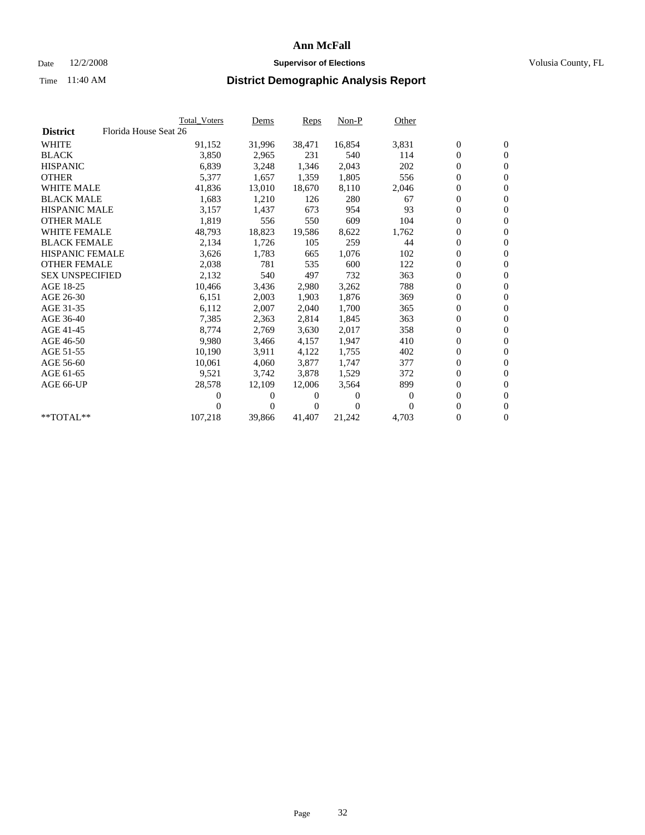## Date  $12/2/2008$  **Supervisor of Elections** Volusia County, FL

|                        |                       | <b>Total Voters</b> | Dems         | Reps   | $Non-P$        | Other    |                  |                  |  |
|------------------------|-----------------------|---------------------|--------------|--------|----------------|----------|------------------|------------------|--|
| <b>District</b>        | Florida House Seat 26 |                     |              |        |                |          |                  |                  |  |
| <b>WHITE</b>           |                       | 91,152              | 31,996       | 38,471 | 16,854         | 3,831    | $\boldsymbol{0}$ | $\boldsymbol{0}$ |  |
| <b>BLACK</b>           |                       | 3,850               | 2,965        | 231    | 540            | 114      | 0                | $\mathbf{0}$     |  |
| <b>HISPANIC</b>        |                       | 6,839               | 3,248        | 1,346  | 2,043          | 202      | $\overline{0}$   | $\mathbf{0}$     |  |
| <b>OTHER</b>           |                       | 5,377               | 1,657        | 1,359  | 1,805          | 556      | 0                | $\mathbf{0}$     |  |
| <b>WHITE MALE</b>      |                       | 41,836              | 13,010       | 18,670 | 8,110          | 2,046    | 0                | $\mathbf{0}$     |  |
| <b>BLACK MALE</b>      |                       | 1,683               | 1,210        | 126    | 280            | 67       | $\boldsymbol{0}$ | $\mathbf{0}$     |  |
| <b>HISPANIC MALE</b>   |                       | 3,157               | 1,437        | 673    | 954            | 93       | 0                | $\mathbf{0}$     |  |
| <b>OTHER MALE</b>      |                       | 1,819               | 556          | 550    | 609            | 104      | 0                | $\mathbf{0}$     |  |
| <b>WHITE FEMALE</b>    |                       | 48,793              | 18,823       | 19,586 | 8,622          | 1,762    | 0                | $\mathbf{0}$     |  |
| <b>BLACK FEMALE</b>    |                       | 2,134               | 1,726        | 105    | 259            | 44       | 0                | $\Omega$         |  |
| HISPANIC FEMALE        |                       | 3,626               | 1,783        | 665    | 1,076          | 102      | $\boldsymbol{0}$ | $\mathbf{0}$     |  |
| <b>OTHER FEMALE</b>    |                       | 2,038               | 781          | 535    | 600            | 122      | 0                | $\mathbf{0}$     |  |
| <b>SEX UNSPECIFIED</b> |                       | 2,132               | 540          | 497    | 732            | 363      | 0                | $\mathbf{0}$     |  |
| AGE 18-25              |                       | 10,466              | 3,436        | 2,980  | 3,262          | 788      | $\overline{0}$   | $\mathbf{0}$     |  |
| AGE 26-30              |                       | 6,151               | 2,003        | 1,903  | 1,876          | 369      | 0                | $\mathbf{0}$     |  |
| AGE 31-35              |                       | 6,112               | 2,007        | 2,040  | 1,700          | 365      | 0                | $\mathbf{0}$     |  |
| AGE 36-40              |                       | 7,385               | 2,363        | 2,814  | 1,845          | 363      | $\overline{0}$   | $\mathbf{0}$     |  |
| AGE 41-45              |                       | 8,774               | 2,769        | 3,630  | 2,017          | 358      | 0                | $\mathbf{0}$     |  |
| AGE 46-50              |                       | 9,980               | 3,466        | 4,157  | 1,947          | 410      | 0                | $\Omega$         |  |
| AGE 51-55              |                       | 10,190              | 3,911        | 4,122  | 1,755          | 402      | $\boldsymbol{0}$ | $\boldsymbol{0}$ |  |
| AGE 56-60              |                       | 10,061              | 4.060        | 3,877  | 1.747          | 377      | 0                | $\mathbf{0}$     |  |
| AGE 61-65              |                       | 9,521               | 3,742        | 3,878  | 1,529          | 372      | 0                | $\mathbf{0}$     |  |
| AGE 66-UP              |                       | 28,578              | 12,109       | 12,006 | 3,564          | 899      | $\overline{0}$   | $\mathbf{0}$     |  |
|                        |                       | 0                   | 0            | 0      | $\overline{0}$ | $\Omega$ | 0                | $\mathbf{0}$     |  |
|                        |                       | 0                   | $\mathbf{0}$ | 0      | $\Omega$       | $\Omega$ | 0                | $\mathbf{0}$     |  |
| $*$ TOTAL $**$         |                       | 107,218             | 39,866       | 41,407 | 21,242         | 4,703    | 0                | $\boldsymbol{0}$ |  |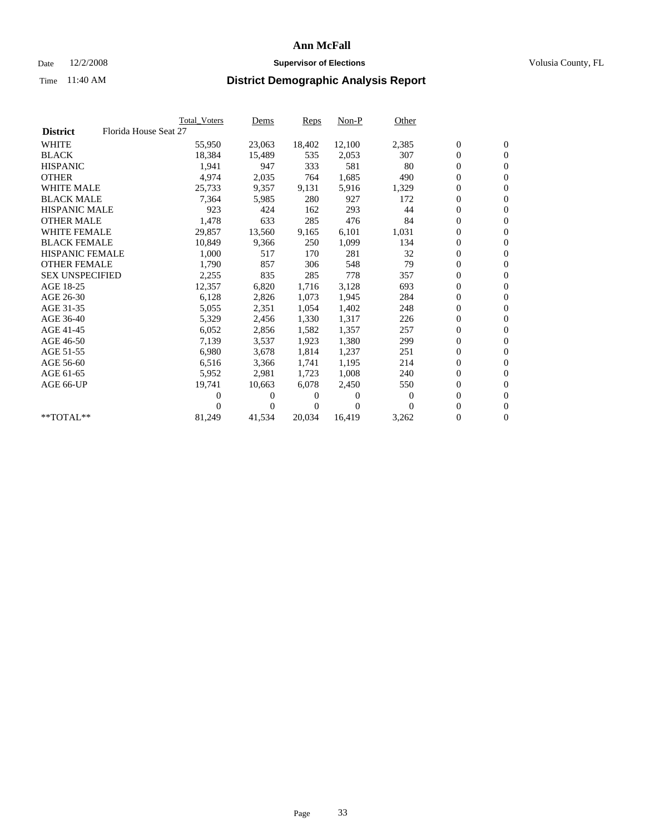## Date  $12/2/2008$  **Supervisor of Elections** Volusia County, FL

|                        | Total Voters          | <u>Dems</u>    | <b>Reps</b> | $Non-P$      | Other    |                  |                  |  |
|------------------------|-----------------------|----------------|-------------|--------------|----------|------------------|------------------|--|
| <b>District</b>        | Florida House Seat 27 |                |             |              |          |                  |                  |  |
| <b>WHITE</b>           | 55,950                | 23,063         | 18,402      | 12,100       | 2,385    | $\boldsymbol{0}$ | $\boldsymbol{0}$ |  |
| <b>BLACK</b>           | 18,384                | 15,489         | 535         | 2,053        | 307      | $\boldsymbol{0}$ | $\mathbf{0}$     |  |
| <b>HISPANIC</b>        | 1,941                 | 947            | 333         | 581          | 80       | $\boldsymbol{0}$ | $\mathbf{0}$     |  |
| <b>OTHER</b>           | 4,974                 | 2,035          | 764         | 1,685        | 490      | 0                | $\overline{0}$   |  |
| <b>WHITE MALE</b>      | 25,733                | 9,357          | 9,131       | 5,916        | 1,329    | $\boldsymbol{0}$ | $\mathbf{0}$     |  |
| <b>BLACK MALE</b>      | 7,364                 | 5,985          | 280         | 927          | 172      | $\overline{0}$   | $\mathbf{0}$     |  |
| <b>HISPANIC MALE</b>   | 923                   | 424            | 162         | 293          | 44       | 0                | $\overline{0}$   |  |
| <b>OTHER MALE</b>      | 1,478                 | 633            | 285         | 476          | 84       | $\overline{0}$   | $\mathbf{0}$     |  |
| <b>WHITE FEMALE</b>    | 29,857                | 13,560         | 9,165       | 6,101        | 1,031    | $\boldsymbol{0}$ | $\mathbf{0}$     |  |
| <b>BLACK FEMALE</b>    | 10,849                | 9,366          | 250         | 1,099        | 134      | $\boldsymbol{0}$ | $\overline{0}$   |  |
| <b>HISPANIC FEMALE</b> | 1,000                 | 517            | 170         | 281          | 32       | $\boldsymbol{0}$ | $\mathbf{0}$     |  |
| <b>OTHER FEMALE</b>    | 1,790                 | 857            | 306         | 548          | 79       | $\mathbf{0}$     | $\mathbf{0}$     |  |
| <b>SEX UNSPECIFIED</b> | 2,255                 | 835            | 285         | 778          | 357      | $\boldsymbol{0}$ | $\mathbf{0}$     |  |
| AGE 18-25              | 12,357                | 6,820          | 1,716       | 3,128        | 693      | $\boldsymbol{0}$ | $\mathbf{0}$     |  |
| AGE 26-30              | 6,128                 | 2,826          | 1,073       | 1,945        | 284      | 0                | $\mathbf{0}$     |  |
| AGE 31-35              | 5,055                 | 2,351          | 1,054       | 1,402        | 248      | $\boldsymbol{0}$ | $\mathbf{0}$     |  |
| AGE 36-40              | 5,329                 | 2,456          | 1,330       | 1,317        | 226      | $\boldsymbol{0}$ | $\mathbf{0}$     |  |
| AGE 41-45              | 6,052                 | 2,856          | 1,582       | 1,357        | 257      | $\boldsymbol{0}$ | $\mathbf{0}$     |  |
| AGE 46-50              | 7,139                 | 3,537          | 1,923       | 1,380        | 299      | 0                | $\Omega$         |  |
| AGE 51-55              | 6,980                 | 3,678          | 1,814       | 1,237        | 251      | $\boldsymbol{0}$ | $\mathbf{0}$     |  |
| AGE 56-60              | 6,516                 | 3,366          | 1.741       | 1.195        | 214      | 0                | $\mathbf{0}$     |  |
| AGE 61-65              | 5,952                 | 2,981          | 1,723       | 1,008        | 240      | $\overline{0}$   | $\mathbf{0}$     |  |
| AGE 66-UP              | 19,741                | 10,663         | 6,078       | 2,450        | 550      | $\boldsymbol{0}$ | $\mathbf{0}$     |  |
|                        | $\overline{0}$        | 0              | 0           | $\mathbf{0}$ | $\bf{0}$ | $\mathbf{0}$     | $\mathbf{0}$     |  |
|                        | 0                     | $\overline{0}$ | 0           | $\Omega$     | $\Omega$ | 0                | $\mathbf{0}$     |  |
| **TOTAL**              | 81,249                | 41,534         | 20,034      | 16,419       | 3,262    | 0                | $\boldsymbol{0}$ |  |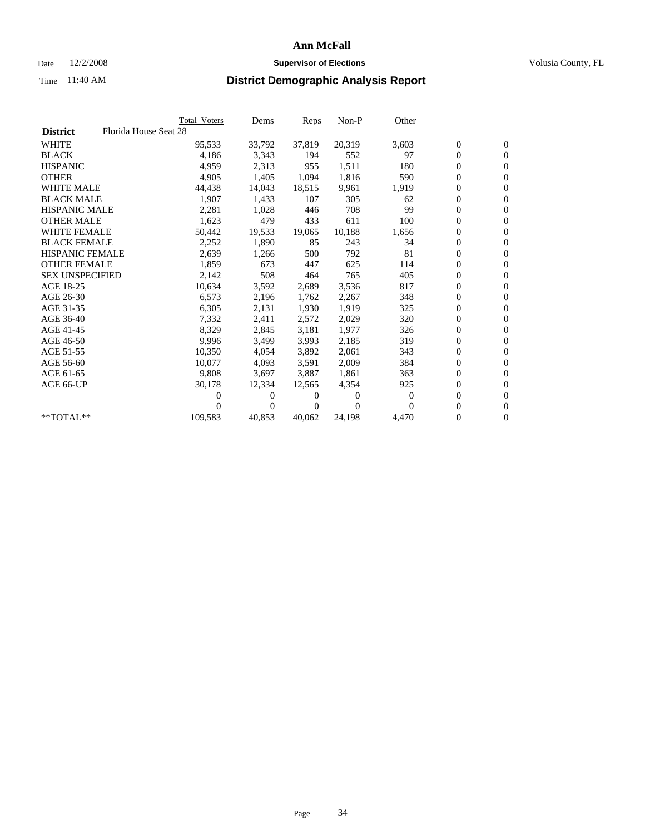## Date  $12/2/2008$  **Supervisor of Elections** Volusia County, FL

|                        |                       | <b>Total Voters</b> | Dems     | Reps   | $Non-P$  | Other            |                  |                  |  |
|------------------------|-----------------------|---------------------|----------|--------|----------|------------------|------------------|------------------|--|
| <b>District</b>        | Florida House Seat 28 |                     |          |        |          |                  |                  |                  |  |
| <b>WHITE</b>           |                       | 95,533              | 33,792   | 37,819 | 20,319   | 3,603            | $\boldsymbol{0}$ | $\boldsymbol{0}$ |  |
| <b>BLACK</b>           |                       | 4,186               | 3,343    | 194    | 552      | 97               | $\boldsymbol{0}$ | $\mathbf{0}$     |  |
| <b>HISPANIC</b>        |                       | 4,959               | 2,313    | 955    | 1,511    | 180              | 0                | $\mathbf{0}$     |  |
| <b>OTHER</b>           |                       | 4,905               | 1,405    | 1,094  | 1,816    | 590              | 0                | $\mathbf{0}$     |  |
| <b>WHITE MALE</b>      |                       | 44,438              | 14,043   | 18,515 | 9,961    | 1,919            | 0                | $\mathbf{0}$     |  |
| <b>BLACK MALE</b>      |                       | 1,907               | 1,433    | 107    | 305      | 62               | 0                | $\mathbf{0}$     |  |
| <b>HISPANIC MALE</b>   |                       | 2,281               | 1,028    | 446    | 708      | 99               | 0                | $\mathbf{0}$     |  |
| <b>OTHER MALE</b>      |                       | 1,623               | 479      | 433    | 611      | 100              | 0                | $\mathbf{0}$     |  |
| <b>WHITE FEMALE</b>    |                       | 50,442              | 19,533   | 19,065 | 10,188   | 1,656            | $\boldsymbol{0}$ | $\mathbf{0}$     |  |
| <b>BLACK FEMALE</b>    |                       | 2,252               | 1,890    | 85     | 243      | 34               | 0                | $\mathbf{0}$     |  |
| <b>HISPANIC FEMALE</b> |                       | 2,639               | 1,266    | 500    | 792      | 81               | 0                | $\mathbf{0}$     |  |
| <b>OTHER FEMALE</b>    |                       | 1,859               | 673      | 447    | 625      | 114              | 0                | $\mathbf{0}$     |  |
| <b>SEX UNSPECIFIED</b> |                       | 2,142               | 508      | 464    | 765      | 405              | 0                | $\mathbf{0}$     |  |
| AGE 18-25              |                       | 10,634              | 3,592    | 2,689  | 3,536    | 817              | 0                | $\mathbf{0}$     |  |
| AGE 26-30              |                       | 6,573               | 2,196    | 1,762  | 2,267    | 348              | 0                | $\mathbf{0}$     |  |
| AGE 31-35              |                       | 6,305               | 2,131    | 1,930  | 1,919    | 325              | 0                | $\mathbf{0}$     |  |
| AGE 36-40              |                       | 7,332               | 2,411    | 2,572  | 2,029    | 320              | 0                | $\mathbf{0}$     |  |
| AGE 41-45              |                       | 8,329               | 2,845    | 3,181  | 1,977    | 326              | 0                | $\mathbf{0}$     |  |
| AGE 46-50              |                       | 9,996               | 3,499    | 3,993  | 2,185    | 319              | 0                | $\mathbf{0}$     |  |
| AGE 51-55              |                       | 10,350              | 4,054    | 3,892  | 2,061    | 343              | 0                | $\mathbf{0}$     |  |
| AGE 56-60              |                       | 10.077              | 4,093    | 3,591  | 2,009    | 384              | 0                | $\mathbf{0}$     |  |
| AGE 61-65              |                       | 9,808               | 3,697    | 3.887  | 1,861    | 363              | 0                | $\mathbf{0}$     |  |
| AGE 66-UP              |                       | 30,178              | 12,334   | 12,565 | 4,354    | 925              | 0                | $\mathbf{0}$     |  |
|                        |                       | 0                   | $\theta$ | 0      | $\theta$ | $\boldsymbol{0}$ | 0                | $\mathbf{0}$     |  |
|                        |                       | 0                   | 0        | 0      | $\Omega$ | $\Omega$         | 0                | $\mathbf{0}$     |  |
| **TOTAL**              |                       | 109,583             | 40,853   | 40,062 | 24,198   | 4,470            | 0                | $\boldsymbol{0}$ |  |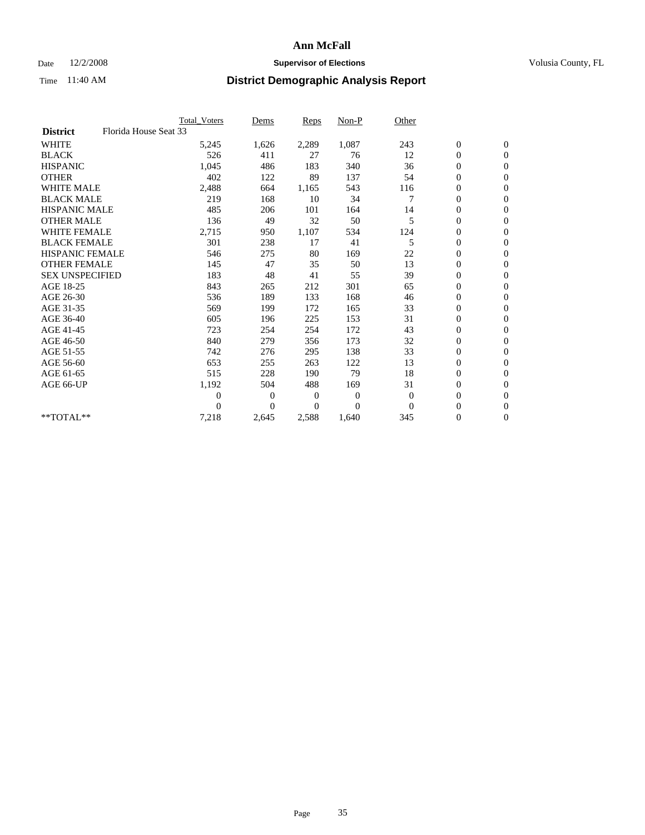### Date  $12/2/2008$  **Supervisor of Elections** Volusia County, FL

|                        |                       | <b>Total Voters</b> | Dems     | Reps  | Non-P    | Other    |                  |                  |  |
|------------------------|-----------------------|---------------------|----------|-------|----------|----------|------------------|------------------|--|
| <b>District</b>        | Florida House Seat 33 |                     |          |       |          |          |                  |                  |  |
| <b>WHITE</b>           |                       | 5,245               | 1,626    | 2,289 | 1,087    | 243      | $\boldsymbol{0}$ | $\boldsymbol{0}$ |  |
| <b>BLACK</b>           |                       | 526                 | 411      | 27    | 76       | 12       | 0                | $\mathbf{0}$     |  |
| <b>HISPANIC</b>        |                       | 1,045               | 486      | 183   | 340      | 36       | 0                | $\mathbf{0}$     |  |
| <b>OTHER</b>           |                       | 402                 | 122      | 89    | 137      | 54       | 0                | $\mathbf{0}$     |  |
| <b>WHITE MALE</b>      |                       | 2,488               | 664      | 1,165 | 543      | 116      | 0                | $\mathbf{0}$     |  |
| <b>BLACK MALE</b>      |                       | 219                 | 168      | 10    | 34       | 7        | $\overline{0}$   | $\mathbf{0}$     |  |
| <b>HISPANIC MALE</b>   |                       | 485                 | 206      | 101   | 164      | 14       | 0                | $\mathbf{0}$     |  |
| <b>OTHER MALE</b>      |                       | 136                 | 49       | 32    | 50       | 5        | 0                | $\mathbf{0}$     |  |
| <b>WHITE FEMALE</b>    |                       | 2,715               | 950      | 1,107 | 534      | 124      | 0                | $\mathbf{0}$     |  |
| <b>BLACK FEMALE</b>    |                       | 301                 | 238      | 17    | 41       | 5        | $\boldsymbol{0}$ | $\mathbf{0}$     |  |
| <b>HISPANIC FEMALE</b> |                       | 546                 | 275      | 80    | 169      | 22       | 0                | $\mathbf{0}$     |  |
| <b>OTHER FEMALE</b>    |                       | 145                 | 47       | 35    | 50       | 13       | 0                | $\mathbf{0}$     |  |
| <b>SEX UNSPECIFIED</b> |                       | 183                 | 48       | 41    | 55       | 39       | 0                | $\mathbf{0}$     |  |
| AGE 18-25              |                       | 843                 | 265      | 212   | 301      | 65       | 0                | $\mathbf{0}$     |  |
| AGE 26-30              |                       | 536                 | 189      | 133   | 168      | 46       | 0                | $\mathbf{0}$     |  |
| AGE 31-35              |                       | 569                 | 199      | 172   | 165      | 33       | 0                | $\mathbf{0}$     |  |
| AGE 36-40              |                       | 605                 | 196      | 225   | 153      | 31       | 0                | $\mathbf{0}$     |  |
| AGE 41-45              |                       | 723                 | 254      | 254   | 172      | 43       | $\overline{0}$   | $\mathbf{0}$     |  |
| AGE 46-50              |                       | 840                 | 279      | 356   | 173      | 32       | 0                | $\mathbf{0}$     |  |
| AGE 51-55              |                       | 742                 | 276      | 295   | 138      | 33       | 0                | $\mathbf{0}$     |  |
| AGE 56-60              |                       | 653                 | 255      | 263   | 122      | 13       | 0                | $\Omega$         |  |
| AGE 61-65              |                       | 515                 | 228      | 190   | 79       | 18       | 0                | $\mathbf{0}$     |  |
| AGE 66-UP              |                       | 1,192               | 504      | 488   | 169      | 31       | 0                | $\mathbf{0}$     |  |
|                        |                       | $\overline{0}$      | $\bf{0}$ | 0     | $\theta$ | $\theta$ | 0                | $\mathbf{0}$     |  |
|                        |                       | 0                   | $\Omega$ | 0     | $\Omega$ | $\Omega$ | $\overline{0}$   | $\mathbf{0}$     |  |
| $*$ TOTAL $**$         |                       | 7,218               | 2,645    | 2,588 | 1,640    | 345      | 0                | $\overline{0}$   |  |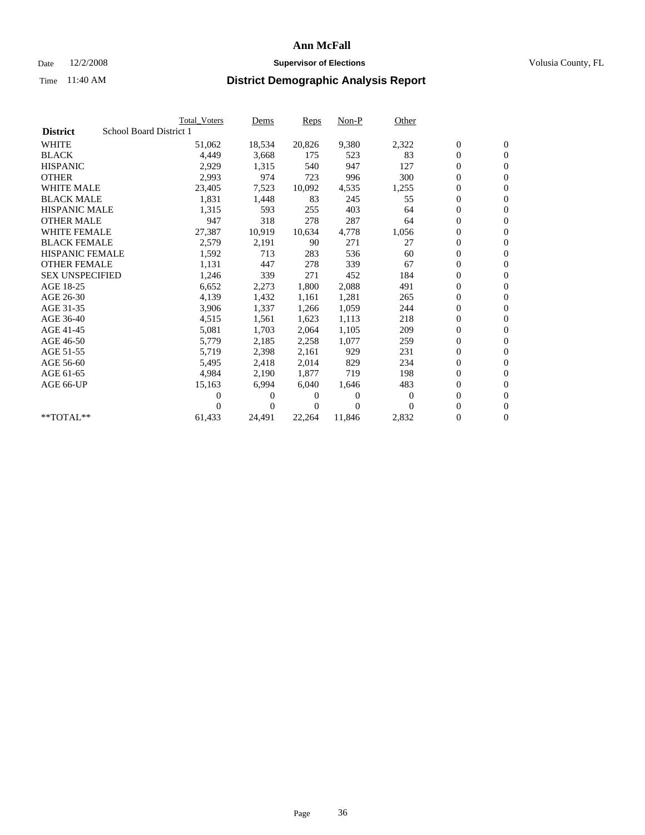## Date  $12/2/2008$  **Supervisor of Elections** Volusia County, FL

|                        |                         | <b>Total Voters</b> | Dems     | Reps   | $Non-P$        | Other    |                  |                  |  |
|------------------------|-------------------------|---------------------|----------|--------|----------------|----------|------------------|------------------|--|
| <b>District</b>        | School Board District 1 |                     |          |        |                |          |                  |                  |  |
| <b>WHITE</b>           |                         | 51,062              | 18,534   | 20,826 | 9,380          | 2,322    | $\boldsymbol{0}$ | $\mathbf{0}$     |  |
| <b>BLACK</b>           |                         | 4,449               | 3,668    | 175    | 523            | 83       | $\overline{0}$   | $\mathbf{0}$     |  |
| <b>HISPANIC</b>        |                         | 2,929               | 1,315    | 540    | 947            | 127      | $\overline{0}$   | $\mathbf{0}$     |  |
| <b>OTHER</b>           |                         | 2,993               | 974      | 723    | 996            | 300      | 0                | $\mathbf{0}$     |  |
| <b>WHITE MALE</b>      |                         | 23,405              | 7,523    | 10,092 | 4,535          | 1,255    | $\boldsymbol{0}$ | $\mathbf{0}$     |  |
| <b>BLACK MALE</b>      |                         | 1,831               | 1,448    | 83     | 245            | 55       | $\boldsymbol{0}$ | $\mathbf{0}$     |  |
| <b>HISPANIC MALE</b>   |                         | 1,315               | 593      | 255    | 403            | 64       | 0                | $\mathbf{0}$     |  |
| <b>OTHER MALE</b>      |                         | 947                 | 318      | 278    | 287            | 64       | 0                | $\mathbf{0}$     |  |
| <b>WHITE FEMALE</b>    |                         | 27,387              | 10,919   | 10,634 | 4,778          | 1,056    | 0                | $\mathbf{0}$     |  |
| <b>BLACK FEMALE</b>    |                         | 2,579               | 2,191    | 90     | 271            | 27       | 0                | $\Omega$         |  |
| HISPANIC FEMALE        |                         | 1,592               | 713      | 283    | 536            | 60       | $\boldsymbol{0}$ | $\mathbf{0}$     |  |
| <b>OTHER FEMALE</b>    |                         | 1,131               | 447      | 278    | 339            | 67       | 0                | $\mathbf{0}$     |  |
| <b>SEX UNSPECIFIED</b> |                         | 1,246               | 339      | 271    | 452            | 184      | 0                | $\Omega$         |  |
| AGE 18-25              |                         | 6,652               | 2,273    | 1,800  | 2,088          | 491      | $\overline{0}$   | $\mathbf{0}$     |  |
| AGE 26-30              |                         | 4,139               | 1,432    | 1,161  | 1,281          | 265      | 0                | $\mathbf{0}$     |  |
| AGE 31-35              |                         | 3,906               | 1,337    | 1,266  | 1,059          | 244      | 0                | $\mathbf{0}$     |  |
| AGE 36-40              |                         | 4,515               | 1,561    | 1,623  | 1,113          | 218      | $\overline{0}$   | $\mathbf{0}$     |  |
| AGE 41-45              |                         | 5,081               | 1,703    | 2,064  | 1,105          | 209      | 0                | $\mathbf{0}$     |  |
| AGE 46-50              |                         | 5,779               | 2,185    | 2,258  | 1,077          | 259      | 0                | $\Omega$         |  |
| AGE 51-55              |                         | 5,719               | 2,398    | 2,161  | 929            | 231      | $\boldsymbol{0}$ | $\mathbf{0}$     |  |
| AGE 56-60              |                         | 5,495               | 2,418    | 2.014  | 829            | 234      | 0                | $\mathbf{0}$     |  |
| AGE 61-65              |                         | 4,984               | 2,190    | 1,877  | 719            | 198      | 0                | $\Omega$         |  |
| AGE 66-UP              |                         | 15,163              | 6,994    | 6.040  | 1,646          | 483      | $\overline{0}$   | $\mathbf{0}$     |  |
|                        |                         | 0                   | 0        | 0      | $\overline{0}$ | $\Omega$ | 0                | $\mathbf{0}$     |  |
|                        |                         | 0                   | $\Omega$ | 0      | $\Omega$       | $\Omega$ | 0                | $\mathbf{0}$     |  |
| $*$ TOTAL $**$         |                         | 61,433              | 24,491   | 22,264 | 11,846         | 2,832    | 0                | $\boldsymbol{0}$ |  |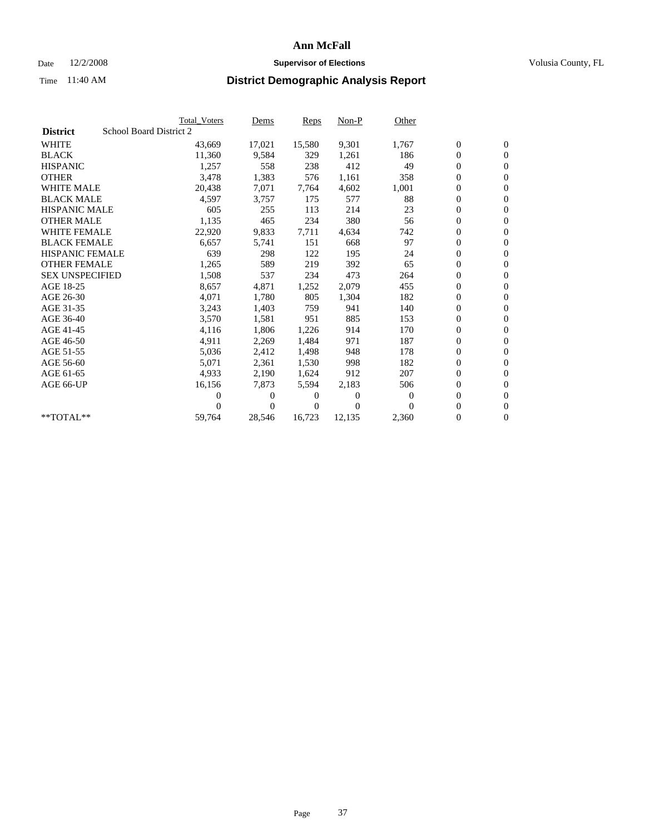### Date  $12/2/2008$  **Supervisor of Elections** Volusia County, FL

|                        | <b>Total Voters</b>     | <u>Dems</u>    | <b>Reps</b> | $Non-P$        | Other        |                  |                  |  |
|------------------------|-------------------------|----------------|-------------|----------------|--------------|------------------|------------------|--|
| <b>District</b>        | School Board District 2 |                |             |                |              |                  |                  |  |
| <b>WHITE</b>           | 43,669                  | 17,021         | 15,580      | 9,301          | 1,767        | $\boldsymbol{0}$ | $\boldsymbol{0}$ |  |
| <b>BLACK</b>           | 11,360                  | 9,584          | 329         | 1,261          | 186          | $\boldsymbol{0}$ | $\mathbf{0}$     |  |
| <b>HISPANIC</b>        | 1,257                   | 558            | 238         | 412            | 49           | $\overline{0}$   | $\mathbf{0}$     |  |
| <b>OTHER</b>           | 3,478                   | 1,383          | 576         | 1,161          | 358          | 0                | $\mathbf{0}$     |  |
| <b>WHITE MALE</b>      | 20,438                  | 7,071          | 7,764       | 4,602          | 1,001        | $\boldsymbol{0}$ | $\mathbf{0}$     |  |
| <b>BLACK MALE</b>      | 4,597                   | 3,757          | 175         | 577            | 88           | $\overline{0}$   | $\mathbf{0}$     |  |
| <b>HISPANIC MALE</b>   | 605                     | 255            | 113         | 214            | 23           | 0                | $\overline{0}$   |  |
| <b>OTHER MALE</b>      | 1,135                   | 465            | 234         | 380            | 56           | $\overline{0}$   | $\mathbf{0}$     |  |
| <b>WHITE FEMALE</b>    | 22,920                  | 9,833          | 7,711       | 4,634          | 742          | $\boldsymbol{0}$ | $\mathbf{0}$     |  |
| <b>BLACK FEMALE</b>    | 6,657                   | 5,741          | 151         | 668            | 97           | $\boldsymbol{0}$ | $\mathbf{0}$     |  |
| <b>HISPANIC FEMALE</b> | 639                     | 298            | 122         | 195            | 24           | 0                | $\mathbf{0}$     |  |
| <b>OTHER FEMALE</b>    | 1,265                   | 589            | 219         | 392            | 65           | $\mathbf{0}$     | $\mathbf{0}$     |  |
| <b>SEX UNSPECIFIED</b> | 1,508                   | 537            | 234         | 473            | 264          | $\boldsymbol{0}$ | $\mathbf{0}$     |  |
| AGE 18-25              | 8,657                   | 4,871          | 1,252       | 2,079          | 455          | $\boldsymbol{0}$ | $\mathbf{0}$     |  |
| AGE 26-30              | 4,071                   | 1,780          | 805         | 1,304          | 182          | $\overline{0}$   | $\mathbf{0}$     |  |
| AGE 31-35              | 3,243                   | 1,403          | 759         | 941            | 140          | $\boldsymbol{0}$ | $\mathbf{0}$     |  |
| AGE 36-40              | 3,570                   | 1,581          | 951         | 885            | 153          | $\boldsymbol{0}$ | $\mathbf{0}$     |  |
| AGE 41-45              | 4,116                   | 1,806          | 1,226       | 914            | 170          | $\boldsymbol{0}$ | $\mathbf{0}$     |  |
| AGE 46-50              | 4,911                   | 2,269          | 1,484       | 971            | 187          | 0                | $\mathbf{0}$     |  |
| AGE 51-55              | 5,036                   | 2,412          | 1,498       | 948            | 178          | $\overline{0}$   | $\mathbf{0}$     |  |
| AGE 56-60              | 5,071                   | 2,361          | 1,530       | 998            | 182          | $\overline{0}$   | $\mathbf{0}$     |  |
| AGE 61-65              | 4,933                   | 2,190          | 1,624       | 912            | 207          | 0                | $\mathbf{0}$     |  |
| AGE 66-UP              | 16,156                  | 7,873          | 5,594       | 2,183          | 506          | $\boldsymbol{0}$ | $\mathbf{0}$     |  |
|                        | 0                       | 0              | 0           | $\overline{0}$ | $\mathbf{0}$ | $\mathbf{0}$     | $\mathbf{0}$     |  |
|                        | 0                       | $\overline{0}$ | 0           | $\Omega$       | $\Omega$     | 0                | $\mathbf{0}$     |  |
| **TOTAL**              | 59,764                  | 28,546         | 16,723      | 12,135         | 2,360        | 0                | $\boldsymbol{0}$ |  |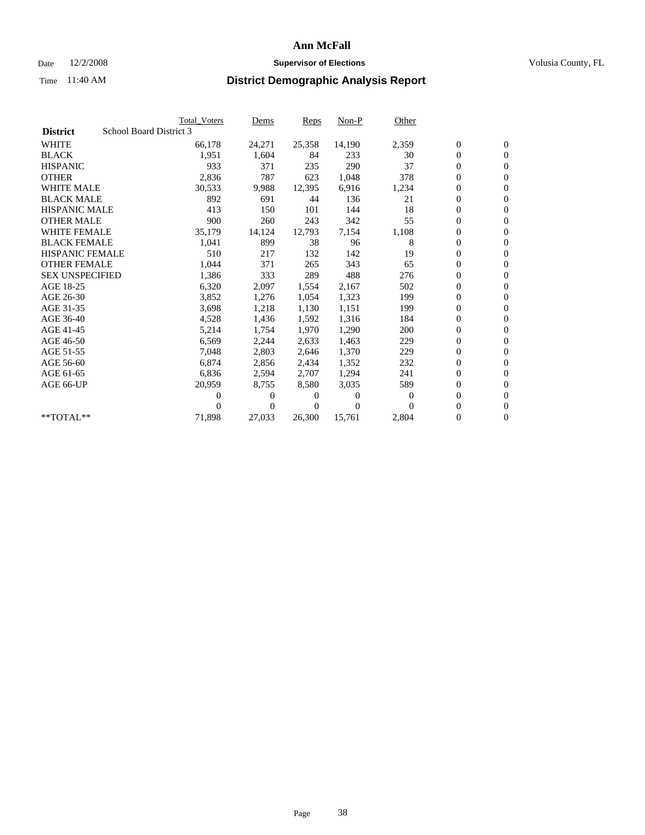### Date  $12/2/2008$  **Supervisor of Elections** Volusia County, FL

|                        |                         | <b>Total Voters</b> | Dems           | <b>Reps</b> | $Non-P$  | Other    |                  |                  |  |
|------------------------|-------------------------|---------------------|----------------|-------------|----------|----------|------------------|------------------|--|
| <b>District</b>        | School Board District 3 |                     |                |             |          |          |                  |                  |  |
| <b>WHITE</b>           |                         | 66,178              | 24,271         | 25,358      | 14,190   | 2,359    | $\boldsymbol{0}$ | $\mathbf{0}$     |  |
| <b>BLACK</b>           |                         | 1,951               | 1,604          | 84          | 233      | 30       | $\overline{0}$   | $\mathbf{0}$     |  |
| <b>HISPANIC</b>        |                         | 933                 | 371            | 235         | 290      | 37       | 0                | $\mathbf{0}$     |  |
| <b>OTHER</b>           |                         | 2,836               | 787            | 623         | 1,048    | 378      | 0                | $\mathbf{0}$     |  |
| <b>WHITE MALE</b>      |                         | 30,533              | 9,988          | 12,395      | 6,916    | 1,234    | 0                | $\mathbf{0}$     |  |
| <b>BLACK MALE</b>      |                         | 892                 | 691            | 44          | 136      | 21       | $\boldsymbol{0}$ | $\mathbf{0}$     |  |
| <b>HISPANIC MALE</b>   |                         | 413                 | 150            | 101         | 144      | 18       | 0                | $\mathbf{0}$     |  |
| <b>OTHER MALE</b>      |                         | 900                 | 260            | 243         | 342      | 55       | 0                | $\mathbf{0}$     |  |
| <b>WHITE FEMALE</b>    |                         | 35,179              | 14,124         | 12,793      | 7,154    | 1,108    | 0                | $\mathbf{0}$     |  |
| <b>BLACK FEMALE</b>    |                         | 1,041               | 899            | 38          | 96       | 8        | 0                | $\Omega$         |  |
| HISPANIC FEMALE        |                         | 510                 | 217            | 132         | 142      | 19       | $\boldsymbol{0}$ | $\mathbf{0}$     |  |
| <b>OTHER FEMALE</b>    |                         | 1,044               | 371            | 265         | 343      | 65       | 0                | $\mathbf{0}$     |  |
| <b>SEX UNSPECIFIED</b> |                         | 1,386               | 333            | 289         | 488      | 276      | 0                | $\Omega$         |  |
| AGE 18-25              |                         | 6,320               | 2,097          | 1,554       | 2,167    | 502      | $\overline{0}$   | $\mathbf{0}$     |  |
| AGE 26-30              |                         | 3,852               | 1,276          | 1,054       | 1,323    | 199      | 0                | $\mathbf{0}$     |  |
| AGE 31-35              |                         | 3,698               | 1,218          | 1,130       | 1,151    | 199      | 0                | $\mathbf{0}$     |  |
| AGE 36-40              |                         | 4,528               | 1,436          | 1,592       | 1,316    | 184      | 0                | $\mathbf{0}$     |  |
| AGE 41-45              |                         | 5,214               | 1,754          | 1,970       | 1,290    | 200      | 0                | $\mathbf{0}$     |  |
| AGE 46-50              |                         | 6,569               | 2,244          | 2,633       | 1,463    | 229      | 0                | $\Omega$         |  |
| AGE 51-55              |                         | 7,048               | 2,803          | 2,646       | 1,370    | 229      | $\boldsymbol{0}$ | $\mathbf{0}$     |  |
| AGE 56-60              |                         | 6.874               | 2,856          | 2.434       | 1,352    | 232      | 0                | $\mathbf{0}$     |  |
| AGE 61-65              |                         | 6,836               | 2,594          | 2,707       | 1,294    | 241      | 0                | $\Omega$         |  |
| AGE 66-UP              |                         | 20,959              | 8,755          | 8,580       | 3,035    | 589      | $\overline{0}$   | $\mathbf{0}$     |  |
|                        |                         | 0                   | 0              | 0           | $\theta$ | $\Omega$ | 0                | $\mathbf{0}$     |  |
|                        |                         | 0                   | $\overline{0}$ | 0           | $\Omega$ | $\Omega$ | 0                | $\mathbf{0}$     |  |
| $*$ TOTAL $**$         |                         | 71,898              | 27,033         | 26,300      | 15,761   | 2,804    | 0                | $\boldsymbol{0}$ |  |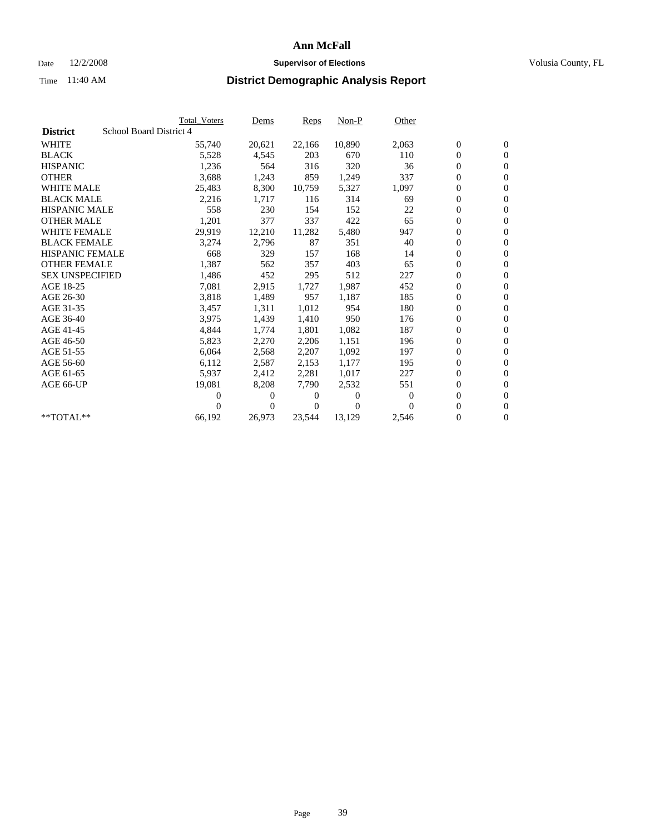### Date  $12/2/2008$  **Supervisor of Elections** Volusia County, FL

|                                            | <b>Total Voters</b> | Dems           | <b>Reps</b> | $Non-P$      | Other    |                  |                  |  |
|--------------------------------------------|---------------------|----------------|-------------|--------------|----------|------------------|------------------|--|
| School Board District 4<br><b>District</b> |                     |                |             |              |          |                  |                  |  |
| <b>WHITE</b>                               | 55,740              | 20,621         | 22,166      | 10,890       | 2,063    | $\boldsymbol{0}$ | $\boldsymbol{0}$ |  |
| <b>BLACK</b>                               | 5,528               | 4,545          | 203         | 670          | 110      | $\boldsymbol{0}$ | $\mathbf{0}$     |  |
| <b>HISPANIC</b>                            | 1,236               | 564            | 316         | 320          | 36       | $\overline{0}$   | $\mathbf{0}$     |  |
| <b>OTHER</b>                               | 3,688               | 1,243          | 859         | 1,249        | 337      | 0                | $\mathbf{0}$     |  |
| <b>WHITE MALE</b>                          | 25,483              | 8,300          | 10,759      | 5,327        | 1,097    | $\boldsymbol{0}$ | $\mathbf{0}$     |  |
| <b>BLACK MALE</b>                          | 2,216               | 1,717          | 116         | 314          | 69       | $\overline{0}$   | $\mathbf{0}$     |  |
| <b>HISPANIC MALE</b>                       | 558                 | 230            | 154         | 152          | 22       | $\boldsymbol{0}$ | $\Omega$         |  |
| <b>OTHER MALE</b>                          | 1,201               | 377            | 337         | 422          | 65       | $\overline{0}$   | $\mathbf{0}$     |  |
| <b>WHITE FEMALE</b>                        | 29,919              | 12,210         | 11,282      | 5,480        | 947      | $\boldsymbol{0}$ | $\mathbf{0}$     |  |
| <b>BLACK FEMALE</b>                        | 3,274               | 2,796          | 87          | 351          | 40       | $\boldsymbol{0}$ | $\mathbf{0}$     |  |
| <b>HISPANIC FEMALE</b>                     | 668                 | 329            | 157         | 168          | 14       | $\boldsymbol{0}$ | $\mathbf{0}$     |  |
| <b>OTHER FEMALE</b>                        | 1,387               | 562            | 357         | 403          | 65       | $\mathbf{0}$     | $\mathbf{0}$     |  |
| <b>SEX UNSPECIFIED</b>                     | 1,486               | 452            | 295         | 512          | 227      | $\boldsymbol{0}$ | $\mathbf{0}$     |  |
| AGE 18-25                                  | 7,081               | 2,915          | 1,727       | 1,987        | 452      | $\boldsymbol{0}$ | $\mathbf{0}$     |  |
| AGE 26-30                                  | 3,818               | 1,489          | 957         | 1,187        | 185      | $\overline{0}$   | $\mathbf{0}$     |  |
| AGE 31-35                                  | 3,457               | 1,311          | 1,012       | 954          | 180      | $\boldsymbol{0}$ | $\mathbf{0}$     |  |
| AGE 36-40                                  | 3,975               | 1,439          | 1,410       | 950          | 176      | $\boldsymbol{0}$ | $\mathbf{0}$     |  |
| AGE 41-45                                  | 4,844               | 1,774          | 1,801       | 1,082        | 187      | $\boldsymbol{0}$ | $\mathbf{0}$     |  |
| AGE 46-50                                  | 5,823               | 2,270          | 2,206       | 1,151        | 196      | $\boldsymbol{0}$ | $\Omega$         |  |
| AGE 51-55                                  | 6,064               | 2,568          | 2,207       | 1,092        | 197      | $\overline{0}$   | $\mathbf{0}$     |  |
| AGE 56-60                                  | 6,112               | 2,587          | 2,153       | 1.177        | 195      | $\overline{0}$   | $\mathbf{0}$     |  |
| AGE 61-65                                  | 5,937               | 2,412          | 2,281       | 1,017        | 227      | $\overline{0}$   | $\mathbf{0}$     |  |
| AGE 66-UP                                  | 19,081              | 8,208          | 7,790       | 2,532        | 551      | $\boldsymbol{0}$ | $\mathbf{0}$     |  |
|                                            | $\overline{0}$      | 0              | 0           | $\mathbf{0}$ | 0        | $\mathbf{0}$     | $\mathbf{0}$     |  |
|                                            | 0                   | $\overline{0}$ | 0           | $\mathbf{0}$ | $\Omega$ | 0                | $\mathbf{0}$     |  |
| **TOTAL**                                  | 66,192              | 26,973         | 23,544      | 13,129       | 2,546    | 0                | $\boldsymbol{0}$ |  |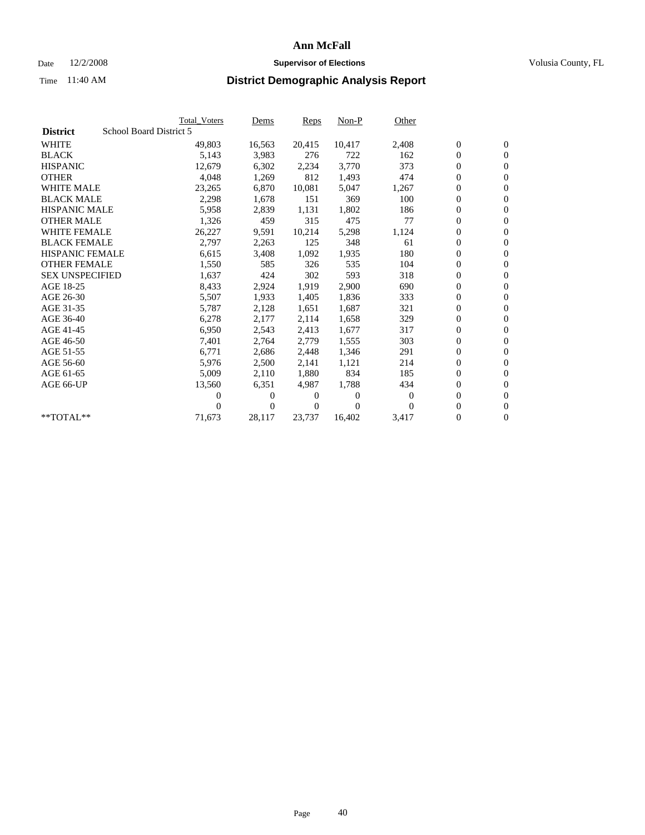### Date  $12/2/2008$  **Supervisor of Elections** Volusia County, FL

|                        | <b>Total Voters</b>     | <u>Dems</u>    | <b>Reps</b> | $Non-P$        | Other        |                  |                  |  |
|------------------------|-------------------------|----------------|-------------|----------------|--------------|------------------|------------------|--|
| <b>District</b>        | School Board District 5 |                |             |                |              |                  |                  |  |
| <b>WHITE</b>           | 49,803                  | 16,563         | 20,415      | 10,417         | 2,408        | $\boldsymbol{0}$ | $\boldsymbol{0}$ |  |
| <b>BLACK</b>           | 5,143                   | 3,983          | 276         | 722            | 162          | $\boldsymbol{0}$ | $\mathbf{0}$     |  |
| <b>HISPANIC</b>        | 12,679                  | 6,302          | 2,234       | 3,770          | 373          | $\overline{0}$   | $\mathbf{0}$     |  |
| <b>OTHER</b>           | 4,048                   | 1,269          | 812         | 1,493          | 474          | 0                | $\mathbf{0}$     |  |
| <b>WHITE MALE</b>      | 23,265                  | 6,870          | 10,081      | 5,047          | 1,267        | $\boldsymbol{0}$ | $\mathbf{0}$     |  |
| <b>BLACK MALE</b>      | 2,298                   | 1.678          | 151         | 369            | 100          | $\overline{0}$   | $\mathbf{0}$     |  |
| <b>HISPANIC MALE</b>   | 5,958                   | 2,839          | 1,131       | 1,802          | 186          | 0                | $\mathbf{0}$     |  |
| <b>OTHER MALE</b>      | 1,326                   | 459            | 315         | 475            | 77           | $\overline{0}$   | $\mathbf{0}$     |  |
| <b>WHITE FEMALE</b>    | 26,227                  | 9,591          | 10,214      | 5,298          | 1,124        | $\boldsymbol{0}$ | $\mathbf{0}$     |  |
| <b>BLACK FEMALE</b>    | 2,797                   | 2,263          | 125         | 348            | 61           | $\boldsymbol{0}$ | $\overline{0}$   |  |
| <b>HISPANIC FEMALE</b> | 6,615                   | 3,408          | 1,092       | 1,935          | 180          | 0                | $\mathbf{0}$     |  |
| <b>OTHER FEMALE</b>    | 1,550                   | 585            | 326         | 535            | 104          | $\overline{0}$   | $\mathbf{0}$     |  |
| <b>SEX UNSPECIFIED</b> | 1,637                   | 424            | 302         | 593            | 318          | $\boldsymbol{0}$ | $\mathbf{0}$     |  |
| AGE 18-25              | 8,433                   | 2,924          | 1,919       | 2,900          | 690          | $\boldsymbol{0}$ | $\mathbf{0}$     |  |
| AGE 26-30              | 5,507                   | 1,933          | 1,405       | 1,836          | 333          | $\overline{0}$   | $\mathbf{0}$     |  |
| AGE 31-35              | 5,787                   | 2,128          | 1,651       | 1,687          | 321          | $\boldsymbol{0}$ | $\mathbf{0}$     |  |
| AGE 36-40              | 6,278                   | 2,177          | 2,114       | 1,658          | 329          | $\boldsymbol{0}$ | $\mathbf{0}$     |  |
| AGE 41-45              | 6,950                   | 2,543          | 2,413       | 1,677          | 317          | $\boldsymbol{0}$ | $\mathbf{0}$     |  |
| AGE 46-50              | 7,401                   | 2,764          | 2,779       | 1,555          | 303          | 0                | $\overline{0}$   |  |
| AGE 51-55              | 6,771                   | 2,686          | 2,448       | 1,346          | 291          | $\boldsymbol{0}$ | $\mathbf{0}$     |  |
| AGE 56-60              | 5,976                   | 2,500          | 2,141       | 1,121          | 214          | $\overline{0}$   | $\mathbf{0}$     |  |
| AGE 61-65              | 5,009                   | 2,110          | 1,880       | 834            | 185          | $\overline{0}$   | $\mathbf{0}$     |  |
| AGE 66-UP              | 13,560                  | 6,351          | 4,987       | 1,788          | 434          | $\boldsymbol{0}$ | $\mathbf{0}$     |  |
|                        | 0                       | 0              | $\theta$    | $\overline{0}$ | $\mathbf{0}$ | $\mathbf{0}$     | $\mathbf{0}$     |  |
|                        | 0                       | $\overline{0}$ | 0           | $\Omega$       | 0            | 0                | $\mathbf{0}$     |  |
| **TOTAL**              | 71,673                  | 28,117         | 23,737      | 16,402         | 3,417        | 0                | $\boldsymbol{0}$ |  |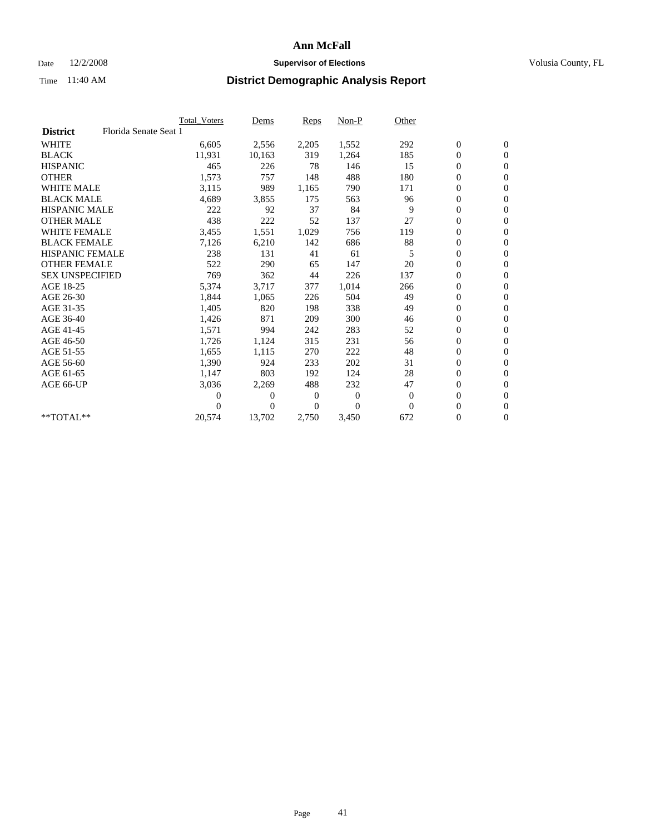### Date  $12/2/2008$  **Supervisor of Elections** Volusia County, FL

|                        |                       | Total Voters | Dems     | <b>Reps</b> | $Non-P$      | Other        |                  |                  |  |
|------------------------|-----------------------|--------------|----------|-------------|--------------|--------------|------------------|------------------|--|
| <b>District</b>        | Florida Senate Seat 1 |              |          |             |              |              |                  |                  |  |
| <b>WHITE</b>           |                       | 6,605        | 2,556    | 2,205       | 1,552        | 292          | $\boldsymbol{0}$ | $\boldsymbol{0}$ |  |
| <b>BLACK</b>           |                       | 11,931       | 10,163   | 319         | 1,264        | 185          | $\boldsymbol{0}$ | $\mathbf{0}$     |  |
| <b>HISPANIC</b>        |                       | 465          | 226      | 78          | 146          | 15           | $\overline{0}$   | $\mathbf{0}$     |  |
| <b>OTHER</b>           |                       | 1,573        | 757      | 148         | 488          | 180          | $\boldsymbol{0}$ | $\mathbf{0}$     |  |
| <b>WHITE MALE</b>      |                       | 3,115        | 989      | 1,165       | 790          | 171          | $\boldsymbol{0}$ | $\mathbf{0}$     |  |
| <b>BLACK MALE</b>      |                       | 4,689        | 3,855    | 175         | 563          | 96           | $\boldsymbol{0}$ | $\mathbf{0}$     |  |
| <b>HISPANIC MALE</b>   |                       | 222          | 92       | 37          | 84           | 9            | $\boldsymbol{0}$ | $\mathbf{0}$     |  |
| <b>OTHER MALE</b>      |                       | 438          | 222      | 52          | 137          | 27           | 0                | $\mathbf{0}$     |  |
| <b>WHITE FEMALE</b>    |                       | 3,455        | 1,551    | 1,029       | 756          | 119          | $\overline{0}$   | $\mathbf{0}$     |  |
| <b>BLACK FEMALE</b>    |                       | 7,126        | 6,210    | 142         | 686          | 88           | $\boldsymbol{0}$ | $\mathbf{0}$     |  |
| <b>HISPANIC FEMALE</b> |                       | 238          | 131      | 41          | 61           | 5            | $\boldsymbol{0}$ | $\mathbf{0}$     |  |
| <b>OTHER FEMALE</b>    |                       | 522          | 290      | 65          | 147          | 20           | $\mathbf{0}$     | $\mathbf{0}$     |  |
| <b>SEX UNSPECIFIED</b> |                       | 769          | 362      | 44          | 226          | 137          | $\boldsymbol{0}$ | $\mathbf{0}$     |  |
| AGE 18-25              |                       | 5,374        | 3,717    | 377         | 1,014        | 266          | $\boldsymbol{0}$ | $\mathbf{0}$     |  |
| AGE 26-30              |                       | 1,844        | 1,065    | 226         | 504          | 49           | $\overline{0}$   | $\mathbf{0}$     |  |
| AGE 31-35              |                       | 1,405        | 820      | 198         | 338          | 49           | $\boldsymbol{0}$ | $\mathbf{0}$     |  |
| AGE 36-40              |                       | 1,426        | 871      | 209         | 300          | 46           | 0                | $\mathbf{0}$     |  |
| AGE 41-45              |                       | 1,571        | 994      | 242         | 283          | 52           | $\overline{0}$   | $\mathbf{0}$     |  |
| AGE 46-50              |                       | 1,726        | 1,124    | 315         | 231          | 56           | $\boldsymbol{0}$ | $\mathbf{0}$     |  |
| AGE 51-55              |                       | 1,655        | 1,115    | 270         | 222          | 48           | $\boldsymbol{0}$ | $\mathbf{0}$     |  |
| AGE 56-60              |                       | 1,390        | 924      | 233         | 202          | 31           | $\overline{0}$   | $\Omega$         |  |
| AGE 61-65              |                       | 1,147        | 803      | 192         | 124          | 28           | $\mathbf{0}$     | $\mathbf{0}$     |  |
| AGE 66-UP              |                       | 3,036        | 2,269    | 488         | 232          | 47           | $\boldsymbol{0}$ | $\mathbf{0}$     |  |
|                        |                       | 0            | 0        | 0           | $\mathbf{0}$ | $\mathbf{0}$ | $\overline{0}$   | $\mathbf{0}$     |  |
|                        |                       | 0            | $\Omega$ | $\Omega$    | $\theta$     | $\Omega$     | $\boldsymbol{0}$ | $\mathbf{0}$     |  |
| $*$ TOTAL $**$         |                       | 20,574       | 13,702   | 2,750       | 3,450        | 672          | 0                | $\mathbf{0}$     |  |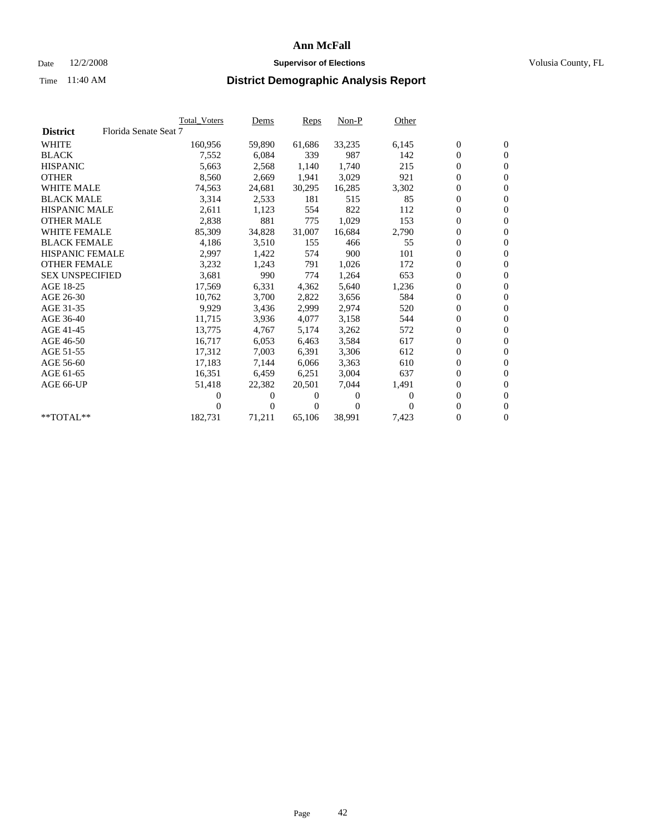### Date  $12/2/2008$  **Supervisor of Elections** Volusia County, FL

|                        |                       | <b>Total Voters</b> | Dems   | <b>Reps</b> | $Non-P$        | Other    |                  |                  |  |
|------------------------|-----------------------|---------------------|--------|-------------|----------------|----------|------------------|------------------|--|
| <b>District</b>        | Florida Senate Seat 7 |                     |        |             |                |          |                  |                  |  |
| <b>WHITE</b>           |                       | 160,956             | 59,890 | 61,686      | 33,235         | 6,145    | $\boldsymbol{0}$ | $\boldsymbol{0}$ |  |
| <b>BLACK</b>           |                       | 7,552               | 6,084  | 339         | 987            | 142      | $\overline{0}$   | $\mathbf{0}$     |  |
| <b>HISPANIC</b>        |                       | 5,663               | 2,568  | 1,140       | 1,740          | 215      | $\overline{0}$   | $\mathbf{0}$     |  |
| <b>OTHER</b>           |                       | 8,560               | 2,669  | 1,941       | 3,029          | 921      | 0                | $\mathbf{0}$     |  |
| <b>WHITE MALE</b>      |                       | 74,563              | 24,681 | 30,295      | 16,285         | 3,302    | 0                | $\mathbf{0}$     |  |
| <b>BLACK MALE</b>      |                       | 3,314               | 2,533  | 181         | 515            | 85       | $\boldsymbol{0}$ | $\mathbf{0}$     |  |
| <b>HISPANIC MALE</b>   |                       | 2,611               | 1,123  | 554         | 822            | 112      | 0                | $\mathbf{0}$     |  |
| <b>OTHER MALE</b>      |                       | 2,838               | 881    | 775         | 1,029          | 153      | 0                | $\mathbf{0}$     |  |
| <b>WHITE FEMALE</b>    |                       | 85,309              | 34,828 | 31,007      | 16,684         | 2,790    | 0                | $\mathbf{0}$     |  |
| <b>BLACK FEMALE</b>    |                       | 4,186               | 3,510  | 155         | 466            | 55       | 0                | $\Omega$         |  |
| <b>HISPANIC FEMALE</b> |                       | 2,997               | 1,422  | 574         | 900            | 101      | 0                | $\mathbf{0}$     |  |
| <b>OTHER FEMALE</b>    |                       | 3,232               | 1,243  | 791         | 1,026          | 172      | 0                | $\mathbf{0}$     |  |
| <b>SEX UNSPECIFIED</b> |                       | 3,681               | 990    | 774         | 1,264          | 653      | 0                | $\mathbf{0}$     |  |
| AGE 18-25              |                       | 17,569              | 6,331  | 4,362       | 5,640          | 1,236    | $\overline{0}$   | $\mathbf{0}$     |  |
| AGE 26-30              |                       | 10,762              | 3,700  | 2,822       | 3,656          | 584      | 0                | $\mathbf{0}$     |  |
| AGE 31-35              |                       | 9,929               | 3,436  | 2,999       | 2,974          | 520      | 0                | $\mathbf{0}$     |  |
| AGE 36-40              |                       | 11,715              | 3,936  | 4,077       | 3,158          | 544      | 0                | $\mathbf{0}$     |  |
| AGE 41-45              |                       | 13,775              | 4,767  | 5,174       | 3,262          | 572      | 0                | $\mathbf{0}$     |  |
| AGE 46-50              |                       | 16,717              | 6,053  | 6,463       | 3,584          | 617      | 0                | $\Omega$         |  |
| AGE 51-55              |                       | 17,312              | 7,003  | 6,391       | 3,306          | 612      | $\boldsymbol{0}$ | $\mathbf{0}$     |  |
| AGE 56-60              |                       | 17,183              | 7.144  | 6.066       | 3,363          | 610      | 0                | $\mathbf{0}$     |  |
| AGE 61-65              |                       | 16,351              | 6,459  | 6,251       | 3,004          | 637      | 0                | $\Omega$         |  |
| AGE 66-UP              |                       | 51,418              | 22,382 | 20,501      | 7,044          | 1,491    | 0                | $\mathbf{0}$     |  |
|                        |                       | 0                   | 0      | 0           | $\overline{0}$ | $\Omega$ | 0                | $\mathbf{0}$     |  |
|                        |                       | 0                   | 0      | 0           | $\Omega$       | $\Omega$ | 0                | $\mathbf{0}$     |  |
| $*$ TOTAL $**$         |                       | 182,731             | 71,211 | 65,106      | 38,991         | 7,423    | 0                | $\boldsymbol{0}$ |  |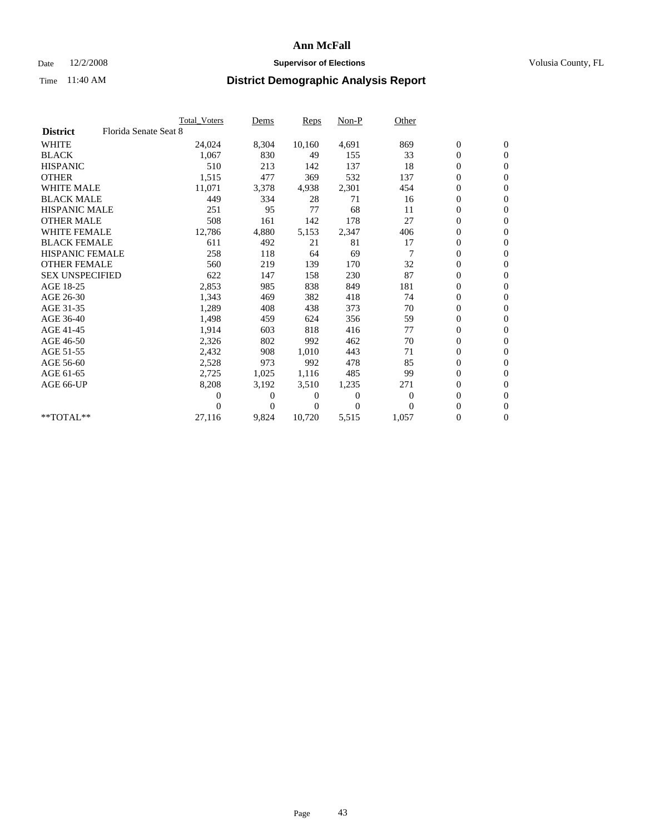### Date  $12/2/2008$  **Supervisor of Elections** Volusia County, FL

|                        |                       | Total Voters | Dems           | <b>Reps</b> | $Non-P$        | Other        |                  |                  |  |
|------------------------|-----------------------|--------------|----------------|-------------|----------------|--------------|------------------|------------------|--|
| <b>District</b>        | Florida Senate Seat 8 |              |                |             |                |              |                  |                  |  |
| <b>WHITE</b>           |                       | 24,024       | 8,304          | 10,160      | 4,691          | 869          | $\boldsymbol{0}$ | $\boldsymbol{0}$ |  |
| <b>BLACK</b>           |                       | 1,067        | 830            | 49          | 155            | 33           | $\overline{0}$   | $\mathbf{0}$     |  |
| <b>HISPANIC</b>        |                       | 510          | 213            | 142         | 137            | 18           | $\overline{0}$   | $\mathbf{0}$     |  |
| <b>OTHER</b>           |                       | 1,515        | 477            | 369         | 532            | 137          | 0                | $\mathbf{0}$     |  |
| <b>WHITE MALE</b>      |                       | 11,071       | 3,378          | 4,938       | 2,301          | 454          | $\boldsymbol{0}$ | $\mathbf{0}$     |  |
| <b>BLACK MALE</b>      |                       | 449          | 334            | 28          | 71             | 16           | $\boldsymbol{0}$ | $\mathbf{0}$     |  |
| <b>HISPANIC MALE</b>   |                       | 251          | 95             | 77          | 68             | 11           | $\boldsymbol{0}$ | $\mathbf{0}$     |  |
| <b>OTHER MALE</b>      |                       | 508          | 161            | 142         | 178            | 27           | $\boldsymbol{0}$ | $\mathbf{0}$     |  |
| <b>WHITE FEMALE</b>    |                       | 12,786       | 4,880          | 5,153       | 2,347          | 406          | $\boldsymbol{0}$ | $\mathbf{0}$     |  |
| <b>BLACK FEMALE</b>    |                       | 611          | 492            | 21          | 81             | 17           | $\boldsymbol{0}$ | $\Omega$         |  |
| <b>HISPANIC FEMALE</b> |                       | 258          | 118            | 64          | 69             |              | $\boldsymbol{0}$ | $\mathbf{0}$     |  |
| <b>OTHER FEMALE</b>    |                       | 560          | 219            | 139         | 170            | 32           | $\mathbf{0}$     | $\mathbf{0}$     |  |
| <b>SEX UNSPECIFIED</b> |                       | 622          | 147            | 158         | 230            | 87           | $\boldsymbol{0}$ | $\mathbf{0}$     |  |
| AGE 18-25              |                       | 2,853        | 985            | 838         | 849            | 181          | $\boldsymbol{0}$ | $\mathbf{0}$     |  |
| AGE 26-30              |                       | 1,343        | 469            | 382         | 418            | 74           | $\boldsymbol{0}$ | $\mathbf{0}$     |  |
| AGE 31-35              |                       | 1,289        | 408            | 438         | 373            | 70           | $\boldsymbol{0}$ | $\mathbf{0}$     |  |
| AGE 36-40              |                       | 1,498        | 459            | 624         | 356            | 59           | $\boldsymbol{0}$ | $\mathbf{0}$     |  |
| AGE 41-45              |                       | 1,914        | 603            | 818         | 416            | 77           | $\boldsymbol{0}$ | $\mathbf{0}$     |  |
| AGE 46-50              |                       | 2,326        | 802            | 992         | 462            | 70           | 0                | $\Omega$         |  |
| AGE 51-55              |                       | 2,432        | 908            | 1,010       | 443            | 71           | $\boldsymbol{0}$ | $\mathbf{0}$     |  |
| AGE 56-60              |                       | 2,528        | 973            | 992         | 478            | 85           | $\mathbf{0}$     | $\mathbf{0}$     |  |
| AGE 61-65              |                       | 2,725        | 1,025          | 1,116       | 485            | 99           | $\boldsymbol{0}$ | $\mathbf{0}$     |  |
| AGE 66-UP              |                       | 8,208        | 3,192          | 3,510       | 1,235          | 271          | $\overline{0}$   | $\mathbf{0}$     |  |
|                        |                       | 0            | $\overline{0}$ | 0           | $\overline{0}$ | $\mathbf{0}$ | $\boldsymbol{0}$ | $\mathbf{0}$     |  |
|                        |                       | 0            | $\overline{0}$ | 0           | $\Omega$       | $\Omega$     | 0                | $\mathbf{0}$     |  |
| $*$ TOTAL $**$         |                       | 27,116       | 9,824          | 10,720      | 5,515          | 1,057        | $\boldsymbol{0}$ | $\boldsymbol{0}$ |  |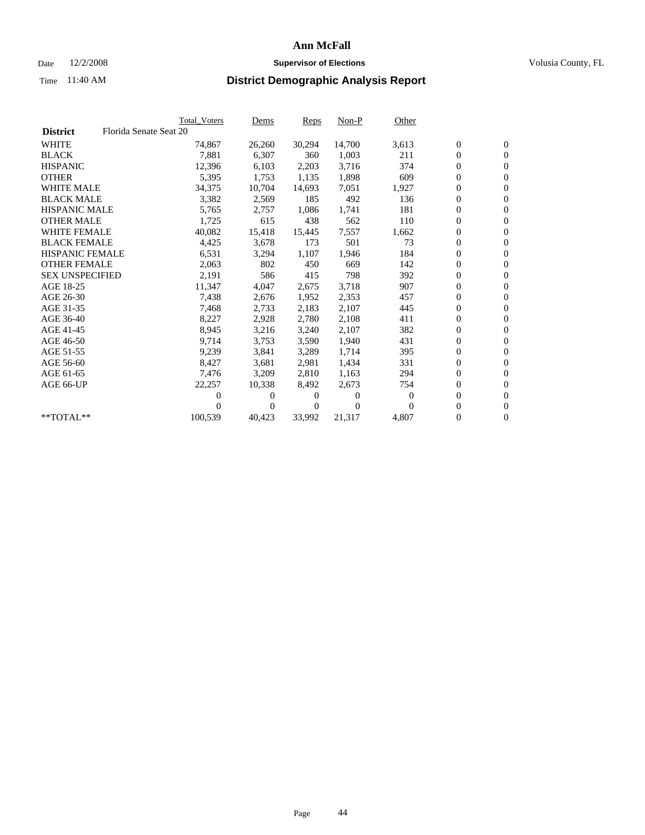### Date  $12/2/2008$  **Supervisor of Elections** Volusia County, FL

|                        |                        | <b>Total Voters</b> | Dems   | <b>Reps</b> | $Non-P$  | Other            |                  |                  |  |
|------------------------|------------------------|---------------------|--------|-------------|----------|------------------|------------------|------------------|--|
| <b>District</b>        | Florida Senate Seat 20 |                     |        |             |          |                  |                  |                  |  |
| <b>WHITE</b>           |                        | 74,867              | 26,260 | 30,294      | 14,700   | 3,613            | $\boldsymbol{0}$ | $\boldsymbol{0}$ |  |
| <b>BLACK</b>           |                        | 7,881               | 6,307  | 360         | 1,003    | 211              | $\overline{0}$   | $\mathbf{0}$     |  |
| <b>HISPANIC</b>        |                        | 12,396              | 6,103  | 2,203       | 3,716    | 374              | 0                | $\mathbf{0}$     |  |
| <b>OTHER</b>           |                        | 5,395               | 1,753  | 1,135       | 1,898    | 609              | 0                | $\mathbf{0}$     |  |
| <b>WHITE MALE</b>      |                        | 34,375              | 10,704 | 14,693      | 7,051    | 1,927            | 0                | $\mathbf{0}$     |  |
| <b>BLACK MALE</b>      |                        | 3,382               | 2,569  | 185         | 492      | 136              | $\boldsymbol{0}$ | $\mathbf{0}$     |  |
| <b>HISPANIC MALE</b>   |                        | 5,765               | 2,757  | 1,086       | 1,741    | 181              | 0                | $\mathbf{0}$     |  |
| <b>OTHER MALE</b>      |                        | 1,725               | 615    | 438         | 562      | 110              | 0                | $\mathbf{0}$     |  |
| <b>WHITE FEMALE</b>    |                        | 40,082              | 15,418 | 15,445      | 7,557    | 1,662            | 0                | $\mathbf{0}$     |  |
| <b>BLACK FEMALE</b>    |                        | 4,425               | 3,678  | 173         | 501      | 73               | 0                | $\Omega$         |  |
| HISPANIC FEMALE        |                        | 6,531               | 3,294  | 1,107       | 1,946    | 184              | 0                | $\mathbf{0}$     |  |
| <b>OTHER FEMALE</b>    |                        | 2,063               | 802    | 450         | 669      | 142              | 0                | $\mathbf{0}$     |  |
| <b>SEX UNSPECIFIED</b> |                        | 2,191               | 586    | 415         | 798      | 392              | 0                | $\mathbf{0}$     |  |
| AGE 18-25              |                        | 11,347              | 4,047  | 2,675       | 3,718    | 907              | $\overline{0}$   | $\mathbf{0}$     |  |
| AGE 26-30              |                        | 7,438               | 2,676  | 1,952       | 2,353    | 457              | 0                | $\mathbf{0}$     |  |
| AGE 31-35              |                        | 7,468               | 2,733  | 2,183       | 2,107    | 445              | 0                | $\mathbf{0}$     |  |
| AGE 36-40              |                        | 8,227               | 2,928  | 2,780       | 2,108    | 411              | 0                | $\mathbf{0}$     |  |
| AGE 41-45              |                        | 8,945               | 3,216  | 3,240       | 2,107    | 382              | 0                | $\mathbf{0}$     |  |
| AGE 46-50              |                        | 9,714               | 3,753  | 3,590       | 1,940    | 431              | 0                | $\Omega$         |  |
| AGE 51-55              |                        | 9,239               | 3,841  | 3,289       | 1,714    | 395              | $\boldsymbol{0}$ | $\mathbf{0}$     |  |
| AGE 56-60              |                        | 8,427               | 3,681  | 2.981       | 1.434    | 331              | 0                | $\mathbf{0}$     |  |
| AGE 61-65              |                        | 7,476               | 3,209  | 2,810       | 1,163    | 294              | 0                | $\mathbf{0}$     |  |
| AGE 66-UP              |                        | 22,257              | 10,338 | 8,492       | 2,673    | 754              | 0                | $\mathbf{0}$     |  |
|                        |                        | 0                   | 0      | 0           | $\theta$ | $\boldsymbol{0}$ | 0                | $\mathbf{0}$     |  |
|                        |                        | 0                   | 0      | 0           | $\Omega$ | $\Omega$         | 0                | $\mathbf{0}$     |  |
| $*$ TOTAL $**$         |                        | 100,539             | 40,423 | 33,992      | 21,317   | 4,807            | 0                | $\boldsymbol{0}$ |  |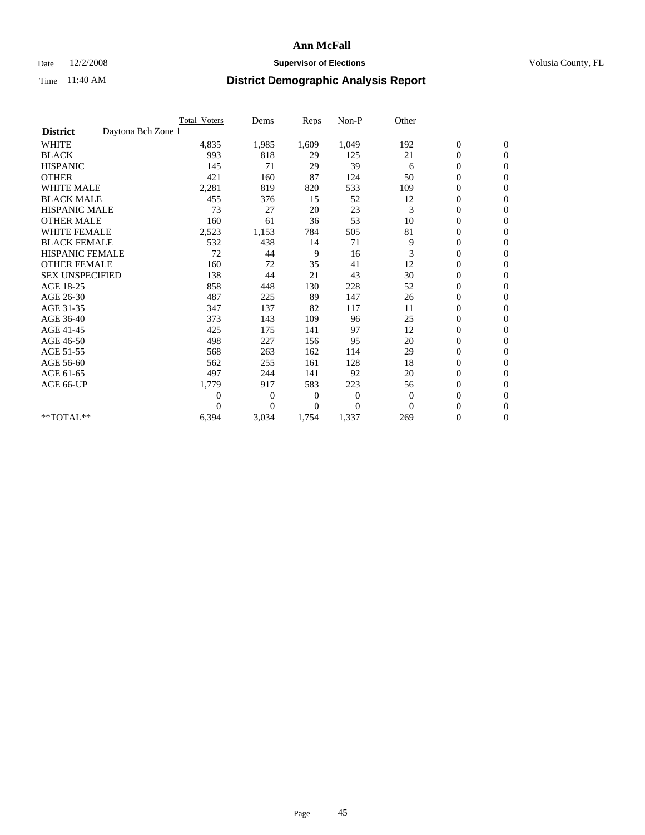### Date  $12/2/2008$  **Supervisor of Elections** Volusia County, FL

|                                       | <b>Total_Voters</b> | Dems           | <b>Reps</b> | Non-P        | Other        |                  |                  |  |
|---------------------------------------|---------------------|----------------|-------------|--------------|--------------|------------------|------------------|--|
| Daytona Bch Zone 1<br><b>District</b> |                     |                |             |              |              |                  |                  |  |
| <b>WHITE</b>                          | 4,835               | 1,985          | 1,609       | 1,049        | 192          | $\boldsymbol{0}$ | $\boldsymbol{0}$ |  |
| <b>BLACK</b>                          | 993                 | 818            | 29          | 125          | 21           | $\boldsymbol{0}$ | $\mathbf{0}$     |  |
| <b>HISPANIC</b>                       | 145                 | 71             | 29          | 39           | 6            | $\overline{0}$   | $\mathbf{0}$     |  |
| <b>OTHER</b>                          | 421                 | 160            | 87          | 124          | 50           | $\boldsymbol{0}$ | $\mathbf{0}$     |  |
| <b>WHITE MALE</b>                     | 2,281               | 819            | 820         | 533          | 109          | $\overline{0}$   | $\mathbf{0}$     |  |
| <b>BLACK MALE</b>                     | 455                 | 376            | 15          | 52           | 12           | $\boldsymbol{0}$ | $\mathbf{0}$     |  |
| <b>HISPANIC MALE</b>                  | 73                  | 27             | 20          | 23           | 3            | $\boldsymbol{0}$ | $\mathbf{0}$     |  |
| <b>OTHER MALE</b>                     | 160                 | 61             | 36          | 53           | 10           | $\boldsymbol{0}$ | $\mathbf{0}$     |  |
| <b>WHITE FEMALE</b>                   | 2,523               | 1,153          | 784         | 505          | 81           | $\overline{0}$   | $\mathbf{0}$     |  |
| <b>BLACK FEMALE</b>                   | 532                 | 438            | 14          | 71           | 9            | $\boldsymbol{0}$ | $\mathbf{0}$     |  |
| <b>HISPANIC FEMALE</b>                | 72                  | 44             | 9           | 16           | 3            | $\boldsymbol{0}$ | $\mathbf{0}$     |  |
| <b>OTHER FEMALE</b>                   | 160                 | 72             | 35          | 41           | 12           | $\mathbf{0}$     | $\mathbf{0}$     |  |
| <b>SEX UNSPECIFIED</b>                | 138                 | 44             | 21          | 43           | 30           | $\boldsymbol{0}$ | $\mathbf{0}$     |  |
| AGE 18-25                             | 858                 | 448            | 130         | 228          | 52           | $\overline{0}$   | $\mathbf{0}$     |  |
| AGE 26-30                             | 487                 | 225            | 89          | 147          | 26           | $\boldsymbol{0}$ | $\mathbf{0}$     |  |
| AGE 31-35                             | 347                 | 137            | 82          | 117          | 11           | $\boldsymbol{0}$ | $\mathbf{0}$     |  |
| AGE 36-40                             | 373                 | 143            | 109         | 96           | 25           | $\boldsymbol{0}$ | $\mathbf{0}$     |  |
| AGE 41-45                             | 425                 | 175            | 141         | 97           | 12           | $\overline{0}$   | $\mathbf{0}$     |  |
| AGE 46-50                             | 498                 | 227            | 156         | 95           | 20           | $\boldsymbol{0}$ | $\mathbf{0}$     |  |
| AGE 51-55                             | 568                 | 263            | 162         | 114          | 29           | $\boldsymbol{0}$ | $\mathbf{0}$     |  |
| AGE 56-60                             | 562                 | 255            | 161         | 128          | 18           | $\boldsymbol{0}$ | $\Omega$         |  |
| AGE 61-65                             | 497                 | 244            | 141         | 92           | 20           | $\mathbf{0}$     | $\mathbf{0}$     |  |
| AGE 66-UP                             | 1,779               | 917            | 583         | 223          | 56           | $\boldsymbol{0}$ | $\mathbf{0}$     |  |
|                                       | $\overline{0}$      | $\overline{0}$ | 0           | $\mathbf{0}$ | $\mathbf{0}$ | $\overline{0}$   | $\mathbf{0}$     |  |
|                                       | $\theta$            | $\overline{0}$ | $\Omega$    | $\theta$     | $\Omega$     | $\boldsymbol{0}$ | $\mathbf{0}$     |  |
| **TOTAL**                             | 6,394               | 3,034          | 1,754       | 1,337        | 269          | 0                | $\mathbf{0}$     |  |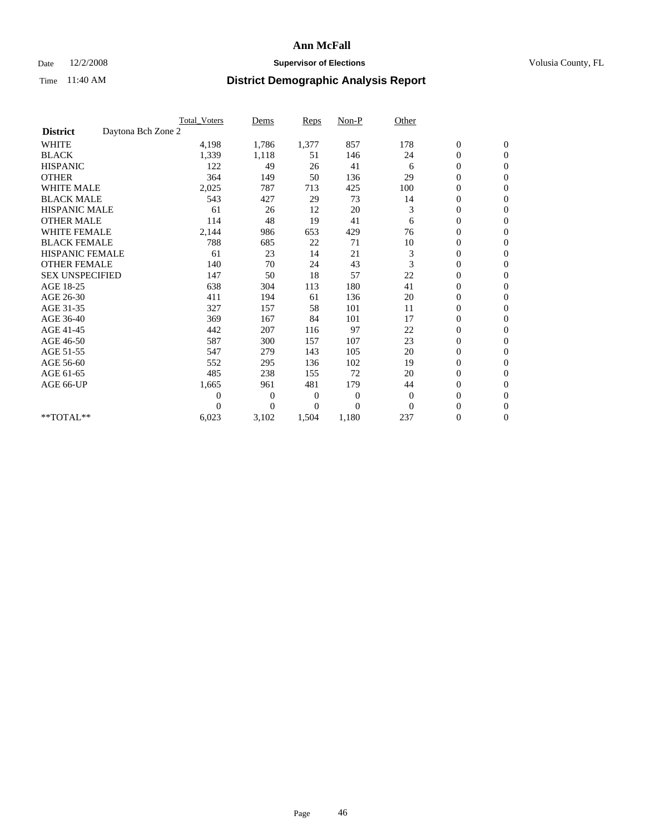### Date  $12/2/2008$  **Supervisor of Elections** Volusia County, FL

|                        | <b>Total Voters</b> | Dems           | <b>Reps</b>  | $Non-P$        | Other        |                  |                |  |
|------------------------|---------------------|----------------|--------------|----------------|--------------|------------------|----------------|--|
| <b>District</b>        | Daytona Bch Zone 2  |                |              |                |              |                  |                |  |
| <b>WHITE</b>           | 4,198               | 1,786          | 1,377        | 857            | 178          | $\boldsymbol{0}$ | $\mathbf{0}$   |  |
| <b>BLACK</b>           | 1,339               | 1,118          | 51           | 146            | 24           | $\boldsymbol{0}$ | $\mathbf{0}$   |  |
| <b>HISPANIC</b>        | 122                 | 49             | 26           | 41             | 6            | $\overline{0}$   | $\mathbf{0}$   |  |
| <b>OTHER</b>           | 364                 | 149            | 50           | 136            | 29           | $\overline{0}$   | $\mathbf{0}$   |  |
| <b>WHITE MALE</b>      | 2,025               | 787            | 713          | 425            | 100          | $\boldsymbol{0}$ | $\mathbf{0}$   |  |
| <b>BLACK MALE</b>      | 543                 | 427            | 29           | 73             | 14           | $\boldsymbol{0}$ | $\mathbf{0}$   |  |
| <b>HISPANIC MALE</b>   | 61                  | 26             | 12           | 20             | 3            | $\boldsymbol{0}$ | $\mathbf{0}$   |  |
| <b>OTHER MALE</b>      | 114                 | 48             | 19           | 41             | 6            | 0                | $\mathbf{0}$   |  |
| <b>WHITE FEMALE</b>    | 2,144               | 986            | 653          | 429            | 76           | $\overline{0}$   | $\mathbf{0}$   |  |
| <b>BLACK FEMALE</b>    | 788                 | 685            | 22           | 71             | 10           | $\boldsymbol{0}$ | $\mathbf{0}$   |  |
| <b>HISPANIC FEMALE</b> | 61                  | 23             | 14           | 21             | 3            | $\boldsymbol{0}$ | $\mathbf{0}$   |  |
| <b>OTHER FEMALE</b>    | 140                 | 70             | 24           | 43             | 3            | $\overline{0}$   | $\Omega$       |  |
| <b>SEX UNSPECIFIED</b> | 147                 | 50             | 18           | 57             | 22           | $\overline{0}$   | $\mathbf{0}$   |  |
| AGE 18-25              | 638                 | 304            | 113          | 180            | 41           | $\boldsymbol{0}$ | $\mathbf{0}$   |  |
| AGE 26-30              | 411                 | 194            | 61           | 136            | 20           | $\overline{0}$   | $\mathbf{0}$   |  |
| AGE 31-35              | 327                 | 157            | 58           | 101            | 11           | $\boldsymbol{0}$ | $\mathbf{0}$   |  |
| AGE 36-40              | 369                 | 167            | 84           | 101            | 17           | $\boldsymbol{0}$ | $\mathbf{0}$   |  |
| AGE 41-45              | 442                 | 207            | 116          | 97             | 22           | $\overline{0}$   | $\mathbf{0}$   |  |
| AGE 46-50              | 587                 | 300            | 157          | 107            | 23           | $\mathbf{0}$     | $\mathbf{0}$   |  |
| AGE 51-55              | 547                 | 279            | 143          | 105            | 20           | $\boldsymbol{0}$ | $\mathbf{0}$   |  |
| AGE 56-60              | 552                 | 295            | 136          | 102            | 19           | $\boldsymbol{0}$ | $\mathbf{0}$   |  |
| AGE 61-65              | 485                 | 238            | 155          | 72             | 20           | $\boldsymbol{0}$ | $\overline{0}$ |  |
| AGE 66-UP              | 1,665               | 961            | 481          | 179            | 44           | $\overline{0}$   | $\mathbf{0}$   |  |
|                        | $\boldsymbol{0}$    | 0              | $\mathbf{0}$ | 0              | $\theta$     | $\boldsymbol{0}$ | $\Omega$       |  |
|                        | $\Omega$            | $\overline{0}$ | $\Omega$     | $\overline{0}$ | $\mathbf{0}$ | $\overline{0}$   | $\overline{0}$ |  |
| **TOTAL**              | 6,023               | 3,102          | 1,504        | 1,180          | 237          | $\boldsymbol{0}$ | $\mathbf{0}$   |  |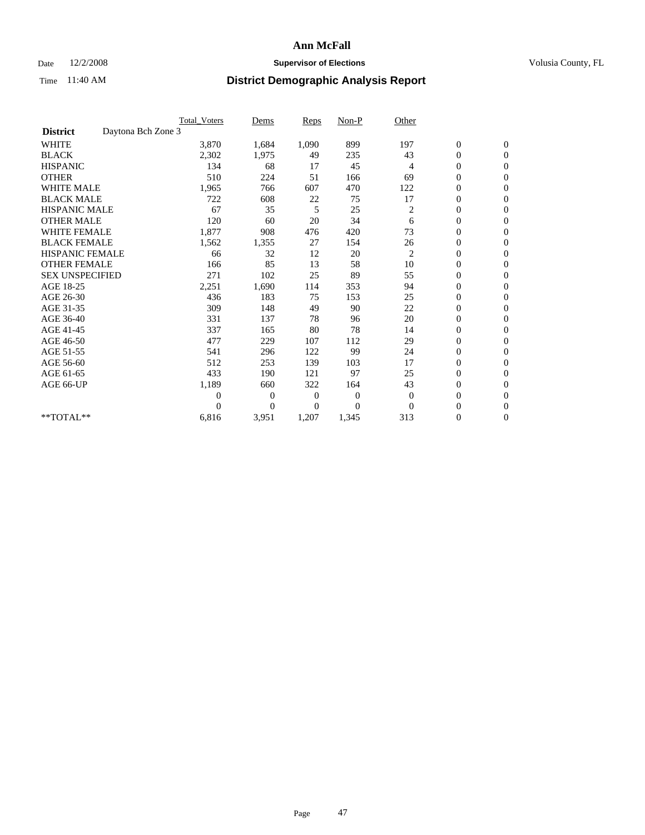### Date  $12/2/2008$  **Supervisor of Elections** Volusia County, FL

|                        | <b>Total Voters</b> | Dems           | <b>Reps</b>    | $Non-P$        | Other        |                  |                |  |
|------------------------|---------------------|----------------|----------------|----------------|--------------|------------------|----------------|--|
| <b>District</b>        | Daytona Bch Zone 3  |                |                |                |              |                  |                |  |
| <b>WHITE</b>           | 3,870               | 1,684          | 1,090          | 899            | 197          | $\boldsymbol{0}$ | $\mathbf{0}$   |  |
| <b>BLACK</b>           | 2,302               | 1,975          | 49             | 235            | 43           | $\boldsymbol{0}$ | $\mathbf{0}$   |  |
| <b>HISPANIC</b>        | 134                 | 68             | 17             | 45             | 4            | $\overline{0}$   | $\mathbf{0}$   |  |
| <b>OTHER</b>           | 510                 | 224            | 51             | 166            | 69           | $\overline{0}$   | $\mathbf{0}$   |  |
| <b>WHITE MALE</b>      | 1,965               | 766            | 607            | 470            | 122          | $\boldsymbol{0}$ | $\mathbf{0}$   |  |
| <b>BLACK MALE</b>      | 722                 | 608            | 22             | 75             | 17           | $\boldsymbol{0}$ | $\mathbf{0}$   |  |
| <b>HISPANIC MALE</b>   | 67                  | 35             | 5              | 25             | 2            | $\boldsymbol{0}$ | $\mathbf{0}$   |  |
| <b>OTHER MALE</b>      | 120                 | 60             | 20             | 34             | 6            | $\boldsymbol{0}$ | $\mathbf{0}$   |  |
| <b>WHITE FEMALE</b>    | 1,877               | 908            | 476            | 420            | 73           | $\mathbf{0}$     | $\mathbf{0}$   |  |
| <b>BLACK FEMALE</b>    | 1,562               | 1,355          | 27             | 154            | 26           | $\boldsymbol{0}$ | $\mathbf{0}$   |  |
| <b>HISPANIC FEMALE</b> | 66                  | 32             | 12             | 20             | 2            | $\boldsymbol{0}$ | $\mathbf{0}$   |  |
| <b>OTHER FEMALE</b>    | 166                 | 85             | 13             | 58             | 10           | $\overline{0}$   | $\Omega$       |  |
| <b>SEX UNSPECIFIED</b> | 271                 | 102            | 25             | 89             | 55           | $\mathbf{0}$     | $\mathbf{0}$   |  |
| AGE 18-25              | 2,251               | 1,690          | 114            | 353            | 94           | $\boldsymbol{0}$ | $\mathbf{0}$   |  |
| AGE 26-30              | 436                 | 183            | 75             | 153            | 25           | $\overline{0}$   | $\mathbf{0}$   |  |
| AGE 31-35              | 309                 | 148            | 49             | 90             | 22           | $\boldsymbol{0}$ | $\mathbf{0}$   |  |
| AGE 36-40              | 331                 | 137            | 78             | 96             | 20           | $\boldsymbol{0}$ | $\mathbf{0}$   |  |
| AGE 41-45              | 337                 | 165            | 80             | 78             | 14           | $\overline{0}$   | $\mathbf{0}$   |  |
| AGE 46-50              | 477                 | 229            | 107            | 112            | 29           | $\mathbf{0}$     | $\mathbf{0}$   |  |
| AGE 51-55              | 541                 | 296            | 122            | 99             | 24           | $\boldsymbol{0}$ | $\mathbf{0}$   |  |
| AGE 56-60              | 512                 | 253            | 139            | 103            | 17           | $\boldsymbol{0}$ | $\Omega$       |  |
| AGE 61-65              | 433                 | 190            | 121            | 97             | 25           | $\boldsymbol{0}$ | $\overline{0}$ |  |
| AGE 66-UP              | 1,189               | 660            | 322            | 164            | 43           | $\boldsymbol{0}$ | $\mathbf{0}$   |  |
|                        | $\theta$            | 0              | $\overline{0}$ | $\overline{0}$ | $\mathbf{0}$ | $\boldsymbol{0}$ | $\Omega$       |  |
|                        | $\Omega$            | $\overline{0}$ | 0              | $\theta$       | $\Omega$     | $\overline{0}$   | $\overline{0}$ |  |
| **TOTAL**              | 6,816               | 3,951          | 1,207          | 1,345          | 313          | 0                | $\mathbf{0}$   |  |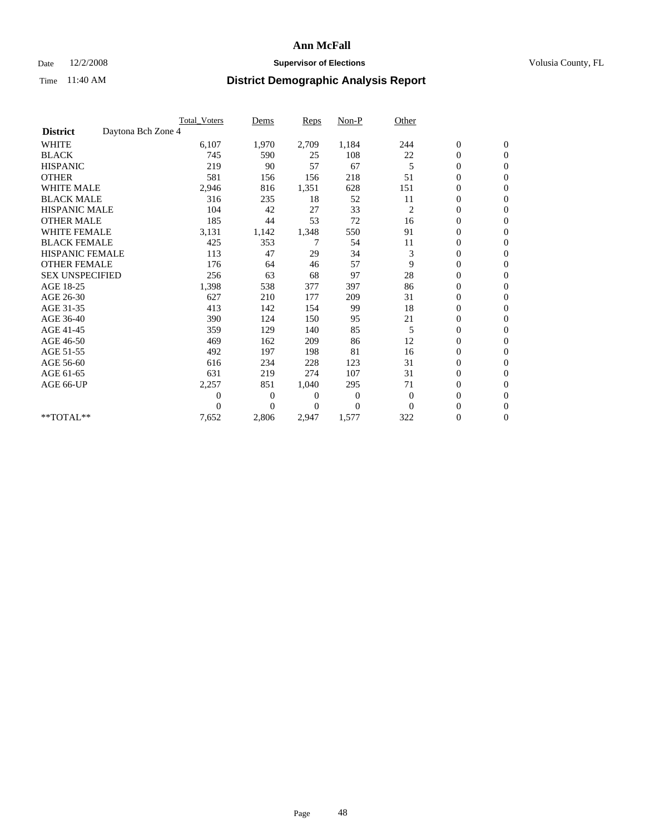### Date  $12/2/2008$  **Supervisor of Elections** Volusia County, FL

|                        |                    | Total Voters | Dems           | <b>Reps</b> | Non-P        | Other          |                  |                  |  |
|------------------------|--------------------|--------------|----------------|-------------|--------------|----------------|------------------|------------------|--|
| <b>District</b>        | Daytona Bch Zone 4 |              |                |             |              |                |                  |                  |  |
| <b>WHITE</b>           |                    | 6,107        | 1,970          | 2,709       | 1,184        | 244            | $\boldsymbol{0}$ | $\boldsymbol{0}$ |  |
| <b>BLACK</b>           |                    | 745          | 590            | 25          | 108          | 22             | $\boldsymbol{0}$ | $\mathbf{0}$     |  |
| <b>HISPANIC</b>        |                    | 219          | 90             | 57          | 67           | 5              | $\overline{0}$   | $\mathbf{0}$     |  |
| <b>OTHER</b>           |                    | 581          | 156            | 156         | 218          | 51             | $\boldsymbol{0}$ | $\Omega$         |  |
| <b>WHITE MALE</b>      |                    | 2,946        | 816            | 1,351       | 628          | 151            | $\overline{0}$   | $\mathbf{0}$     |  |
| <b>BLACK MALE</b>      |                    | 316          | 235            | 18          | 52           | 11             | $\boldsymbol{0}$ | $\mathbf{0}$     |  |
| <b>HISPANIC MALE</b>   |                    | 104          | 42             | 27          | 33           | $\overline{c}$ | $\boldsymbol{0}$ | $\overline{0}$   |  |
| <b>OTHER MALE</b>      |                    | 185          | 44             | 53          | 72           | 16             | 0                | $\mathbf{0}$     |  |
| <b>WHITE FEMALE</b>    |                    | 3,131        | 1,142          | 1,348       | 550          | 91             | $\overline{0}$   | $\mathbf{0}$     |  |
| <b>BLACK FEMALE</b>    |                    | 425          | 353            | 7           | 54           | 11             | $\boldsymbol{0}$ | $\mathbf{0}$     |  |
| <b>HISPANIC FEMALE</b> |                    | 113          | 47             | 29          | 34           | 3              | $\boldsymbol{0}$ | $\mathbf{0}$     |  |
| <b>OTHER FEMALE</b>    |                    | 176          | 64             | 46          | 57           | 9              | $\mathbf{0}$     | $\mathbf{0}$     |  |
| <b>SEX UNSPECIFIED</b> |                    | 256          | 63             | 68          | 97           | 28             | $\overline{0}$   | $\mathbf{0}$     |  |
| AGE 18-25              |                    | 1,398        | 538            | 377         | 397          | 86             | $\overline{0}$   | $\mathbf{0}$     |  |
| AGE 26-30              |                    | 627          | 210            | 177         | 209          | 31             | $\overline{0}$   | $\mathbf{0}$     |  |
| AGE 31-35              |                    | 413          | 142            | 154         | 99           | 18             | $\boldsymbol{0}$ | $\mathbf{0}$     |  |
| AGE 36-40              |                    | 390          | 124            | 150         | 95           | 21             | $\boldsymbol{0}$ | $\mathbf{0}$     |  |
| AGE 41-45              |                    | 359          | 129            | 140         | 85           | 5              | $\overline{0}$   | $\mathbf{0}$     |  |
| AGE 46-50              |                    | 469          | 162            | 209         | 86           | 12             | $\boldsymbol{0}$ | $\mathbf{0}$     |  |
| AGE 51-55              |                    | 492          | 197            | 198         | 81           | 16             | $\boldsymbol{0}$ | $\mathbf{0}$     |  |
| AGE 56-60              |                    | 616          | 234            | 228         | 123          | 31             | $\overline{0}$   | $\Omega$         |  |
| AGE 61-65              |                    | 631          | 219            | 274         | 107          | 31             | $\overline{0}$   | $\mathbf{0}$     |  |
| AGE 66-UP              |                    | 2,257        | 851            | 1,040       | 295          | 71             | $\boldsymbol{0}$ | $\mathbf{0}$     |  |
|                        |                    | 0            | $\overline{0}$ | 0           | $\mathbf{0}$ | $\mathbf{0}$   | $\overline{0}$   | $\mathbf{0}$     |  |
|                        |                    | $\theta$     | $\theta$       | $\Omega$    | $\Omega$     | $\Omega$       | $\boldsymbol{0}$ | $\mathbf{0}$     |  |
| **TOTAL**              |                    | 7,652        | 2,806          | 2,947       | 1,577        | 322            | 0                | $\mathbf{0}$     |  |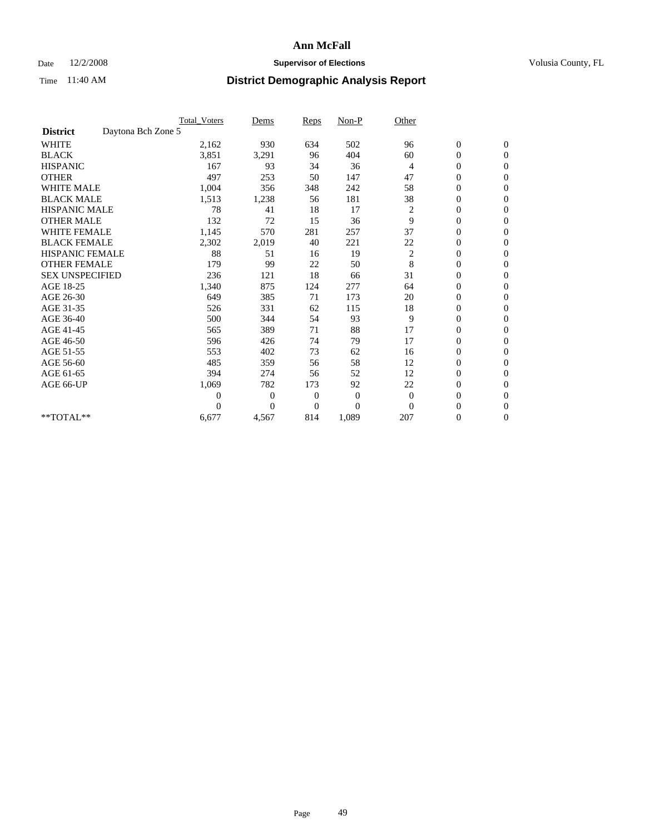### Date  $12/2/2008$  **Supervisor of Elections** Volusia County, FL

|                        |                    | <b>Total Voters</b> | Dems           | <b>Reps</b>    | $Non-P$          | Other          |                  |                |  |
|------------------------|--------------------|---------------------|----------------|----------------|------------------|----------------|------------------|----------------|--|
| <b>District</b>        | Daytona Bch Zone 5 |                     |                |                |                  |                |                  |                |  |
| <b>WHITE</b>           |                    | 2,162               | 930            | 634            | 502              | 96             | $\boldsymbol{0}$ | $\mathbf{0}$   |  |
| <b>BLACK</b>           |                    | 3,851               | 3,291          | 96             | 404              | 60             | $\boldsymbol{0}$ | $\mathbf{0}$   |  |
| <b>HISPANIC</b>        |                    | 167                 | 93             | 34             | 36               | $\overline{4}$ | $\overline{0}$   | $\mathbf{0}$   |  |
| <b>OTHER</b>           |                    | 497                 | 253            | 50             | 147              | 47             | $\overline{0}$   | $\mathbf{0}$   |  |
| <b>WHITE MALE</b>      |                    | 1,004               | 356            | 348            | 242              | 58             | $\boldsymbol{0}$ | $\mathbf{0}$   |  |
| <b>BLACK MALE</b>      |                    | 1,513               | 1,238          | 56             | 181              | 38             | $\boldsymbol{0}$ | $\mathbf{0}$   |  |
| <b>HISPANIC MALE</b>   |                    | 78                  | 41             | 18             | 17               | 2              | $\boldsymbol{0}$ | $\mathbf{0}$   |  |
| <b>OTHER MALE</b>      |                    | 132                 | 72             | 15             | 36               | 9              | $\overline{0}$   | $\mathbf{0}$   |  |
| <b>WHITE FEMALE</b>    |                    | 1,145               | 570            | 281            | 257              | 37             | $\overline{0}$   | $\mathbf{0}$   |  |
| <b>BLACK FEMALE</b>    |                    | 2,302               | 2,019          | 40             | 221              | 22             | $\boldsymbol{0}$ | $\mathbf{0}$   |  |
| <b>HISPANIC FEMALE</b> |                    | 88                  | 51             | 16             | 19               | 2              | $\boldsymbol{0}$ | $\mathbf{0}$   |  |
| <b>OTHER FEMALE</b>    |                    | 179                 | 99             | 22             | 50               | 8              | $\overline{0}$   | $\Omega$       |  |
| <b>SEX UNSPECIFIED</b> |                    | 236                 | 121            | 18             | 66               | 31             | $\overline{0}$   | $\mathbf{0}$   |  |
| AGE 18-25              |                    | 1,340               | 875            | 124            | 277              | 64             | 0                | $\mathbf{0}$   |  |
| AGE 26-30              |                    | 649                 | 385            | 71             | 173              | 20             | $\overline{0}$   | $\mathbf{0}$   |  |
| AGE 31-35              |                    | 526                 | 331            | 62             | 115              | 18             | $\boldsymbol{0}$ | $\mathbf{0}$   |  |
| AGE 36-40              |                    | 500                 | 344            | 54             | 93               | 9              | $\boldsymbol{0}$ | $\mathbf{0}$   |  |
| AGE 41-45              |                    | 565                 | 389            | 71             | 88               | 17             | $\overline{0}$   | $\mathbf{0}$   |  |
| AGE 46-50              |                    | 596                 | 426            | 74             | 79               | 17             | $\mathbf{0}$     | $\mathbf{0}$   |  |
| AGE 51-55              |                    | 553                 | 402            | 73             | 62               | 16             | $\boldsymbol{0}$ | $\mathbf{0}$   |  |
| AGE 56-60              |                    | 485                 | 359            | 56             | 58               | 12             | $\boldsymbol{0}$ | $\Omega$       |  |
| AGE 61-65              |                    | 394                 | 274            | 56             | 52               | 12             | $\boldsymbol{0}$ | $\overline{0}$ |  |
| AGE 66-UP              |                    | 1,069               | 782            | 173            | 92               | 22             | $\boldsymbol{0}$ | $\mathbf{0}$   |  |
|                        |                    | $\theta$            | 0              | $\mathbf{0}$   | $\boldsymbol{0}$ | $\theta$       | $\overline{0}$   | $\Omega$       |  |
|                        |                    | $\theta$            | $\overline{0}$ | $\overline{0}$ | $\overline{0}$   | $\mathbf{0}$   | $\overline{0}$   | $\overline{0}$ |  |
| **TOTAL**              |                    | 6,677               | 4,567          | 814            | 1,089            | 207            | $\boldsymbol{0}$ | $\mathbf{0}$   |  |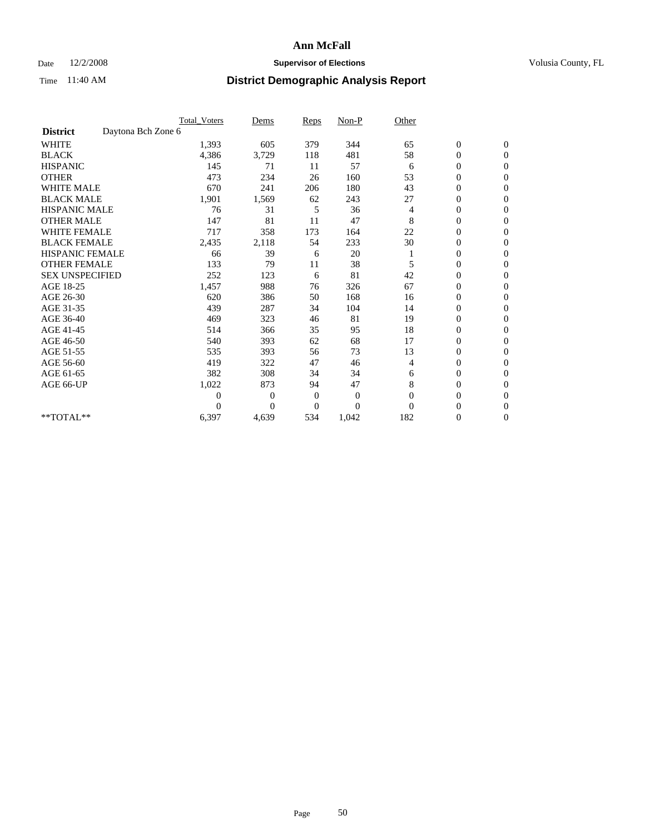### Date  $12/2/2008$  **Supervisor of Elections** Volusia County, FL

|                        |                    | <b>Total_Voters</b> | Dems           | <b>Reps</b>    | $Non-P$      | Other    |                  |                |  |
|------------------------|--------------------|---------------------|----------------|----------------|--------------|----------|------------------|----------------|--|
| <b>District</b>        | Daytona Bch Zone 6 |                     |                |                |              |          |                  |                |  |
| <b>WHITE</b>           |                    | 1,393               | 605            | 379            | 344          | 65       | $\boldsymbol{0}$ | $\mathbf{0}$   |  |
| <b>BLACK</b>           |                    | 4,386               | 3,729          | 118            | 481          | 58       | $\boldsymbol{0}$ | $\mathbf{0}$   |  |
| <b>HISPANIC</b>        |                    | 145                 | 71             | 11             | 57           | 6        | $\overline{0}$   | $\mathbf{0}$   |  |
| <b>OTHER</b>           |                    | 473                 | 234            | 26             | 160          | 53       | $\overline{0}$   | $\mathbf{0}$   |  |
| <b>WHITE MALE</b>      |                    | 670                 | 241            | 206            | 180          | 43       | $\boldsymbol{0}$ | $\mathbf{0}$   |  |
| <b>BLACK MALE</b>      |                    | 1,901               | 1,569          | 62             | 243          | 27       | $\boldsymbol{0}$ | $\mathbf{0}$   |  |
| <b>HISPANIC MALE</b>   |                    | 76                  | 31             | 5              | 36           | 4        | $\boldsymbol{0}$ | $\Omega$       |  |
| <b>OTHER MALE</b>      |                    | 147                 | 81             | 11             | 47           | 8        | 0                | $\mathbf{0}$   |  |
| <b>WHITE FEMALE</b>    |                    | 717                 | 358            | 173            | 164          | 22       | $\overline{0}$   | $\Omega$       |  |
| <b>BLACK FEMALE</b>    |                    | 2,435               | 2,118          | 54             | 233          | 30       | $\boldsymbol{0}$ | $\overline{0}$ |  |
| <b>HISPANIC FEMALE</b> |                    | 66                  | 39             | 6              | 20           |          | $\boldsymbol{0}$ | $\mathbf{0}$   |  |
| <b>OTHER FEMALE</b>    |                    | 133                 | 79             | 11             | 38           | 5        | $\overline{0}$   | $\Omega$       |  |
| <b>SEX UNSPECIFIED</b> |                    | 252                 | 123            | 6              | 81           | 42       | $\overline{0}$   | $\overline{0}$ |  |
| AGE 18-25              |                    | 1,457               | 988            | 76             | 326          | 67       | $\overline{0}$   | $\mathbf{0}$   |  |
| AGE 26-30              |                    | 620                 | 386            | 50             | 168          | 16       | $\overline{0}$   | $\mathbf{0}$   |  |
| AGE 31-35              |                    | 439                 | 287            | 34             | 104          | 14       | $\boldsymbol{0}$ | $\overline{0}$ |  |
| AGE 36-40              |                    | 469                 | 323            | 46             | 81           | 19       | 0                | $\mathbf{0}$   |  |
| AGE 41-45              |                    | 514                 | 366            | 35             | 95           | 18       | $\overline{0}$   | $\mathbf{0}$   |  |
| AGE 46-50              |                    | 540                 | 393            | 62             | 68           | 17       | $\overline{0}$   | $\mathbf{0}$   |  |
| AGE 51-55              |                    | 535                 | 393            | 56             | 73           | 13       | $\boldsymbol{0}$ | $\mathbf{0}$   |  |
| AGE 56-60              |                    | 419                 | 322            | 47             | 46           | 4        | $\overline{0}$   | $\Omega$       |  |
| AGE 61-65              |                    | 382                 | 308            | 34             | 34           | 6        | $\boldsymbol{0}$ | $\mathbf{0}$   |  |
| AGE 66-UP              |                    | 1,022               | 873            | 94             | 47           | 8        | $\overline{0}$   | $\mathbf{0}$   |  |
|                        |                    | $\theta$            | $\overline{0}$ | $\mathbf{0}$   | $\mathbf{0}$ | $\Omega$ | 0                | $\Omega$       |  |
|                        |                    | $\Omega$            | $\overline{0}$ | $\overline{0}$ | $\theta$     | $\Omega$ | $\overline{0}$   | $\overline{0}$ |  |
| **TOTAL**              |                    | 6,397               | 4,639          | 534            | 1,042        | 182      | 0                | $\mathbf{0}$   |  |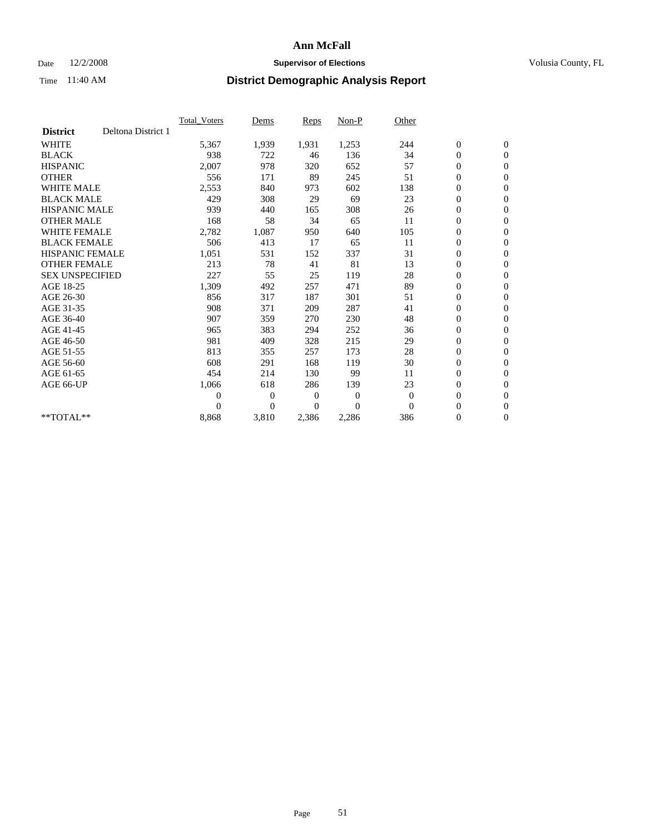### Date  $12/2/2008$  **Supervisor of Elections** Volusia County, FL

|                        |                    | Total Voters   | Dems           | <b>Reps</b> | Non-P        | Other    |                  |                  |  |
|------------------------|--------------------|----------------|----------------|-------------|--------------|----------|------------------|------------------|--|
| <b>District</b>        | Deltona District 1 |                |                |             |              |          |                  |                  |  |
| <b>WHITE</b>           |                    | 5,367          | 1,939          | 1,931       | 1,253        | 244      | $\boldsymbol{0}$ | $\boldsymbol{0}$ |  |
| <b>BLACK</b>           |                    | 938            | 722            | 46          | 136          | 34       | $\boldsymbol{0}$ | $\mathbf{0}$     |  |
| <b>HISPANIC</b>        |                    | 2,007          | 978            | 320         | 652          | 57       | $\overline{0}$   | $\mathbf{0}$     |  |
| <b>OTHER</b>           |                    | 556            | 171            | 89          | 245          | 51       | $\boldsymbol{0}$ | $\mathbf{0}$     |  |
| <b>WHITE MALE</b>      |                    | 2,553          | 840            | 973         | 602          | 138      | $\boldsymbol{0}$ | $\mathbf{0}$     |  |
| <b>BLACK MALE</b>      |                    | 429            | 308            | 29          | 69           | 23       | $\boldsymbol{0}$ | $\mathbf{0}$     |  |
| <b>HISPANIC MALE</b>   |                    | 939            | 440            | 165         | 308          | 26       | $\boldsymbol{0}$ | $\mathbf{0}$     |  |
| <b>OTHER MALE</b>      |                    | 168            | 58             | 34          | 65           | 11       | $\boldsymbol{0}$ | $\mathbf{0}$     |  |
| <b>WHITE FEMALE</b>    |                    | 2,782          | 1,087          | 950         | 640          | 105      | $\overline{0}$   | $\mathbf{0}$     |  |
| <b>BLACK FEMALE</b>    |                    | 506            | 413            | 17          | 65           | 11       | $\boldsymbol{0}$ | $\mathbf{0}$     |  |
| <b>HISPANIC FEMALE</b> |                    | 1,051          | 531            | 152         | 337          | 31       | $\boldsymbol{0}$ | $\mathbf{0}$     |  |
| <b>OTHER FEMALE</b>    |                    | 213            | 78             | 41          | 81           | 13       | $\mathbf{0}$     | $\mathbf{0}$     |  |
| <b>SEX UNSPECIFIED</b> |                    | 227            | 55             | 25          | 119          | 28       | $\boldsymbol{0}$ | $\mathbf{0}$     |  |
| AGE 18-25              |                    | 1,309          | 492            | 257         | 471          | 89       | $\boldsymbol{0}$ | $\mathbf{0}$     |  |
| AGE 26-30              |                    | 856            | 317            | 187         | 301          | 51       | $\overline{0}$   | $\mathbf{0}$     |  |
| AGE 31-35              |                    | 908            | 371            | 209         | 287          | 41       | $\boldsymbol{0}$ | $\boldsymbol{0}$ |  |
| AGE 36-40              |                    | 907            | 359            | 270         | 230          | 48       | $\boldsymbol{0}$ | $\mathbf{0}$     |  |
| AGE 41-45              |                    | 965            | 383            | 294         | 252          | 36       | $\overline{0}$   | $\mathbf{0}$     |  |
| AGE 46-50              |                    | 981            | 409            | 328         | 215          | 29       | $\boldsymbol{0}$ | $\mathbf{0}$     |  |
| AGE 51-55              |                    | 813            | 355            | 257         | 173          | 28       | $\boldsymbol{0}$ | $\mathbf{0}$     |  |
| AGE 56-60              |                    | 608            | 291            | 168         | 119          | 30       | $\boldsymbol{0}$ | $\mathbf{0}$     |  |
| AGE 61-65              |                    | 454            | 214            | 130         | 99           | 11       | $\overline{0}$   | $\mathbf{0}$     |  |
| AGE 66-UP              |                    | 1,066          | 618            | 286         | 139          | 23       | $\boldsymbol{0}$ | $\mathbf{0}$     |  |
|                        |                    | $\overline{0}$ | $\overline{0}$ | 0           | $\mathbf{0}$ | $\theta$ | $\overline{0}$   | $\mathbf{0}$     |  |
|                        |                    | $\theta$       | $\overline{0}$ | $\Omega$    | $\theta$     | $\Omega$ | $\boldsymbol{0}$ | $\mathbf{0}$     |  |
| $*$ TOTAL $**$         |                    | 8,868          | 3,810          | 2,386       | 2,286        | 386      | 0                | $\mathbf{0}$     |  |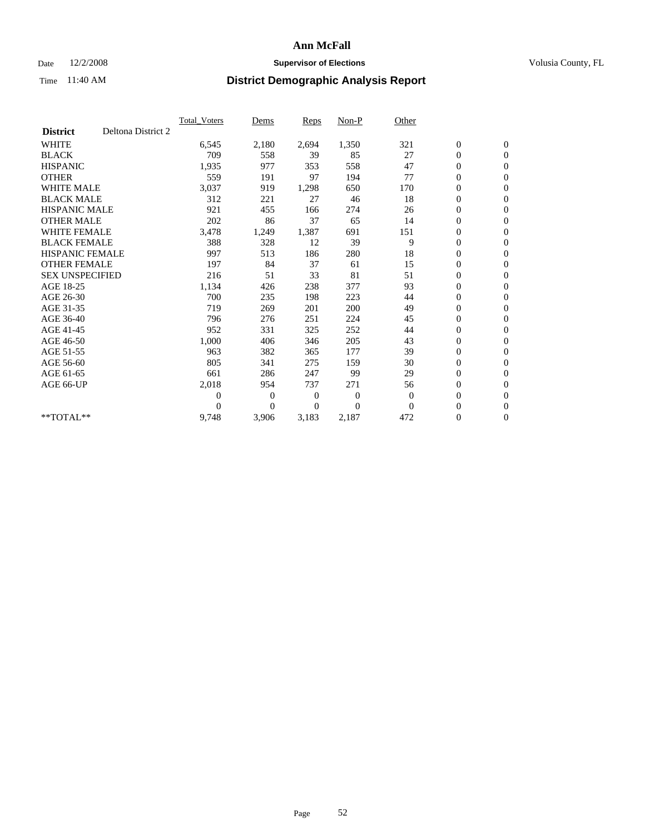### Date  $12/2/2008$  **Supervisor of Elections** Volusia County, FL

|                        |                    | <b>Total Voters</b> | Dems           | <b>Reps</b> | Non-P          | Other        |                  |                  |  |
|------------------------|--------------------|---------------------|----------------|-------------|----------------|--------------|------------------|------------------|--|
| <b>District</b>        | Deltona District 2 |                     |                |             |                |              |                  |                  |  |
| <b>WHITE</b>           |                    | 6,545               | 2,180          | 2,694       | 1,350          | 321          | $\boldsymbol{0}$ | $\boldsymbol{0}$ |  |
| <b>BLACK</b>           |                    | 709                 | 558            | 39          | 85             | 27           | $\boldsymbol{0}$ | $\mathbf{0}$     |  |
| <b>HISPANIC</b>        |                    | 1,935               | 977            | 353         | 558            | 47           | $\overline{0}$   | $\mathbf{0}$     |  |
| <b>OTHER</b>           |                    | 559                 | 191            | 97          | 194            | 77           | $\boldsymbol{0}$ | $\mathbf{0}$     |  |
| <b>WHITE MALE</b>      |                    | 3,037               | 919            | 1,298       | 650            | 170          | $\boldsymbol{0}$ | $\mathbf{0}$     |  |
| <b>BLACK MALE</b>      |                    | 312                 | 221            | 27          | 46             | 18           | $\boldsymbol{0}$ | $\mathbf{0}$     |  |
| <b>HISPANIC MALE</b>   |                    | 921                 | 455            | 166         | 274            | 26           | $\boldsymbol{0}$ | $\mathbf{0}$     |  |
| <b>OTHER MALE</b>      |                    | 202                 | 86             | 37          | 65             | 14           | 0                | $\mathbf{0}$     |  |
| <b>WHITE FEMALE</b>    |                    | 3,478               | 1,249          | 1,387       | 691            | 151          | $\overline{0}$   | $\mathbf{0}$     |  |
| <b>BLACK FEMALE</b>    |                    | 388                 | 328            | 12          | 39             | 9            | $\boldsymbol{0}$ | $\mathbf{0}$     |  |
| <b>HISPANIC FEMALE</b> |                    | 997                 | 513            | 186         | 280            | 18           | 0                | $\mathbf{0}$     |  |
| <b>OTHER FEMALE</b>    |                    | 197                 | 84             | 37          | 61             | 15           | $\mathbf{0}$     | $\mathbf{0}$     |  |
| <b>SEX UNSPECIFIED</b> |                    | 216                 | 51             | 33          | 81             | 51           | $\boldsymbol{0}$ | $\mathbf{0}$     |  |
| AGE 18-25              |                    | 1,134               | 426            | 238         | 377            | 93           | $\overline{0}$   | $\mathbf{0}$     |  |
| AGE 26-30              |                    | 700                 | 235            | 198         | 223            | 44           | $\overline{0}$   | $\mathbf{0}$     |  |
| AGE 31-35              |                    | 719                 | 269            | 201         | 200            | 49           | $\boldsymbol{0}$ | $\mathbf{0}$     |  |
| AGE 36-40              |                    | 796                 | 276            | 251         | 224            | 45           | $\boldsymbol{0}$ | $\mathbf{0}$     |  |
| AGE 41-45              |                    | 952                 | 331            | 325         | 252            | 44           | $\overline{0}$   | $\mathbf{0}$     |  |
| AGE 46-50              |                    | 1,000               | 406            | 346         | 205            | 43           | $\boldsymbol{0}$ | $\mathbf{0}$     |  |
| AGE 51-55              |                    | 963                 | 382            | 365         | 177            | 39           | $\boldsymbol{0}$ | $\mathbf{0}$     |  |
| AGE 56-60              |                    | 805                 | 341            | 275         | 159            | 30           | $\overline{0}$   | $\mathbf{0}$     |  |
| AGE 61-65              |                    | 661                 | 286            | 247         | 99             | 29           | $\mathbf{0}$     | $\mathbf{0}$     |  |
| AGE 66-UP              |                    | 2,018               | 954            | 737         | 271            | 56           | $\boldsymbol{0}$ | $\mathbf{0}$     |  |
|                        |                    | $\boldsymbol{0}$    | $\overline{0}$ | 0           | $\overline{0}$ | $\mathbf{0}$ | $\overline{0}$   | $\mathbf{0}$     |  |
|                        |                    | $\theta$            | $\theta$       | $\Omega$    | $\theta$       | $\Omega$     | $\boldsymbol{0}$ | $\mathbf{0}$     |  |
| **TOTAL**              |                    | 9,748               | 3,906          | 3,183       | 2,187          | 472          | 0                | $\mathbf{0}$     |  |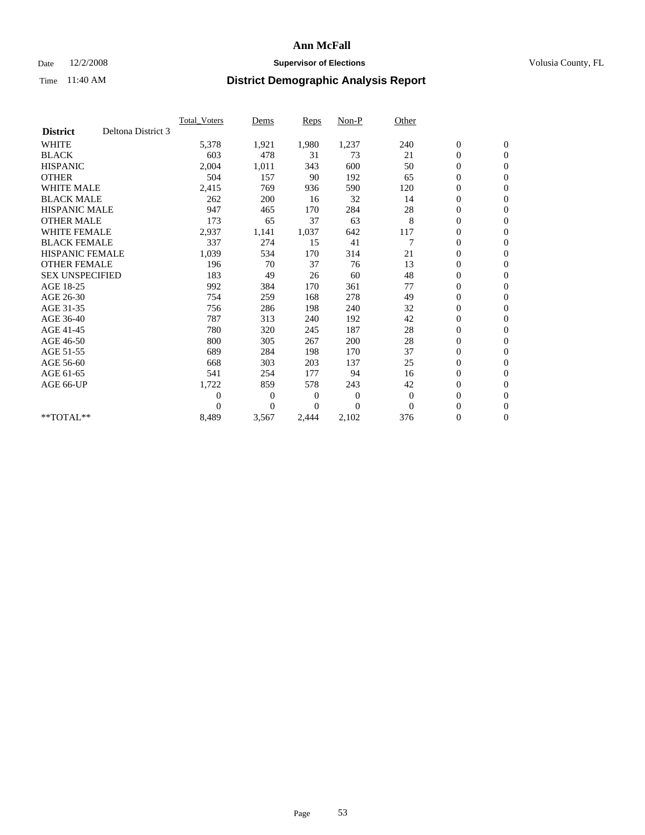### Date  $12/2/2008$  **Supervisor of Elections** Volusia County, FL

|                        |                    | Total Voters   | Dems           | <b>Reps</b> | Non-P        | Other        |                  |                  |  |
|------------------------|--------------------|----------------|----------------|-------------|--------------|--------------|------------------|------------------|--|
| <b>District</b>        | Deltona District 3 |                |                |             |              |              |                  |                  |  |
| <b>WHITE</b>           |                    | 5,378          | 1,921          | 1,980       | 1,237        | 240          | $\boldsymbol{0}$ | $\boldsymbol{0}$ |  |
| <b>BLACK</b>           |                    | 603            | 478            | 31          | 73           | 21           | $\boldsymbol{0}$ | $\mathbf{0}$     |  |
| <b>HISPANIC</b>        |                    | 2,004          | 1,011          | 343         | 600          | 50           | $\overline{0}$   | $\mathbf{0}$     |  |
| <b>OTHER</b>           |                    | 504            | 157            | 90          | 192          | 65           | $\boldsymbol{0}$ | $\mathbf{0}$     |  |
| <b>WHITE MALE</b>      |                    | 2,415          | 769            | 936         | 590          | 120          | $\boldsymbol{0}$ | $\mathbf{0}$     |  |
| <b>BLACK MALE</b>      |                    | 262            | 200            | 16          | 32           | 14           | $\boldsymbol{0}$ | $\mathbf{0}$     |  |
| <b>HISPANIC MALE</b>   |                    | 947            | 465            | 170         | 284          | 28           | $\boldsymbol{0}$ | $\mathbf{0}$     |  |
| <b>OTHER MALE</b>      |                    | 173            | 65             | 37          | 63           | 8            | $\boldsymbol{0}$ | $\mathbf{0}$     |  |
| <b>WHITE FEMALE</b>    |                    | 2,937          | 1,141          | 1,037       | 642          | 117          | $\overline{0}$   | $\mathbf{0}$     |  |
| <b>BLACK FEMALE</b>    |                    | 337            | 274            | 15          | 41           | 7            | $\boldsymbol{0}$ | $\mathbf{0}$     |  |
| <b>HISPANIC FEMALE</b> |                    | 1,039          | 534            | 170         | 314          | 21           | $\boldsymbol{0}$ | $\mathbf{0}$     |  |
| <b>OTHER FEMALE</b>    |                    | 196            | 70             | 37          | 76           | 13           | $\mathbf{0}$     | $\mathbf{0}$     |  |
| <b>SEX UNSPECIFIED</b> |                    | 183            | 49             | 26          | 60           | 48           | $\boldsymbol{0}$ | $\mathbf{0}$     |  |
| AGE 18-25              |                    | 992            | 384            | 170         | 361          | 77           | $\overline{0}$   | $\mathbf{0}$     |  |
| AGE 26-30              |                    | 754            | 259            | 168         | 278          | 49           | $\overline{0}$   | $\mathbf{0}$     |  |
| AGE 31-35              |                    | 756            | 286            | 198         | 240          | 32           | $\boldsymbol{0}$ | $\mathbf{0}$     |  |
| AGE 36-40              |                    | 787            | 313            | 240         | 192          | 42           | 0                | $\mathbf{0}$     |  |
| AGE 41-45              |                    | 780            | 320            | 245         | 187          | 28           | $\overline{0}$   | $\mathbf{0}$     |  |
| AGE 46-50              |                    | 800            | 305            | 267         | 200          | 28           | $\boldsymbol{0}$ | $\mathbf{0}$     |  |
| AGE 51-55              |                    | 689            | 284            | 198         | 170          | 37           | $\boldsymbol{0}$ | $\mathbf{0}$     |  |
| AGE 56-60              |                    | 668            | 303            | 203         | 137          | 25           | $\overline{0}$   | $\Omega$         |  |
| AGE 61-65              |                    | 541            | 254            | 177         | 94           | 16           | $\mathbf{0}$     | $\mathbf{0}$     |  |
| AGE 66-UP              |                    | 1,722          | 859            | 578         | 243          | 42           | $\boldsymbol{0}$ | $\mathbf{0}$     |  |
|                        |                    | $\overline{0}$ | $\overline{0}$ | 0           | $\mathbf{0}$ | $\mathbf{0}$ | $\overline{0}$   | $\mathbf{0}$     |  |
|                        |                    | $\theta$       | $\theta$       | 0           | $\Omega$     | $\Omega$     | $\boldsymbol{0}$ | $\mathbf{0}$     |  |
| **TOTAL**              |                    | 8,489          | 3,567          | 2,444       | 2,102        | 376          | 0                | $\mathbf{0}$     |  |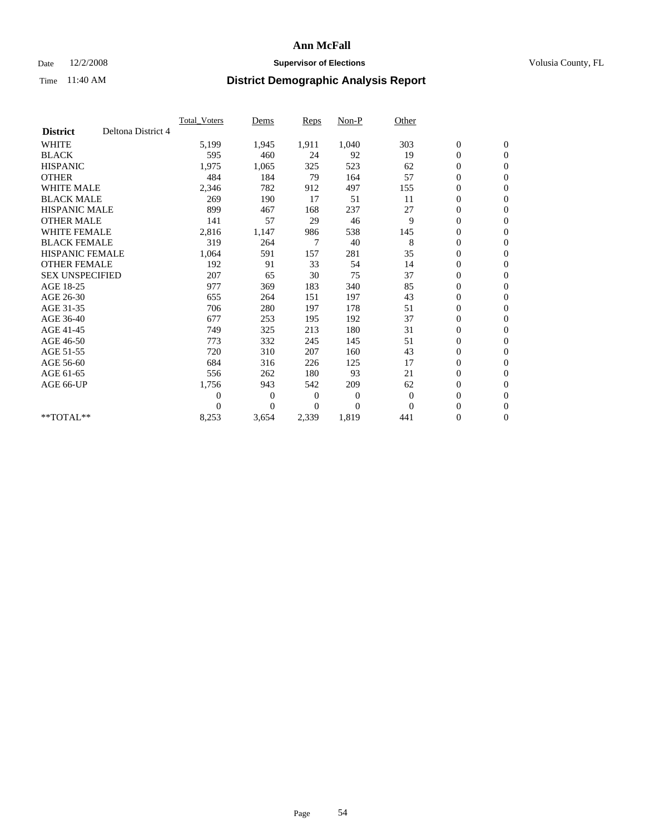### Date  $12/2/2008$  **Supervisor of Elections** Volusia County, FL

|                        |                    | Total Voters   | Dems           | <b>Reps</b> | Non-P    | Other        |                  |                  |  |
|------------------------|--------------------|----------------|----------------|-------------|----------|--------------|------------------|------------------|--|
| <b>District</b>        | Deltona District 4 |                |                |             |          |              |                  |                  |  |
| <b>WHITE</b>           |                    | 5,199          | 1,945          | 1,911       | 1,040    | 303          | $\boldsymbol{0}$ | $\boldsymbol{0}$ |  |
| <b>BLACK</b>           |                    | 595            | 460            | 24          | 92       | 19           | $\boldsymbol{0}$ | $\mathbf{0}$     |  |
| <b>HISPANIC</b>        |                    | 1,975          | 1,065          | 325         | 523      | 62           | $\overline{0}$   | $\mathbf{0}$     |  |
| <b>OTHER</b>           |                    | 484            | 184            | 79          | 164      | 57           | $\boldsymbol{0}$ | $\mathbf{0}$     |  |
| <b>WHITE MALE</b>      |                    | 2,346          | 782            | 912         | 497      | 155          | $\boldsymbol{0}$ | $\mathbf{0}$     |  |
| <b>BLACK MALE</b>      |                    | 269            | 190            | 17          | 51       | 11           | $\boldsymbol{0}$ | $\mathbf{0}$     |  |
| <b>HISPANIC MALE</b>   |                    | 899            | 467            | 168         | 237      | 27           | $\boldsymbol{0}$ | $\mathbf{0}$     |  |
| <b>OTHER MALE</b>      |                    | 141            | 57             | 29          | 46       | 9            | $\boldsymbol{0}$ | $\mathbf{0}$     |  |
| <b>WHITE FEMALE</b>    |                    | 2,816          | 1,147          | 986         | 538      | 145          | $\overline{0}$   | $\mathbf{0}$     |  |
| <b>BLACK FEMALE</b>    |                    | 319            | 264            | 7           | 40       | 8            | $\boldsymbol{0}$ | $\mathbf{0}$     |  |
| <b>HISPANIC FEMALE</b> |                    | 1,064          | 591            | 157         | 281      | 35           | $\boldsymbol{0}$ | $\mathbf{0}$     |  |
| <b>OTHER FEMALE</b>    |                    | 192            | 91             | 33          | 54       | 14           | $\mathbf{0}$     | $\mathbf{0}$     |  |
| <b>SEX UNSPECIFIED</b> |                    | 207            | 65             | 30          | 75       | 37           | $\boldsymbol{0}$ | $\mathbf{0}$     |  |
| AGE 18-25              |                    | 977            | 369            | 183         | 340      | 85           | $\overline{0}$   | $\mathbf{0}$     |  |
| AGE 26-30              |                    | 655            | 264            | 151         | 197      | 43           | $\overline{0}$   | $\mathbf{0}$     |  |
| AGE 31-35              |                    | 706            | 280            | 197         | 178      | 51           | $\boldsymbol{0}$ | $\mathbf{0}$     |  |
| AGE 36-40              |                    | 677            | 253            | 195         | 192      | 37           | $\boldsymbol{0}$ | $\mathbf{0}$     |  |
| AGE 41-45              |                    | 749            | 325            | 213         | 180      | 31           | $\overline{0}$   | $\mathbf{0}$     |  |
| AGE 46-50              |                    | 773            | 332            | 245         | 145      | 51           | $\boldsymbol{0}$ | $\mathbf{0}$     |  |
| AGE 51-55              |                    | 720            | 310            | 207         | 160      | 43           | $\boldsymbol{0}$ | $\mathbf{0}$     |  |
| AGE 56-60              |                    | 684            | 316            | 226         | 125      | 17           | $\boldsymbol{0}$ | $\Omega$         |  |
| AGE 61-65              |                    | 556            | 262            | 180         | 93       | 21           | $\overline{0}$   | $\mathbf{0}$     |  |
| AGE 66-UP              |                    | 1,756          | 943            | 542         | 209      | 62           | $\boldsymbol{0}$ | $\mathbf{0}$     |  |
|                        |                    | $\overline{0}$ | $\overline{0}$ | 0           | 0        | $\mathbf{0}$ | $\overline{0}$   | $\mathbf{0}$     |  |
|                        |                    | $\Omega$       | $\theta$       | $\Omega$    | $\theta$ | $\Omega$     | $\boldsymbol{0}$ | $\mathbf{0}$     |  |
| **TOTAL**              |                    | 8,253          | 3,654          | 2,339       | 1,819    | 441          | 0                | $\mathbf{0}$     |  |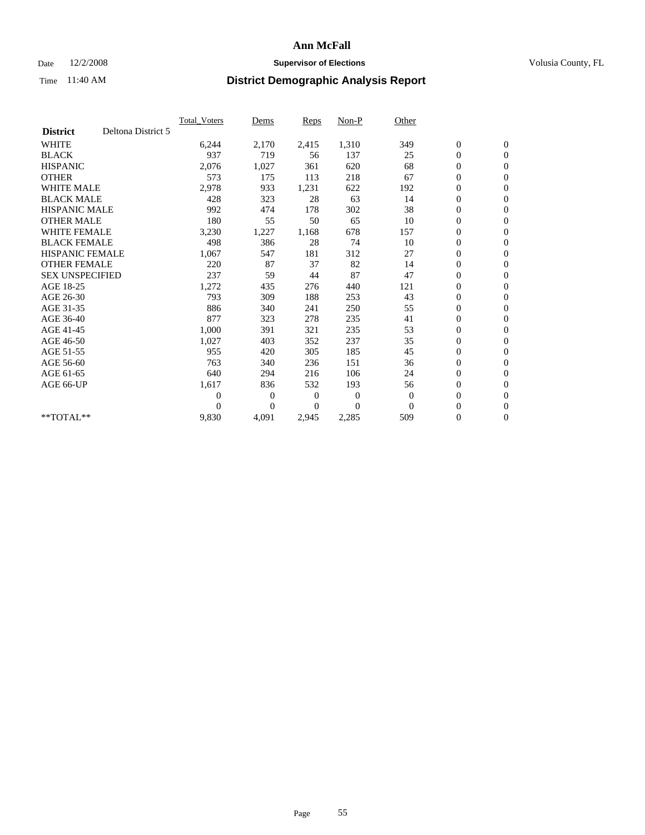### Date  $12/2/2008$  **Supervisor of Elections** Volusia County, FL

|                        |                    | <b>Total Voters</b> | Dems           | <b>Reps</b> | Non-P        | Other        |                  |                  |  |
|------------------------|--------------------|---------------------|----------------|-------------|--------------|--------------|------------------|------------------|--|
| <b>District</b>        | Deltona District 5 |                     |                |             |              |              |                  |                  |  |
| <b>WHITE</b>           |                    | 6,244               | 2,170          | 2,415       | 1,310        | 349          | $\boldsymbol{0}$ | $\boldsymbol{0}$ |  |
| <b>BLACK</b>           |                    | 937                 | 719            | 56          | 137          | 25           | $\boldsymbol{0}$ | $\mathbf{0}$     |  |
| <b>HISPANIC</b>        |                    | 2,076               | 1,027          | 361         | 620          | 68           | $\overline{0}$   | $\mathbf{0}$     |  |
| <b>OTHER</b>           |                    | 573                 | 175            | 113         | 218          | 67           | $\boldsymbol{0}$ | $\mathbf{0}$     |  |
| <b>WHITE MALE</b>      |                    | 2,978               | 933            | 1,231       | 622          | 192          | $\boldsymbol{0}$ | $\mathbf{0}$     |  |
| <b>BLACK MALE</b>      |                    | 428                 | 323            | 28          | 63           | 14           | $\boldsymbol{0}$ | $\mathbf{0}$     |  |
| <b>HISPANIC MALE</b>   |                    | 992                 | 474            | 178         | 302          | 38           | $\boldsymbol{0}$ | $\mathbf{0}$     |  |
| <b>OTHER MALE</b>      |                    | 180                 | 55             | 50          | 65           | 10           | $\boldsymbol{0}$ | $\mathbf{0}$     |  |
| <b>WHITE FEMALE</b>    |                    | 3,230               | 1,227          | 1,168       | 678          | 157          | $\overline{0}$   | $\mathbf{0}$     |  |
| <b>BLACK FEMALE</b>    |                    | 498                 | 386            | 28          | 74           | 10           | $\boldsymbol{0}$ | $\mathbf{0}$     |  |
| <b>HISPANIC FEMALE</b> |                    | 1,067               | 547            | 181         | 312          | 27           | $\boldsymbol{0}$ | $\mathbf{0}$     |  |
| <b>OTHER FEMALE</b>    |                    | 220                 | 87             | 37          | 82           | 14           | $\mathbf{0}$     | $\mathbf{0}$     |  |
| <b>SEX UNSPECIFIED</b> |                    | 237                 | 59             | 44          | 87           | 47           | $\boldsymbol{0}$ | $\mathbf{0}$     |  |
| AGE 18-25              |                    | 1,272               | 435            | 276         | 440          | 121          | $\boldsymbol{0}$ | $\mathbf{0}$     |  |
| AGE 26-30              |                    | 793                 | 309            | 188         | 253          | 43           | $\boldsymbol{0}$ | $\mathbf{0}$     |  |
| AGE 31-35              |                    | 886                 | 340            | 241         | 250          | 55           | $\boldsymbol{0}$ | $\mathbf{0}$     |  |
| AGE 36-40              |                    | 877                 | 323            | 278         | 235          | 41           | $\boldsymbol{0}$ | $\mathbf{0}$     |  |
| AGE 41-45              |                    | 1,000               | 391            | 321         | 235          | 53           | $\overline{0}$   | $\mathbf{0}$     |  |
| AGE 46-50              |                    | 1,027               | 403            | 352         | 237          | 35           | $\boldsymbol{0}$ | $\mathbf{0}$     |  |
| AGE 51-55              |                    | 955                 | 420            | 305         | 185          | 45           | $\boldsymbol{0}$ | $\mathbf{0}$     |  |
| AGE 56-60              |                    | 763                 | 340            | 236         | 151          | 36           | $\boldsymbol{0}$ | $\mathbf{0}$     |  |
| AGE 61-65              |                    | 640                 | 294            | 216         | 106          | 24           | $\mathbf{0}$     | $\mathbf{0}$     |  |
| AGE 66-UP              |                    | 1,617               | 836            | 532         | 193          | 56           | $\boldsymbol{0}$ | $\boldsymbol{0}$ |  |
|                        |                    | $\overline{0}$      | $\overline{0}$ | 0           | $\mathbf{0}$ | $\mathbf{0}$ | $\overline{0}$   | $\mathbf{0}$     |  |
|                        |                    | $\Omega$            | $\overline{0}$ | $\Omega$    | $\Omega$     | $\Omega$     | $\boldsymbol{0}$ | $\boldsymbol{0}$ |  |
| $*$ TOTAL $**$         |                    | 9,830               | 4,091          | 2,945       | 2,285        | 509          | 0                | $\mathbf{0}$     |  |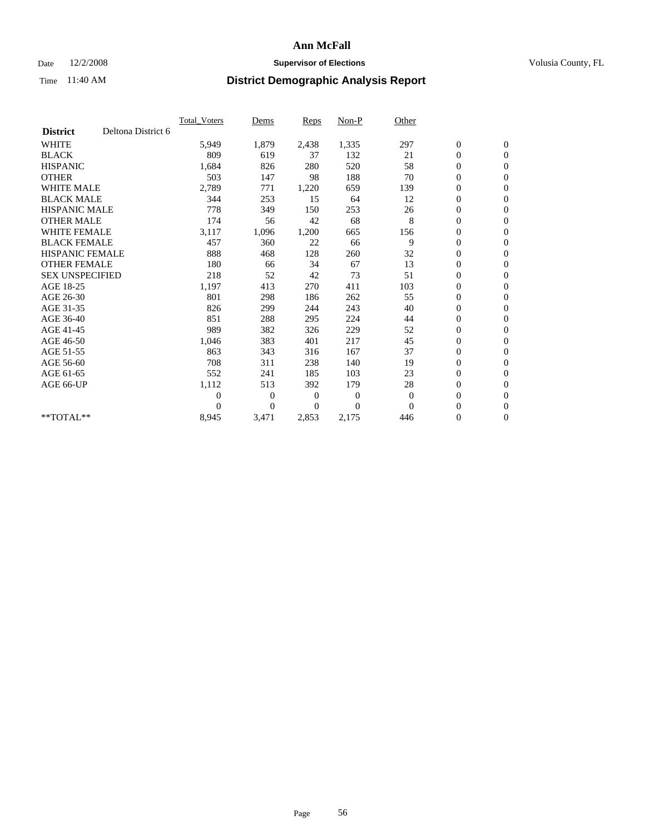### Date  $12/2/2008$  **Supervisor of Elections** Volusia County, FL

|                                       | Total Voters   | Dems           | Reps           | Non-P    | Other        |                  |                  |
|---------------------------------------|----------------|----------------|----------------|----------|--------------|------------------|------------------|
| Deltona District 6<br><b>District</b> |                |                |                |          |              |                  |                  |
| <b>WHITE</b>                          | 5,949          | 1,879          | 2,438          | 1,335    | 297          | $\boldsymbol{0}$ | $\boldsymbol{0}$ |
| <b>BLACK</b>                          | 809            | 619            | 37             | 132      | 21           | $\boldsymbol{0}$ | $\mathbf{0}$     |
| <b>HISPANIC</b>                       | 1,684          | 826            | 280            | 520      | 58           | $\overline{0}$   | $\mathbf{0}$     |
| <b>OTHER</b>                          | 503            | 147            | 98             | 188      | 70           | $\boldsymbol{0}$ | $\mathbf{0}$     |
| <b>WHITE MALE</b>                     | 2,789          | 771            | 1,220          | 659      | 139          | $\boldsymbol{0}$ | $\mathbf{0}$     |
| <b>BLACK MALE</b>                     | 344            | 253            | 15             | 64       | 12           | $\boldsymbol{0}$ | $\mathbf{0}$     |
| <b>HISPANIC MALE</b>                  | 778            | 349            | 150            | 253      | 26           | $\boldsymbol{0}$ | $\mathbf{0}$     |
| <b>OTHER MALE</b>                     | 174            | 56             | 42             | 68       | 8            | $\boldsymbol{0}$ | $\mathbf{0}$     |
| <b>WHITE FEMALE</b>                   | 3,117          | 1,096          | 1,200          | 665      | 156          | $\overline{0}$   | $\mathbf{0}$     |
| <b>BLACK FEMALE</b>                   | 457            | 360            | 22             | 66       | 9            | $\boldsymbol{0}$ | $\mathbf{0}$     |
| <b>HISPANIC FEMALE</b>                | 888            | 468            | 128            | 260      | 32           | $\overline{0}$   | $\mathbf{0}$     |
| <b>OTHER FEMALE</b>                   | 180            | 66             | 34             | 67       | 13           | $\boldsymbol{0}$ | $\mathbf{0}$     |
| <b>SEX UNSPECIFIED</b>                | 218            | 52             | 42             | 73       | 51           | $\boldsymbol{0}$ | $\boldsymbol{0}$ |
| AGE 18-25                             | 1,197          | 413            | 270            | 411      | 103          | $\boldsymbol{0}$ | $\boldsymbol{0}$ |
| AGE 26-30                             | 801            | 298            | 186            | 262      | 55           | 0                | $\mathbf{0}$     |
| AGE 31-35                             | 826            | 299            | 244            | 243      | 40           | $\boldsymbol{0}$ | $\mathbf{0}$     |
| AGE 36-40                             | 851            | 288            | 295            | 224      | 44           | $\boldsymbol{0}$ | $\mathbf{0}$     |
| AGE 41-45                             | 989            | 382            | 326            | 229      | 52           | 0                | $\mathbf{0}$     |
| AGE 46-50                             | 1,046          | 383            | 401            | 217      | 45           | $\boldsymbol{0}$ | $\mathbf{0}$     |
| AGE 51-55                             | 863            | 343            | 316            | 167      | 37           | $\boldsymbol{0}$ | $\mathbf{0}$     |
| AGE 56-60                             | 708            | 311            | 238            | 140      | 19           | $\boldsymbol{0}$ | $\mathbf{0}$     |
| AGE 61-65                             | 552            | 241            | 185            | 103      | 23           | $\overline{0}$   | $\mathbf{0}$     |
| AGE 66-UP                             | 1,112          | 513            | 392            | 179      | 28           | $\boldsymbol{0}$ | $\mathbf{0}$     |
|                                       | $\overline{0}$ | 0              | $\mathbf{0}$   | 0        | $\theta$     | $\boldsymbol{0}$ | $\mathbf{0}$     |
|                                       | $\Omega$       | $\overline{0}$ | $\overline{0}$ | $\theta$ | $\mathbf{0}$ | $\overline{0}$   | $\mathbf{0}$     |
| $*$ TOTAL $**$                        | 8,945          | 3,471          | 2,853          | 2,175    | 446          | 0                | $\boldsymbol{0}$ |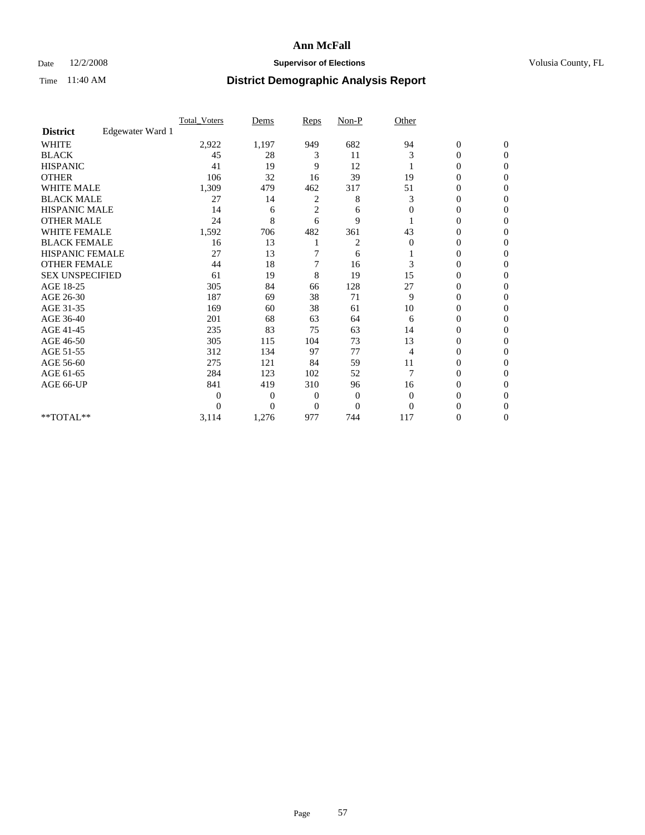### Date  $12/2/2008$  **Supervisor of Elections** Volusia County, FL

|                        |                  | <b>Total Voters</b> | Dems           | <b>Reps</b>    | $Non-P$        | Other        |                  |                  |  |
|------------------------|------------------|---------------------|----------------|----------------|----------------|--------------|------------------|------------------|--|
| <b>District</b>        | Edgewater Ward 1 |                     |                |                |                |              |                  |                  |  |
| <b>WHITE</b>           |                  | 2,922               | 1,197          | 949            | 682            | 94           | $\boldsymbol{0}$ | $\boldsymbol{0}$ |  |
| <b>BLACK</b>           |                  | 45                  | 28             | 3              | 11             | 3            | $\overline{0}$   | $\Omega$         |  |
| <b>HISPANIC</b>        |                  | 41                  | 19             | 9              | 12             |              | 0                | $\Omega$         |  |
| <b>OTHER</b>           |                  | 106                 | 32             | 16             | 39             | 19           | 0                | $\Omega$         |  |
| <b>WHITE MALE</b>      |                  | 1,309               | 479            | 462            | 317            | 51           | $\overline{0}$   | $\mathbf{0}$     |  |
| <b>BLACK MALE</b>      |                  | 27                  | 14             | 2              | 8              | 3            | $\overline{0}$   | $\Omega$         |  |
| <b>HISPANIC MALE</b>   |                  | 14                  | 6              | $\overline{2}$ | 6              | $\mathbf{0}$ | 0                | $\Omega$         |  |
| <b>OTHER MALE</b>      |                  | 24                  | 8              | 6              | 9              |              | 0                | 0                |  |
| <b>WHITE FEMALE</b>    |                  | 1,592               | 706            | 482            | 361            | 43           | 0                | $\Omega$         |  |
| <b>BLACK FEMALE</b>    |                  | 16                  | 13             |                | 2              | $\mathbf{0}$ | $\boldsymbol{0}$ | $\Omega$         |  |
| HISPANIC FEMALE        |                  | 27                  | 13             |                | 6              |              | 0                | $\Omega$         |  |
| <b>OTHER FEMALE</b>    |                  | 44                  | 18             | 7              | 16             | 3            | 0                | $\Omega$         |  |
| <b>SEX UNSPECIFIED</b> |                  | 61                  | 19             | 8              | 19             | 15           | $\overline{0}$   | $\mathbf{0}$     |  |
| AGE 18-25              |                  | 305                 | 84             | 66             | 128            | 27           | 0                | $\Omega$         |  |
| AGE 26-30              |                  | 187                 | 69             | 38             | 71             | 9            | 0                | $\Omega$         |  |
| AGE 31-35              |                  | 169                 | 60             | 38             | 61             | 10           | $\boldsymbol{0}$ | $\Omega$         |  |
| AGE 36-40              |                  | 201                 | 68             | 63             | 64             | 6            | 0                | 0                |  |
| AGE 41-45              |                  | 235                 | 83             | 75             | 63             | 14           | 0                | $\Omega$         |  |
| AGE 46-50              |                  | 305                 | 115            | 104            | 73             | 13           | 0                | $\Omega$         |  |
| AGE 51-55              |                  | 312                 | 134            | 97             | 77             | 4            | 0                | $\mathbf{0}$     |  |
| AGE 56-60              |                  | 275                 | 121            | 84             | 59             | 11           | $\mathbf{0}$     | 0                |  |
| AGE 61-65              |                  | 284                 | 123            | 102            | 52             | 7            | $\overline{0}$   | $\Omega$         |  |
| AGE 66-UP              |                  | 841                 | 419            | 310            | 96             | 16           | 0                | $\Omega$         |  |
|                        |                  | $\overline{0}$      | $\overline{0}$ | 0              | $\bf{0}$       | $\mathbf{0}$ | 0                | $\Omega$         |  |
|                        |                  | $\theta$            | $\overline{0}$ | $\Omega$       | $\overline{0}$ | $\Omega$     | 0                | $\Omega$         |  |
| **TOTAL**              |                  | 3,114               | 1,276          | 977            | 744            | 117          | 0                | $\mathbf{0}$     |  |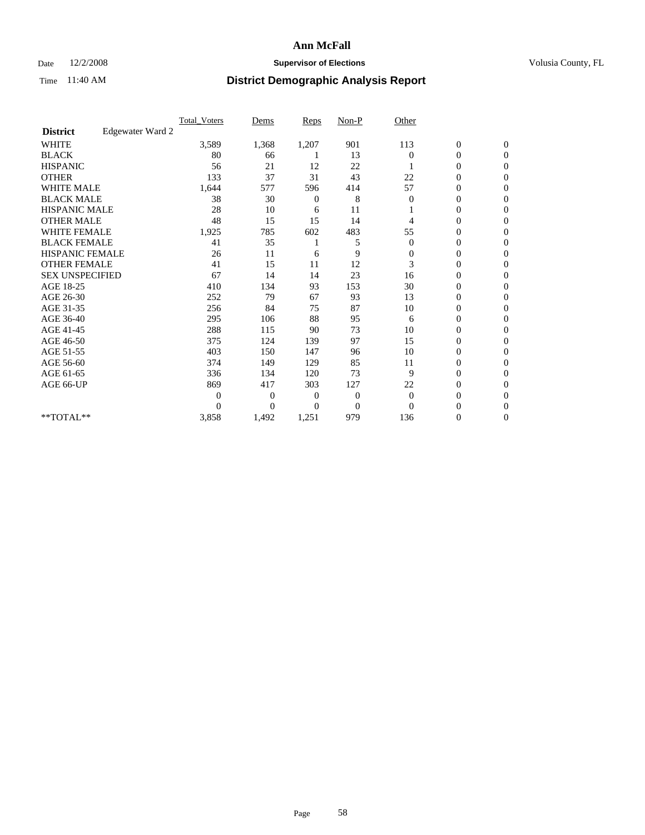### Date  $12/2/2008$  **Supervisor of Elections** Volusia County, FL

|                        |                  | <b>Total_Voters</b> | Dems           | <b>Reps</b> | $Non-P$        | Other        |                  |                  |  |
|------------------------|------------------|---------------------|----------------|-------------|----------------|--------------|------------------|------------------|--|
| <b>District</b>        | Edgewater Ward 2 |                     |                |             |                |              |                  |                  |  |
| <b>WHITE</b>           |                  | 3,589               | 1,368          | 1,207       | 901            | 113          | $\boldsymbol{0}$ | $\boldsymbol{0}$ |  |
| <b>BLACK</b>           |                  | 80                  | 66             |             | 13             | $\Omega$     | $\boldsymbol{0}$ | $\mathbf{0}$     |  |
| <b>HISPANIC</b>        |                  | 56                  | 21             | 12          | 22             |              | $\overline{0}$   | $\Omega$         |  |
| <b>OTHER</b>           |                  | 133                 | 37             | 31          | 43             | 22           | 0                | $\Omega$         |  |
| <b>WHITE MALE</b>      |                  | 1,644               | 577            | 596         | 414            | 57           | $\overline{0}$   | $\mathbf{0}$     |  |
| <b>BLACK MALE</b>      |                  | 38                  | 30             | 0           | 8              | 0            | $\overline{0}$   | $\mathbf{0}$     |  |
| <b>HISPANIC MALE</b>   |                  | 28                  | 10             | 6           | 11             |              | 0                | $\Omega$         |  |
| <b>OTHER MALE</b>      |                  | 48                  | 15             | 15          | 14             | 4            | 0                | $\Omega$         |  |
| <b>WHITE FEMALE</b>    |                  | 1,925               | 785            | 602         | 483            | 55           | $\overline{0}$   | $\mathbf{0}$     |  |
| <b>BLACK FEMALE</b>    |                  | 41                  | 35             |             | 5              | $\mathbf{0}$ | $\boldsymbol{0}$ | $\Omega$         |  |
| <b>HISPANIC FEMALE</b> |                  | 26                  | 11             | 6           | 9              | $\mathbf{0}$ | 0                | $\mathbf{0}$     |  |
| <b>OTHER FEMALE</b>    |                  | 41                  | 15             | 11          | 12             | 3            | 0                | $\Omega$         |  |
| <b>SEX UNSPECIFIED</b> |                  | 67                  | 14             | 14          | 23             | 16           | $\overline{0}$   | $\mathbf{0}$     |  |
| AGE 18-25              |                  | 410                 | 134            | 93          | 153            | 30           | 0                | $\mathbf{0}$     |  |
| AGE 26-30              |                  | 252                 | 79             | 67          | 93             | 13           | $\overline{0}$   | $\Omega$         |  |
| AGE 31-35              |                  | 256                 | 84             | 75          | 87             | 10           | $\boldsymbol{0}$ | $\mathbf{0}$     |  |
| AGE 36-40              |                  | 295                 | 106            | 88          | 95             | 6            | 0                | $\Omega$         |  |
| AGE 41-45              |                  | 288                 | 115            | 90          | 73             | 10           | 0                | $\Omega$         |  |
| AGE 46-50              |                  | 375                 | 124            | 139         | 97             | 15           | $\boldsymbol{0}$ | $\Omega$         |  |
| AGE 51-55              |                  | 403                 | 150            | 147         | 96             | 10           | 0                | $\mathbf{0}$     |  |
| AGE 56-60              |                  | 374                 | 149            | 129         | 85             | 11           | $\mathbf{0}$     | $\Omega$         |  |
| AGE 61-65              |                  | 336                 | 134            | 120         | 73             | 9            | $\overline{0}$   | $\mathbf{0}$     |  |
| AGE 66-UP              |                  | 869                 | 417            | 303         | 127            | 22           | 0                | $\Omega$         |  |
|                        |                  | 0                   | $\overline{0}$ | 0           | $\overline{0}$ | $\theta$     | 0                | $\Omega$         |  |
|                        |                  | $\Omega$            | $\overline{0}$ | $\Omega$    | $\mathbf{0}$   | $\Omega$     | 0                | $\Omega$         |  |
| **TOTAL**              |                  | 3,858               | 1,492          | 1,251       | 979            | 136          | 0                | $\overline{0}$   |  |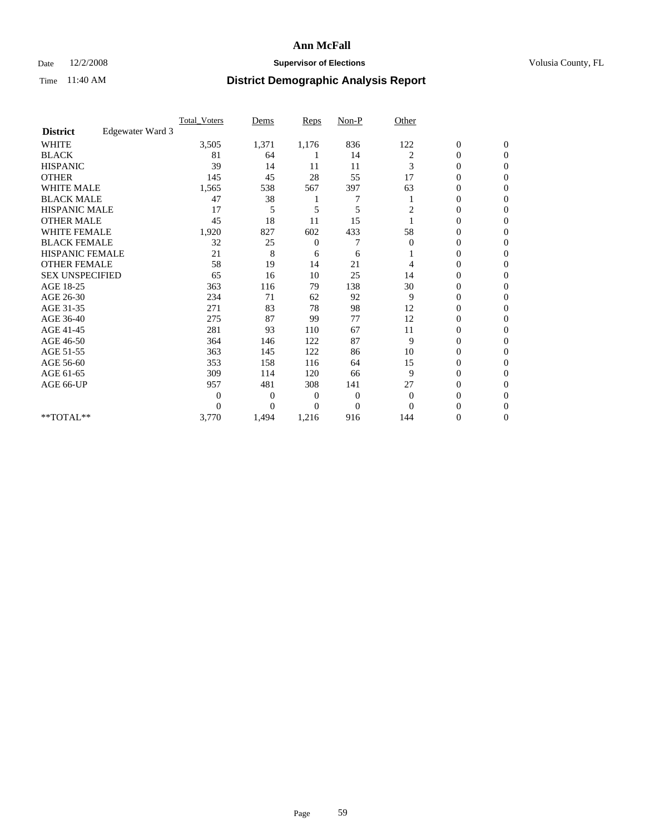### Date  $12/2/2008$  **Supervisor of Elections** Volusia County, FL

|                        |                  | <b>Total Voters</b> | Dems           | <b>Reps</b>    | $Non-P$        | Other        |                  |                |  |
|------------------------|------------------|---------------------|----------------|----------------|----------------|--------------|------------------|----------------|--|
| <b>District</b>        | Edgewater Ward 3 |                     |                |                |                |              |                  |                |  |
| <b>WHITE</b>           |                  | 3,505               | 1,371          | 1,176          | 836            | 122          | $\boldsymbol{0}$ | $\mathbf{0}$   |  |
| <b>BLACK</b>           |                  | 81                  | 64             |                | 14             | 2            | $\boldsymbol{0}$ | $\mathbf{0}$   |  |
| <b>HISPANIC</b>        |                  | 39                  | 14             | 11             | 11             | 3            | $\overline{0}$   | $\Omega$       |  |
| <b>OTHER</b>           |                  | 145                 | 45             | 28             | 55             | 17           | 0                | $\Omega$       |  |
| <b>WHITE MALE</b>      |                  | 1,565               | 538            | 567            | 397            | 63           | 0                | $\Omega$       |  |
| <b>BLACK MALE</b>      |                  | 47                  | 38             |                |                |              | $\overline{0}$   | $\Omega$       |  |
| HISPANIC MALE          |                  | 17                  | 5              | 5              | 5              | 2            | $\boldsymbol{0}$ | $\Omega$       |  |
| <b>OTHER MALE</b>      |                  | 45                  | 18             | 11             | 15             |              | 0                | $\Omega$       |  |
| <b>WHITE FEMALE</b>    |                  | 1,920               | 827            | 602            | 433            | 58           | 0                | $\Omega$       |  |
| <b>BLACK FEMALE</b>    |                  | 32                  | 25             | $\overline{0}$ | 7              | $\mathbf{0}$ | $\overline{0}$   | $\mathbf{0}$   |  |
| <b>HISPANIC FEMALE</b> |                  | 21                  | 8              | 6              | 6              |              | 0                | $\Omega$       |  |
| <b>OTHER FEMALE</b>    |                  | 58                  | 19             | 14             | 21             | 4            | 0                | 0              |  |
| <b>SEX UNSPECIFIED</b> |                  | 65                  | 16             | 10             | 25             | 14           | 0                | $\Omega$       |  |
| AGE 18-25              |                  | 363                 | 116            | 79             | 138            | 30           | 0                | $\mathbf{0}$   |  |
| AGE 26-30              |                  | 234                 | 71             | 62             | 92             | 9            | 0                | $\Omega$       |  |
| AGE 31-35              |                  | 271                 | 83             | 78             | 98             | 12           | 0                | $\Omega$       |  |
| AGE 36-40              |                  | 275                 | 87             | 99             | 77             | 12           | 0                | $\mathbf{0}$   |  |
| AGE 41-45              |                  | 281                 | 93             | 110            | 67             | 11           | $\mathbf{0}$     | $\Omega$       |  |
| AGE 46-50              |                  | 364                 | 146            | 122            | 87             | 9            | $\overline{0}$   | $\overline{0}$ |  |
| AGE 51-55              |                  | 363                 | 145            | 122            | 86             | 10           | 0                | 0              |  |
| AGE 56-60              |                  | 353                 | 158            | 116            | 64             | 15           | 0                | $\Omega$       |  |
| AGE 61-65              |                  | 309                 | 114            | 120            | 66             | 9            | $\overline{0}$   | $\Omega$       |  |
| AGE 66-UP              |                  | 957                 | 481            | 308            | 141            | 27           | 0                | 0              |  |
|                        |                  | 0                   | $\overline{0}$ | $\overline{0}$ | $\overline{0}$ | $\Omega$     | 0                | $\Omega$       |  |
|                        |                  | $\theta$            | $\overline{0}$ | $\Omega$       | $\overline{0}$ | $\Omega$     | $\theta$         | $\Omega$       |  |
| **TOTAL**              |                  | 3,770               | 1,494          | 1,216          | 916            | 144          | 0                | $\overline{0}$ |  |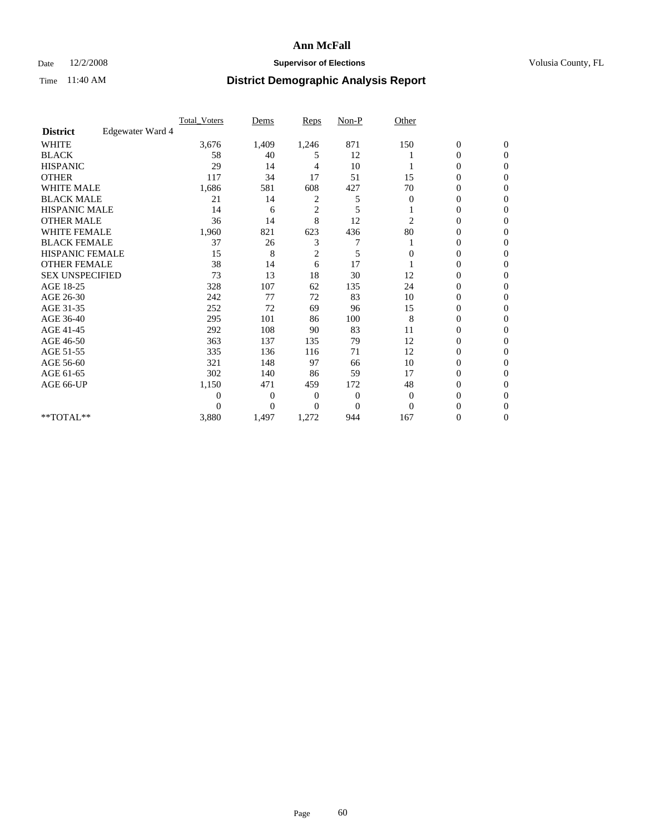### Date  $12/2/2008$  **Supervisor of Elections** Volusia County, FL

|                        |                  | Total Voters   | Dems           | <b>Reps</b>    | $Non-P$      | Other        |                  |                  |  |
|------------------------|------------------|----------------|----------------|----------------|--------------|--------------|------------------|------------------|--|
| <b>District</b>        | Edgewater Ward 4 |                |                |                |              |              |                  |                  |  |
| <b>WHITE</b>           |                  | 3,676          | 1,409          | 1,246          | 871          | 150          | $\boldsymbol{0}$ | $\boldsymbol{0}$ |  |
| <b>BLACK</b>           |                  | 58             | 40             | 5              | 12           |              | $\boldsymbol{0}$ | $\Omega$         |  |
| <b>HISPANIC</b>        |                  | 29             | 14             | 4              | 10           |              | 0                | $\Omega$         |  |
| <b>OTHER</b>           |                  | 117            | 34             | 17             | 51           | 15           | 0                | $\Omega$         |  |
| <b>WHITE MALE</b>      |                  | 1,686          | 581            | 608            | 427          | 70           | $\overline{0}$   | $\mathbf{0}$     |  |
| <b>BLACK MALE</b>      |                  | 21             | 14             | 2              | 5            | $\bf{0}$     | $\overline{0}$   | $\Omega$         |  |
| <b>HISPANIC MALE</b>   |                  | 14             | 6              | $\overline{2}$ | 5            |              | 0                | $\Omega$         |  |
| <b>OTHER MALE</b>      |                  | 36             | 14             | 8              | 12           | 2            | 0                | 0                |  |
| <b>WHITE FEMALE</b>    |                  | 1,960          | 821            | 623            | 436          | 80           | 0                | $\mathbf{0}$     |  |
| <b>BLACK FEMALE</b>    |                  | 37             | 26             | 3              | 7            |              | 0                | $\Omega$         |  |
| <b>HISPANIC FEMALE</b> |                  | 15             | 8              | $\overline{c}$ | 5            | 0            | 0                | $\mathbf{0}$     |  |
| <b>OTHER FEMALE</b>    |                  | 38             | 14             | 6              | 17           |              | 0                | $\Omega$         |  |
| <b>SEX UNSPECIFIED</b> |                  | 73             | 13             | 18             | 30           | 12           | $\overline{0}$   | $\mathbf{0}$     |  |
| AGE 18-25              |                  | 328            | 107            | 62             | 135          | 24           | 0                | $\Omega$         |  |
| AGE 26-30              |                  | 242            | 77             | 72             | 83           | 10           | $\overline{0}$   | $\Omega$         |  |
| AGE 31-35              |                  | 252            | 72             | 69             | 96           | 15           | $\boldsymbol{0}$ | $\Omega$         |  |
| AGE 36-40              |                  | 295            | 101            | 86             | 100          | 8            | 0                | 0                |  |
| AGE 41-45              |                  | 292            | 108            | 90             | 83           | 11           | 0                | $\Omega$         |  |
| AGE 46-50              |                  | 363            | 137            | 135            | 79           | 12           | 0                | $\Omega$         |  |
| AGE 51-55              |                  | 335            | 136            | 116            | 71           | 12           | 0                | $\mathbf{0}$     |  |
| AGE 56-60              |                  | 321            | 148            | 97             | 66           | 10           | $\mathbf{0}$     | 0                |  |
| AGE 61-65              |                  | 302            | 140            | 86             | 59           | 17           | 0                | $\Omega$         |  |
| AGE 66-UP              |                  | 1,150          | 471            | 459            | 172          | 48           | 0                | $\Omega$         |  |
|                        |                  | $\overline{0}$ | $\overline{0}$ | 0              | $\mathbf{0}$ | $\mathbf{0}$ | 0                | $\Omega$         |  |
|                        |                  | $\theta$       | $\overline{0}$ | $\Omega$       | $\Omega$     | $\Omega$     | 0                | $\Omega$         |  |
| **TOTAL**              |                  | 3,880          | 1,497          | 1,272          | 944          | 167          | 0                | $\mathbf{0}$     |  |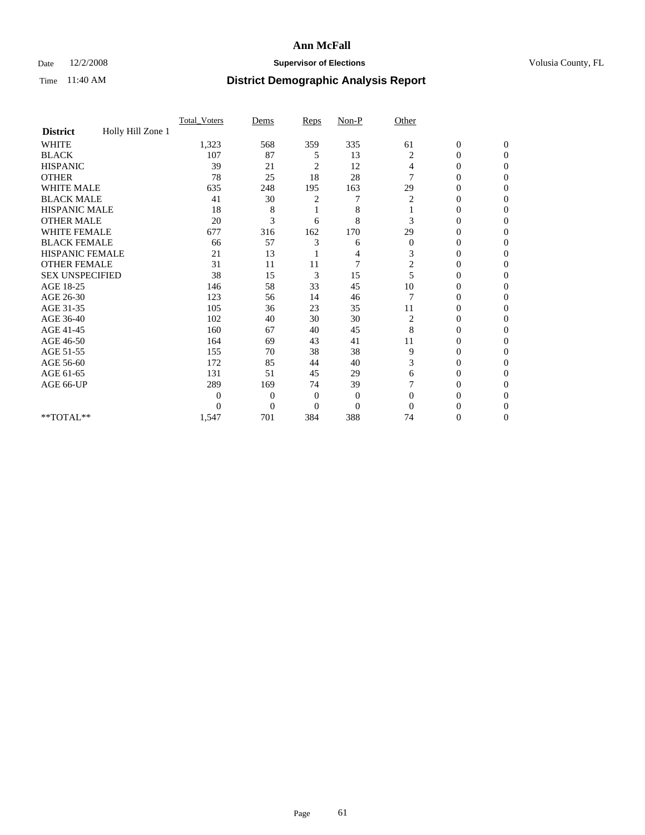### Date  $12/2/2008$  **Supervisor of Elections** Volusia County, FL

|                        |                   | Total Voters | Dems           | Reps           | $Non-P$        | Other        |                  |                |  |
|------------------------|-------------------|--------------|----------------|----------------|----------------|--------------|------------------|----------------|--|
| <b>District</b>        | Holly Hill Zone 1 |              |                |                |                |              |                  |                |  |
| <b>WHITE</b>           |                   | 1,323        | 568            | 359            | 335            | 61           | $\boldsymbol{0}$ | $\mathbf{0}$   |  |
| <b>BLACK</b>           |                   | 107          | 87             | 5              | 13             | 2            | $\overline{0}$   | $\mathbf{0}$   |  |
| <b>HISPANIC</b>        |                   | 39           | 21             | 2              | 12             | 4            | 0                | $\Omega$       |  |
| <b>OTHER</b>           |                   | 78           | 25             | 18             | 28             | 7            | 0                | $\Omega$       |  |
| <b>WHITE MALE</b>      |                   | 635          | 248            | 195            | 163            | 29           | 0                | $\Omega$       |  |
| <b>BLACK MALE</b>      |                   | 41           | 30             | 2              | 7              | 2            | $\mathbf{0}$     | $\Omega$       |  |
| HISPANIC MALE          |                   | 18           | 8              |                | 8              |              | 0                | $\Omega$       |  |
| <b>OTHER MALE</b>      |                   | 20           | 3              | 6              | 8              | 3            | 0                | 0              |  |
| <b>WHITE FEMALE</b>    |                   | 677          | 316            | 162            | 170            | 29           | 0                | $\Omega$       |  |
| <b>BLACK FEMALE</b>    |                   | 66           | 57             | 3              | 6              | $\mathbf{0}$ | $\overline{0}$   | $\overline{0}$ |  |
| <b>HISPANIC FEMALE</b> |                   | 21           | 13             |                | 4              | 3            | 0                | $\Omega$       |  |
| <b>OTHER FEMALE</b>    |                   | 31           | 11             | 11             | $\overline{7}$ | 2            | 0                | 0              |  |
| <b>SEX UNSPECIFIED</b> |                   | 38           | 15             | 3              | 15             | 5            | 0                | $\Omega$       |  |
| AGE 18-25              |                   | 146          | 58             | 33             | 45             | 10           | 0                | $\overline{0}$ |  |
| AGE 26-30              |                   | 123          | 56             | 14             | 46             | 7            | 0                | $\Omega$       |  |
| AGE 31-35              |                   | 105          | 36             | 23             | 35             | 11           | 0                | $\Omega$       |  |
| AGE 36-40              |                   | 102          | 40             | 30             | 30             | 2            | 0                | 0              |  |
| AGE 41-45              |                   | 160          | 67             | 40             | 45             | 8            | 0                | $\Omega$       |  |
| AGE 46-50              |                   | 164          | 69             | 43             | 41             | 11           | 0                | $\Omega$       |  |
| AGE 51-55              |                   | 155          | 70             | 38             | 38             | 9            | 0                | 0              |  |
| AGE 56-60              |                   | 172          | 85             | 44             | 40             | 3            | 0                | $\Omega$       |  |
| AGE 61-65              |                   | 131          | 51             | 45             | 29             | 6            | 0                | $\Omega$       |  |
| AGE 66-UP              |                   | 289          | 169            | 74             | 39             |              | 0                | 0              |  |
|                        |                   | $\theta$     | $\overline{0}$ | $\overline{0}$ | $\mathbf{0}$   | $\Omega$     | 0                | $\Omega$       |  |
|                        |                   | $\theta$     | $\overline{0}$ | $\overline{0}$ | $\overline{0}$ | $\Omega$     | 0                | $\Omega$       |  |
| **TOTAL**              |                   | 1,547        | 701            | 384            | 388            | 74           | 0                | 0              |  |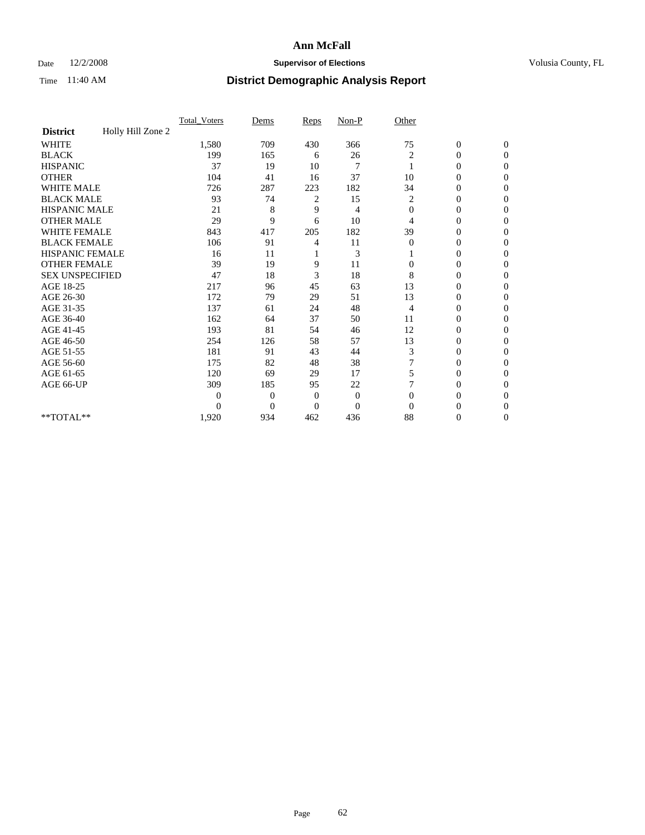### Date  $12/2/2008$  **Supervisor of Elections** Volusia County, FL

|                        |                   | Total Voters | Dems           | Reps         | $Non-P$        | Other        |                  |                |  |
|------------------------|-------------------|--------------|----------------|--------------|----------------|--------------|------------------|----------------|--|
| <b>District</b>        | Holly Hill Zone 2 |              |                |              |                |              |                  |                |  |
| <b>WHITE</b>           |                   | 1,580        | 709            | 430          | 366            | 75           | $\boldsymbol{0}$ | $\mathbf{0}$   |  |
| <b>BLACK</b>           |                   | 199          | 165            | 6            | 26             | 2            | $\overline{0}$   | $\mathbf{0}$   |  |
| <b>HISPANIC</b>        |                   | 37           | 19             | 10           | 7              |              | 0                | $\Omega$       |  |
| <b>OTHER</b>           |                   | 104          | 41             | 16           | 37             | 10           | 0                | $\Omega$       |  |
| <b>WHITE MALE</b>      |                   | 726          | 287            | 223          | 182            | 34           | 0                | $\Omega$       |  |
| <b>BLACK MALE</b>      |                   | 93           | 74             | 2            | 15             | 2            | $\mathbf{0}$     | $\Omega$       |  |
| HISPANIC MALE          |                   | 21           | 8              | 9            | 4              | $\mathbf{0}$ | $\boldsymbol{0}$ | $\Omega$       |  |
| <b>OTHER MALE</b>      |                   | 29           | 9              | 6            | 10             | 4            | 0                | 0              |  |
| <b>WHITE FEMALE</b>    |                   | 843          | 417            | 205          | 182            | 39           | 0                | $\Omega$       |  |
| <b>BLACK FEMALE</b>    |                   | 106          | 91             | 4            | 11             | $\mathbf{0}$ | $\overline{0}$   | $\mathbf{0}$   |  |
| <b>HISPANIC FEMALE</b> |                   | 16           | 11             |              | 3              |              | 0                | $\Omega$       |  |
| <b>OTHER FEMALE</b>    |                   | 39           | 19             | 9            | 11             | $\Omega$     | 0                | 0              |  |
| <b>SEX UNSPECIFIED</b> |                   | 47           | 18             | 3            | 18             | 8            | 0                | $\Omega$       |  |
| AGE 18-25              |                   | 217          | 96             | 45           | 63             | 13           | 0                | $\mathbf{0}$   |  |
| AGE 26-30              |                   | 172          | 79             | 29           | 51             | 13           | 0                | $\Omega$       |  |
| AGE 31-35              |                   | 137          | 61             | 24           | 48             | 4            | 0                | $\Omega$       |  |
| AGE 36-40              |                   | 162          | 64             | 37           | 50             | 11           | 0                | $\Omega$       |  |
| AGE 41-45              |                   | 193          | 81             | 54           | 46             | 12           | $\mathbf{0}$     | $\Omega$       |  |
| AGE 46-50              |                   | 254          | 126            | 58           | 57             | 13           | $\overline{0}$   | $\Omega$       |  |
| AGE 51-55              |                   | 181          | 91             | 43           | 44             | 3            | 0                | 0              |  |
| AGE 56-60              |                   | 175          | 82             | 48           | 38             |              | 0                | $\Omega$       |  |
| AGE 61-65              |                   | 120          | 69             | 29           | 17             | 5            | 0                | $\Omega$       |  |
| AGE 66-UP              |                   | 309          | 185            | 95           | 22             |              | 0                | 0              |  |
|                        |                   | $\theta$     | $\overline{0}$ | $\mathbf{0}$ | $\mathbf{0}$   | $\Omega$     | 0                | $\Omega$       |  |
|                        |                   | $\theta$     | $\overline{0}$ | $\Omega$     | $\overline{0}$ | $\Omega$     | 0                | $\Omega$       |  |
| **TOTAL**              |                   | 1,920        | 934            | 462          | 436            | 88           | 0                | $\overline{0}$ |  |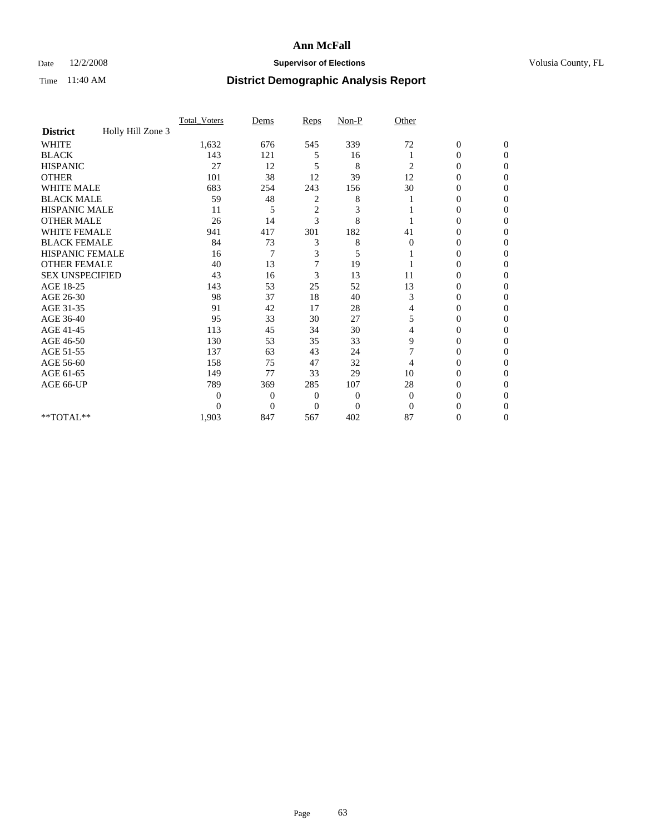### Date  $12/2/2008$  **Supervisor of Elections** Volusia County, FL

|                                      | Total Voters   | Dems           | Reps           | Non-P        | Other    |                  |                  |
|--------------------------------------|----------------|----------------|----------------|--------------|----------|------------------|------------------|
| Holly Hill Zone 3<br><b>District</b> |                |                |                |              |          |                  |                  |
| <b>WHITE</b>                         | 1,632          | 676            | 545            | 339          | 72       | $\boldsymbol{0}$ | $\boldsymbol{0}$ |
| <b>BLACK</b>                         | 143            | 121            | 5              | 16           |          | 0                | $\Omega$         |
| <b>HISPANIC</b>                      | 27             | 12             | 5              | 8            | 2        | $\mathbf{0}$     | $\Omega$         |
| <b>OTHER</b>                         | 101            | 38             | 12             | 39           | 12       | 0                | $\overline{0}$   |
| WHITE MALE                           | 683            | 254            | 243            | 156          | 30       | $\overline{0}$   | $\Omega$         |
| <b>BLACK MALE</b>                    | 59             | 48             | 2              | 8            |          | 0                | $\Omega$         |
| <b>HISPANIC MALE</b>                 | 11             | 5              | $\overline{c}$ | 3            |          | 0                | $\Omega$         |
| <b>OTHER MALE</b>                    | 26             | 14             | 3              | 8            |          | $\theta$         | $\Omega$         |
| <b>WHITE FEMALE</b>                  | 941            | 417            | 301            | 182          | 41       | 0                | $\Omega$         |
| <b>BLACK FEMALE</b>                  | 84             | 73             | 3              | 8            | $\Omega$ | 0                | 0                |
| <b>HISPANIC FEMALE</b>               | 16             | 7              | 3              | 5            |          | 0                | $\Omega$         |
| <b>OTHER FEMALE</b>                  | 40             | 13             | $\overline{7}$ | 19           |          | 0                | $\Omega$         |
| <b>SEX UNSPECIFIED</b>               | 43             | 16             | 3              | 13           | 11       | $\mathbf{0}$     | $\Omega$         |
| AGE 18-25                            | 143            | 53             | 25             | 52           | 13       | $\overline{0}$   | $\Omega$         |
| AGE 26-30                            | 98             | 37             | 18             | 40           | 3        | 0                | $\Omega$         |
| AGE 31-35                            | 91             | 42             | 17             | 28           | 4        | $\overline{0}$   | $\mathbf{0}$     |
| AGE 36-40                            | 95             | 33             | 30             | 27           | 5        | $\overline{0}$   | $\mathbf{0}$     |
| AGE 41-45                            | 113            | 45             | 34             | 30           | 4        | 0                | 0                |
| AGE 46-50                            | 130            | 53             | 35             | 33           | 9        | $\overline{0}$   | $\theta$         |
| AGE 51-55                            | 137            | 63             | 43             | 24           | 7        | $\overline{0}$   | $\Omega$         |
| AGE 56-60                            | 158            | 75             | 47             | 32           | 4        | 0                | 0                |
| AGE 61-65                            | 149            | 77             | 33             | 29           | 10       | 0                | $\mathbf{0}$     |
| AGE 66-UP                            | 789            | 369            | 285            | 107          | 28       | 0                | $\Omega$         |
|                                      | $\overline{0}$ | $\overline{0}$ | $\mathbf{0}$   | $\mathbf{0}$ | $\theta$ | $\theta$         | $\Omega$         |
|                                      | $\Omega$       | $\overline{0}$ | $\Omega$       | $\Omega$     | $\Omega$ | 0                | $\Omega$         |
| **TOTAL**                            | 1,903          | 847            | 567            | 402          | 87       | 0                | $\mathbf{0}$     |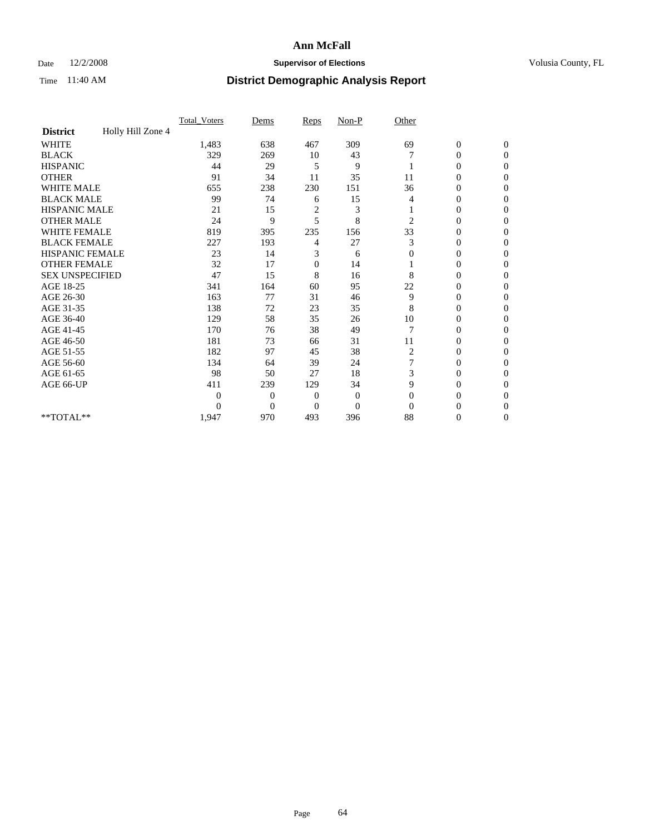### Date  $12/2/2008$  **Supervisor of Elections** Volusia County, FL

|                        |                   | Total Voters | Dems           | Reps         | $Non-P$        | Other    |                  |                |  |
|------------------------|-------------------|--------------|----------------|--------------|----------------|----------|------------------|----------------|--|
| <b>District</b>        | Holly Hill Zone 4 |              |                |              |                |          |                  |                |  |
| <b>WHITE</b>           |                   | 1,483        | 638            | 467          | 309            | 69       | $\boldsymbol{0}$ | $\mathbf{0}$   |  |
| <b>BLACK</b>           |                   | 329          | 269            | 10           | 43             |          | $\overline{0}$   | $\mathbf{0}$   |  |
| <b>HISPANIC</b>        |                   | 44           | 29             | 5            | 9              |          | 0                | $\Omega$       |  |
| <b>OTHER</b>           |                   | 91           | 34             | 11           | 35             | 11       | 0                | $\Omega$       |  |
| <b>WHITE MALE</b>      |                   | 655          | 238            | 230          | 151            | 36       | 0                | $\Omega$       |  |
| <b>BLACK MALE</b>      |                   | 99           | 74             | 6            | 15             | 4        | $\mathbf{0}$     | $\Omega$       |  |
| HISPANIC MALE          |                   | 21           | 15             | 2            | 3              |          | $\overline{0}$   | $\Omega$       |  |
| <b>OTHER MALE</b>      |                   | 24           | 9              | 5            | 8              | 2        | 0                | 0              |  |
| <b>WHITE FEMALE</b>    |                   | 819          | 395            | 235          | 156            | 33       | 0                | $\Omega$       |  |
| <b>BLACK FEMALE</b>    |                   | 227          | 193            | 4            | 27             | 3        | $\overline{0}$   | $\mathbf{0}$   |  |
| <b>HISPANIC FEMALE</b> |                   | 23           | 14             | 3            | 6              | $\Omega$ | 0                | $\Omega$       |  |
| <b>OTHER FEMALE</b>    |                   | 32           | 17             | $\mathbf{0}$ | 14             |          | 0                | 0              |  |
| <b>SEX UNSPECIFIED</b> |                   | 47           | 15             | 8            | 16             | 8        | 0                | $\Omega$       |  |
| AGE 18-25              |                   | 341          | 164            | 60           | 95             | 22       | 0                | $\mathbf{0}$   |  |
| AGE 26-30              |                   | 163          | 77             | 31           | 46             | 9        | 0                | $\Omega$       |  |
| AGE 31-35              |                   | 138          | 72             | 23           | 35             | 8        | $\overline{0}$   | $\Omega$       |  |
| AGE 36-40              |                   | 129          | 58             | 35           | 26             | 10       | 0                | $\Omega$       |  |
| AGE 41-45              |                   | 170          | 76             | 38           | 49             | 7        | $\mathbf{0}$     | $\Omega$       |  |
| AGE 46-50              |                   | 181          | 73             | 66           | 31             | 11       | $\overline{0}$   | $\Omega$       |  |
| AGE 51-55              |                   | 182          | 97             | 45           | 38             | 2        | 0                | 0              |  |
| AGE 56-60              |                   | 134          | 64             | 39           | 24             |          | 0                | $\Omega$       |  |
| AGE 61-65              |                   | 98           | 50             | 27           | 18             | 3        | 0                | $\Omega$       |  |
| AGE 66-UP              |                   | 411          | 239            | 129          | 34             | 9        | 0                | 0              |  |
|                        |                   | $\theta$     | $\overline{0}$ | $\mathbf{0}$ | $\mathbf{0}$   | $\Omega$ | 0                | $\Omega$       |  |
|                        |                   | $\theta$     | $\overline{0}$ | $\Omega$     | $\overline{0}$ | $\Omega$ | 0                | $\Omega$       |  |
| **TOTAL**              |                   | 1,947        | 970            | 493          | 396            | 88       | 0                | $\overline{0}$ |  |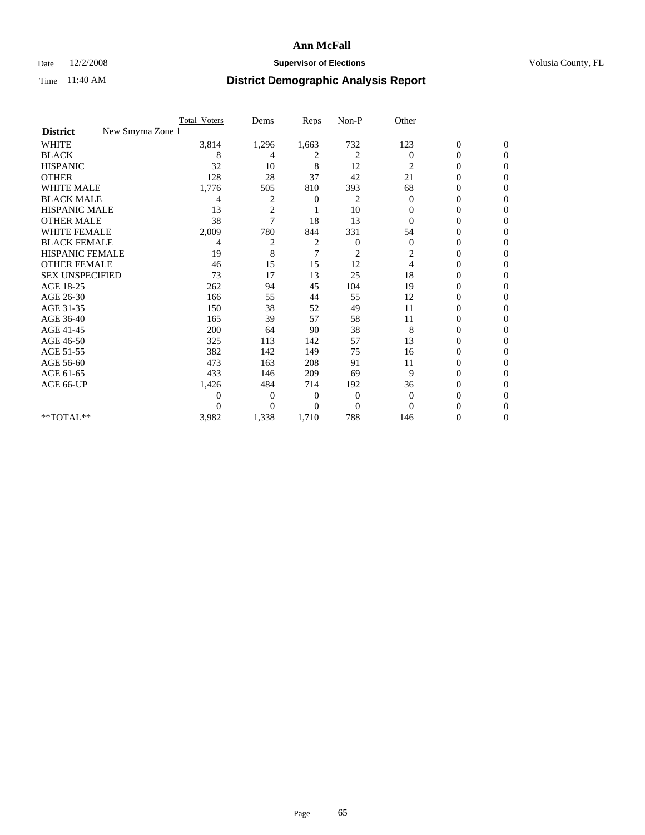### Date  $12/2/2008$  **Supervisor of Elections** Volusia County, FL

|                                      | <b>Total_Voters</b> | Dems           | <b>Reps</b> | $Non-P$        | Other          |                  |                  |  |
|--------------------------------------|---------------------|----------------|-------------|----------------|----------------|------------------|------------------|--|
| New Smyrna Zone 1<br><b>District</b> |                     |                |             |                |                |                  |                  |  |
| WHITE                                | 3,814               | 1,296          | 1,663       | 732            | 123            | $\boldsymbol{0}$ | $\boldsymbol{0}$ |  |
| <b>BLACK</b>                         | 8                   | 4              | 2           | $\overline{c}$ | $\Omega$       | $\boldsymbol{0}$ | $\Omega$         |  |
| <b>HISPANIC</b>                      | 32                  | 10             | 8           | 12             | $\overline{c}$ | 0                | $\Omega$         |  |
| <b>OTHER</b>                         | 128                 | 28             | 37          | 42             | 21             | 0                | $\Omega$         |  |
| <b>WHITE MALE</b>                    | 1,776               | 505            | 810         | 393            | 68             | $\mathbf{0}$     | $\mathbf{0}$     |  |
| <b>BLACK MALE</b>                    | 4                   | 2              | 0           | 2              | $\mathbf{0}$   | $\mathbf{0}$     | $\Omega$         |  |
| <b>HISPANIC MALE</b>                 | 13                  | $\overline{2}$ |             | 10             | 0              | 0                | $\Omega$         |  |
| <b>OTHER MALE</b>                    | 38                  | 7              | 18          | 13             | 0              | 0                | 0                |  |
| <b>WHITE FEMALE</b>                  | 2,009               | 780            | 844         | 331            | 54             | 0                | $\Omega$         |  |
| <b>BLACK FEMALE</b>                  | 4                   | 2              | 2           | $\mathbf{0}$   | $\mathbf{0}$   | $\boldsymbol{0}$ | $\Omega$         |  |
| <b>HISPANIC FEMALE</b>               | 19                  | 8              | 7           | 2              | 2              | 0                | $\Omega$         |  |
| <b>OTHER FEMALE</b>                  | 46                  | 15             | 15          | 12             | 4              | 0                | $\Omega$         |  |
| <b>SEX UNSPECIFIED</b>               | 73                  | 17             | 13          | 25             | 18             | 0                | $\Omega$         |  |
| AGE 18-25                            | 262                 | 94             | 45          | 104            | 19             | 0                | 0                |  |
| AGE 26-30                            | 166                 | 55             | 44          | 55             | 12             | 0                | $\Omega$         |  |
| AGE 31-35                            | 150                 | 38             | 52          | 49             | 11             | $\boldsymbol{0}$ | $\Omega$         |  |
| AGE 36-40                            | 165                 | 39             | 57          | 58             | 11             | 0                | 0                |  |
| AGE 41-45                            | 200                 | 64             | 90          | 38             | 8              | 0                | $\Omega$         |  |
| AGE 46-50                            | 325                 | 113            | 142         | 57             | 13             | 0                | $\Omega$         |  |
| AGE 51-55                            | 382                 | 142            | 149         | 75             | 16             | 0                | $\mathbf{0}$     |  |
| AGE 56-60                            | 473                 | 163            | 208         | 91             | 11             | 0                | 0                |  |
| AGE 61-65                            | 433                 | 146            | 209         | 69             | 9              | 0                | $\Omega$         |  |
| AGE 66-UP                            | 1,426               | 484            | 714         | 192            | 36             | 0                | 0                |  |
|                                      | 0                   | 0              | 0           | $\mathbf{0}$   | $\mathbf{0}$   | 0                | $\Omega$         |  |
|                                      | $\theta$            | $\overline{0}$ | $\Omega$    | $\overline{0}$ | $\Omega$       | 0                | $\Omega$         |  |
| **TOTAL**                            | 3,982               | 1,338          | 1,710       | 788            | 146            | 0                | $\mathbf{0}$     |  |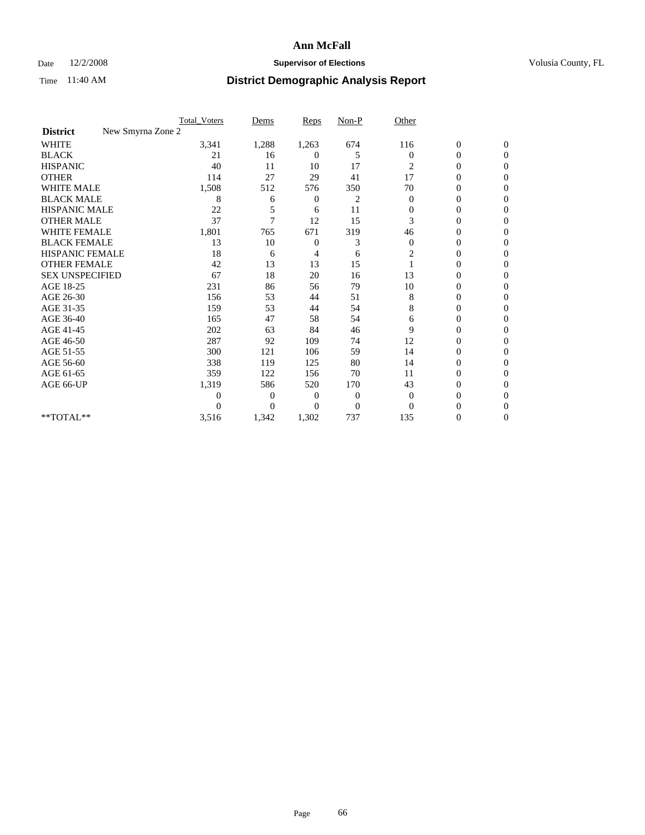### Date  $12/2/2008$  **Supervisor of Elections** Volusia County, FL

|                        | <b>Total_Voters</b> | Dems           | <b>Reps</b> | $Non-P$      | Other        |                  |                  |  |
|------------------------|---------------------|----------------|-------------|--------------|--------------|------------------|------------------|--|
| <b>District</b>        | New Smyrna Zone 2   |                |             |              |              |                  |                  |  |
| WHITE                  | 3,341               | 1,288          | 1,263       | 674          | 116          | $\boldsymbol{0}$ | $\boldsymbol{0}$ |  |
| <b>BLACK</b>           | 21                  | 16             | 0           | 5            | $\Omega$     | $\boldsymbol{0}$ | $\Omega$         |  |
| <b>HISPANIC</b>        | 40                  | 11             | 10          | 17           | 2            | 0                | $\Omega$         |  |
| <b>OTHER</b>           | 114                 | 27             | 29          | 41           | 17           | 0                | $\Omega$         |  |
| <b>WHITE MALE</b>      | 1,508               | 512            | 576         | 350          | 70           | $\mathbf{0}$     | $\mathbf{0}$     |  |
| <b>BLACK MALE</b>      | 8                   | 6              | 0           | 2            | $\mathbf{0}$ | $\overline{0}$   | $\Omega$         |  |
| <b>HISPANIC MALE</b>   | 22                  | 5              | 6           | 11           | $\mathbf{0}$ | 0                | $\Omega$         |  |
| <b>OTHER MALE</b>      | 37                  | 7              | 12          | 15           | 3            | 0                | 0                |  |
| <b>WHITE FEMALE</b>    | 1,801               | 765            | 671         | 319          | 46           | 0                | $\Omega$         |  |
| <b>BLACK FEMALE</b>    | 13                  | 10             | 0           | 3            | $\mathbf{0}$ | $\boldsymbol{0}$ | $\Omega$         |  |
| <b>HISPANIC FEMALE</b> | 18                  | 6              | 4           | 6            | 2            | 0                | $\mathbf{0}$     |  |
| <b>OTHER FEMALE</b>    | 42                  | 13             | 13          | 15           |              | 0                | $\Omega$         |  |
| <b>SEX UNSPECIFIED</b> | 67                  | 18             | 20          | 16           | 13           | 0                | $\mathbf{0}$     |  |
| AGE 18-25              | 231                 | 86             | 56          | 79           | 10           | 0                | 0                |  |
| AGE 26-30              | 156                 | 53             | 44          | 51           | 8            | 0                | $\Omega$         |  |
| AGE 31-35              | 159                 | 53             | 44          | 54           | 8            | 0                | $\Omega$         |  |
| AGE 36-40              | 165                 | 47             | 58          | 54           | 6            | 0                | 0                |  |
| AGE 41-45              | 202                 | 63             | 84          | 46           | 9            | 0                | $\Omega$         |  |
| AGE 46-50              | 287                 | 92             | 109         | 74           | 12           | 0                | $\Omega$         |  |
| AGE 51-55              | 300                 | 121            | 106         | 59           | 14           | 0                | $\mathbf{0}$     |  |
| AGE 56-60              | 338                 | 119            | 125         | 80           | 14           | 0                | 0                |  |
| AGE 61-65              | 359                 | 122            | 156         | 70           | 11           | 0                | $\Omega$         |  |
| AGE 66-UP              | 1,319               | 586            | 520         | 170          | 43           | 0                | 0                |  |
|                        | 0                   | $\overline{0}$ | 0           | $\mathbf{0}$ | $\mathbf{0}$ | 0                | $\Omega$         |  |
|                        | $\theta$            | $\overline{0}$ | $\Omega$    | $\mathbf{0}$ | $\Omega$     | 0                | $\Omega$         |  |
| **TOTAL**              | 3,516               | 1,342          | 1,302       | 737          | 135          | 0                | $\mathbf{0}$     |  |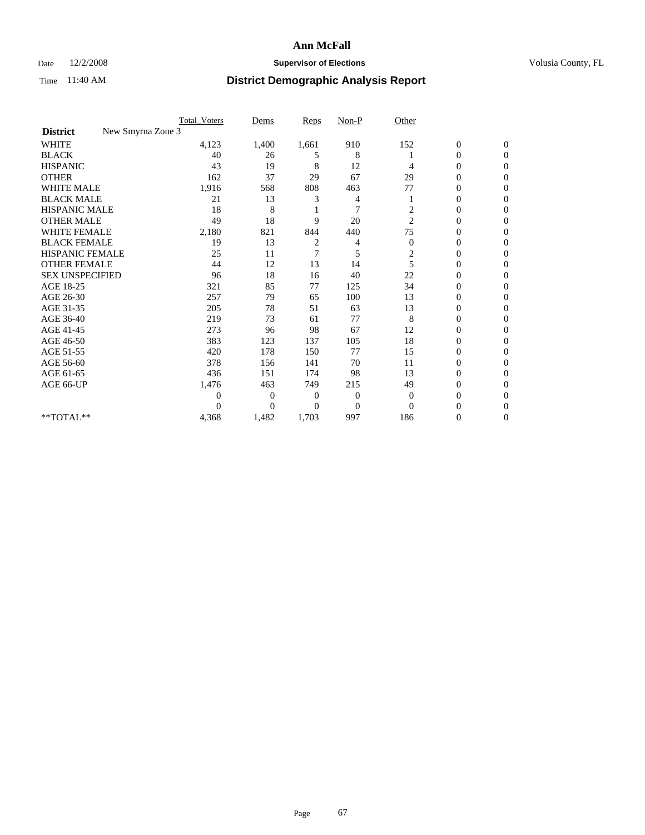### Date  $12/2/2008$  **Supervisor of Elections** Volusia County, FL

|                                      | <b>Total_Voters</b> | Dems           | <b>Reps</b>    | $Non-P$        | Other          |                  |                |  |
|--------------------------------------|---------------------|----------------|----------------|----------------|----------------|------------------|----------------|--|
| New Smyrna Zone 3<br><b>District</b> |                     |                |                |                |                |                  |                |  |
| <b>WHITE</b>                         | 4,123               | 1,400          | 1,661          | 910            | 152            | $\boldsymbol{0}$ | $\mathbf{0}$   |  |
| <b>BLACK</b>                         | 40                  | 26             | 5              | 8              |                | $\boldsymbol{0}$ | $\mathbf{0}$   |  |
| <b>HISPANIC</b>                      | 43                  | 19             | 8              | 12             | 4              | $\mathbf{0}$     | $\Omega$       |  |
| <b>OTHER</b>                         | 162                 | 37             | 29             | 67             | 29             | 0                | $\Omega$       |  |
| <b>WHITE MALE</b>                    | 1,916               | 568            | 808            | 463            | 77             | 0                | $\Omega$       |  |
| <b>BLACK MALE</b>                    | 21                  | 13             | 3              | 4              |                | 0                | $\Omega$       |  |
| HISPANIC MALE                        | 18                  | 8              |                | $\overline{7}$ | 2              | $\boldsymbol{0}$ | $\Omega$       |  |
| <b>OTHER MALE</b>                    | 49                  | 18             | 9              | 20             | $\overline{2}$ | 0                | $\Omega$       |  |
| <b>WHITE FEMALE</b>                  | 2,180               | 821            | 844            | 440            | 75             | 0                | $\Omega$       |  |
| <b>BLACK FEMALE</b>                  | 19                  | 13             | 2              | 4              | $\mathbf{0}$   | $\overline{0}$   | $\mathbf{0}$   |  |
| <b>HISPANIC FEMALE</b>               | 25                  | 11             | 7              | 5              | 2              | 0                | $\Omega$       |  |
| <b>OTHER FEMALE</b>                  | 44                  | 12             | 13             | 14             | 5              | 0                | 0              |  |
| <b>SEX UNSPECIFIED</b>               | 96                  | 18             | 16             | 40             | 22             | $\overline{0}$   | $\mathbf{0}$   |  |
| AGE 18-25                            | 321                 | 85             | 77             | 125            | 34             | 0                | $\mathbf{0}$   |  |
| AGE 26-30                            | 257                 | 79             | 65             | 100            | 13             | 0                | $\Omega$       |  |
| AGE 31-35                            | 205                 | 78             | 51             | 63             | 13             | 0                | $\Omega$       |  |
| AGE 36-40                            | 219                 | 73             | 61             | 77             | 8              | 0                | $\mathbf{0}$   |  |
| AGE 41-45                            | 273                 | 96             | 98             | 67             | 12             | $\mathbf{0}$     | $\Omega$       |  |
| AGE 46-50                            | 383                 | 123            | 137            | 105            | 18             | $\overline{0}$   | $\overline{0}$ |  |
| AGE 51-55                            | 420                 | 178            | 150            | 77             | 15             | 0                | 0              |  |
| AGE 56-60                            | 378                 | 156            | 141            | 70             | 11             | $\overline{0}$   | $\Omega$       |  |
| AGE 61-65                            | 436                 | 151            | 174            | 98             | 13             | $\overline{0}$   | $\Omega$       |  |
| AGE 66-UP                            | 1,476               | 463            | 749            | 215            | 49             | 0                | 0              |  |
|                                      | 0                   | $\overline{0}$ | $\overline{0}$ | $\overline{0}$ | $\mathbf{0}$   | 0                | $\Omega$       |  |
|                                      | $\Omega$            | $\overline{0}$ | $\Omega$       | $\overline{0}$ | $\Omega$       | $\theta$         | $\Omega$       |  |
| **TOTAL**                            | 4,368               | 1,482          | 1,703          | 997            | 186            | 0                | $\overline{0}$ |  |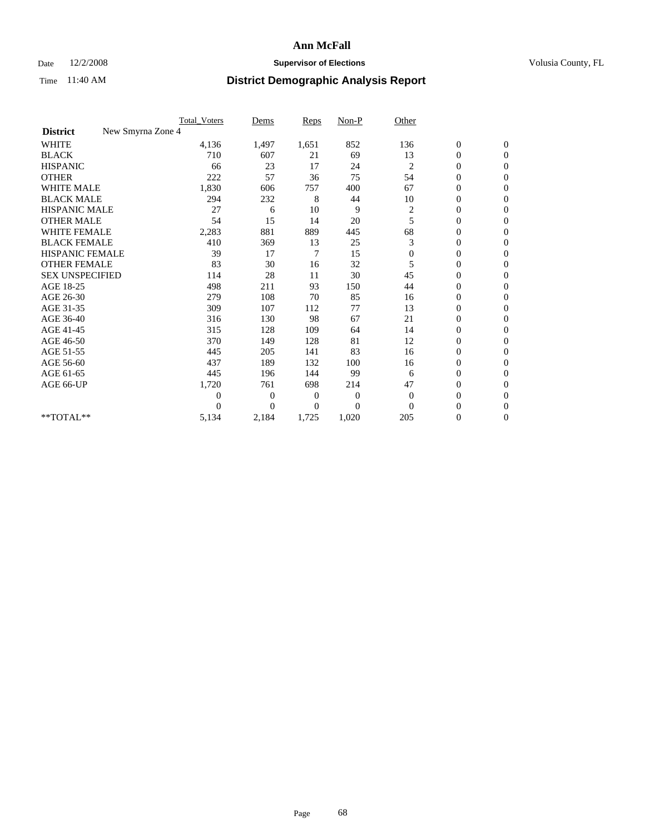### Date  $12/2/2008$  **Supervisor of Elections** Volusia County, FL

|                                      | <b>Total_Voters</b> | Dems           | <b>Reps</b> | $Non-P$      | Other          |                  |                  |  |
|--------------------------------------|---------------------|----------------|-------------|--------------|----------------|------------------|------------------|--|
| New Smyrna Zone 4<br><b>District</b> |                     |                |             |              |                |                  |                  |  |
| <b>WHITE</b>                         | 4,136               | 1,497          | 1,651       | 852          | 136            | $\boldsymbol{0}$ | $\boldsymbol{0}$ |  |
| <b>BLACK</b>                         | 710                 | 607            | 21          | 69           | 13             | $\boldsymbol{0}$ | $\mathbf{0}$     |  |
| <b>HISPANIC</b>                      | 66                  | 23             | 17          | 24           | 2              | $\overline{0}$   | $\mathbf{0}$     |  |
| <b>OTHER</b>                         | 222                 | 57             | 36          | 75           | 54             | $\boldsymbol{0}$ | $\Omega$         |  |
| <b>WHITE MALE</b>                    | 1,830               | 606            | 757         | 400          | 67             | $\overline{0}$   | $\mathbf{0}$     |  |
| <b>BLACK MALE</b>                    | 294                 | 232            | 8           | 44           | 10             | $\boldsymbol{0}$ | $\mathbf{0}$     |  |
| <b>HISPANIC MALE</b>                 | 27                  | 6              | 10          | 9            | $\overline{c}$ | $\boldsymbol{0}$ | $\overline{0}$   |  |
| <b>OTHER MALE</b>                    | 54                  | 15             | 14          | 20           | 5              | $\boldsymbol{0}$ | $\mathbf{0}$     |  |
| <b>WHITE FEMALE</b>                  | 2,283               | 881            | 889         | 445          | 68             | $\overline{0}$   | $\mathbf{0}$     |  |
| <b>BLACK FEMALE</b>                  | 410                 | 369            | 13          | 25           | 3              | $\boldsymbol{0}$ | $\mathbf{0}$     |  |
| <b>HISPANIC FEMALE</b>               | 39                  | 17             | 7           | 15           | $\mathbf{0}$   | $\boldsymbol{0}$ | $\mathbf{0}$     |  |
| <b>OTHER FEMALE</b>                  | 83                  | 30             | 16          | 32           | 5              | $\mathbf{0}$     | $\Omega$         |  |
| <b>SEX UNSPECIFIED</b>               | 114                 | 28             | 11          | 30           | 45             | $\overline{0}$   | $\mathbf{0}$     |  |
| AGE 18-25                            | 498                 | 211            | 93          | 150          | 44             | $\mathbf{0}$     | $\mathbf{0}$     |  |
| AGE 26-30                            | 279                 | 108            | 70          | 85           | 16             | $\overline{0}$   | $\mathbf{0}$     |  |
| AGE 31-35                            | 309                 | 107            | 112         | 77           | 13             | $\boldsymbol{0}$ | $\mathbf{0}$     |  |
| AGE 36-40                            | 316                 | 130            | 98          | 67           | 21             | 0                | $\mathbf{0}$     |  |
| AGE 41-45                            | 315                 | 128            | 109         | 64           | 14             | $\overline{0}$   | $\mathbf{0}$     |  |
| AGE 46-50                            | 370                 | 149            | 128         | 81           | 12             | $\boldsymbol{0}$ | $\mathbf{0}$     |  |
| AGE 51-55                            | 445                 | 205            | 141         | 83           | 16             | $\boldsymbol{0}$ | $\mathbf{0}$     |  |
| AGE 56-60                            | 437                 | 189            | 132         | 100          | 16             | $\overline{0}$   | $\Omega$         |  |
| AGE 61-65                            | 445                 | 196            | 144         | 99           | 6              | $\overline{0}$   | $\mathbf{0}$     |  |
| AGE 66-UP                            | 1,720               | 761            | 698         | 214          | 47             | $\boldsymbol{0}$ | $\mathbf{0}$     |  |
|                                      | $\overline{0}$      | $\overline{0}$ | 0           | $\mathbf{0}$ | $\mathbf{0}$   | $\overline{0}$   | $\mathbf{0}$     |  |
|                                      | $\theta$            | $\overline{0}$ | $\Omega$    | $\theta$     | $\Omega$       | $\boldsymbol{0}$ | $\mathbf{0}$     |  |
| **TOTAL**                            | 5,134               | 2,184          | 1,725       | 1,020        | 205            | 0                | $\mathbf{0}$     |  |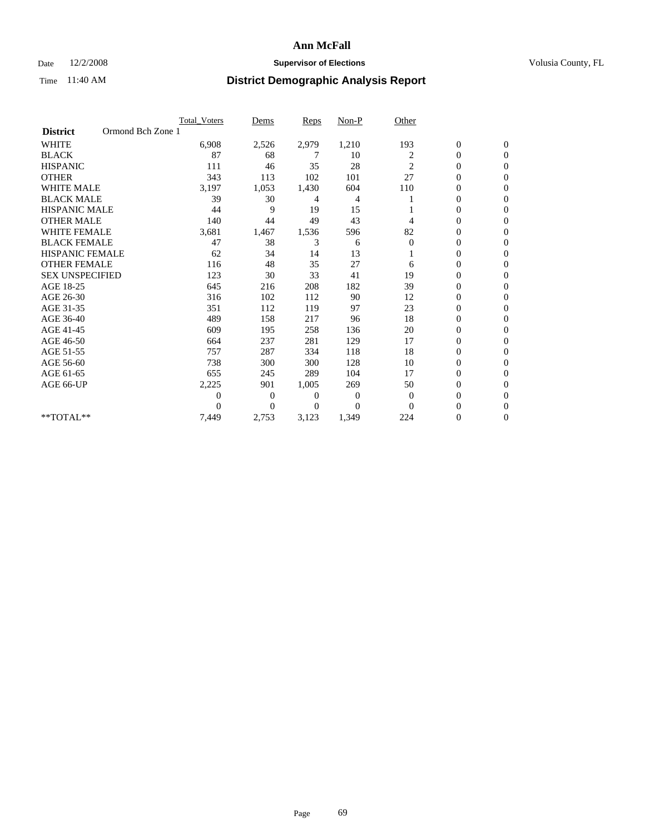### Date  $12/2/2008$  **Supervisor of Elections** Volusia County, FL

|                        |                   | <b>Total Voters</b> | Dems           | <b>Reps</b> | Non-P    | Other          |                  |                  |
|------------------------|-------------------|---------------------|----------------|-------------|----------|----------------|------------------|------------------|
| <b>District</b>        | Ormond Bch Zone 1 |                     |                |             |          |                |                  |                  |
| <b>WHITE</b>           |                   | 6,908               | 2,526          | 2,979       | 1,210    | 193            | $\boldsymbol{0}$ | $\boldsymbol{0}$ |
| <b>BLACK</b>           |                   | 87                  | 68             | 7           | 10       | 2              | $\boldsymbol{0}$ | $\mathbf{0}$     |
| <b>HISPANIC</b>        |                   | 111                 | 46             | 35          | 28       | $\overline{c}$ | $\overline{0}$   | $\mathbf{0}$     |
| <b>OTHER</b>           |                   | 343                 | 113            | 102         | 101      | 27             | 0                | $\Omega$         |
| <b>WHITE MALE</b>      |                   | 3,197               | 1,053          | 1,430       | 604      | 110            | $\mathbf{0}$     | $\mathbf{0}$     |
| <b>BLACK MALE</b>      |                   | 39                  | 30             | 4           | 4        |                | $\overline{0}$   | $\mathbf{0}$     |
| <b>HISPANIC MALE</b>   |                   | 44                  | 9              | 19          | 15       |                | 0                | $\Omega$         |
| <b>OTHER MALE</b>      |                   | 140                 | 44             | 49          | 43       | 4              | 0                | $\Omega$         |
| WHITE FEMALE           |                   | 3,681               | 1,467          | 1,536       | 596      | 82             | 0                | $\mathbf{0}$     |
| <b>BLACK FEMALE</b>    |                   | 47                  | 38             | 3           | 6        | $\mathbf{0}$   | $\boldsymbol{0}$ | $\Omega$         |
| <b>HISPANIC FEMALE</b> |                   | 62                  | 34             | 14          | 13       |                | 0                | $\mathbf{0}$     |
| <b>OTHER FEMALE</b>    |                   | 116                 | 48             | 35          | 27       | 6              | $\overline{0}$   | $\Omega$         |
| <b>SEX UNSPECIFIED</b> |                   | 123                 | 30             | 33          | 41       | 19             | $\overline{0}$   | $\mathbf{0}$     |
| AGE 18-25              |                   | 645                 | 216            | 208         | 182      | 39             | 0                | $\mathbf{0}$     |
| AGE 26-30              |                   | 316                 | 102            | 112         | 90       | 12             | $\overline{0}$   | $\Omega$         |
| AGE 31-35              |                   | 351                 | 112            | 119         | 97       | 23             | $\boldsymbol{0}$ | $\mathbf{0}$     |
| AGE 36-40              |                   | 489                 | 158            | 217         | 96       | 18             | 0                | $\Omega$         |
| AGE 41-45              |                   | 609                 | 195            | 258         | 136      | 20             | 0                | $\Omega$         |
| AGE 46-50              |                   | 664                 | 237            | 281         | 129      | 17             | $\boldsymbol{0}$ | $\Omega$         |
| AGE 51-55              |                   | 757                 | 287            | 334         | 118      | 18             | 0                | $\mathbf{0}$     |
| AGE 56-60              |                   | 738                 | 300            | 300         | 128      | 10             | $\overline{0}$   | $\Omega$         |
| AGE 61-65              |                   | 655                 | 245            | 289         | 104      | 17             | $\overline{0}$   | $\mathbf{0}$     |
| AGE 66-UP              |                   | 2,225               | 901            | 1,005       | 269      | 50             | 0                | $\mathbf{0}$     |
|                        |                   | 0                   | $\overline{0}$ | 0           | 0        | 0              | 0                | $\mathbf{0}$     |
|                        |                   | $\theta$            | $\Omega$       | 0           | $\Omega$ | $\Omega$       | $\overline{0}$   | $\Omega$         |
| **TOTAL**              |                   | 7,449               | 2,753          | 3,123       | 1,349    | 224            | 0                | $\mathbf{0}$     |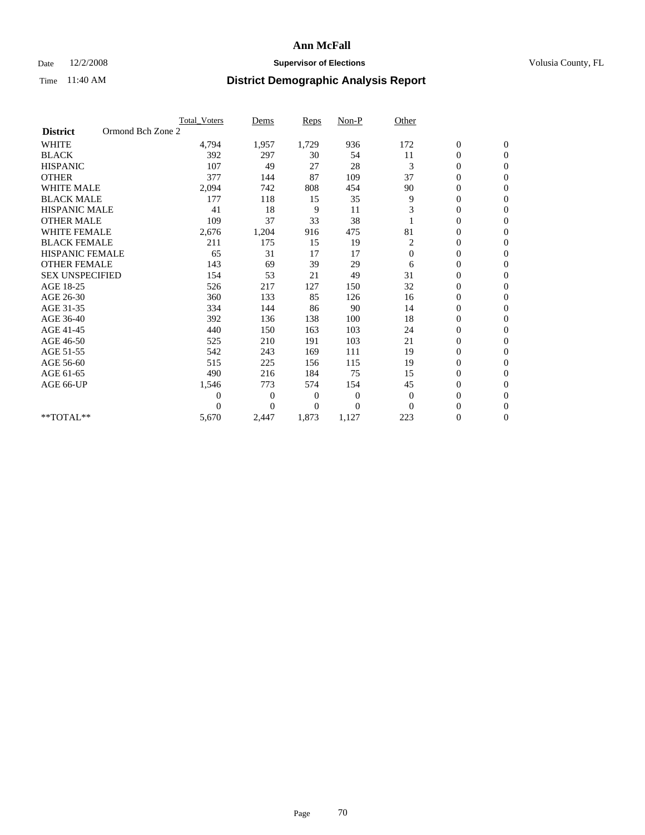### Date  $12/2/2008$  **Supervisor of Elections** Volusia County, FL

|                        | Total Voters      | Dems           | <b>Reps</b> | Non-P        | Other        |                  |                  |  |
|------------------------|-------------------|----------------|-------------|--------------|--------------|------------------|------------------|--|
| <b>District</b>        | Ormond Bch Zone 2 |                |             |              |              |                  |                  |  |
| <b>WHITE</b>           | 4,794             | 1,957          | 1,729       | 936          | 172          | $\boldsymbol{0}$ | $\boldsymbol{0}$ |  |
| <b>BLACK</b>           | 392               | 297            | 30          | 54           | 11           | $\boldsymbol{0}$ | $\mathbf{0}$     |  |
| <b>HISPANIC</b>        | 107               | 49             | 27          | 28           | 3            | $\overline{0}$   | $\mathbf{0}$     |  |
| <b>OTHER</b>           | 377               | 144            | 87          | 109          | 37           | $\boldsymbol{0}$ | $\Omega$         |  |
| <b>WHITE MALE</b>      | 2,094             | 742            | 808         | 454          | 90           | $\overline{0}$   | $\mathbf{0}$     |  |
| <b>BLACK MALE</b>      | 177               | 118            | 15          | 35           | 9            | $\overline{0}$   | $\mathbf{0}$     |  |
| <b>HISPANIC MALE</b>   | 41                | 18             | 9           | 11           | 3            | $\overline{0}$   | $\overline{0}$   |  |
| <b>OTHER MALE</b>      | 109               | 37             | 33          | 38           |              | 0                | $\mathbf{0}$     |  |
| <b>WHITE FEMALE</b>    | 2,676             | 1,204          | 916         | 475          | 81           | $\overline{0}$   | $\mathbf{0}$     |  |
| <b>BLACK FEMALE</b>    | 211               | 175            | 15          | 19           | 2            | $\boldsymbol{0}$ | $\overline{0}$   |  |
| <b>HISPANIC FEMALE</b> | 65                | 31             | 17          | 17           | $\mathbf{0}$ | $\overline{0}$   | $\mathbf{0}$     |  |
| <b>OTHER FEMALE</b>    | 143               | 69             | 39          | 29           | 6            | $\overline{0}$   | $\Omega$         |  |
| <b>SEX UNSPECIFIED</b> | 154               | 53             | 21          | 49           | 31           | $\overline{0}$   | $\overline{0}$   |  |
| AGE 18-25              | 526               | 217            | 127         | 150          | 32           | 0                | $\mathbf{0}$     |  |
| AGE 26-30              | 360               | 133            | 85          | 126          | 16           | $\overline{0}$   | $\mathbf{0}$     |  |
| AGE 31-35              | 334               | 144            | 86          | 90           | 14           | $\boldsymbol{0}$ | $\overline{0}$   |  |
| AGE 36-40              | 392               | 136            | 138         | 100          | 18           | 0                | $\mathbf{0}$     |  |
| AGE 41-45              | 440               | 150            | 163         | 103          | 24           | $\overline{0}$   | $\mathbf{0}$     |  |
| AGE 46-50              | 525               | 210            | 191         | 103          | 21           | $\boldsymbol{0}$ | $\overline{0}$   |  |
| AGE 51-55              | 542               | 243            | 169         | 111          | 19           | $\boldsymbol{0}$ | $\mathbf{0}$     |  |
| AGE 56-60              | 515               | 225            | 156         | 115          | 19           | $\overline{0}$   | $\Omega$         |  |
| AGE 61-65              | 490               | 216            | 184         | 75           | 15           | $\overline{0}$   | $\mathbf{0}$     |  |
| AGE 66-UP              | 1,546             | 773            | 574         | 154          | 45           | $\boldsymbol{0}$ | $\mathbf{0}$     |  |
|                        | $\overline{0}$    | $\overline{0}$ | 0           | $\mathbf{0}$ | $\mathbf{0}$ | $\overline{0}$   | $\mathbf{0}$     |  |
|                        | $\Omega$          | $\theta$       | $\Omega$    | $\Omega$     | $\Omega$     | $\overline{0}$   | $\mathbf{0}$     |  |
| **TOTAL**              | 5,670             | 2,447          | 1,873       | 1,127        | 223          | 0                | $\mathbf{0}$     |  |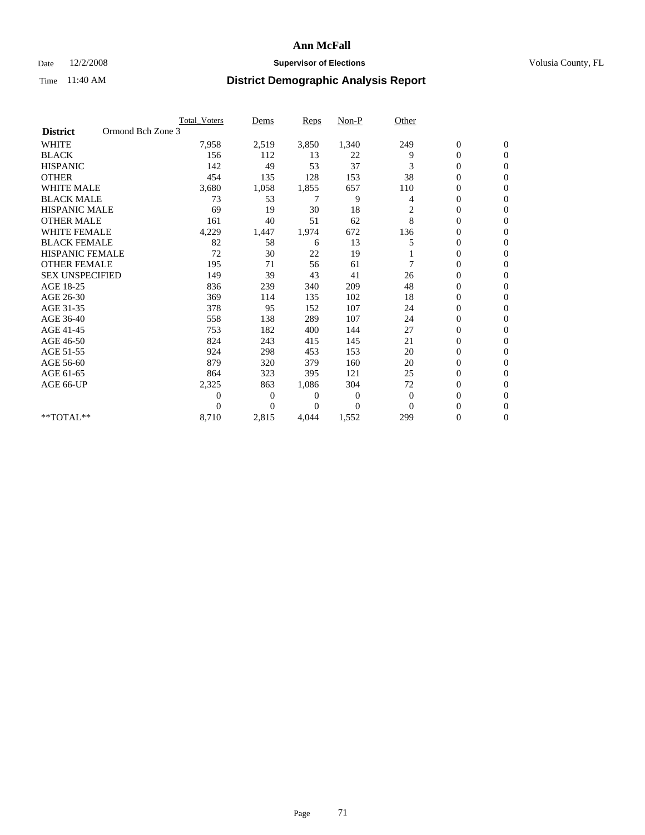### Date  $12/2/2008$  **Supervisor of Elections** Volusia County, FL

|                        |                   | Total Voters | Dems           | <b>Reps</b> | Non-P    | Other          |                  |                  |  |
|------------------------|-------------------|--------------|----------------|-------------|----------|----------------|------------------|------------------|--|
| <b>District</b>        | Ormond Bch Zone 3 |              |                |             |          |                |                  |                  |  |
| <b>WHITE</b>           |                   | 7,958        | 2,519          | 3,850       | 1,340    | 249            | $\boldsymbol{0}$ | $\boldsymbol{0}$ |  |
| <b>BLACK</b>           |                   | 156          | 112            | 13          | 22       | 9              | $\boldsymbol{0}$ | $\mathbf{0}$     |  |
| <b>HISPANIC</b>        |                   | 142          | 49             | 53          | 37       | 3              | $\overline{0}$   | $\mathbf{0}$     |  |
| <b>OTHER</b>           |                   | 454          | 135            | 128         | 153      | 38             | 0                | $\Omega$         |  |
| <b>WHITE MALE</b>      |                   | 3,680        | 1,058          | 1,855       | 657      | 110            | $\mathbf{0}$     | $\mathbf{0}$     |  |
| <b>BLACK MALE</b>      |                   | 73           | 53             | 7           | 9        | $\overline{4}$ | $\overline{0}$   | $\mathbf{0}$     |  |
| <b>HISPANIC MALE</b>   |                   | 69           | 19             | 30          | 18       | $\overline{c}$ | 0                | $\mathbf{0}$     |  |
| <b>OTHER MALE</b>      |                   | 161          | 40             | 51          | 62       | 8              | 0                | $\mathbf{0}$     |  |
| <b>WHITE FEMALE</b>    |                   | 4,229        | 1,447          | 1,974       | 672      | 136            | $\overline{0}$   | $\mathbf{0}$     |  |
| <b>BLACK FEMALE</b>    |                   | 82           | 58             | 6           | 13       | 5              | $\boldsymbol{0}$ | $\Omega$         |  |
| <b>HISPANIC FEMALE</b> |                   | 72           | 30             | 22          | 19       |                | 0                | $\mathbf{0}$     |  |
| <b>OTHER FEMALE</b>    |                   | 195          | 71             | 56          | 61       | 7              | $\mathbf{0}$     | $\Omega$         |  |
| <b>SEX UNSPECIFIED</b> |                   | 149          | 39             | 43          | 41       | 26             | $\overline{0}$   | $\mathbf{0}$     |  |
| AGE 18-25              |                   | 836          | 239            | 340         | 209      | 48             | 0                | $\mathbf{0}$     |  |
| AGE 26-30              |                   | 369          | 114            | 135         | 102      | 18             | $\overline{0}$   | $\mathbf{0}$     |  |
| AGE 31-35              |                   | 378          | 95             | 152         | 107      | 24             | $\boldsymbol{0}$ | $\mathbf{0}$     |  |
| AGE 36-40              |                   | 558          | 138            | 289         | 107      | 24             | 0                | $\mathbf{0}$     |  |
| AGE 41-45              |                   | 753          | 182            | 400         | 144      | 27             | $\overline{0}$   | $\Omega$         |  |
| AGE 46-50              |                   | 824          | 243            | 415         | 145      | 21             | $\boldsymbol{0}$ | $\Omega$         |  |
| AGE 51-55              |                   | 924          | 298            | 453         | 153      | 20             | $\boldsymbol{0}$ | $\mathbf{0}$     |  |
| AGE 56-60              |                   | 879          | 320            | 379         | 160      | 20             | $\overline{0}$   | $\Omega$         |  |
| AGE 61-65              |                   | 864          | 323            | 395         | 121      | 25             | $\overline{0}$   | $\mathbf{0}$     |  |
| AGE 66-UP              |                   | 2,325        | 863            | 1,086       | 304      | 72             | $\boldsymbol{0}$ | $\mathbf{0}$     |  |
|                        |                   | 0            | $\overline{0}$ | 0           | 0        | $\theta$       | $\overline{0}$   | $\mathbf{0}$     |  |
|                        |                   | $\theta$     | $\theta$       | 0           | $\Omega$ | $\Omega$       | $\overline{0}$   | $\mathbf{0}$     |  |
| **TOTAL**              |                   | 8,710        | 2,815          | 4,044       | 1,552    | 299            | 0                | $\mathbf{0}$     |  |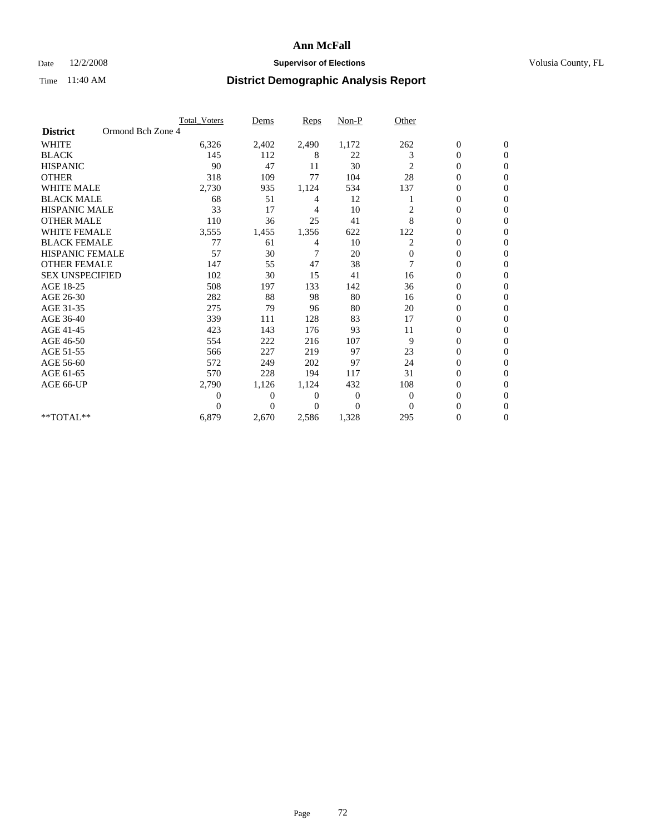### Date  $12/2/2008$  **Supervisor of Elections** Volusia County, FL

|                                      | Total Voters   | Dems           | <b>Reps</b>    | Non-P        | Other          |                  |                  |  |
|--------------------------------------|----------------|----------------|----------------|--------------|----------------|------------------|------------------|--|
| Ormond Bch Zone 4<br><b>District</b> |                |                |                |              |                |                  |                  |  |
| <b>WHITE</b>                         | 6,326          | 2,402          | 2,490          | 1,172        | 262            | $\boldsymbol{0}$ | $\boldsymbol{0}$ |  |
| <b>BLACK</b>                         | 145            | 112            | 8              | 22           | 3              | $\overline{0}$   | $\mathbf{0}$     |  |
| <b>HISPANIC</b>                      | 90             | 47             | 11             | 30           | 2              | $\overline{0}$   | $\Omega$         |  |
| <b>OTHER</b>                         | 318            | 109            | 77             | 104          | 28             | 0                | $\Omega$         |  |
| <b>WHITE MALE</b>                    | 2,730          | 935            | 1,124          | 534          | 137            | $\boldsymbol{0}$ | $\Omega$         |  |
| <b>BLACK MALE</b>                    | 68             | 51             | 4              | 12           |                | $\mathbf{0}$     | $\Omega$         |  |
| <b>HISPANIC MALE</b>                 | 33             | 17             | 4              | 10           | $\overline{c}$ | 0                | $\Omega$         |  |
| <b>OTHER MALE</b>                    | 110            | 36             | 25             | 41           | 8              | $\overline{0}$   | $\mathbf{0}$     |  |
| <b>WHITE FEMALE</b>                  | 3,555          | 1,455          | 1,356          | 622          | 122            | $\overline{0}$   | $\Omega$         |  |
| <b>BLACK FEMALE</b>                  | 77             | 61             | 4              | 10           | $\overline{c}$ | 0                | $\Omega$         |  |
| <b>HISPANIC FEMALE</b>               | 57             | 30             | 7              | 20           | $\mathbf{0}$   | 0                | 0                |  |
| <b>OTHER FEMALE</b>                  | 147            | 55             | 47             | 38           | 7              | $\mathbf{0}$     | $\mathbf{0}$     |  |
| <b>SEX UNSPECIFIED</b>               | 102            | 30             | 15             | 41           | 16             | 0                | $\Omega$         |  |
| AGE 18-25                            | 508            | 197            | 133            | 142          | 36             | $\overline{0}$   | $\mathbf{0}$     |  |
| AGE 26-30                            | 282            | 88             | 98             | 80           | 16             | $\overline{0}$   | $\Omega$         |  |
| AGE 31-35                            | 275            | 79             | 96             | 80           | 20             | $\boldsymbol{0}$ | $\Omega$         |  |
| AGE 36-40                            | 339            | 111            | 128            | 83           | 17             | $\boldsymbol{0}$ | $\Omega$         |  |
| AGE 41-45                            | 423            | 143            | 176            | 93           | 11             | $\overline{0}$   | $\Omega$         |  |
| AGE 46-50                            | 554            | 222            | 216            | 107          | 9              | 0                | 0                |  |
| AGE 51-55                            | 566            | 227            | 219            | 97           | 23             | $\overline{0}$   | $\mathbf{0}$     |  |
| AGE 56-60                            | 572            | 249            | 202            | 97           | 24             | $\overline{0}$   | $\Omega$         |  |
| AGE 61-65                            | 570            | 228            | 194            | 117          | 31             | 0                | $\Omega$         |  |
| AGE 66-UP                            | 2,790          | 1,126          | 1,124          | 432          | 108            | 0                | $\mathbf{0}$     |  |
|                                      | $\overline{0}$ | $\overline{0}$ | 0              | $\mathbf{0}$ | $\overline{0}$ | $\mathbf{0}$     | $\mathbf{0}$     |  |
|                                      | 0              | $\overline{0}$ | $\overline{0}$ | $\Omega$     | $\mathbf{0}$   | $\overline{0}$   | $\mathbf{0}$     |  |
| **TOTAL**                            | 6,879          | 2,670          | 2,586          | 1,328        | 295            | 0                | 0                |  |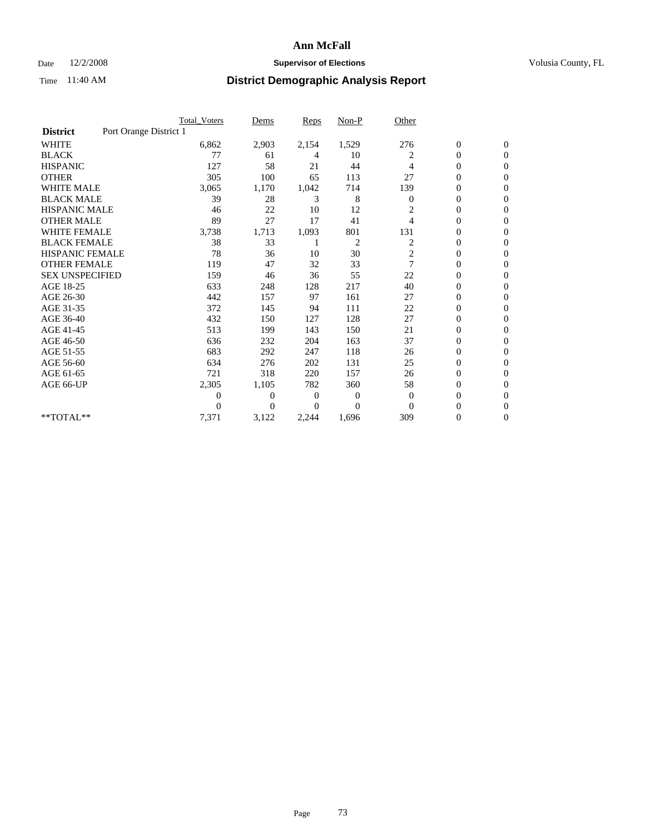#### Date  $12/2/2008$  **Supervisor of Elections** Volusia County, FL

|                        |                        | <b>Total Voters</b> | Dems           | <b>Reps</b> | $Non-P$        | Other          |                  |                  |  |
|------------------------|------------------------|---------------------|----------------|-------------|----------------|----------------|------------------|------------------|--|
| <b>District</b>        | Port Orange District 1 |                     |                |             |                |                |                  |                  |  |
| <b>WHITE</b>           |                        | 6,862               | 2,903          | 2,154       | 1,529          | 276            | $\boldsymbol{0}$ | $\boldsymbol{0}$ |  |
| <b>BLACK</b>           |                        | 77                  | 61             | 4           | 10             | 2              | $\boldsymbol{0}$ | $\mathbf{0}$     |  |
| <b>HISPANIC</b>        |                        | 127                 | 58             | 21          | 44             | 4              | $\overline{0}$   | $\mathbf{0}$     |  |
| <b>OTHER</b>           |                        | 305                 | 100            | 65          | 113            | 27             | 0                | $\Omega$         |  |
| <b>WHITE MALE</b>      |                        | 3,065               | 1,170          | 1,042       | 714            | 139            | $\overline{0}$   | $\mathbf{0}$     |  |
| <b>BLACK MALE</b>      |                        | 39                  | 28             | 3           | 8              | $\mathbf{0}$   | $\overline{0}$   | $\mathbf{0}$     |  |
| <b>HISPANIC MALE</b>   |                        | 46                  | 22             | 10          | 12             | 2              | $\overline{0}$   | $\overline{0}$   |  |
| <b>OTHER MALE</b>      |                        | 89                  | 27             | 17          | 41             | 4              | 0                | $\mathbf{0}$     |  |
| <b>WHITE FEMALE</b>    |                        | 3,738               | 1,713          | 1,093       | 801            | 131            | $\overline{0}$   | $\mathbf{0}$     |  |
| <b>BLACK FEMALE</b>    |                        | 38                  | 33             |             | $\overline{c}$ | 2              | $\boldsymbol{0}$ | $\Omega$         |  |
| <b>HISPANIC FEMALE</b> |                        | 78                  | 36             | 10          | 30             | 2              | 0                | $\mathbf{0}$     |  |
| <b>OTHER FEMALE</b>    |                        | 119                 | 47             | 32          | 33             | $\overline{7}$ | $\mathbf{0}$     | $\Omega$         |  |
| <b>SEX UNSPECIFIED</b> |                        | 159                 | 46             | 36          | 55             | 22             | $\overline{0}$   | $\overline{0}$   |  |
| AGE 18-25              |                        | 633                 | 248            | 128         | 217            | 40             | $\overline{0}$   | $\mathbf{0}$     |  |
| AGE 26-30              |                        | 442                 | 157            | 97          | 161            | 27             | $\overline{0}$   | $\mathbf{0}$     |  |
| AGE 31-35              |                        | 372                 | 145            | 94          | 111            | 22             | $\boldsymbol{0}$ | $\overline{0}$   |  |
| AGE 36-40              |                        | 432                 | 150            | 127         | 128            | 27             | 0                | $\mathbf{0}$     |  |
| AGE 41-45              |                        | 513                 | 199            | 143         | 150            | 21             | $\overline{0}$   | $\Omega$         |  |
| AGE 46-50              |                        | 636                 | 232            | 204         | 163            | 37             | $\boldsymbol{0}$ | $\Omega$         |  |
| AGE 51-55              |                        | 683                 | 292            | 247         | 118            | 26             | $\boldsymbol{0}$ | $\mathbf{0}$     |  |
| AGE 56-60              |                        | 634                 | 276            | 202         | 131            | 25             | $\overline{0}$   | $\Omega$         |  |
| AGE 61-65              |                        | 721                 | 318            | 220         | 157            | 26             | $\overline{0}$   | $\mathbf{0}$     |  |
| AGE 66-UP              |                        | 2,305               | 1,105          | 782         | 360            | 58             | $\boldsymbol{0}$ | $\mathbf{0}$     |  |
|                        |                        | $\overline{0}$      | $\overline{0}$ | 0           | 0              | $\theta$       | $\overline{0}$   | $\mathbf{0}$     |  |
|                        |                        | $\theta$            | $\Omega$       | 0           | $\Omega$       | $\Omega$       | $\overline{0}$   | $\mathbf{0}$     |  |
| **TOTAL**              |                        | 7,371               | 3,122          | 2,244       | 1,696          | 309            | 0                | $\mathbf{0}$     |  |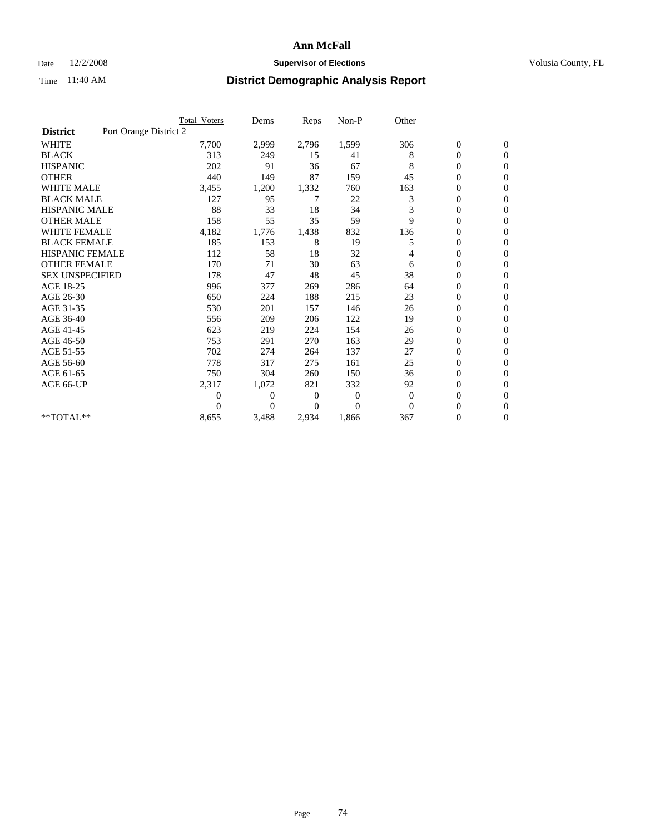#### Date  $12/2/2008$  **Supervisor of Elections** Volusia County, FL

|                        |                        | <b>Total Voters</b> | Dems         | Reps  | $Non-P$  | Other    |                  |                  |  |
|------------------------|------------------------|---------------------|--------------|-------|----------|----------|------------------|------------------|--|
| <b>District</b>        | Port Orange District 2 |                     |              |       |          |          |                  |                  |  |
| <b>WHITE</b>           |                        | 7,700               | 2,999        | 2,796 | 1,599    | 306      | $\boldsymbol{0}$ | $\boldsymbol{0}$ |  |
| <b>BLACK</b>           |                        | 313                 | 249          | 15    | 41       | 8        | 0                | $\mathbf{0}$     |  |
| <b>HISPANIC</b>        |                        | 202                 | 91           | 36    | 67       | 8        | 0                | $\mathbf{0}$     |  |
| <b>OTHER</b>           |                        | 440                 | 149          | 87    | 159      | 45       | 0                | $\Omega$         |  |
| <b>WHITE MALE</b>      |                        | 3,455               | 1,200        | 1,332 | 760      | 163      | 0                | $\mathbf{0}$     |  |
| <b>BLACK MALE</b>      |                        | 127                 | 95           | 7     | 22       | 3        | $\overline{0}$   | $\mathbf{0}$     |  |
| <b>HISPANIC MALE</b>   |                        | 88                  | 33           | 18    | 34       | 3        | 0                | $\mathbf{0}$     |  |
| <b>OTHER MALE</b>      |                        | 158                 | 55           | 35    | 59       | 9        | 0                | $\Omega$         |  |
| <b>WHITE FEMALE</b>    |                        | 4,182               | 1,776        | 1,438 | 832      | 136      | 0                | $\mathbf{0}$     |  |
| <b>BLACK FEMALE</b>    |                        | 185                 | 153          | 8     | 19       | 5        | 0                | $\mathbf{0}$     |  |
| <b>HISPANIC FEMALE</b> |                        | 112                 | 58           | 18    | 32       | 4        | 0                | $\mathbf{0}$     |  |
| <b>OTHER FEMALE</b>    |                        | 170                 | 71           | 30    | 63       | 6        | 0                | $\Omega$         |  |
| <b>SEX UNSPECIFIED</b> |                        | 178                 | 47           | 48    | 45       | 38       | 0                | $\mathbf{0}$     |  |
| AGE 18-25              |                        | 996                 | 377          | 269   | 286      | 64       | 0                | $\mathbf{0}$     |  |
| AGE 26-30              |                        | 650                 | 224          | 188   | 215      | 23       | 0                | $\mathbf{0}$     |  |
| AGE 31-35              |                        | 530                 | 201          | 157   | 146      | 26       | 0                | $\mathbf{0}$     |  |
| AGE 36-40              |                        | 556                 | 209          | 206   | 122      | 19       | 0                | $\mathbf{0}$     |  |
| AGE 41-45              |                        | 623                 | 219          | 224   | 154      | 26       | 0                | $\Omega$         |  |
| AGE 46-50              |                        | 753                 | 291          | 270   | 163      | 29       | 0                | $\mathbf{0}$     |  |
| AGE 51-55              |                        | 702                 | 274          | 264   | 137      | 27       | 0                | $\mathbf{0}$     |  |
| AGE 56-60              |                        | 778                 | 317          | 275   | 161      | 25       | $\overline{0}$   | $\Omega$         |  |
| AGE 61-65              |                        | 750                 | 304          | 260   | 150      | 36       | 0                | $\mathbf{0}$     |  |
| AGE 66-UP              |                        | 2,317               | 1,072        | 821   | 332      | 92       | 0                | $\mathbf{0}$     |  |
|                        |                        | 0                   | $\mathbf{0}$ | 0     | $\theta$ | $\theta$ | 0                | $\mathbf{0}$     |  |
|                        |                        | 0                   | $\Omega$     | 0     | $\Omega$ | $\Omega$ | 0                | $\overline{0}$   |  |
| **TOTAL**              |                        | 8,655               | 3,488        | 2,934 | 1,866    | 367      | 0                | $\overline{0}$   |  |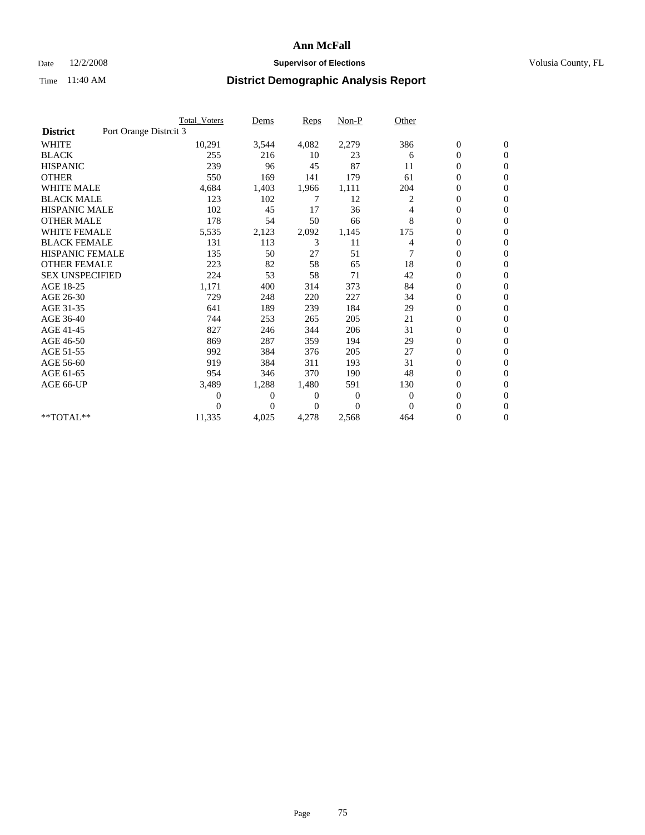### Date  $12/2/2008$  **Supervisor of Elections** Volusia County, FL

|                        |                        | Total Voters | Dems     | <b>Reps</b> | $Non-P$  | Other        |                  |                  |  |
|------------------------|------------------------|--------------|----------|-------------|----------|--------------|------------------|------------------|--|
| <b>District</b>        | Port Orange Distrcit 3 |              |          |             |          |              |                  |                  |  |
| <b>WHITE</b>           |                        | 10,291       | 3,544    | 4,082       | 2,279    | 386          | $\boldsymbol{0}$ | $\boldsymbol{0}$ |  |
| <b>BLACK</b>           |                        | 255          | 216      | 10          | 23       | 6            | $\boldsymbol{0}$ | $\mathbf{0}$     |  |
| <b>HISPANIC</b>        |                        | 239          | 96       | 45          | 87       | 11           | $\overline{0}$   | $\mathbf{0}$     |  |
| <b>OTHER</b>           |                        | 550          | 169      | 141         | 179      | 61           | $\boldsymbol{0}$ | $\Omega$         |  |
| <b>WHITE MALE</b>      |                        | 4,684        | 1,403    | 1,966       | 1,111    | 204          | $\overline{0}$   | $\mathbf{0}$     |  |
| <b>BLACK MALE</b>      |                        | 123          | 102      | 7           | 12       | 2            | $\overline{0}$   | $\mathbf{0}$     |  |
| <b>HISPANIC MALE</b>   |                        | 102          | 45       | 17          | 36       | 4            | $\overline{0}$   | $\mathbf{0}$     |  |
| <b>OTHER MALE</b>      |                        | 178          | 54       | 50          | 66       | 8            | $\boldsymbol{0}$ | $\mathbf{0}$     |  |
| <b>WHITE FEMALE</b>    |                        | 5,535        | 2,123    | 2,092       | 1,145    | 175          | $\overline{0}$   | $\mathbf{0}$     |  |
| <b>BLACK FEMALE</b>    |                        | 131          | 113      | 3           | 11       | 4            | $\boldsymbol{0}$ | $\mathbf{0}$     |  |
| <b>HISPANIC FEMALE</b> |                        | 135          | 50       | 27          | 51       | 7            | $\overline{0}$   | $\mathbf{0}$     |  |
| <b>OTHER FEMALE</b>    |                        | 223          | 82       | 58          | 65       | 18           | $\mathbf{0}$     | $\mathbf{0}$     |  |
| <b>SEX UNSPECIFIED</b> |                        | 224          | 53       | 58          | 71       | 42           | $\boldsymbol{0}$ | $\mathbf{0}$     |  |
| AGE 18-25              |                        | 1,171        | 400      | 314         | 373      | 84           | $\overline{0}$   | $\mathbf{0}$     |  |
| AGE 26-30              |                        | 729          | 248      | 220         | 227      | 34           | $\overline{0}$   | $\mathbf{0}$     |  |
| AGE 31-35              |                        | 641          | 189      | 239         | 184      | 29           | $\boldsymbol{0}$ | $\mathbf{0}$     |  |
| AGE 36-40              |                        | 744          | 253      | 265         | 205      | 21           | $\boldsymbol{0}$ | $\mathbf{0}$     |  |
| AGE 41-45              |                        | 827          | 246      | 344         | 206      | 31           | $\overline{0}$   | $\mathbf{0}$     |  |
| AGE 46-50              |                        | 869          | 287      | 359         | 194      | 29           | $\boldsymbol{0}$ | $\mathbf{0}$     |  |
| AGE 51-55              |                        | 992          | 384      | 376         | 205      | 27           | $\boldsymbol{0}$ | $\mathbf{0}$     |  |
| AGE 56-60              |                        | 919          | 384      | 311         | 193      | 31           | $\overline{0}$   | $\Omega$         |  |
| AGE 61-65              |                        | 954          | 346      | 370         | 190      | 48           | $\overline{0}$   | $\mathbf{0}$     |  |
| AGE 66-UP              |                        | 3,489        | 1,288    | 1,480       | 591      | 130          | $\boldsymbol{0}$ | $\mathbf{0}$     |  |
|                        |                        | 0            | 0        | 0           | $\bf{0}$ | $\mathbf{0}$ | $\overline{0}$   | $\mathbf{0}$     |  |
|                        |                        | $\theta$     | $\theta$ | $\Omega$    | $\Omega$ | $\Omega$     | $\overline{0}$   | $\mathbf{0}$     |  |
| **TOTAL**              |                        | 11,335       | 4,025    | 4,278       | 2,568    | 464          | 0                | $\mathbf{0}$     |  |